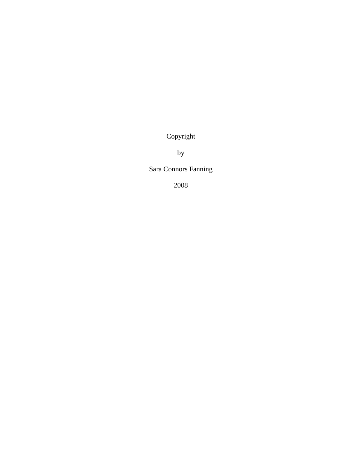Copyright

by

Sara Connors Fanning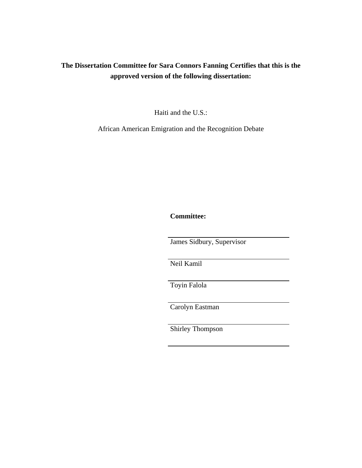# **The Dissertation Committee for Sara Connors Fanning Certifies that this is the approved version of the following dissertation:**

Haiti and the U.S.:

African American Emigration and the Recognition Debate

**Committee:** 

James Sidbury, Supervisor

Neil Kamil

Toyin Falola

Carolyn Eastman

Shirley Thompson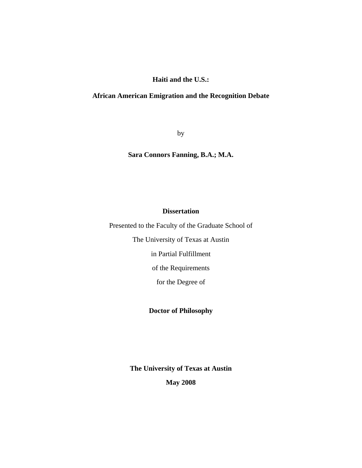**Haiti and the U.S.:** 

### **African American Emigration and the Recognition Debate**

by

**Sara Connors Fanning, B.A.; M.A.** 

### **Dissertation**

Presented to the Faculty of the Graduate School of

The University of Texas at Austin

in Partial Fulfillment

of the Requirements

for the Degree of

**Doctor of Philosophy** 

**The University of Texas at Austin May 2008**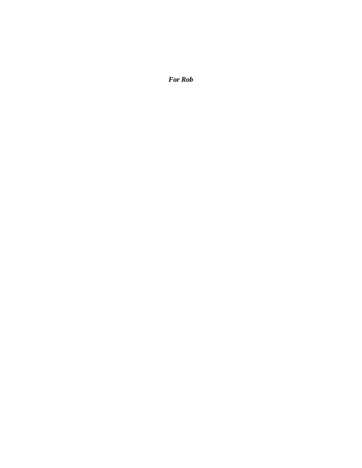*For Rob*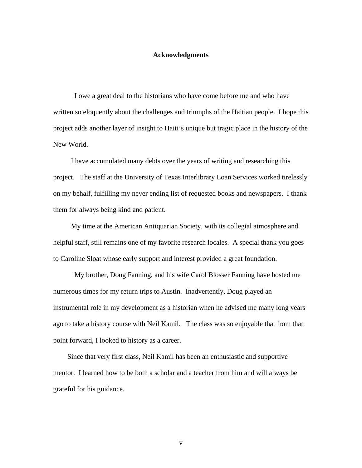### **Acknowledgments**

 I owe a great deal to the historians who have come before me and who have written so eloquently about the challenges and triumphs of the Haitian people. I hope this project adds another layer of insight to Haiti's unique but tragic place in the history of the New World.

 I have accumulated many debts over the years of writing and researching this project. The staff at the University of Texas Interlibrary Loan Services worked tirelessly on my behalf, fulfilling my never ending list of requested books and newspapers. I thank them for always being kind and patient.

 My time at the American Antiquarian Society, with its collegial atmosphere and helpful staff, still remains one of my favorite research locales. A special thank you goes to Caroline Sloat whose early support and interest provided a great foundation.

 My brother, Doug Fanning, and his wife Carol Blosser Fanning have hosted me numerous times for my return trips to Austin. Inadvertently, Doug played an instrumental role in my development as a historian when he advised me many long years ago to take a history course with Neil Kamil. The class was so enjoyable that from that point forward, I looked to history as a career.

 Since that very first class, Neil Kamil has been an enthusiastic and supportive mentor. I learned how to be both a scholar and a teacher from him and will always be grateful for his guidance.

v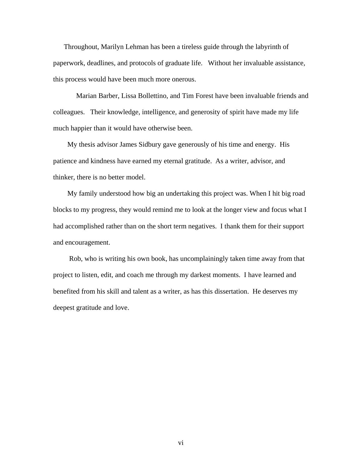Throughout, Marilyn Lehman has been a tireless guide through the labyrinth of paperwork, deadlines, and protocols of graduate life. Without her invaluable assistance, this process would have been much more onerous.

 Marian Barber, Lissa Bollettino, and Tim Forest have been invaluable friends and colleagues. Their knowledge, intelligence, and generosity of spirit have made my life much happier than it would have otherwise been.

 My thesis advisor James Sidbury gave generously of his time and energy. His patience and kindness have earned my eternal gratitude. As a writer, advisor, and thinker, there is no better model.

 My family understood how big an undertaking this project was. When I hit big road blocks to my progress, they would remind me to look at the longer view and focus what I had accomplished rather than on the short term negatives. I thank them for their support and encouragement.

 Rob, who is writing his own book, has uncomplainingly taken time away from that project to listen, edit, and coach me through my darkest moments. I have learned and benefited from his skill and talent as a writer, as has this dissertation. He deserves my deepest gratitude and love.

vi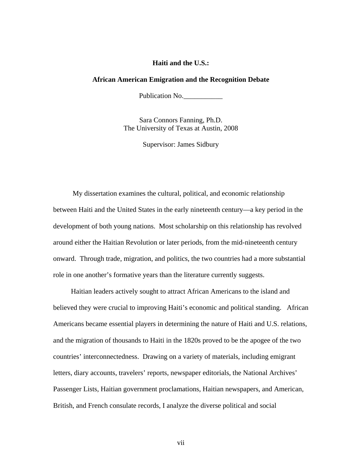### **Haiti and the U.S.:**

#### **African American Emigration and the Recognition Debate**

Publication No.

Sara Connors Fanning, Ph.D. The University of Texas at Austin, 2008

Supervisor: James Sidbury

 My dissertation examines the cultural, political, and economic relationship between Haiti and the United States in the early nineteenth century—a key period in the development of both young nations. Most scholarship on this relationship has revolved around either the Haitian Revolution or later periods, from the mid-nineteenth century onward. Through trade, migration, and politics, the two countries had a more substantial role in one another's formative years than the literature currently suggests.

 Haitian leaders actively sought to attract African Americans to the island and believed they were crucial to improving Haiti's economic and political standing. African Americans became essential players in determining the nature of Haiti and U.S. relations, and the migration of thousands to Haiti in the 1820s proved to be the apogee of the two countries' interconnectedness. Drawing on a variety of materials, including emigrant letters, diary accounts, travelers' reports, newspaper editorials, the National Archives' Passenger Lists, Haitian government proclamations, Haitian newspapers, and American, British, and French consulate records, I analyze the diverse political and social

vii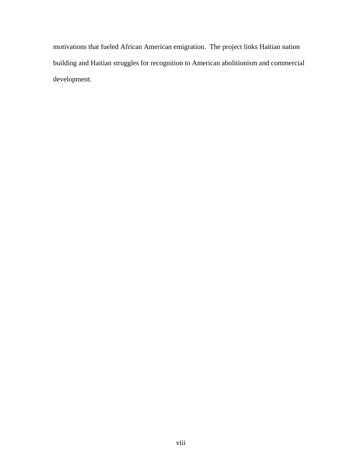motivations that fueled African American emigration. The project links Haitian nation building and Haitian struggles for recognition to American abolitionism and commercial development.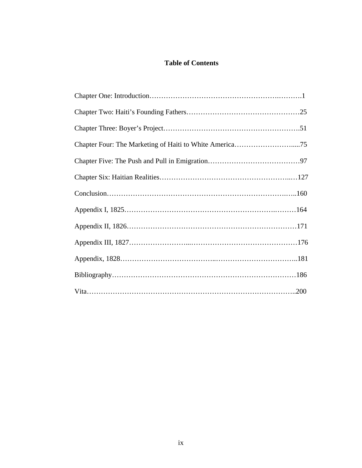## **Table of Contents**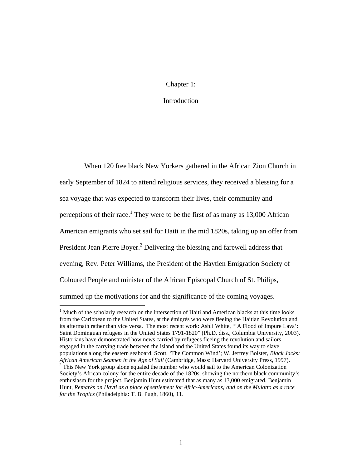### Chapter 1:

### Introduction

 When 120 free black New Yorkers gathered in the African Zion Church in early September of 1824 to attend religious services, they received a blessing for a sea voyage that was expected to transform their lives, their community and perceptions of their race.<sup>1</sup> They were to be the first of as many as  $13,000$  African American emigrants who set sail for Haiti in the mid 1820s, taking up an offer from President Jean Pierre Boyer.<sup>2</sup> Delivering the blessing and farewell address that evening, Rev. Peter Williams, the President of the Haytien Emigration Society of Coloured People and minister of the African Episcopal Church of St. Philips, summed up the motivations for and the significance of the coming voyages.

<sup>&</sup>lt;sup>1</sup> Much of the scholarly research on the intersection of Haiti and American blacks at this time looks from the Caribbean to the United States, at the émigrés who were fleeing the Haitian Revolution and its aftermath rather than vice versa. The most recent work: Ashli White, "'A Flood of Impure Lava': Saint Dominguan refugees in the United States 1791-1820" (Ph.D. diss., Columbia University, 2003). Historians have demonstrated how news carried by refugees fleeing the revolution and sailors engaged in the carrying trade between the island and the United States found its way to slave populations along the eastern seaboard. Scott, 'The Common Wind'; W. Jeffrey Bolster, *Black Jacks: African American Seamen in the Age of Sail* (Cambridge, Mass: Harvard University Press, 1997).<br><sup>2</sup> This New York group alone equaled the number who would sail to the American Colonization Society's African colony for the entire decade of the 1820s, showing the northern black community's enthusiasm for the project. Benjamin Hunt estimated that as many as 13,000 emigrated. Benjamin Hunt, *Remarks on Hayti as a place of settlement for Afric-Americans; and on the Mulatto as a race for the Tropics* (Philadelphia: T. B. Pugh, 1860), 11.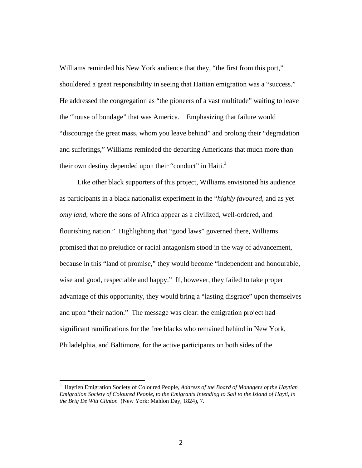Williams reminded his New York audience that they, "the first from this port," shouldered a great responsibility in seeing that Haitian emigration was a "success." He addressed the congregation as "the pioneers of a vast multitude" waiting to leave the "house of bondage" that was America. Emphasizing that failure would "discourage the great mass, whom you leave behind" and prolong their "degradation and sufferings," Williams reminded the departing Americans that much more than their own destiny depended upon their "conduct" in Haiti.<sup>3</sup>

 Like other black supporters of this project, Williams envisioned his audience as participants in a black nationalist experiment in the "*highly favoured,* and as yet *only land*, where the sons of Africa appear as a civilized, well-ordered, and flourishing nation." Highlighting that "good laws" governed there, Williams promised that no prejudice or racial antagonism stood in the way of advancement, because in this "land of promise," they would become "independent and honourable, wise and good, respectable and happy." If, however, they failed to take proper advantage of this opportunity, they would bring a "lasting disgrace" upon themselves and upon "their nation." The message was clear: the emigration project had significant ramifications for the free blacks who remained behind in New York, Philadelphia, and Baltimore, for the active participants on both sides of the

<sup>3</sup> Haytien Emigration Society of Coloured People, *Address of the Board of Managers of the Haytian Emigration Society of Coloured People, to the Emigrants Intending to Sail to the Island of Hayti, in the Brig De Witt Clinton* (New York: Mahlon Day, 1824), 7.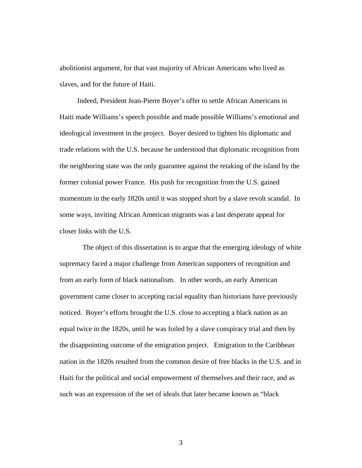abolitionist argument, for that vast majority of African Americans who lived as slaves, and for the future of Haiti.

 Indeed, President Jean-Pierre Boyer's offer to settle African Americans in Haiti made Williams's speech possible and made possible Williams's emotional and ideological investment in the project. Boyer desired to tighten his diplomatic and trade relations with the U.S. because he understood that diplomatic recognition from the neighboring state was the only guarantee against the retaking of the island by the former colonial power France. His push for recognition from the U.S. gained momentum in the early 1820s until it was stopped short by a slave revolt scandal. In some ways, inviting African American migrants was a last desperate appeal for closer links with the U.S.

 The object of this dissertation is to argue that the emerging ideology of white supremacy faced a major challenge from American supporters of recognition and from an early form of black nationalism. In other words, an early American government came closer to accepting racial equality than historians have previously noticed. Boyer's efforts brought the U.S. close to accepting a black nation as an equal twice in the 1820s, until he was foiled by a slave conspiracy trial and then by the disappointing outcome of the emigration project. Emigration to the Caribbean nation in the 1820s resulted from the common desire of free blacks in the U.S. and in Haiti for the political and social empowerment of themselves and their race, and as such was an expression of the set of ideals that later became known as "black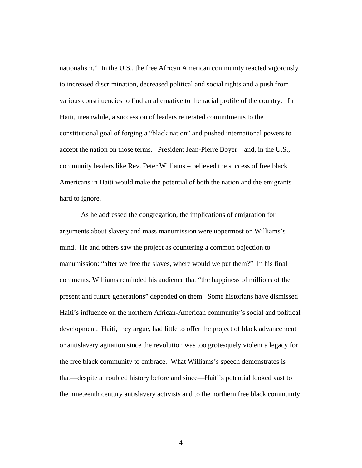nationalism." In the U.S., the free African American community reacted vigorously to increased discrimination, decreased political and social rights and a push from various constituencies to find an alternative to the racial profile of the country. In Haiti, meanwhile, a succession of leaders reiterated commitments to the constitutional goal of forging a "black nation" and pushed international powers to accept the nation on those terms. President Jean-Pierre Boyer – and, in the U.S., community leaders like Rev. Peter Williams – believed the success of free black Americans in Haiti would make the potential of both the nation and the emigrants hard to ignore.

 As he addressed the congregation, the implications of emigration for arguments about slavery and mass manumission were uppermost on Williams's mind. He and others saw the project as countering a common objection to manumission: "after we free the slaves, where would we put them?" In his final comments, Williams reminded his audience that "the happiness of millions of the present and future generations" depended on them. Some historians have dismissed Haiti's influence on the northern African-American community's social and political development. Haiti, they argue, had little to offer the project of black advancement or antislavery agitation since the revolution was too grotesquely violent a legacy for the free black community to embrace. What Williams's speech demonstrates is that—despite a troubled history before and since—Haiti's potential looked vast to the nineteenth century antislavery activists and to the northern free black community.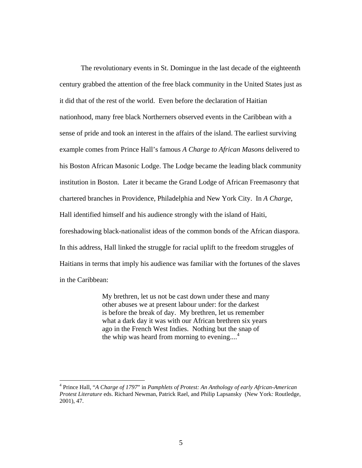The revolutionary events in St. Domingue in the last decade of the eighteenth century grabbed the attention of the free black community in the United States just as it did that of the rest of the world. Even before the declaration of Haitian nationhood, many free black Northerners observed events in the Caribbean with a sense of pride and took an interest in the affairs of the island. The earliest surviving example comes from Prince Hall's famous *A Charge to African Masons* delivered to his Boston African Masonic Lodge. The Lodge became the leading black community institution in Boston. Later it became the Grand Lodge of African Freemasonry that chartered branches in Providence, Philadelphia and New York City. In *A Charge*, Hall identified himself and his audience strongly with the island of Haiti, foreshadowing black-nationalist ideas of the common bonds of the African diaspora. In this address, Hall linked the struggle for racial uplift to the freedom struggles of Haitians in terms that imply his audience was familiar with the fortunes of the slaves in the Caribbean:

> My brethren, let us not be cast down under these and many other abuses we at present labour under: for the darkest is before the break of day. My brethren, let us remember what a dark day it was with our African brethren six years ago in the French West Indies. Nothing but the snap of the whip was heard from morning to evening....<sup>4</sup>

<sup>4</sup> Prince Hall, "*A Charge of 1797*" in *Pamphlets of Protest: An Anthology of early African-American Protest Literature* eds. Richard Newman, Patrick Rael, and Philip Lapsansky (New York*:* Routledge, 2001), 47.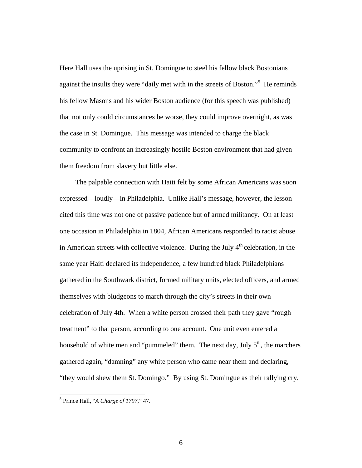Here Hall uses the uprising in St. Domingue to steel his fellow black Bostonians against the insults they were "daily met with in the streets of Boston."<sup>5</sup> He reminds his fellow Masons and his wider Boston audience (for this speech was published) that not only could circumstances be worse, they could improve overnight, as was the case in St. Domingue. This message was intended to charge the black community to confront an increasingly hostile Boston environment that had given them freedom from slavery but little else.

 The palpable connection with Haiti felt by some African Americans was soon expressed—loudly—in Philadelphia. Unlike Hall's message, however, the lesson cited this time was not one of passive patience but of armed militancy. On at least one occasion in Philadelphia in 1804, African Americans responded to racist abuse in American streets with collective violence. During the July  $4<sup>th</sup>$  celebration, in the same year Haiti declared its independence, a few hundred black Philadelphians gathered in the Southwark district, formed military units, elected officers, and armed themselves with bludgeons to march through the city's streets in their own celebration of July 4th. When a white person crossed their path they gave "rough treatment" to that person, according to one account. One unit even entered a household of white men and "pummeled" them. The next day, July  $5<sup>th</sup>$ , the marchers gathered again, "damning" any white person who came near them and declaring, "they would shew them St. Domingo." By using St. Domingue as their rallying cry,

 5 Prince Hall, "*A Charge of 1797,*" 47.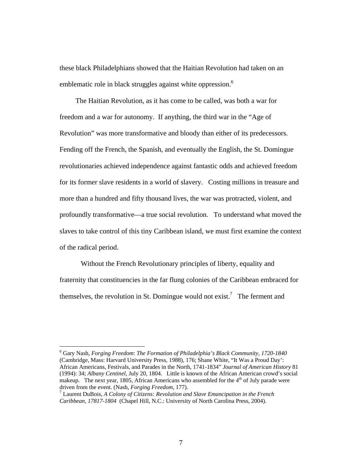these black Philadelphians showed that the Haitian Revolution had taken on an emblematic role in black struggles against white oppression.<sup>6</sup>

 The Haitian Revolution, as it has come to be called, was both a war for freedom and a war for autonomy. If anything, the third war in the "Age of Revolution" was more transformative and bloody than either of its predecessors. Fending off the French, the Spanish, and eventually the English, the St. Domingue revolutionaries achieved independence against fantastic odds and achieved freedom for its former slave residents in a world of slavery. Costing millions in treasure and more than a hundred and fifty thousand lives, the war was protracted, violent, and profoundly transformative—a true social revolution. To understand what moved the slaves to take control of this tiny Caribbean island, we must first examine the context of the radical period.

 Without the French Revolutionary principles of liberty, equality and fraternity that constituencies in the far flung colonies of the Caribbean embraced for themselves, the revolution in St. Domingue would not exist.<sup>7</sup> The ferment and

<sup>6</sup> Gary Nash, *Forging Freedom*: *The Formation of Philadelphia's Black Community, 1720-1840*  (Cambridge, Mass: Harvard University Press, 1988), 176; Shane White, "It Was a Proud Day': African Americans, Festivals, and Parades in the North, 1741-1834" *Journal of American History* 81 (1994): 34; *Albany Centinel*, July 20, 1804. Little is known of the African American crowd's social makeup. The next year, 1805, African Americans who assembled for the  $4<sup>th</sup>$  of July parade were driven from the event. (Nash, *Forging Freedom*, 177).

Laurent DuBois, *A Colony of Citizens: Revolution and Slave Emancipation in the French Caribbean, 17817-1804* (Chapel Hill, N.C.: University of North Carolina Press, 2004).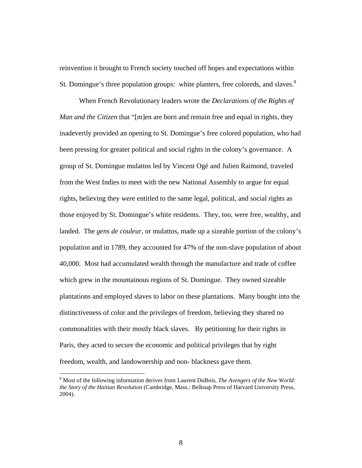reinvention it brought to French society touched off hopes and expectations within St. Domingue's three population groups: white planters, free coloreds, and slaves. $8$ 

 When French Revolutionary leaders wrote the *Declarations of the Rights of Man and the Citizen* that "[m]en are born and remain free and equal in rights, they inadevertly provided an opening to St. Domingue's free colored population, who had been pressing for greater political and social rights in the colony's governance. A group of St. Domingue mulattos led by Vincent Ogé and Julien Raimond, traveled from the West Indies to meet with the new National Assembly to argue for equal rights, believing they were entitled to the same legal, political, and social rights as those enjoyed by St. Domingue's white residents. They, too, were free, wealthy, and landed. The *gens de couleur*, or mulattos, made up a sizeable portion of the colony's population and in 1789, they accounted for 47% of the non-slave population of about 40,000. Most had accumulated wealth through the manufacture and trade of coffee which grew in the mountainous regions of St. Domingue. They owned sizeable plantations and employed slaves to labor on these plantations. Many bought into the distinctiveness of color and the privileges of freedom, believing they shared no commonalities with their mostly black slaves. By petitioning for their rights in Paris, they acted to secure the economic and political privileges that by right freedom, wealth, and landownership and non- blackness gave them.

<sup>8</sup> Most of the following information derives from Laurent DuBois, *The Avengers of the New World: the Story of the Haitian Revolution* (Cambridge, Mass.: Belknap Press of Harvard University Press, 2004).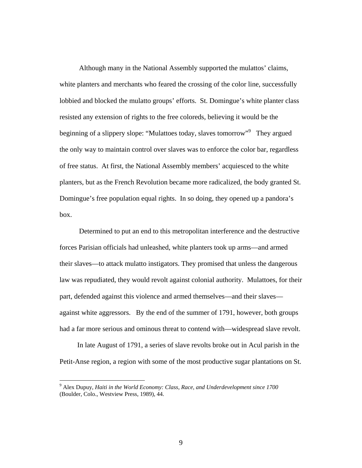Although many in the National Assembly supported the mulattos' claims, white planters and merchants who feared the crossing of the color line, successfully lobbied and blocked the mulatto groups' efforts. St. Domingue's white planter class resisted any extension of rights to the free coloreds, believing it would be the beginning of a slippery slope: "Mulattoes today, slaves tomorrow"<sup>9</sup> They argued the only way to maintain control over slaves was to enforce the color bar, regardless of free status. At first, the National Assembly members' acquiesced to the white planters, but as the French Revolution became more radicalized, the body granted St. Domingue's free population equal rights. In so doing, they opened up a pandora's box.

 Determined to put an end to this metropolitan interference and the destructive forces Parisian officials had unleashed, white planters took up arms—and armed their slaves—to attack mulatto instigators. They promised that unless the dangerous law was repudiated, they would revolt against colonial authority. Mulattoes, for their part, defended against this violence and armed themselves—and their slaves against white aggressors. By the end of the summer of 1791, however, both groups had a far more serious and ominous threat to contend with—widespread slave revolt.

 In late August of 1791, a series of slave revolts broke out in Acul parish in the Petit-Anse region, a region with some of the most productive sugar plantations on St.

<sup>9</sup> Alex Dupuy, *Haiti in the World Economy: Class, Race, and Underdevelopment since 1700* (Boulder, Colo., Westview Press, 1989), 44.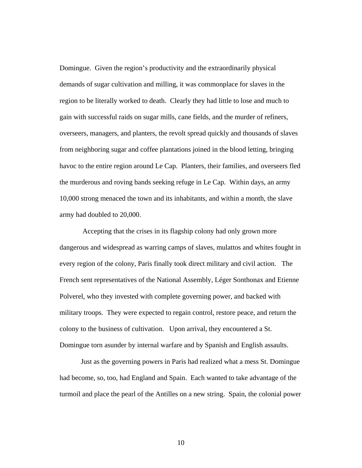Domingue. Given the region's productivity and the extraordinarily physical demands of sugar cultivation and milling, it was commonplace for slaves in the region to be literally worked to death. Clearly they had little to lose and much to gain with successful raids on sugar mills, cane fields, and the murder of refiners, overseers, managers, and planters, the revolt spread quickly and thousands of slaves from neighboring sugar and coffee plantations joined in the blood letting, bringing havoc to the entire region around Le Cap. Planters, their families, and overseers fled the murderous and roving bands seeking refuge in Le Cap. Within days, an army 10,000 strong menaced the town and its inhabitants, and within a month, the slave army had doubled to 20,000.

 Accepting that the crises in its flagship colony had only grown more dangerous and widespread as warring camps of slaves, mulattos and whites fought in every region of the colony, Paris finally took direct military and civil action. The French sent representatives of the National Assembly, Léger Sonthonax and Etienne Polverel, who they invested with complete governing power, and backed with military troops. They were expected to regain control, restore peace, and return the colony to the business of cultivation. Upon arrival, they encountered a St. Domingue torn asunder by internal warfare and by Spanish and English assaults.

 Just as the governing powers in Paris had realized what a mess St. Domingue had become, so, too, had England and Spain. Each wanted to take advantage of the turmoil and place the pearl of the Antilles on a new string. Spain, the colonial power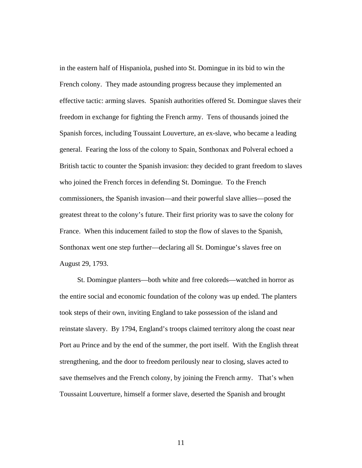in the eastern half of Hispaniola, pushed into St. Domingue in its bid to win the French colony. They made astounding progress because they implemented an effective tactic: arming slaves. Spanish authorities offered St. Domingue slaves their freedom in exchange for fighting the French army. Tens of thousands joined the Spanish forces, including Toussaint Louverture, an ex-slave, who became a leading general. Fearing the loss of the colony to Spain, Sonthonax and Polveral echoed a British tactic to counter the Spanish invasion: they decided to grant freedom to slaves who joined the French forces in defending St. Domingue. To the French commissioners, the Spanish invasion—and their powerful slave allies—posed the greatest threat to the colony's future. Their first priority was to save the colony for France. When this inducement failed to stop the flow of slaves to the Spanish, Sonthonax went one step further—declaring all St. Domingue's slaves free on August 29, 1793.

 St. Domingue planters—both white and free coloreds—watched in horror as the entire social and economic foundation of the colony was up ended. The planters took steps of their own, inviting England to take possession of the island and reinstate slavery. By 1794, England's troops claimed territory along the coast near Port au Prince and by the end of the summer, the port itself. With the English threat strengthening, and the door to freedom perilously near to closing, slaves acted to save themselves and the French colony, by joining the French army. That's when Toussaint Louverture, himself a former slave, deserted the Spanish and brought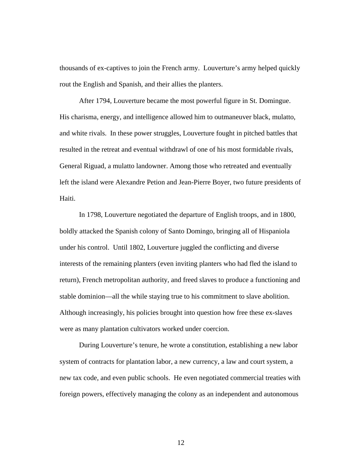thousands of ex-captives to join the French army. Louverture's army helped quickly rout the English and Spanish, and their allies the planters.

 After 1794, Louverture became the most powerful figure in St. Domingue. His charisma, energy, and intelligence allowed him to outmaneuver black, mulatto, and white rivals. In these power struggles, Louverture fought in pitched battles that resulted in the retreat and eventual withdrawl of one of his most formidable rivals, General Riguad, a mulatto landowner. Among those who retreated and eventually left the island were Alexandre Petion and Jean-Pierre Boyer, two future presidents of Haiti.

 In 1798, Louverture negotiated the departure of English troops, and in 1800, boldly attacked the Spanish colony of Santo Domingo, bringing all of Hispaniola under his control. Until 1802, Louverture juggled the conflicting and diverse interests of the remaining planters (even inviting planters who had fled the island to return), French metropolitan authority, and freed slaves to produce a functioning and stable dominion—all the while staying true to his commitment to slave abolition. Although increasingly, his policies brought into question how free these ex-slaves were as many plantation cultivators worked under coercion.

 During Louverture's tenure, he wrote a constitution, establishing a new labor system of contracts for plantation labor, a new currency, a law and court system, a new tax code, and even public schools. He even negotiated commercial treaties with foreign powers, effectively managing the colony as an independent and autonomous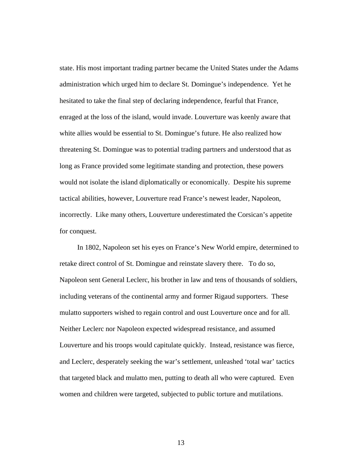state. His most important trading partner became the United States under the Adams administration which urged him to declare St. Domingue's independence. Yet he hesitated to take the final step of declaring independence, fearful that France, enraged at the loss of the island, would invade. Louverture was keenly aware that white allies would be essential to St. Domingue's future. He also realized how threatening St. Domingue was to potential trading partners and understood that as long as France provided some legitimate standing and protection, these powers would not isolate the island diplomatically or economically. Despite his supreme tactical abilities, however, Louverture read France's newest leader, Napoleon, incorrectly. Like many others, Louverture underestimated the Corsican's appetite for conquest.

 In 1802, Napoleon set his eyes on France's New World empire, determined to retake direct control of St. Domingue and reinstate slavery there. To do so, Napoleon sent General Leclerc, his brother in law and tens of thousands of soldiers, including veterans of the continental army and former Rigaud supporters. These mulatto supporters wished to regain control and oust Louverture once and for all. Neither Leclerc nor Napoleon expected widespread resistance, and assumed Louverture and his troops would capitulate quickly. Instead, resistance was fierce, and Leclerc, desperately seeking the war's settlement, unleashed 'total war' tactics that targeted black and mulatto men, putting to death all who were captured. Even women and children were targeted, subjected to public torture and mutilations.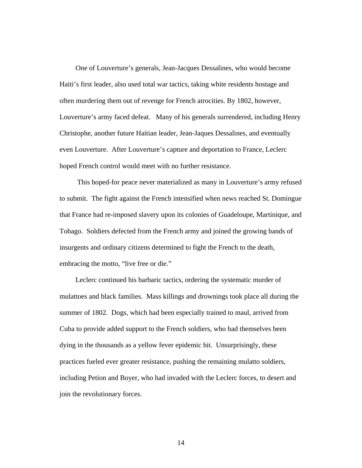One of Louverture's generals, Jean-Jacques Dessalines, who would become Haiti's first leader, also used total war tactics, taking white residents hostage and often murdering them out of revenge for French atrocities. By 1802, however, Louverture's army faced defeat. Many of his generals surrendered, including Henry Christophe, another future Haitian leader, Jean-Jaques Dessalines, and eventually even Louverture. After Louverture's capture and deportation to France, Leclerc hoped French control would meet with no further resistance.

 This hoped-for peace never materialized as many in Louverture's army refused to submit. The fight against the French intensified when news reached St. Domingue that France had re-imposed slavery upon its colonies of Guadeloupe, Martinique, and Tobago. Soldiers defected from the French army and joined the growing bands of insurgents and ordinary citizens determined to fight the French to the death, embracing the motto, "live free or die."

 Leclerc continued his barbaric tactics, ordering the systematic murder of mulattoes and black families. Mass killings and drownings took place all during the summer of 1802. Dogs, which had been especially trained to maul, arrived from Cuba to provide added support to the French soldiers, who had themselves been dying in the thousands as a yellow fever epidemic hit. Unsurprisingly, these practices fueled ever greater resistance, pushing the remaining mulatto soldiers, including Petion and Boyer, who had invaded with the Leclerc forces, to desert and join the revolutionary forces.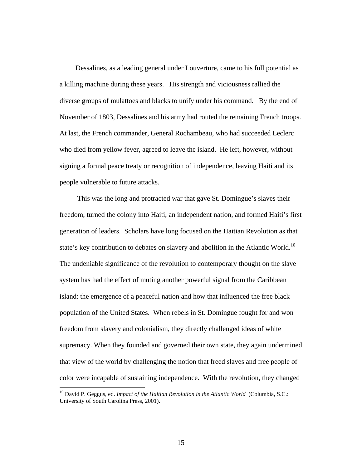Dessalines, as a leading general under Louverture, came to his full potential as a killing machine during these years. His strength and viciousness rallied the diverse groups of mulattoes and blacks to unify under his command. By the end of November of 1803, Dessalines and his army had routed the remaining French troops. At last, the French commander, General Rochambeau, who had succeeded Leclerc who died from yellow fever, agreed to leave the island. He left, however, without signing a formal peace treaty or recognition of independence, leaving Haiti and its people vulnerable to future attacks.

 This was the long and protracted war that gave St. Domingue's slaves their freedom, turned the colony into Haiti, an independent nation, and formed Haiti's first generation of leaders. Scholars have long focused on the Haitian Revolution as that state's key contribution to debates on slavery and abolition in the Atlantic World.<sup>10</sup> The undeniable significance of the revolution to contemporary thought on the slave system has had the effect of muting another powerful signal from the Caribbean island: the emergence of a peaceful nation and how that influenced the free black population of the United States. When rebels in St. Domingue fought for and won freedom from slavery and colonialism, they directly challenged ideas of white supremacy. When they founded and governed their own state, they again undermined that view of the world by challenging the notion that freed slaves and free people of color were incapable of sustaining independence. With the revolution, they changed

<sup>&</sup>lt;sup>10</sup> David P. Geggus, ed. *Impact of the Haitian Revolution in the Atlantic World* (Columbia, S.C.: University of South Carolina Press, 2001).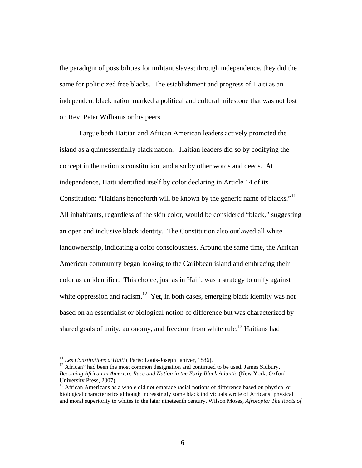the paradigm of possibilities for militant slaves; through independence, they did the same for politicized free blacks. The establishment and progress of Haiti as an independent black nation marked a political and cultural milestone that was not lost on Rev. Peter Williams or his peers.

 I argue both Haitian and African American leaders actively promoted the island as a quintessentially black nation. Haitian leaders did so by codifying the concept in the nation's constitution, and also by other words and deeds. At independence, Haiti identified itself by color declaring in Article 14 of its Constitution: "Haitians henceforth will be known by the generic name of blacks."<sup>11</sup> All inhabitants, regardless of the skin color, would be considered "black," suggesting an open and inclusive black identity. The Constitution also outlawed all white landownership, indicating a color consciousness. Around the same time, the African American community began looking to the Caribbean island and embracing their color as an identifier. This choice, just as in Haiti, was a strategy to unify against white oppression and racism.<sup>12</sup> Yet, in both cases, emerging black identity was not based on an essentialist or biological notion of difference but was characterized by shared goals of unity, autonomy, and freedom from white rule.<sup>13</sup> Haitians had

<sup>&</sup>lt;sup>11</sup> *Les Constitutions d'Haiti* ( Paris: Louis-Joseph Janiver, 1886).<br><sup>12</sup> African'' had been the most common designation and continued to be used. James Sidbury, *Becoming African in America*: *Race and Nation in the Early Black Atlantic* (New York: Oxford University Press, 2007).

<sup>&</sup>lt;sup>13</sup> African Americans as a whole did not embrace racial notions of difference based on physical or biological characteristics although increasingly some black individuals wrote of Africans' physical and moral superiority to whites in the later nineteenth century. Wilson Moses, *Afrotopia: The Roots of*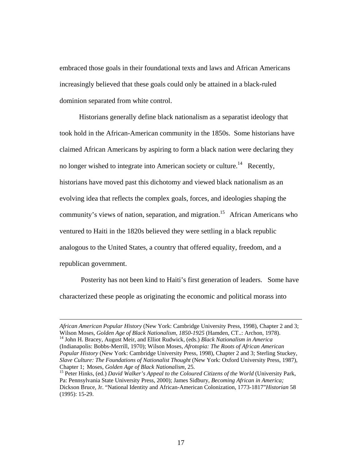embraced those goals in their foundational texts and laws and African Americans increasingly believed that these goals could only be attained in a black-ruled dominion separated from white control.

 Historians generally define black nationalism as a separatist ideology that took hold in the African-American community in the 1850s. Some historians have claimed African Americans by aspiring to form a black nation were declaring they no longer wished to integrate into American society or culture.<sup>14</sup> Recently, historians have moved past this dichotomy and viewed black nationalism as an evolving idea that reflects the complex goals, forces, and ideologies shaping the community's views of nation, separation, and migration.<sup>15</sup> African Americans who ventured to Haiti in the 1820s believed they were settling in a black republic analogous to the United States, a country that offered equality, freedom, and a republican government.

 Posterity has not been kind to Haiti's first generation of leaders. Some have characterized these people as originating the economic and political morass into

*African American Popular History* (New York: Cambridge University Press, 1998), Chapter 2 and 3; Wilson Moses, *Golden Age of Black Nationalism, 1850-1925* (Hamden, CT..: Archon, 1978). 14 John H. Bracey, August Meir, and Elliot Rudwick, (eds.) *Black Nationalism in America*  (Indianapolis: Bobbs-Merrill, 1970); Wilson Moses, *Afrotopia: The Roots of African American Popular History* (New York: Cambridge University Press, 1998), Chapter 2 and 3; Sterling Stuckey, *Slave Culture: The Foundations of Nationalist Thought* (New York: Oxford University Press, 1987), Chapter 1; Moses, *Golden Age of Black Nationalism*, 25.<br><sup>15</sup> Peter Hinks, (ed.) *David Walker's Appeal to the Coloured Citizens of the World* (University Park,

Pa: Pennsylvania State University Press, 2000); James Sidbury, *Becoming African in America;*  Dickson Bruce, Jr. "National Identity and African-American Colonization, 1773-1817"*Historian* 58 (1995): 15-29.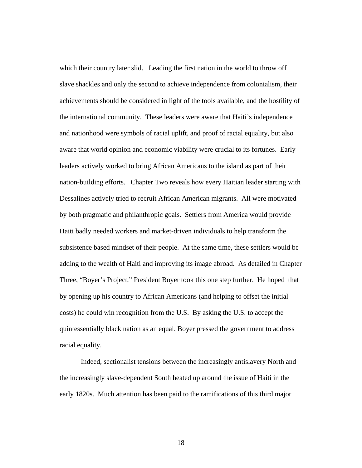which their country later slid. Leading the first nation in the world to throw off slave shackles and only the second to achieve independence from colonialism, their achievements should be considered in light of the tools available, and the hostility of the international community. These leaders were aware that Haiti's independence and nationhood were symbols of racial uplift, and proof of racial equality, but also aware that world opinion and economic viability were crucial to its fortunes. Early leaders actively worked to bring African Americans to the island as part of their nation-building efforts.Chapter Two reveals how every Haitian leader starting with Dessalines actively tried to recruit African American migrants. All were motivated by both pragmatic and philanthropic goals. Settlers from America would provide Haiti badly needed workers and market-driven individuals to help transform the subsistence based mindset of their people. At the same time, these settlers would be adding to the wealth of Haiti and improving its image abroad. As detailed in Chapter Three, "Boyer's Project," President Boyer took this one step further. He hoped that by opening up his country to African Americans (and helping to offset the initial costs) he could win recognition from the U.S. By asking the U.S. to accept the quintessentially black nation as an equal, Boyer pressed the government to address racial equality.

 Indeed, sectionalist tensions between the increasingly antislavery North and the increasingly slave-dependent South heated up around the issue of Haiti in the early 1820s. Much attention has been paid to the ramifications of this third major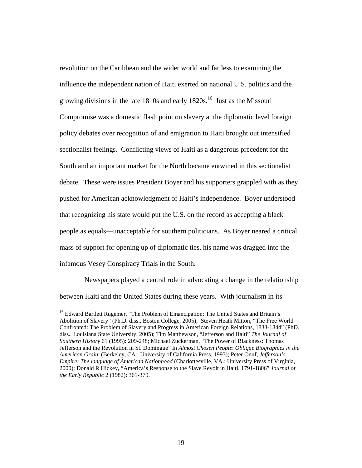revolution on the Caribbean and the wider world and far less to examining the influence the independent nation of Haiti exerted on national U.S. politics and the growing divisions in the late 1810s and early  $1820s<sup>16</sup>$  Just as the Missouri Compromise was a domestic flash point on slavery at the diplomatic level foreign policy debates over recognition of and emigration to Haiti brought out intensified sectionalist feelings. Conflicting views of Haiti as a dangerous precedent for the South and an important market for the North became entwined in this sectionalist debate. These were issues President Boyer and his supporters grappled with as they pushed for American acknowledgment of Haiti's independence. Boyer understood that recognizing his state would put the U.S. on the record as accepting a black people as equals—unacceptable for southern politicians. As Boyer neared a critical mass of support for opening up of diplomatic ties, his name was dragged into the infamous Vesey Conspiracy Trials in the South.

 Newspapers played a central role in advocating a change in the relationship between Haiti and the United States during these years. With journalism in its

<sup>&</sup>lt;sup>16</sup> Edward Bartlett Rugemer, "The Problem of Emancipation: The United States and Britain's Abolition of Slavery" (Ph.D. diss., Boston College, 2005); Steven Heath Mitton, "The Free World Confronted: The Problem of Slavery and Progress in American Foreign Relations, 1833-1844" (PhD. diss., Louisiana State University, 2005); Tim Matthewson, "Jefferson and Haiti" *The Journal of Southern History* 61 (1995): 209-248; Michael Zuckerman, "The Power of Blackness: Thomas Jefferson and the Revolution in St. Domingue" In *Almost Chosen People*: *Oblique Biographies in the American Grain* (Berkeley, CA.: University of California Press, 1993); Peter Onuf, *Jefferson's Empire: The language of American Nationhood* (Charlottesville, VA.: University Press of Virginia, 2000); Donald R Hickey, "America's Response to the Slave Revolt in Haiti, 1791-1806" *Journal of the Early Republic* 2 (1982): 361-379.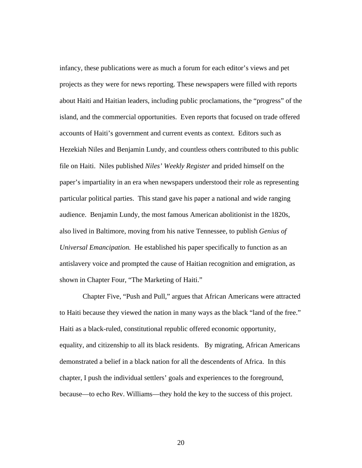infancy, these publications were as much a forum for each editor's views and pet projects as they were for news reporting. These newspapers were filled with reports about Haiti and Haitian leaders, including public proclamations, the "progress" of the island, and the commercial opportunities. Even reports that focused on trade offered accounts of Haiti's government and current events as context. Editors such as Hezekiah Niles and Benjamin Lundy, and countless others contributed to this public file on Haiti. Niles published *Niles' Weekly Register* and prided himself on the paper's impartiality in an era when newspapers understood their role as representing particular political parties. This stand gave his paper a national and wide ranging audience. Benjamin Lundy, the most famous American abolitionist in the 1820s, also lived in Baltimore, moving from his native Tennessee, to publish *Genius of Universal Emancipation.* He established his paper specifically to function as an antislavery voice and prompted the cause of Haitian recognition and emigration, as shown in Chapter Four, "The Marketing of Haiti."

 Chapter Five, "Push and Pull," argues that African Americans were attracted to Haiti because they viewed the nation in many ways as the black "land of the free." Haiti as a black-ruled, constitutional republic offered economic opportunity, equality, and citizenship to all its black residents. By migrating, African Americans demonstrated a belief in a black nation for all the descendents of Africa. In this chapter, I push the individual settlers' goals and experiences to the foreground, because—to echo Rev. Williams—they hold the key to the success of this project.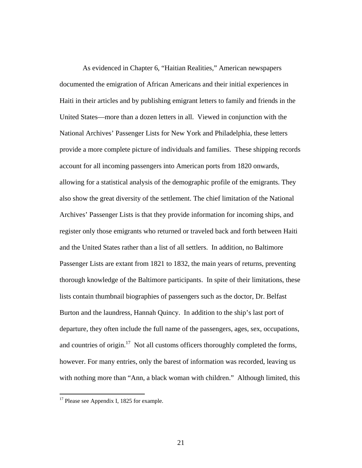As evidenced in Chapter 6, "Haitian Realities," American newspapers documented the emigration of African Americans and their initial experiences in Haiti in their articles and by publishing emigrant letters to family and friends in the United States—more than a dozen letters in all. Viewed in conjunction with the National Archives' Passenger Lists for New York and Philadelphia, these letters provide a more complete picture of individuals and families. These shipping records account for all incoming passengers into American ports from 1820 onwards, allowing for a statistical analysis of the demographic profile of the emigrants. They also show the great diversity of the settlement. The chief limitation of the National Archives' Passenger Lists is that they provide information for incoming ships, and register only those emigrants who returned or traveled back and forth between Haiti and the United States rather than a list of all settlers. In addition, no Baltimore Passenger Lists are extant from 1821 to 1832, the main years of returns, preventing thorough knowledge of the Baltimore participants. In spite of their limitations, these lists contain thumbnail biographies of passengers such as the doctor, Dr. Belfast Burton and the laundress, Hannah Quincy. In addition to the ship's last port of departure, they often include the full name of the passengers, ages, sex, occupations, and countries of origin.<sup>17</sup> Not all customs officers thoroughly completed the forms, however. For many entries, only the barest of information was recorded, leaving us with nothing more than "Ann, a black woman with children." Although limited, this

 $17$  Please see Appendix I, 1825 for example.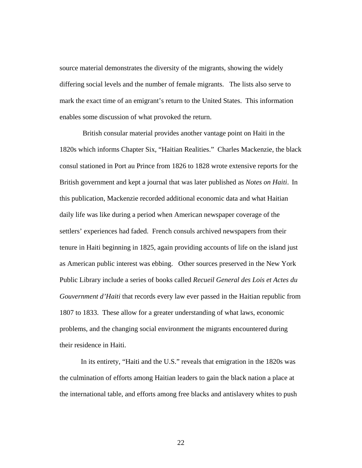source material demonstrates the diversity of the migrants, showing the widely differing social levels and the number of female migrants. The lists also serve to mark the exact time of an emigrant's return to the United States. This information enables some discussion of what provoked the return.

 British consular material provides another vantage point on Haiti in the 1820s which informs Chapter Six, "Haitian Realities." Charles Mackenzie, the black consul stationed in Port au Prince from 1826 to 1828 wrote extensive reports for the British government and kept a journal that was later published as *Notes on Haiti*. In this publication, Mackenzie recorded additional economic data and what Haitian daily life was like during a period when American newspaper coverage of the settlers' experiences had faded. French consuls archived newspapers from their tenure in Haiti beginning in 1825, again providing accounts of life on the island just as American public interest was ebbing. Other sources preserved in the New York Public Library include a series of books called *Recueil General des Lois et Actes du Gouvernment d'Haiti* that records every law ever passed in the Haitian republic from 1807 to 1833. These allow for a greater understanding of what laws, economic problems, and the changing social environment the migrants encountered during their residence in Haiti.

 In its entirety, "Haiti and the U.S." reveals that emigration in the 1820s was the culmination of efforts among Haitian leaders to gain the black nation a place at the international table, and efforts among free blacks and antislavery whites to push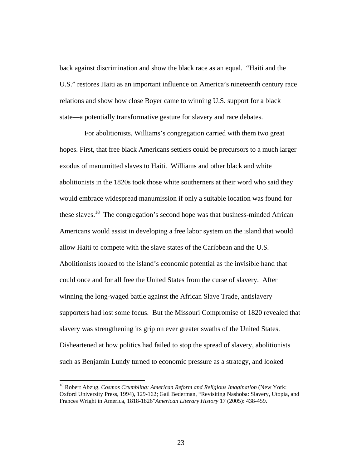back against discrimination and show the black race as an equal. "Haiti and the U.S." restores Haiti as an important influence on America's nineteenth century race relations and show how close Boyer came to winning U.S. support for a black state—a potentially transformative gesture for slavery and race debates.

 For abolitionists, Williams's congregation carried with them two great hopes. First, that free black Americans settlers could be precursors to a much larger exodus of manumitted slaves to Haiti. Williams and other black and white abolitionists in the 1820s took those white southerners at their word who said they would embrace widespread manumission if only a suitable location was found for these slaves.<sup>18</sup> The congregation's second hope was that business-minded African Americans would assist in developing a free labor system on the island that would allow Haiti to compete with the slave states of the Caribbean and the U.S. Abolitionists looked to the island's economic potential as the invisible hand that could once and for all free the United States from the curse of slavery. After winning the long-waged battle against the African Slave Trade, antislavery supporters had lost some focus. But the Missouri Compromise of 1820 revealed that slavery was strengthening its grip on ever greater swaths of the United States. Disheartened at how politics had failed to stop the spread of slavery, abolitionists such as Benjamin Lundy turned to economic pressure as a strategy, and looked

<sup>&</sup>lt;sup>18</sup> Robert Abzug, *Cosmos Crumbling: American Reform and Religious Imagination* (New York: Oxford University Press, 1994), 129-162; Gail Bederman, "Revisiting Nashoba: Slavery, Utopia, and Frances Wright in America, 1818-1826"*American Literary History* 17 (2005): 438-459.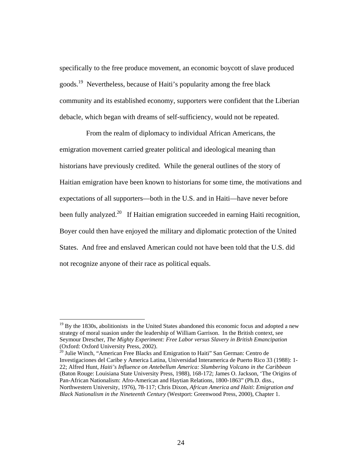specifically to the free produce movement, an economic boycott of slave produced goods.19 Nevertheless, because of Haiti's popularity among the free black community and its established economy, supporters were confident that the Liberian debacle, which began with dreams of self-sufficiency, would not be repeated.

 From the realm of diplomacy to individual African Americans, the emigration movement carried greater political and ideological meaning than historians have previously credited. While the general outlines of the story of Haitian emigration have been known to historians for some time, the motivations and expectations of all supporters—both in the U.S. and in Haiti—have never before been fully analyzed.<sup>20</sup> If Haitian emigration succeeded in earning Haiti recognition, Boyer could then have enjoyed the military and diplomatic protection of the United States. And free and enslaved American could not have been told that the U.S. did not recognize anyone of their race as political equals.

 $\overline{a}$ 

 $20$  Julie Winch, "American Free Blacks and Emigration to Haiti" San German: Centro de Investigaciones del Caribe y America Latina, Universidad Interamerica de Puerto Rico 33 (1988): 1- 22; Alfred Hunt, *Haiti's Influence on Antebellum America: Slumbering Volcano in the Caribbean*  (Baton Rouge: Louisiana State University Press, 1988), 168-172; James O. Jackson, 'The Origins of Pan-African Nationalism: Afro-American and Haytian Relations, 1800-1863" (Ph.D. diss., Northwestern University, 1976), 78-117; Chris Dixon, *African America and Haiti*: *Emigration and Black Nationalism in the Nineteenth Century* (Westport: Greenwood Press, 2000), Chapter 1.

 $19$  By the 1830s, abolitionists in the United States abandoned this economic focus and adopted a new strategy of moral suasion under the leadership of William Garrison. In the British context, see Seymour Drescher, *The Mighty Experiment: Free Labor versus Slavery in British Emancipation* (Oxford: Oxford University Press, 2002).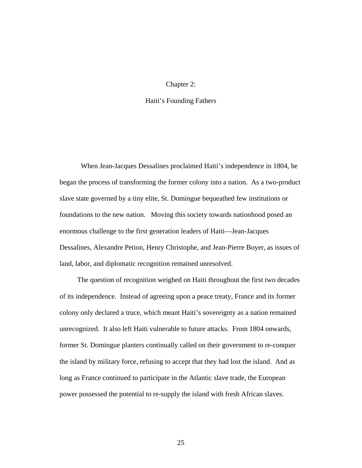### Chapter 2:

### Haiti's Founding Fathers

 When Jean-Jacques Dessalines proclaimed Haiti's independence in 1804, he began the process of transforming the former colony into a nation. As a two-product slave state governed by a tiny elite, St. Domingue bequeathed few institutions or foundations to the new nation. Moving this society towards nationhood posed an enormous challenge to the first generation leaders of Haiti—Jean-Jacques Dessalines, Alexandre Petion, Henry Christophe, and Jean-Pierre Boyer, as issues of land, labor, and diplomatic recognition remained unresolved.

 The question of recognition weighed on Haiti throughout the first two decades of its independence. Instead of agreeing upon a peace treaty, France and its former colony only declared a truce, which meant Haiti's sovereignty as a nation remained unrecognized. It also left Haiti vulnerable to future attacks. From 1804 onwards, former St. Domingue planters continually called on their government to re-conquer the island by military force, refusing to accept that they had lost the island. And as long as France continued to participate in the Atlantic slave trade, the European power possessed the potential to re-supply the island with fresh African slaves.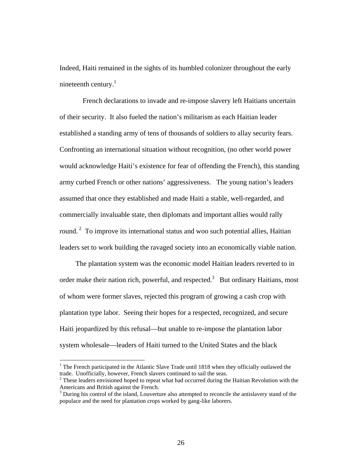Indeed, Haiti remained in the sights of its humbled colonizer throughout the early nineteenth century. $<sup>1</sup>$ </sup>

 French declarations to invade and re-impose slavery left Haitians uncertain of their security. It also fueled the nation's militarism as each Haitian leader established a standing army of tens of thousands of soldiers to allay security fears. Confronting an international situation without recognition, (no other world power would acknowledge Haiti's existence for fear of offending the French), this standing army curbed French or other nations' aggressiveness. The young nation's leaders assumed that once they established and made Haiti a stable, well-regarded, and commercially invaluable state, then diplomats and important allies would rally round. 2 To improve its international status and woo such potential allies, Haitian leaders set to work building the ravaged society into an economically viable nation.

 The plantation system was the economic model Haitian leaders reverted to in order make their nation rich, powerful, and respected.<sup>3</sup> But ordinary Haitians, most of whom were former slaves, rejected this program of growing a cash crop with plantation type labor. Seeing their hopes for a respected, recognized, and secure Haiti jeopardized by this refusal—but unable to re-impose the plantation labor system wholesale—leaders of Haiti turned to the United States and the black

<sup>&</sup>lt;sup>1</sup> The French participated in the Atlantic Slave Trade until 1818 when they officially outlawed the trade. Unofficially, however, French slavers continued to sail the seas. 2

 $2$  These leaders envisioned hoped to repeat what had occurred during the Haitian Revolution with the Americans and British against the French.

<sup>&</sup>lt;sup>3</sup> During his control of the island, Louverture also attempted to reconcile the antislavery stand of the populace and the need for plantation crops worked by gang-like laborers.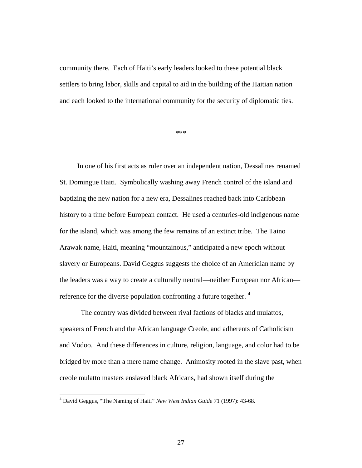community there. Each of Haiti's early leaders looked to these potential black settlers to bring labor, skills and capital to aid in the building of the Haitian nation and each looked to the international community for the security of diplomatic ties.

\*\*\*

 In one of his first acts as ruler over an independent nation, Dessalines renamed St. Domingue Haiti. Symbolically washing away French control of the island and baptizing the new nation for a new era, Dessalines reached back into Caribbean history to a time before European contact. He used a centuries-old indigenous name for the island, which was among the few remains of an extinct tribe. The Taino Arawak name, Haiti, meaning "mountainous," anticipated a new epoch without slavery or Europeans. David Geggus suggests the choice of an Ameridian name by the leaders was a way to create a culturally neutral—neither European nor African reference for the diverse population confronting a future together.  $4$ 

 The country was divided between rival factions of blacks and mulattos, speakers of French and the African language Creole, and adherents of Catholicism and Vodoo. And these differences in culture, religion, language, and color had to be bridged by more than a mere name change. Animosity rooted in the slave past, when creole mulatto masters enslaved black Africans, had shown itself during the

<sup>4</sup> David Geggus, "The Naming of Haiti" *New West Indian Guide* 71 (1997): 43-68.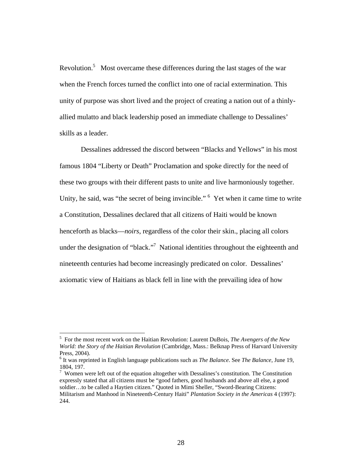Revolution.<sup>5</sup> Most overcame these differences during the last stages of the war when the French forces turned the conflict into one of racial extermination. This unity of purpose was short lived and the project of creating a nation out of a thinlyallied mulatto and black leadership posed an immediate challenge to Dessalines' skills as a leader.

 Dessalines addressed the discord between "Blacks and Yellows" in his most famous 1804 "Liberty or Death" Proclamation and spoke directly for the need of these two groups with their different pasts to unite and live harmoniously together. Unity, he said, was "the secret of being invincible." <sup>6</sup> Yet when it came time to write a Constitution, Dessalines declared that all citizens of Haiti would be known henceforth as blacks—*noirs*, regardless of the color their skin., placing all colors under the designation of "black."<sup>7</sup> National identities throughout the eighteenth and nineteenth centuries had become increasingly predicated on color. Dessalines' axiomatic view of Haitians as black fell in line with the prevailing idea of how

<sup>5</sup> For the most recent work on the Haitian Revolution: Laurent DuBois, *The Avengers of the New World: the Story of the Haitian Revolution* (Cambridge, Mass.: Belknap Press of Harvard University Press, 2004).

<sup>6</sup> It was reprinted in English language publications such as *The Balance*. See *The Balance*, June 19, 1804, 197.

 $7$  Women were left out of the equation altogether with Dessalines's constitution. The Constitution expressly stated that all citizens must be "good fathers, good husbands and above all else, a good soldier…to be called a Haytien citizen." Quoted in Mimi Sheller, "Sword-Bearing Citizens: Militarism and Manhood in Nineteenth-Century Haiti" *Plantation Society in the Americas* 4 (1997): 244.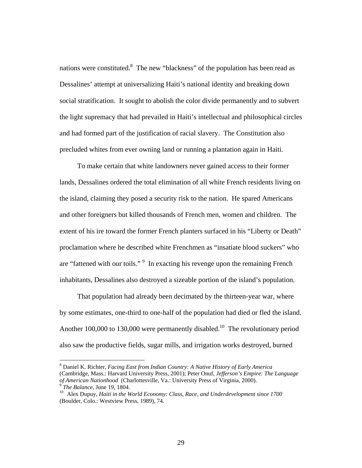nations were constituted.<sup>8</sup> The new "blackness" of the population has been read as Dessalines' attempt at universalizing Haiti's national identity and breaking down social stratification. It sought to abolish the color divide permanently and to subvert the light supremacy that had prevailed in Haiti's intellectual and philosophical circles and had formed part of the justification of racial slavery. The Constitution also precluded whites from ever owning land or running a plantation again in Haiti.

 To make certain that white landowners never gained access to their former lands, Dessalines ordered the total elimination of all white French residents living on the island, claiming they posed a security risk to the nation. He spared Americans and other foreigners but killed thousands of French men, women and children. The extent of his ire toward the former French planters surfaced in his "Liberty or Death" proclamation where he described white Frenchmen as "insatiate blood suckers" who are "fattened with our toils." <sup>9</sup> In exacting his revenge upon the remaining French inhabitants, Dessalines also destroyed a sizeable portion of the island's population.

 That population had already been decimated by the thirteen-year war, where by some estimates, one-third to one-half of the population had died or fled the island. Another 100,000 to 130,000 were permanently disabled.<sup>10</sup> The revolutionary period also saw the productive fields, sugar mills, and irrigation works destroyed, burned

<sup>8</sup> Daniel K. Richter, *Facing East from Indian Country: A Native History of Early America* (Cambridge, Mass.: Harvard University Press, 2001); Peter Onuf, *Jefferson's Empire: The Language* 

<sup>&</sup>lt;sup>9</sup> The Balance, June 19, 1804.<br><sup>10</sup> Alex Dupuy, *Haiti in the World Economy: Class, Race, and Underdevelopment since 1700* (Boulder, Colo.: Westview Press, 1989), 74.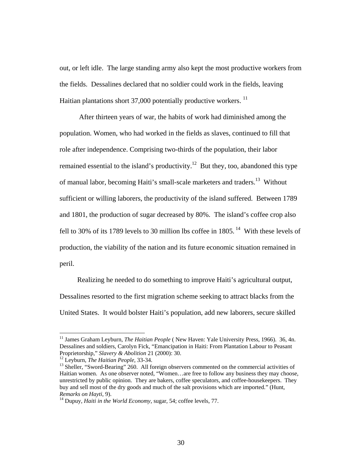out, or left idle. The large standing army also kept the most productive workers from the fields. Dessalines declared that no soldier could work in the fields, leaving Haitian plantations short  $37,000$  potentially productive workers.  $^{11}$ 

 After thirteen years of war, the habits of work had diminished among the population. Women, who had worked in the fields as slaves, continued to fill that role after independence. Comprising two-thirds of the population, their labor remained essential to the island's productivity.<sup>12</sup> But they, too, abandoned this type of manual labor, becoming Haiti's small-scale marketers and traders.<sup>13</sup> Without sufficient or willing laborers, the productivity of the island suffered. Between 1789 and 1801, the production of sugar decreased by 80%. The island's coffee crop also fell to 30% of its 1789 levels to 30 million lbs coffee in  $1805$ .<sup>14</sup> With these levels of production, the viability of the nation and its future economic situation remained in peril.

 Realizing he needed to do something to improve Haiti's agricultural output, Dessalines resorted to the first migration scheme seeking to attract blacks from the United States. It would bolster Haiti's population, add new laborers, secure skilled

<sup>&</sup>lt;sup>11</sup> James Graham Leyburn, *The Haitian People* (New Haven: Yale University Press, 1966). 36, 4n. Dessalines and soldiers, Carolyn Fick, "Emancipation in Haiti: From Plantation Labour to Peasant Proprietorship," *Slavery & Abolition* 21 (2000): 30.<br><sup>12</sup> Leyburn, *The Haitian People*, 33-34.<br><sup>13</sup> Sheller, "Sword-Bearing" 260. All foreign observers commented on the commercial activities of

Haitian women. As one observer noted, "Women…are free to follow any business they may choose, unrestricted by public opinion. They are bakers, coffee speculators, and coffee-housekeepers. They buy and sell most of the dry goods and much of the salt provisions which are imported." (Hunt, *Remarks on Hayti*, 9).<br><sup>14</sup> Dupuy, *Haiti in the World Economy*, sugar, 54; coffee levels, 77.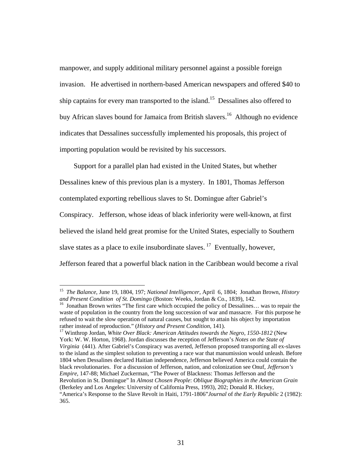manpower, and supply additional military personnel against a possible foreign invasion. He advertised in northern-based American newspapers and offered \$40 to ship captains for every man transported to the island.<sup>15</sup> Dessalines also offered to buy African slaves bound for Jamaica from British slavers.<sup>16</sup> Although no evidence indicates that Dessalines successfully implemented his proposals, this project of importing population would be revisited by his successors.

 Support for a parallel plan had existed in the United States, but whether Dessalines knew of this previous plan is a mystery. In 1801, Thomas Jefferson contemplated exporting rebellious slaves to St. Domingue after Gabriel's Conspiracy. Jefferson, whose ideas of black inferiority were well-known, at first believed the island held great promise for the United States, especially to Southern slave states as a place to exile insubordinate slaves.<sup>17</sup> Eventually, however, Jefferson feared that a powerful black nation in the Caribbean would become a rival

 $\overline{a}$ 

York: W. W. Horton, 1968). Jordan discusses the reception of Jefferson's *Notes on the State of Virginia* (441). After Gabriel's Conspiracy was averted, Jefferson proposed transporting all ex-slaves to the island as the simplest solution to preventing a race war that manumission would unleash. Before 1804 when Dessalines declared Haitian independence, Jefferson believed America could contain the black revolutionaries. For a discussion of Jefferson, nation, and colonization see Onuf, *Jefferson's Empire*, 147-88; Michael Zuckerman, "The Power of Blackness: Thomas Jefferson and the Revolution in St. Domingue" In *Almost Chosen People*: *Oblique Biographies in the American Grain* (Berkeley and Los Angeles: University of California Press, 1993), 202; Donald R. Hickey, "America's Response to the Slave Revolt in Haiti, 1791-1806"*Journal* of *the Early Republic* 2 (1982): 365.

<sup>15</sup> *The Balance*, June 19, 1804, 197; *National Intelligencer*, April 6, 1804; Jonathan Brown, *History* 

<sup>&</sup>lt;sup>16</sup> Jonathan Brown writes "The first care which occupied the policy of Dessalines... was to repair the waste of population in the country from the long succession of war and massacre. For this purpose he refused to wait the slow operation of natural causes, but sought to attain his object by importation rather instead of reproduction." (*History and Present Condition*, 141). 17 Winthrop Jordan, *White Over Black: American Attitudes towards the Negro, 1550-1812* (New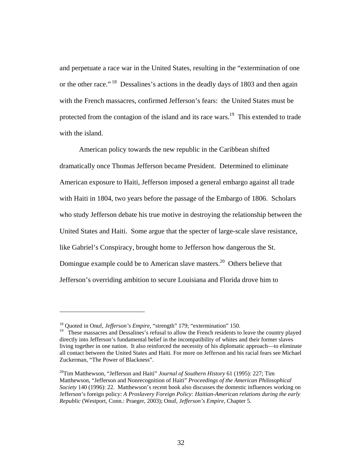and perpetuate a race war in the United States, resulting in the "extermination of one or the other race." 18 Dessalines's actions in the deadly days of 1803 and then again with the French massacres, confirmed Jefferson's fears: the United States must be protected from the contagion of the island and its race wars.<sup>19</sup> This extended to trade with the island.

 American policy towards the new republic in the Caribbean shifted dramatically once Thomas Jefferson became President. Determined to eliminate American exposure to Haiti, Jefferson imposed a general embargo against all trade with Haiti in 1804, two years before the passage of the Embargo of 1806. Scholars who study Jefferson debate his true motive in destroying the relationship between the United States and Haiti. Some argue that the specter of large-scale slave resistance, like Gabriel's Conspiracy, brought home to Jefferson how dangerous the St. Domingue example could be to American slave masters.<sup>20</sup> Others believe that Jefferson's overriding ambition to secure Louisiana and Florida drove him to

<sup>18</sup> Quoted in Onuf, *Jefferson's Empire*, "strength" 179; "extermination" 150.

<sup>&</sup>lt;sup>19</sup> These massacres and Dessalines's refusal to allow the French residents to leave the country played directly into Jefferson's fundamental belief in the incompatibility of whites and their former slaves living together in one nation. It also reinforced the necessity of his diplomatic approach—to eliminate all contact between the United States and Haiti*.* For more on Jefferson and his racial fears see Michael Zuckerman, "The Power of Blackness".

<sup>&</sup>lt;sup>20</sup>Tim Matthewson, "Jefferson and Haiti" *Journal of Southern History* 61 (1995): 227; Tim Matthewson, "Jefferson and Nonrecognition of Haiti" *Proceedings of the American Philosophical Society* 140 (1996): 22. Matthewson's recent book also discusses the domestic influences working on Jefferson's foreign policy: *A Proslavery Foreign Policy: Haitian-American relations during the early Republic* (Westport, Conn.: Praeger, 2003); Onuf*, Jefferson's Empire,* Chapter 5.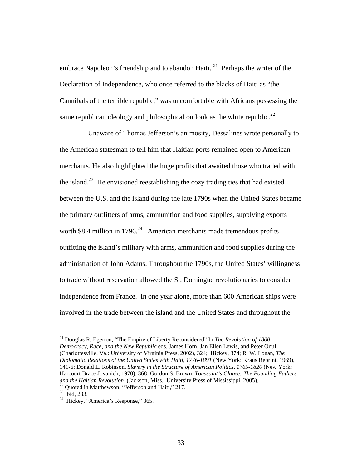embrace Napoleon's friendship and to abandon Haiti.  $^{21}$  Perhaps the writer of the Declaration of Independence, who once referred to the blacks of Haiti as "the Cannibals of the terrible republic," was uncomfortable with Africans possessing the same republican ideology and philosophical outlook as the white republic.<sup>22</sup>

 Unaware of Thomas Jefferson's animosity, Dessalines wrote personally to the American statesman to tell him that Haitian ports remained open to American merchants. He also highlighted the huge profits that awaited those who traded with the island.<sup>23</sup> He envisioned reestablishing the cozy trading ties that had existed between the U.S. and the island during the late 1790s when the United States became the primary outfitters of arms, ammunition and food supplies, supplying exports worth \$8.4 million in 1796.<sup>24</sup> American merchants made tremendous profits outfitting the island's military with arms, ammunition and food supplies during the administration of John Adams. Throughout the 1790s, the United States' willingness to trade without reservation allowed the St. Domingue revolutionaries to consider independence from France. In one year alone, more than 600 American ships were involved in the trade between the island and the United States and throughout the

<sup>21</sup> Douglas R. Egerton, "The Empire of Liberty Reconsidered" In *The Revolution of 1800: Democracy, Race, and the New Republic* eds. James Horn, Jan Ellen Lewis, and Peter Onuf (Charlottesville, Va.: University of Virginia Press, 2002), 324; Hickey, 374; R. W. Logan, *The Diplomatic Relations of the United States with Haiti, 1776-1891* (New York: Kraus Reprint, 1969), 141-6; Donald L. Robinson, *Slavery in the Structure of American Politics, 1765-1820* (New York: Harcourt Brace Jovanich, 1970), 368; Gordon S. Brown, *Toussaint's Clause: The Founding Fathers and the Haitian Revolution* (Jackson, Miss.: University Press of Mississippi, 2005).<br><sup>22</sup> Quoted in Matthewson, "Jefferson and Haiti," 217.

 $23$  Ibid, 233.

<sup>&</sup>lt;sup>24</sup> Hickey, "America's Response," 365.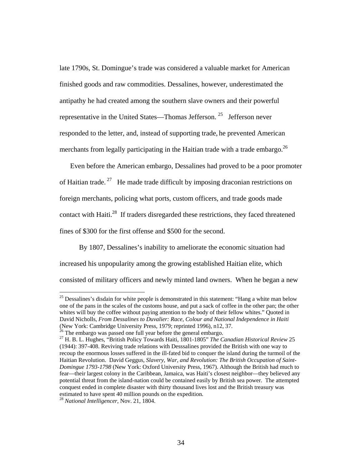late 1790s, St. Domingue's trade was considered a valuable market for American finished goods and raw commodities. Dessalines, however, underestimated the antipathy he had created among the southern slave owners and their powerful representative in the United States—Thomas Jefferson. 25 Jefferson never responded to the letter, and, instead of supporting trade, he prevented American merchants from legally participating in the Haitian trade with a trade embargo.<sup>26</sup>

 Even before the American embargo, Dessalines had proved to be a poor promoter of Haitian trade. 27 He made trade difficult by imposing draconian restrictions on foreign merchants, policing what ports, custom officers, and trade goods made contact with Haiti.<sup>28</sup> If traders disregarded these restrictions, they faced threatened fines of \$300 for the first offense and \$500 for the second.

 By 1807, Dessalines's inability to ameliorate the economic situation had increased his unpopularity among the growing established Haitian elite, which consisted of military officers and newly minted land owners. When he began a new

<sup>25</sup> Dessalines's disdain for white people is demonstrated in this statement: "Hang a white man below one of the pans in the scales of the customs house, and put a sack of coffee in the other pan; the other whites will buy the coffee without paying attention to the body of their fellow whites." Quoted in David Nicholls, *From Dessalines to Duvalier: Race, Colour and National Independence in Haiti*  (New York: Cambridge University Press, 1979; reprinted 1996), n12, 37.

 $26$  The embargo was passed one full year before the general embargo.

<sup>27</sup> H. B. L. Hughes, "British Policy Towards Haiti, 1801-1805" *The Canadian Historical Review* 25 (1944): 397-408. Reviving trade relations with Desssalines provided the British with one way to recoup the enormous losses suffered in the ill-fated bid to conquer the island during the turmoil of the Haitian Revolution. David Geggus, *Slavery, War, and Revolution: The British Occupation of Saint-Domingue 1793-1798* (New York: Oxford University Press, 1967). Although the British had much to fear—their largest colony in the Caribbean, Jamaica, was Haiti's closest neighbor—they believed any potential threat from the island-nation could be contained easily by British sea power.The attempted conquest ended in complete disaster with thirty thousand lives lost and the British treasury was estimated to have spent 40 million pounds on the expedition.

<sup>28</sup> *National Intelligencer*, Nov. 21, 1804.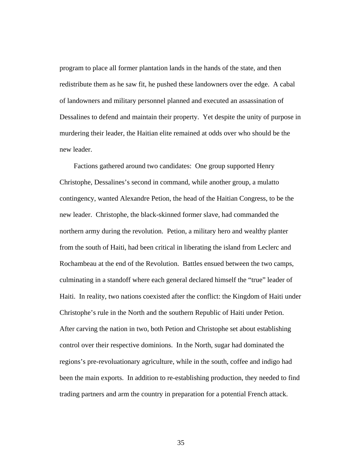program to place all former plantation lands in the hands of the state, and then redistribute them as he saw fit, he pushed these landowners over the edge. A cabal of landowners and military personnel planned and executed an assassination of Dessalines to defend and maintain their property. Yet despite the unity of purpose in murdering their leader, the Haitian elite remained at odds over who should be the new leader.

 Factions gathered around two candidates: One group supported Henry Christophe, Dessalines's second in command, while another group, a mulatto contingency, wanted Alexandre Petion, the head of the Haitian Congress, to be the new leader. Christophe, the black-skinned former slave, had commanded the northern army during the revolution. Petion, a military hero and wealthy planter from the south of Haiti, had been critical in liberating the island from Leclerc and Rochambeau at the end of the Revolution. Battles ensued between the two camps, culminating in a standoff where each general declared himself the "true" leader of Haiti. In reality, two nations coexisted after the conflict: the Kingdom of Haiti under Christophe's rule in the North and the southern Republic of Haiti under Petion. After carving the nation in two, both Petion and Christophe set about establishing control over their respective dominions. In the North, sugar had dominated the regions's pre-revoluationary agriculture, while in the south, coffee and indigo had been the main exports. In addition to re-establishing production, they needed to find trading partners and arm the country in preparation for a potential French attack.

35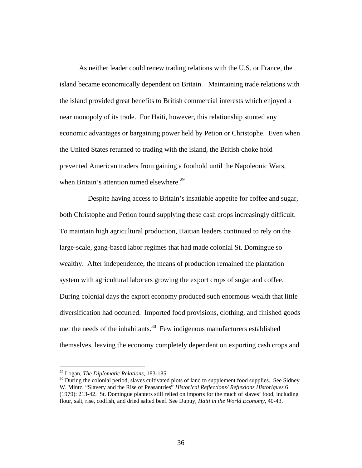As neither leader could renew trading relations with the U.S. or France, the island became economically dependent on Britain. Maintaining trade relations with the island provided great benefits to British commercial interests which enjoyed a near monopoly of its trade. For Haiti, however, this relationship stunted any economic advantages or bargaining power held by Petion or Christophe. Even when the United States returned to trading with the island, the British choke hold prevented American traders from gaining a foothold until the Napoleonic Wars, when Britain's attention turned elsewhere.<sup>29</sup>

 Despite having access to Britain's insatiable appetite for coffee and sugar, both Christophe and Petion found supplying these cash crops increasingly difficult. To maintain high agricultural production, Haitian leaders continued to rely on the large-scale, gang-based labor regimes that had made colonial St. Domingue so wealthy. After independence, the means of production remained the plantation system with agricultural laborers growing the export crops of sugar and coffee. During colonial days the export economy produced such enormous wealth that little diversification had occurred. Imported food provisions, clothing, and finished goods met the needs of the inhabitants. $30$  Few indigenous manufacturers established themselves, leaving the economy completely dependent on exporting cash crops and

<sup>&</sup>lt;sup>29</sup> Logan, *The Diplomatic Relations*, 183-185.<br><sup>30</sup> During the colonial period, slaves cultivated plots of land to supplement food supplies. See Sidney W. Mintz, "Slavery and the Rise of Peasantries" *Historical Reflections/ Reflexions Historiques* 6 (1979): 213-42. St. Domingue planters still relied on imports for the much of slaves' food, including flour, salt, rise, codfish, and dried salted beef. See Dupuy, *Haiti in the World Economy*, 40-43.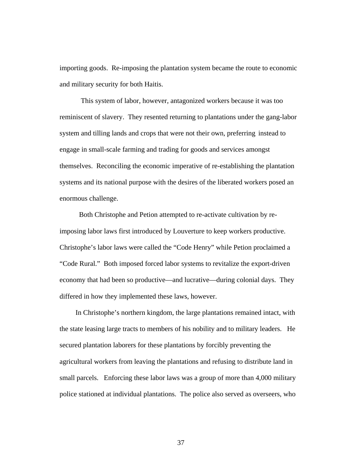importing goods. Re-imposing the plantation system became the route to economic and military security for both Haitis.

 This system of labor, however, antagonized workers because it was too reminiscent of slavery. They resented returning to plantations under the gang-labor system and tilling lands and crops that were not their own, preferring instead to engage in small-scale farming and trading for goods and services amongst themselves. Reconciling the economic imperative of re-establishing the plantation systems and its national purpose with the desires of the liberated workers posed an enormous challenge.

 Both Christophe and Petion attempted to re-activate cultivation by reimposing labor laws first introduced by Louverture to keep workers productive. Christophe's labor laws were called the "Code Henry" while Petion proclaimed a "Code Rural." Both imposed forced labor systems to revitalize the export-driven economy that had been so productive—and lucrative—during colonial days. They differed in how they implemented these laws, however.

 In Christophe's northern kingdom, the large plantations remained intact, with the state leasing large tracts to members of his nobility and to military leaders. He secured plantation laborers for these plantations by forcibly preventing the agricultural workers from leaving the plantations and refusing to distribute land in small parcels. Enforcing these labor laws was a group of more than 4,000 military police stationed at individual plantations. The police also served as overseers, who

37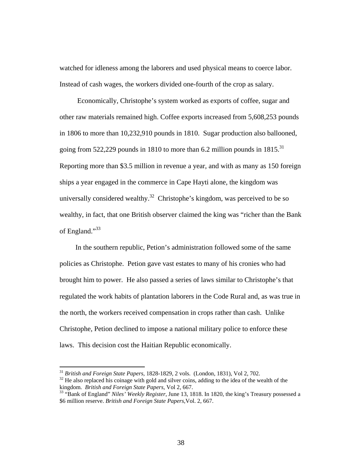watched for idleness among the laborers and used physical means to coerce labor. Instead of cash wages, the workers divided one-fourth of the crop as salary.

 Economically, Christophe's system worked as exports of coffee, sugar and other raw materials remained high. Coffee exports increased from 5,608,253 pounds in 1806 to more than 10,232,910 pounds in 1810. Sugar production also ballooned, going from 522,229 pounds in 1810 to more than 6.2 million pounds in  $1815$ <sup>31</sup> Reporting more than \$3.5 million in revenue a year, and with as many as 150 foreign ships a year engaged in the commerce in Cape Hayti alone, the kingdom was universally considered wealthy.<sup>32</sup> Christophe's kingdom, was perceived to be so wealthy, in fact, that one British observer claimed the king was "richer than the Bank of England."<sup>33</sup>

 In the southern republic, Petion's administration followed some of the same policies as Christophe. Petion gave vast estates to many of his cronies who had brought him to power. He also passed a series of laws similar to Christophe's that regulated the work habits of plantation laborers in the Code Rural and, as was true in the north, the workers received compensation in crops rather than cash. Unlike Christophe, Petion declined to impose a national military police to enforce these laws. This decision cost the Haitian Republic economically.

<sup>&</sup>lt;sup>31</sup> *British and Foreign State Papers*, 1828-1829, 2 vols. (London, 1831), Vol 2, 702.<br><sup>32</sup> He also replaced his coinage with gold and silver coins, adding to the idea of the wealth of the kingdom. *British and Foreign S* 

kingdom. *British and Foreign State Papers,* Vol 2, 667. 33 "Bank of England" *Niles' Weekly Register*, June 13, 1818. In 1820, the king's Treasury possessed a \$6 million reserve. *British and Foreign State Papers,*Vol. 2, 667.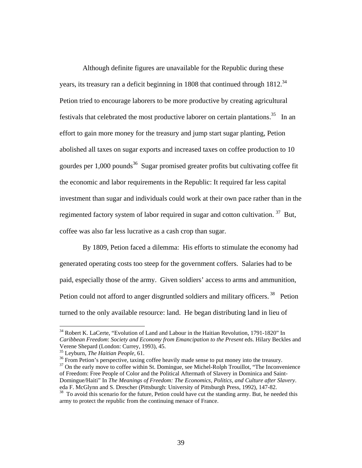Although definite figures are unavailable for the Republic during these years, its treasury ran a deficit beginning in 1808 that continued through 1812.<sup>34</sup> Petion tried to encourage laborers to be more productive by creating agricultural festivals that celebrated the most productive laborer on certain plantations.<sup>35</sup> In an effort to gain more money for the treasury and jump start sugar planting, Petion abolished all taxes on sugar exports and increased taxes on coffee production to 10 gourdes per  $1,000$  pounds<sup>36</sup> Sugar promised greater profits but cultivating coffee fit the economic and labor requirements in the Republic: It required far less capital investment than sugar and individuals could work at their own pace rather than in the regimented factory system of labor required in sugar and cotton cultivation.<sup>37</sup> But, coffee was also far less lucrative as a cash crop than sugar.

 By 1809, Petion faced a dilemma: His efforts to stimulate the economy had generated operating costs too steep for the government coffers. Salaries had to be paid, especially those of the army. Given soldiers' access to arms and ammunition, Petion could not afford to anger disgruntled soldiers and military officers.<sup>38</sup> Petion turned to the only available resource: land. He began distributing land in lieu of

<sup>&</sup>lt;sup>34</sup> Robert K. LaCerte, "Evolution of Land and Labour in the Haitian Revolution, 1791-1820" In *Caribbean Freedom*: *Society and Economy from Emancipation to the Present* eds. Hilary Beckles and Verene Shepard (London: Currey, 1993), 45.<br><sup>35</sup> Leyburn, *The Haitian People*, 61.<br><sup>36</sup> From Petion's perspective, taxing coffee heavily made sense to put money into the treasury.

<sup>&</sup>lt;sup>37</sup> On the early move to coffee within St. Domingue, see Michel-Rolph Trouillot, "The Inconvenience" of Freedom: Free People of Color and the Political Aftermath of Slavery in Dominica and Saint-Domingue/Haiti" In *The Meanings of Freedom: The Economics, Politics, and Culture after Slavery*.

<sup>&</sup>lt;sup>38</sup> To avoid this scenario for the future, Petion could have cut the standing army. But, he needed this army to protect the republic from the continuing menace of France.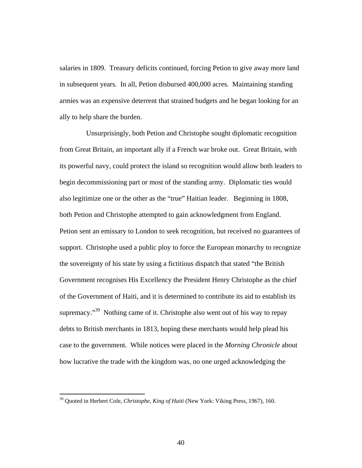salaries in 1809. Treasury deficits continued, forcing Petion to give away more land in subsequent years. In all, Petion disbursed 400,000 acres. Maintaining standing armies was an expensive deterrent that strained budgets and he began looking for an ally to help share the burden.

 Unsurprisingly, both Petion and Christophe sought diplomatic recognition from Great Britain, an important ally if a French war broke out. Great Britain, with its powerful navy, could protect the island so recognition would allow both leaders to begin decommissioning part or most of the standing army. Diplomatic ties would also legitimize one or the other as the "true" Haitian leader. Beginning in 1808, both Petion and Christophe attempted to gain acknowledgment from England. Petion sent an emissary to London to seek recognition, but received no guarantees of support. Christophe used a public ploy to force the European monarchy to recognize the sovereignty of his state by using a fictitious dispatch that stated "the British Government recognises His Excellency the President Henry Christophe as the chief of the Government of Haiti, and it is determined to contribute its aid to establish its supremacy."<sup>39</sup> Nothing came of it. Christophe also went out of his way to repay debts to British merchants in 1813, hoping these merchants would help plead his case to the government. While notices were placed in the *Morning Chronicle* about how lucrative the trade with the kingdom was, no one urged acknowledging the

<sup>39</sup> Quoted in Herbert Cole, *Christophe, King of Haiti* (New York: Viking Press, 1967), 160.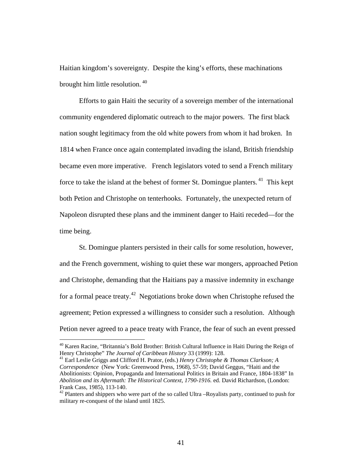Haitian kingdom's sovereignty. Despite the king's efforts, these machinations brought him little resolution.<sup>40</sup>

 Efforts to gain Haiti the security of a sovereign member of the international community engendered diplomatic outreach to the major powers. The first black nation sought legitimacy from the old white powers from whom it had broken. In 1814 when France once again contemplated invading the island, British friendship became even more imperative. French legislators voted to send a French military force to take the island at the behest of former St. Domingue planters.<sup>41</sup> This kept both Petion and Christophe on tenterhooks. Fortunately, the unexpected return of Napoleon disrupted these plans and the imminent danger to Haiti receded—for the time being.

 St. Domingue planters persisted in their calls for some resolution, however, and the French government, wishing to quiet these war mongers, approached Petion and Christophe, demanding that the Haitians pay a massive indemnity in exchange for a formal peace treaty.<sup>42</sup> Negotiations broke down when Christophe refused the agreement; Petion expressed a willingness to consider such a resolution. Although Petion never agreed to a peace treaty with France, the fear of such an event pressed

 $\overline{a}$ 

<sup>41</sup> Earl Leslie Griggs and Clifford H. Prator, (eds.) Henry Christophe & Thomas Clarkson; A *Correspondence* (New York: Greenwood Press, 1968), 57-59; David Geggus, "Haiti and the Abolitionists: Opinion, Propaganda and International Politics in Britain and France, 1804-1838" In *Abolition and its Aftermath: The Historical Context, 1790-1916.* ed. David Richardson, (London: Frank Cass, 1985), 113-140.

<sup>&</sup>lt;sup>40</sup> Karen Racine, "Britannia's Bold Brother: British Cultural Influence in Haiti During the Reign of Henry Christophe" *The Journal of Caribbean History* 33 (1999): 128.

 $42$  Planters and shippers who were part of the so called Ultra –Royalists party, continued to push for military re-conquest of the island until 1825.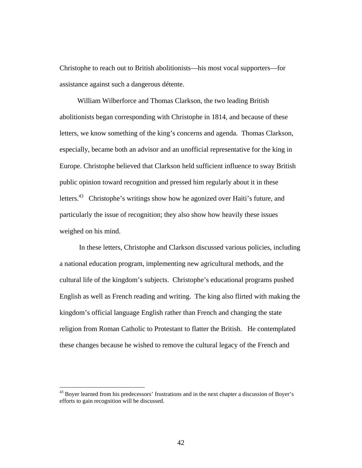Christophe to reach out to British abolitionists—his most vocal supporters—for assistance against such a dangerous détente.

 William Wilberforce and Thomas Clarkson, the two leading British abolitionists began corresponding with Christophe in 1814, and because of these letters, we know something of the king's concerns and agenda. Thomas Clarkson, especially, became both an advisor and an unofficial representative for the king in Europe. Christophe believed that Clarkson held sufficient influence to sway British public opinion toward recognition and pressed him regularly about it in these letters.<sup>43</sup> Christophe's writings show how he agonized over Haiti's future, and particularly the issue of recognition; they also show how heavily these issues weighed on his mind.

 In these letters, Christophe and Clarkson discussed various policies, including a national education program, implementing new agricultural methods, and the cultural life of the kingdom's subjects. Christophe's educational programs pushed English as well as French reading and writing. The king also flirted with making the kingdom's official language English rather than French and changing the state religion from Roman Catholic to Protestant to flatter the British. He contemplated these changes because he wished to remove the cultural legacy of the French and

<sup>&</sup>lt;sup>43</sup> Boyer learned from his predecessors' frustrations and in the next chapter a discussion of Boyer's efforts to gain recognition will be discussed.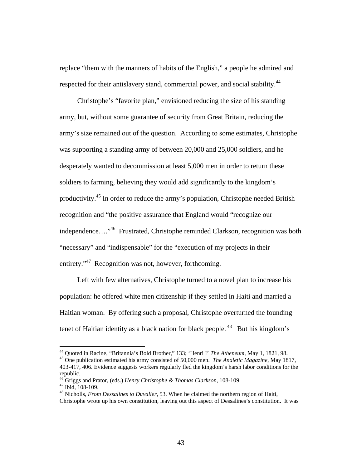replace "them with the manners of habits of the English," a people he admired and respected for their antislavery stand, commercial power, and social stability.<sup>44</sup>

 Christophe's "favorite plan," envisioned reducing the size of his standing army, but, without some guarantee of security from Great Britain, reducing the army's size remained out of the question. According to some estimates, Christophe was supporting a standing army of between 20,000 and 25,000 soldiers, and he desperately wanted to decommission at least 5,000 men in order to return these soldiers to farming, believing they would add significantly to the kingdom's productivity.45 In order to reduce the army's population, Christophe needed British recognition and "the positive assurance that England would "recognize our independence…."46 Frustrated, Christophe reminded Clarkson, recognition was both "necessary" and "indispensable" for the "execution of my projects in their entirety."<sup>47</sup> Recognition was not, however, forthcoming.

 Left with few alternatives, Christophe turned to a novel plan to increase his population: he offered white men citizenship if they settled in Haiti and married a Haitian woman. By offering such a proposal, Christophe overturned the founding tenet of Haitian identity as a black nation for black people.  $48$  But his kingdom's

<sup>44</sup> Quoted in Racine, "Britannia's Bold Brother," 133; 'Henri I' *The Atheneum*, May 1, 1821, 98. 45 One publication estimated his army consisted of 50,000 men. *The Analetic Magazine*, May 1817,

<sup>403-417, 406.</sup> Evidence suggests workers regularly fled the kingdom's harsh labor conditions for the republic.

<sup>&</sup>lt;sup>46</sup> Griggs and Prator, (eds.) *Henry Christophe & Thomas Clarkson*, 108-109.<br><sup>47</sup> Ibid, 108-109.

<sup>48</sup> Nicholls, *From Dessalines to Duvalier*, 53. When he claimed the northern region of Haiti, Christophe wrote up his own constitution, leaving out this aspect of Dessalines's constitution. It was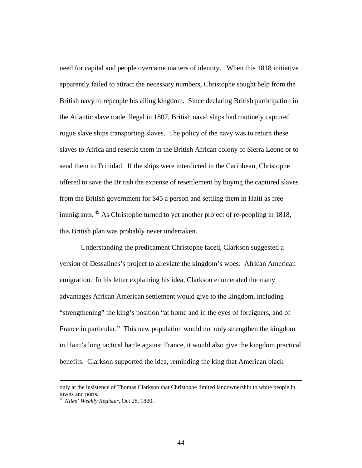need for capital and people overcame matters of identity. When this 1818 initiative apparently failed to attract the necessary numbers, Christophe sought help from the British navy to repeople his ailing kingdom. Since declaring British participation in the Atlantic slave trade illegal in 1807, British naval ships had routinely captured rogue slave ships transporting slaves. The policy of the navy was to return these slaves to Africa and resettle them in the British African colony of Sierra Leone or to send them to Trinidad. If the ships were interdicted in the Caribbean, Christophe offered to save the British the expense of resettlement by buying the captured slaves from the British government for \$45 a person and settling them in Haiti as free immigrants. <sup>49</sup> As Christophe turned to yet another project of re-peopling in 1818, this British plan was probably never undertaken.

 Understanding the predicament Christophe faced, Clarkson suggested a version of Dessalines's project to alleviate the kingdom's woes: African American emigration. In his letter explaining his idea, Clarkson enumerated the many advantages African American settlement would give to the kingdom, including "strengthening" the king's position "at home and in the eyes of foreigners, and of France in particular." This new population would not only strengthen the kingdom in Haiti's long tactical battle against France, it would also give the kingdom practical benefits. Clarkson supported the idea, reminding the king that American black

only at the insistence of Thomas Clarkson that Christophe limited landownership to white people in towns and ports.

<sup>49</sup> *Niles' Weekly Register*, Oct 28, 1820.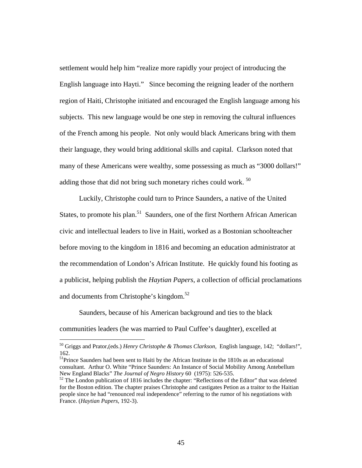settlement would help him "realize more rapidly your project of introducing the English language into Hayti." Since becoming the reigning leader of the northern region of Haiti, Christophe initiated and encouraged the English language among his subjects. This new language would be one step in removing the cultural influences of the French among his people. Not only would black Americans bring with them their language, they would bring additional skills and capital. Clarkson noted that many of these Americans were wealthy, some possessing as much as "3000 dollars!" adding those that did not bring such monetary riches could work.<sup>50</sup>

 Luckily, Christophe could turn to Prince Saunders, a native of the United States, to promote his plan.<sup>51</sup> Saunders, one of the first Northern African American civic and intellectual leaders to live in Haiti, worked as a Bostonian schoolteacher before moving to the kingdom in 1816 and becoming an education administrator at the recommendation of London's African Institute. He quickly found his footing as a publicist, helping publish the *Haytian Papers*, a collection of official proclamations and documents from Christophe's kingdom.<sup>52</sup>

 Saunders, because of his American background and ties to the black communities leaders (he was married to Paul Cuffee's daughter), excelled at

<sup>50</sup> Griggs and Prator,(eds.) *Henry Christophe & Thomas Clarkson,* English language, 142; "dollars!", 162.

<sup>&</sup>lt;sup>51</sup>Prince Saunders had been sent to Haiti by the African Institute in the 1810s as an educational consultant. Arthur O. White "Prince Saunders: An Instance of Social Mobility Among Antebellum New England Blacks" *The Journal of Negro History* 60 (1975): 526-535.<br><sup>52</sup> The London publication of 1816 includes the chapter: "Reflections of the Editor" that was deleted

for the Boston edition. The chapter praises Christophe and castigates Petion as a traitor to the Haitian people since he had "renounced real independence" referring to the rumor of his negotiations with France. (*Haytian Papers*, 192-3).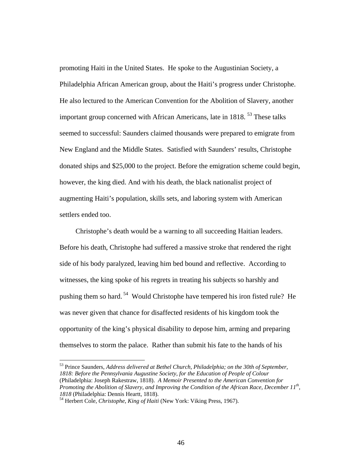promoting Haiti in the United States. He spoke to the Augustinian Society, a Philadelphia African American group, about the Haiti's progress under Christophe. He also lectured to the American Convention for the Abolition of Slavery, another important group concerned with African Americans, late in 1818.<sup>53</sup> These talks seemed to successful: Saunders claimed thousands were prepared to emigrate from New England and the Middle States. Satisfied with Saunders' results, Christophe donated ships and \$25,000 to the project. Before the emigration scheme could begin, however, the king died. And with his death, the black nationalist project of augmenting Haiti's population, skills sets, and laboring system with American settlers ended too.

 Christophe's death would be a warning to all succeeding Haitian leaders. Before his death, Christophe had suffered a massive stroke that rendered the right side of his body paralyzed, leaving him bed bound and reflective. According to witnesses, the king spoke of his regrets in treating his subjects so harshly and pushing them so hard. 54 Would Christophe have tempered his iron fisted rule? He was never given that chance for disaffected residents of his kingdom took the opportunity of the king's physical disability to depose him, arming and preparing themselves to storm the palace. Rather than submit his fate to the hands of his

<sup>53</sup> Prince Saunders, *Address delivered at Bethel Church, Philadelphia; on the 30th of September, 1818: Before the Pennsylvania Augustine Society, for the Education of People of Colour* (Philadelphia: Joseph Rakestraw, 1818). *A Memoir Presented to the American Convention for Promoting the Abolition of Slavery, and Improving the Condition of the African Race, December 11<sup>th</sup>, 1818* (Philadelphia: Dennis Heartt, 1818).<br><sup>54</sup> Herbert Cole, *Christophe, King of Haiti* (New York: Viking Press, 1967).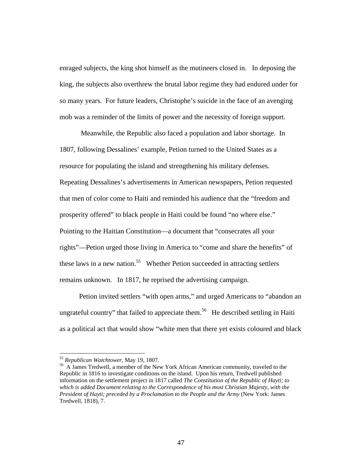enraged subjects, the king shot himself as the mutineers closed in. In deposing the king, the subjects also overthrew the brutal labor regime they had endured under for so many years. For future leaders, Christophe's suicide in the face of an avenging mob was a reminder of the limits of power and the necessity of foreign support.

 Meanwhile, the Republic also faced a population and labor shortage. In 1807, following Dessalines' example, Petion turned to the United States as a resource for populating the island and strengthening his military defenses. Repeating Dessalines's advertisements in American newspapers, Petion requested that men of color come to Haiti and reminded his audience that the "freedom and prosperity offered" to black people in Haiti could be found "no where else." Pointing to the Haitian Constitution—a document that "consecrates all your rights"—Petion urged those living in America to "come and share the benefits" of these laws in a new nation.<sup>55</sup> Whether Petion succeeded in attracting settlers remains unknown. In 1817, he reprised the advertising campaign.

 Petion invited settlers "with open arms," and urged Americans to "abandon an ungrateful country" that failed to appreciate them.<sup>56</sup> He described settling in Haiti as a political act that would show "white men that there yet exists coloured and black

<sup>&</sup>lt;sup>55</sup> *Republican Watchtower*, May 19, 1807.<br><sup>56</sup> A James Tredwell, a member of the New York African American community, traveled to the Republic in 1816 to investigate conditions on the island. Upon his return, Tredwell published information on the settlement project in 1817 called *The Constitution of the Republic of Hayti; to which is added Document relating to the Correspondence of his most Christian Majesty, with the President of Hayti; preceded by a Proclamation to the People and the Army* (New York: James Tredwell, 1818), 7.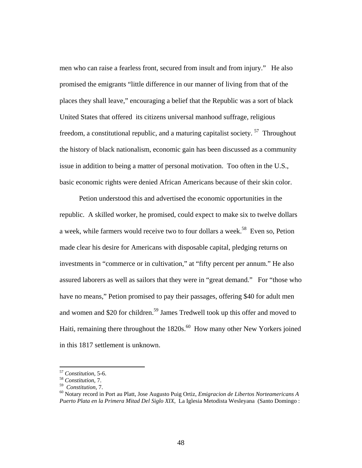men who can raise a fearless front, secured from insult and from injury." He also promised the emigrants "little difference in our manner of living from that of the places they shall leave," encouraging a belief that the Republic was a sort of black United States that offered its citizens universal manhood suffrage, religious freedom, a constitutional republic, and a maturing capitalist society. 57 Throughout the history of black nationalism, economic gain has been discussed as a community issue in addition to being a matter of personal motivation. Too often in the U.S., basic economic rights were denied African Americans because of their skin color.

 Petion understood this and advertised the economic opportunities in the republic. A skilled worker, he promised, could expect to make six to twelve dollars a week, while farmers would receive two to four dollars a week.<sup>58</sup> Even so, Petion made clear his desire for Americans with disposable capital, pledging returns on investments in "commerce or in cultivation," at "fifty percent per annum." He also assured laborers as well as sailors that they were in "great demand." For "those who have no means," Petion promised to pay their passages, offering \$40 for adult men and women and \$20 for children.<sup>59</sup> James Tredwell took up this offer and moved to Haiti, remaining there throughout the  $1820s$ .<sup>60</sup> How many other New Yorkers joined in this 1817 settlement is unknown.

<sup>57</sup> *Constitution*, 5-6. 58 *Constitution*, 7.

<sup>59</sup>*Constitution*, 7. 60 Notary record in Port au Platt, Jose Augusto Puig Ortiz, *Emigracion de Libertos Norteamericans A Puerto Plata en la Primera Mitad Del Siglo XIX*, La Iglesia Metodista Wesleyana (Santo Domingo :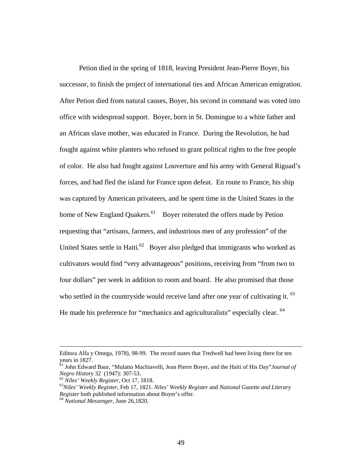Petion died in the spring of 1818, leaving President Jean-Pierre Boyer, his successor, to finish the project of international ties and African American emigration. After Petion died from natural causes, Boyer, his second in command was voted into office with widespread support. Boyer, born in St. Domingue to a white father and an African slave mother, was educated in France. During the Revolution, he had fought against white planters who refused to grant political rights to the free people of color. He also had fought against Louverture and his army with General Riguad's forces, and had fled the island for France upon defeat. En route to France, his ship was captured by American privateers, and he spent time in the United States in the home of New England Quakers.<sup>61</sup> Boyer reiterated the offers made by Petion requesting that "artisans, farmers, and industrious men of any profession" of the United States settle in Haiti.<sup>62</sup> Boyer also pledged that immigrants who worked as cultivators would find "very advantageous" positions, receiving from "from two to four dollars" per week in addition to room and board. He also promised that those who settled in the countryside would receive land after one year of cultivating it. <sup>63</sup> He made his preference for "mechanics and agriculturalists" especially clear. <sup>64</sup>

Editora Alfa y Omega, 1978), 98-99. The record states that Tredwell had been living there for ten years in 1827.

<sup>61</sup> John Edward Baur, "Mulatto Machiavelli, Jean Pierre Boyer, and the Haiti of His Day"*Journal of Negro History* 32 (1947): 307-53.<br><sup>62</sup> *Niles' Weekly Register*, Oct 17, 1818.<br><sup>63</sup> *Niles' Weekly Register*, Feb 17, 1821. *Niles' Weekly Register and National Gazette and Literary* 

*Register* both published information about Boyer's offer. 64 *National Messenger*, June 26,1820.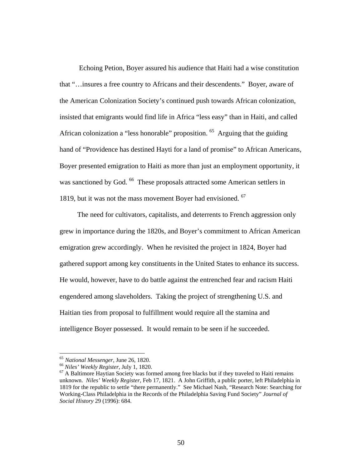Echoing Petion, Boyer assured his audience that Haiti had a wise constitution that "…insures a free country to Africans and their descendents." Boyer, aware of the American Colonization Society's continued push towards African colonization, insisted that emigrants would find life in Africa "less easy" than in Haiti, and called African colonization a "less honorable" proposition. <sup>65</sup> Arguing that the guiding hand of "Providence has destined Hayti for a land of promise" to African Americans, Boyer presented emigration to Haiti as more than just an employment opportunity, it was sanctioned by God. <sup>66</sup> These proposals attracted some American settlers in 1819, but it was not the mass movement Boyer had envisioned. <sup>67</sup>

 The need for cultivators, capitalists, and deterrents to French aggression only grew in importance during the 1820s, and Boyer's commitment to African American emigration grew accordingly. When he revisited the project in 1824, Boyer had gathered support among key constituents in the United States to enhance its success. He would, however, have to do battle against the entrenched fear and racism Haiti engendered among slaveholders. Taking the project of strengthening U.S. and Haitian ties from proposal to fulfillment would require all the stamina and intelligence Boyer possessed. It would remain to be seen if he succeeded.

<sup>&</sup>lt;sup>65</sup> *National Messenger*, June 26, 1820.<br><sup>66</sup> *Niles' Weekly Register*, July 1, 1820.<br><sup>67</sup> A Baltimore Haytian Society was formed among free blacks but if they traveled to Haiti remains unknown. *Niles' Weekly Register*, Feb 17, 1821. A John Griffith, a public porter, left Philadelphia in 1819 for the republic to settle "there permanently." See Michael Nash, "Research Note: Searching for Working-Class Philadelphia in the Records of the Philadelphia Saving Fund Society" *Journal of Social History* 29 (1996): 684.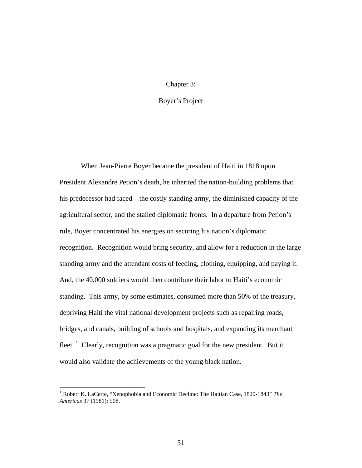## Chapter 3:

## Boyer's Project

 When Jean-Pierre Boyer became the president of Haiti in 1818 upon President Alexandre Petion's death, he inherited the nation-building problems that his predecessor had faced—the costly standing army, the diminished capacity of the agricultural sector, and the stalled diplomatic fronts. In a departure from Petion's rule, Boyer concentrated his energies on securing his nation's diplomatic recognition. Recognition would bring security, and allow for a reduction in the large standing army and the attendant costs of feeding, clothing, equipping, and paying it. And, the 40,000 soldiers would then contribute their labor to Haiti's economic standing. This army, by some estimates, consumed more than 50% of the treasury, depriving Haiti the vital national development projects such as repairing roads, bridges, and canals, building of schools and hospitals, and expanding its merchant fleet.<sup>1</sup> Clearly, recognition was a pragmatic goal for the new president. But it would also validate the achievements of the young black nation.

<sup>&</sup>lt;sup>1</sup> Robert K. LaCerte, "Xenophobia and Economic Decline: The Haitian Case, 1820-1843" The *Americas* 37 (1981): 508.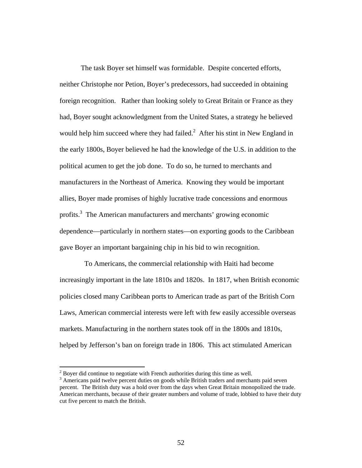The task Boyer set himself was formidable. Despite concerted efforts, neither Christophe nor Petion, Boyer's predecessors, had succeeded in obtaining foreign recognition. Rather than looking solely to Great Britain or France as they had, Boyer sought acknowledgment from the United States, a strategy he believed would help him succeed where they had failed. $^2$  After his stint in New England in the early 1800s, Boyer believed he had the knowledge of the U.S. in addition to the political acumen to get the job done. To do so, he turned to merchants and manufacturers in the Northeast of America. Knowing they would be important allies, Boyer made promises of highly lucrative trade concessions and enormous profits.<sup>3</sup> The American manufacturers and merchants' growing economic dependence—particularly in northern states—on exporting goods to the Caribbean gave Boyer an important bargaining chip in his bid to win recognition.

 To Americans, the commercial relationship with Haiti had become increasingly important in the late 1810s and 1820s. In 1817, when British economic policies closed many Caribbean ports to American trade as part of the British Corn Laws, American commercial interests were left with few easily accessible overseas markets. Manufacturing in the northern states took off in the 1800s and 1810s, helped by Jefferson's ban on foreign trade in 1806. This act stimulated American

 $2^{2}$  Boyer did continue to negotiate with French authorities during this time as well.

<sup>&</sup>lt;sup>3</sup> Americans paid twelve percent duties on goods while British traders and merchants paid seven percent. The British duty was a hold over from the days when Great Britain monopolized the trade. American merchants, because of their greater numbers and volume of trade, lobbied to have their duty cut five percent to match the British.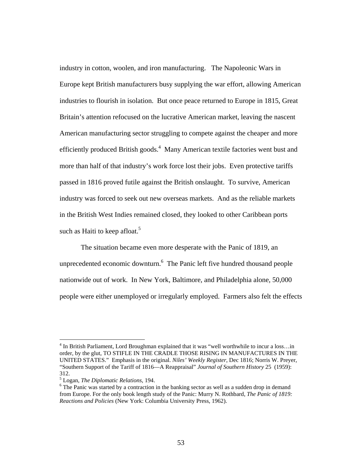industry in cotton, woolen, and iron manufacturing. The Napoleonic Wars in Europe kept British manufacturers busy supplying the war effort, allowing American industries to flourish in isolation. But once peace returned to Europe in 1815, Great Britain's attention refocused on the lucrative American market, leaving the nascent American manufacturing sector struggling to compete against the cheaper and more efficiently produced British goods.<sup>4</sup> Many American textile factories went bust and more than half of that industry's work force lost their jobs. Even protective tariffs passed in 1816 proved futile against the British onslaught. To survive, American industry was forced to seek out new overseas markets. And as the reliable markets in the British West Indies remained closed, they looked to other Caribbean ports such as Haiti to keep afloat.<sup>5</sup>

 The situation became even more desperate with the Panic of 1819, an unprecedented economic downturn.  $6$  The Panic left five hundred thousand people nationwide out of work. In New York, Baltimore, and Philadelphia alone, 50,000 people were either unemployed or irregularly employed. Farmers also felt the effects

<sup>&</sup>lt;sup>4</sup> In British Parliament, Lord Broughman explained that it was "well worthwhile to incur a loss...in order, by the glut, TO STIFLE IN THE CRADLE THOSE RISING IN MANUFACTURES IN THE UNITED STATES." Emphasis in the original. *Niles' Weekly Register*, Dec 1816; Norris W. Preyer, "Southern Support of the Tariff of 1816—A Reappraisal" *Journal of Southern History* 25 (1959): 312.

<sup>5</sup> Logan, *The Diplomatic Relations*, 194. 6

<sup>&</sup>lt;sup>6</sup> The Panic was started by a contraction in the banking sector as well as a sudden drop in demand from Europe. For the only book length study of the Panic: Murry N. Rothbard, *The Panic of 1819: Reactions and Policies* (New York: Columbia University Press, 1962).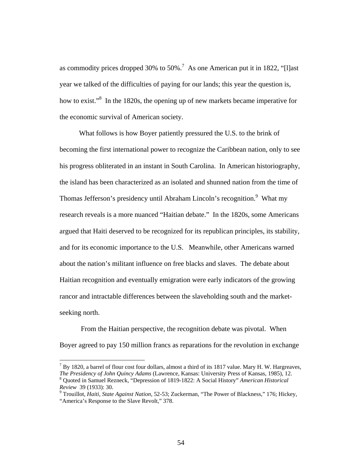as commodity prices dropped 30% to 50%.<sup>7</sup> As one American put it in 1822, "[I]ast year we talked of the difficulties of paying for our lands; this year the question is, how to exist."<sup>8</sup> In the 1820s, the opening up of new markets became imperative for the economic survival of American society.

 What follows is how Boyer patiently pressured the U.S. to the brink of becoming the first international power to recognize the Caribbean nation, only to see his progress obliterated in an instant in South Carolina. In American historiography, the island has been characterized as an isolated and shunned nation from the time of Thomas Jefferson's presidency until Abraham Lincoln's recognition.<sup>9</sup> What my research reveals is a more nuanced "Haitian debate." In the 1820s, some Americans argued that Haiti deserved to be recognized for its republican principles, its stability, and for its economic importance to the U.S. Meanwhile, other Americans warned about the nation's militant influence on free blacks and slaves. The debate about Haitian recognition and eventually emigration were early indicators of the growing rancor and intractable differences between the slaveholding south and the marketseeking north.

 From the Haitian perspective, the recognition debate was pivotal. When Boyer agreed to pay 150 million francs as reparations for the revolution in exchange

 $^7$  By 1820, a barrel of flour cost four dollars, almost a third of its 1817 value. Mary H. W. Hargreaves, *The Presidency of John Quincy Adams* (Lawrence, Kansas: University Press of Kansas, 1985), 12. 8 Quoted in Samuel Rezneck, "Depression of 1819-1822: A Social History" *American Historical Review* 39 (1933): 30.

Trouillot, *Haiti, State Against Nation*, 52-53; Zuckerman, "The Power of Blackness," 176; Hickey, "America's Response to the Slave Revolt," 378.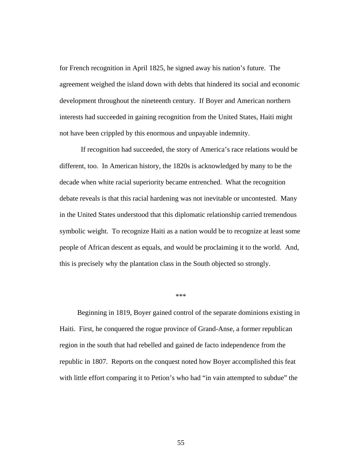for French recognition in April 1825, he signed away his nation's future. The agreement weighed the island down with debts that hindered its social and economic development throughout the nineteenth century. If Boyer and American northern interests had succeeded in gaining recognition from the United States, Haiti might not have been crippled by this enormous and unpayable indemnity.

 If recognition had succeeded, the story of America's race relations would be different, too. In American history, the 1820s is acknowledged by many to be the decade when white racial superiority became entrenched. What the recognition debate reveals is that this racial hardening was not inevitable or uncontested. Many in the United States understood that this diplomatic relationship carried tremendous symbolic weight. To recognize Haiti as a nation would be to recognize at least some people of African descent as equals, and would be proclaiming it to the world. And, this is precisely why the plantation class in the South objected so strongly.

## \*\*\*

 Beginning in 1819, Boyer gained control of the separate dominions existing in Haiti. First, he conquered the rogue province of Grand-Anse, a former republican region in the south that had rebelled and gained de facto independence from the republic in 1807. Reports on the conquest noted how Boyer accomplished this feat with little effort comparing it to Petion's who had "in vain attempted to subdue" the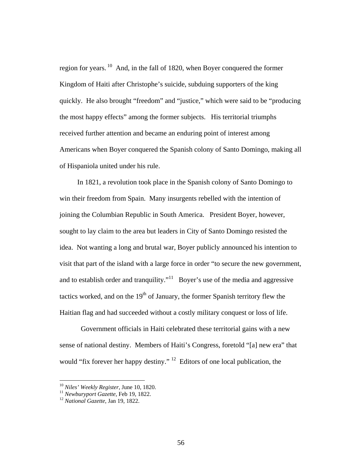region for years. 10 And, in the fall of 1820, when Boyer conquered the former Kingdom of Haiti after Christophe's suicide, subduing supporters of the king quickly. He also brought "freedom" and "justice," which were said to be "producing the most happy effects" among the former subjects. His territorial triumphs received further attention and became an enduring point of interest among Americans when Boyer conquered the Spanish colony of Santo Domingo, making all of Hispaniola united under his rule.

 In 1821, a revolution took place in the Spanish colony of Santo Domingo to win their freedom from Spain. Many insurgents rebelled with the intention of joining the Columbian Republic in South America. President Boyer, however, sought to lay claim to the area but leaders in City of Santo Domingo resisted the idea. Not wanting a long and brutal war, Boyer publicly announced his intention to visit that part of the island with a large force in order "to secure the new government, and to establish order and tranquility."<sup>11</sup> Boyer's use of the media and aggressive tactics worked, and on the  $19<sup>th</sup>$  of January, the former Spanish territory flew the Haitian flag and had succeeded without a costly military conquest or loss of life.

 Government officials in Haiti celebrated these territorial gains with a new sense of national destiny. Members of Haiti's Congress, foretold "[a] new era" that would "fix forever her happy destiny." <sup>12</sup> Editors of one local publication, the

<sup>&</sup>lt;sup>10</sup> *Niles' Weekly Register*, June 10, 1820.<br><sup>11</sup> *Newburyport Gazette*, Feb 19, 1822.<br><sup>12</sup> *National Gazette*. Jan 19, 1822.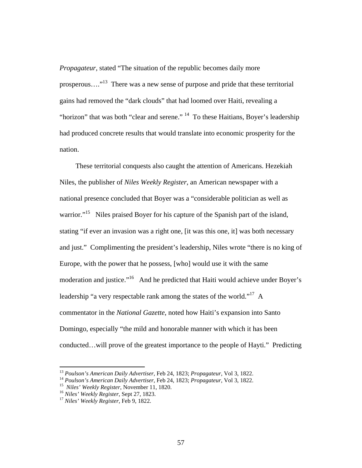*Propagateur,* stated "The situation of the republic becomes daily more prosperous…."13 There was a new sense of purpose and pride that these territorial gains had removed the "dark clouds" that had loomed over Haiti, revealing a "horizon" that was both "clear and serene."  $14$  To these Haitians, Boyer's leadership had produced concrete results that would translate into economic prosperity for the nation.

 These territorial conquests also caught the attention of Americans. Hezekiah Niles, the publisher of *Niles Weekly Register*, an American newspaper with a national presence concluded that Boyer was a "considerable politician as well as warrior."<sup>15</sup> Niles praised Boyer for his capture of the Spanish part of the island, stating "if ever an invasion was a right one, [it was this one, it] was both necessary and just." Complimenting the president's leadership, Niles wrote "there is no king of Europe, with the power that he possess, [who] would use it with the same moderation and justice."<sup>16</sup> And he predicted that Haiti would achieve under Boyer's leadership "a very respectable rank among the states of the world."<sup>17</sup> A commentator in the *National Gazette*, noted how Haiti's expansion into Santo Domingo, especially "the mild and honorable manner with which it has been conducted…will prove of the greatest importance to the people of Hayti." Predicting

<sup>&</sup>lt;sup>13</sup> Poulson's American Daily Advertiser, Feb 24, 1823; Propagateur, Vol 3, 1822.<br><sup>14</sup> Poulson's American Daily Advertiser, Feb 24, 1823; Propagateur, Vol 3, 1822.<br><sup>15</sup> Niles' Weekly Register, November 11, 1820.<br><sup>16</sup> Nile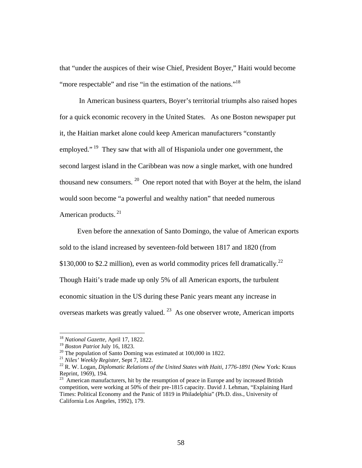that "under the auspices of their wise Chief, President Boyer," Haiti would become "more respectable" and rise "in the estimation of the nations."<sup>18</sup>

 In American business quarters, Boyer's territorial triumphs also raised hopes for a quick economic recovery in the United States. As one Boston newspaper put it, the Haitian market alone could keep American manufacturers "constantly employed." <sup>19</sup> They saw that with all of Hispaniola under one government, the second largest island in the Caribbean was now a single market, with one hundred thousand new consumers.  $20$  One report noted that with Boyer at the helm, the island would soon become "a powerful and wealthy nation" that needed numerous American products.<sup>21</sup>

 Even before the annexation of Santo Domingo, the value of American exports sold to the island increased by seventeen-fold between 1817 and 1820 (from \$130,000 to \$2.2 million), even as world commodity prices fell dramatically.<sup>22</sup> Though Haiti's trade made up only 5% of all American exports, the turbulent economic situation in the US during these Panic years meant any increase in overseas markets was greatly valued. 23 As one observer wrote, American imports

<sup>&</sup>lt;sup>18</sup> *National Gazette*, April 17, 1822.<br><sup>19</sup> *Boston Patriot July 16, 1823.* 

<sup>&</sup>lt;sup>20</sup> The population of Santo Doming was estimated at 100,000 in 1822.<br><sup>21</sup> *Niles' Weekly Register*, Sept 7, 1822.

<sup>&</sup>lt;sup>22</sup> R. W. Logan, *Diplomatic Relations of the United States with Haiti, 1776-1891* (New York: Kraus Reprint, 1969), 194.

 $^{23}$  American manufacturers, hit by the resumption of peace in Europe and by increased British competition, were working at 50% of their pre-1815 capacity. David J. Lehman, "Explaining Hard Times: Political Economy and the Panic of 1819 in Philadelphia" (Ph.D. diss., University of California Los Angeles, 1992), 179.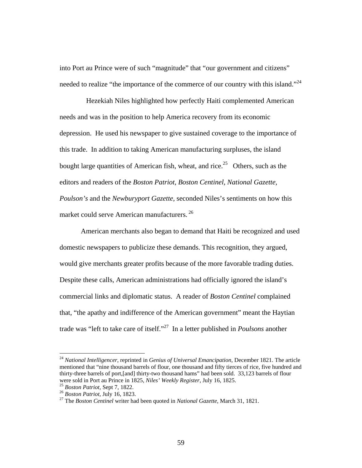into Port au Prince were of such "magnitude" that "our government and citizens" needed to realize "the importance of the commerce of our country with this island."<sup>24</sup>

 Hezekiah Niles highlighted how perfectly Haiti complemented American needs and was in the position to help America recovery from its economic depression. He used his newspaper to give sustained coverage to the importance of this trade. In addition to taking American manufacturing surpluses, the island bought large quantities of American fish, wheat, and rice.<sup>25</sup> Others, such as the editors and readers of the *Boston Patriot, Boston Centinel, National Gazette, Poulson's* and the *Newburyport Gazette,* seconded Niles's sentiments on how this market could serve American manufacturers.<sup>26</sup>

 American merchants also began to demand that Haiti be recognized and used domestic newspapers to publicize these demands. This recognition, they argued, would give merchants greater profits because of the more favorable trading duties. Despite these calls, American administrations had officially ignored the island's commercial links and diplomatic status. A reader of *Boston Centinel* complained that, "the apathy and indifference of the American government" meant the Haytian trade was "left to take care of itself."27 In a letter published in *Poulsons* another

<sup>24</sup> *National Intelligencer*, reprinted in *Genius of Universal Emancipation*, December 1821. The article mentioned that "nine thousand barrels of flour, one thousand and fifty tierces of rice, five hundred and thirty-three barrels of port,[and] thirty-two thousand hams" had been sold. 33,123 barrels of flour were sold in Port au Prince in 1825, Niles' Weekly Register, July 16, 1825.

<sup>&</sup>lt;sup>25</sup> Boston Patriot, Sept 7, 1822.<br><sup>26</sup> Boston Patriot, July 16, 1823.<br><sup>27</sup> The Boston Centinel writer had been quoted in National Gazette, March 31, 1821.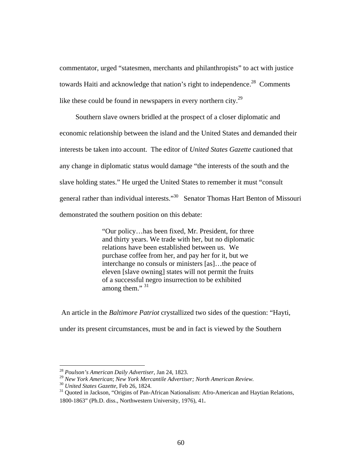commentator, urged "statesmen, merchants and philanthropists" to act with justice towards Haiti and acknowledge that nation's right to independence.<sup>28</sup> Comments like these could be found in newspapers in every northern city.<sup>29</sup>

 Southern slave owners bridled at the prospect of a closer diplomatic and economic relationship between the island and the United States and demanded their interests be taken into account. The editor of *United States Gazette* cautioned that any change in diplomatic status would damage "the interests of the south and the slave holding states." He urged the United States to remember it must "consult general rather than individual interests."30 Senator Thomas Hart Benton of Missouri demonstrated the southern position on this debate:

> "Our policy…has been fixed, Mr. President, for three and thirty years. We trade with her, but no diplomatic relations have been established between us. We purchase coffee from her, and pay her for it, but we interchange no consuls or ministers [as]…the peace of eleven [slave owning] states will not permit the fruits of a successful negro insurrection to be exhibited among them." 31

 An article in the *Baltimore Patriot* crystallized two sides of the question: "Hayti, under its present circumstances, must be and in fact is viewed by the Southern

<sup>28</sup> *Poulson's American Daily Advertiser*, Jan 24, 1823.

<sup>&</sup>lt;sup>29</sup> New York American; New York Mercantile Advertiser; North American Review.<br><sup>30</sup> United States Gazette, Feb 26, 1824.<br><sup>31</sup> Ouoted in Jackson, "Origins of Pan-African Nationalism: Afro-American and Haytian Relations, 1800-1863" (Ph.D. diss., Northwestern University, 1976), 41.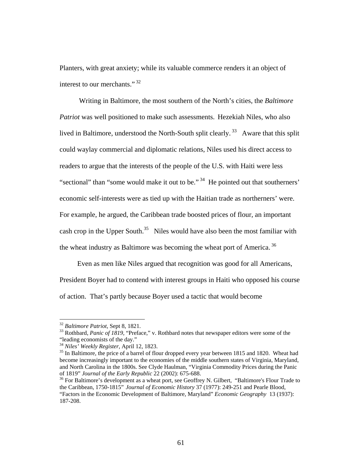Planters, with great anxiety; while its valuable commerce renders it an object of interest to our merchants."<sup>32</sup>

 Writing in Baltimore, the most southern of the North's cities, the *Baltimore Patriot* was well positioned to make such assessments. Hezekiah Niles, who also lived in Baltimore, understood the North-South split clearly.<sup>33</sup> Aware that this split could waylay commercial and diplomatic relations, Niles used his direct access to readers to argue that the interests of the people of the U.S. with Haiti were less "sectional" than "some would make it out to be."  $34$  He pointed out that southerners' economic self-interests were as tied up with the Haitian trade as northerners' were. For example, he argued, the Caribbean trade boosted prices of flour, an important cash crop in the Upper South.<sup>35</sup> Niles would have also been the most familiar with the wheat industry as Baltimore was becoming the wheat port of America.<sup>36</sup>

Even as men like Niles argued that recognition was good for all Americans,

President Boyer had to contend with interest groups in Haiti who opposed his course of action. That's partly because Boyer used a tactic that would become

<sup>&</sup>lt;sup>32</sup> *Baltimore Patriot*, Sept 8, 1821.<br><sup>33</sup> Rothbard, *Panic of 1819*, "Preface," v. Rothbard notes that newspaper editors were some of the "leading economists of the day."<br><sup>34</sup> Niles' Weekly Register, April 12, 1823.

<sup>&</sup>lt;sup>35</sup> In Baltimore, the price of a barrel of flour dropped every year between 1815 and 1820. Wheat had become increasingly important to the economies of the middle southern states of Virginia, Maryland, and North Carolina in the 1800s. See Clyde Haulman, "Virginia Commodity Prices during the Panic of 1819" *Journal of the Early Republic* 22 (2002): 675-688.<br><sup>36</sup> For Baltimore's development as a wheat port, see Geoffrey N. Gilbert, "Baltimore's Flour Trade to

the Caribbean, 1750-1815" *Journal of Economic History* 37 (1977): 249-251 and Pearle Blood, "Factors in the Economic Development of Baltimore, Maryland" *Economic Geography* 13 (1937): 187-208.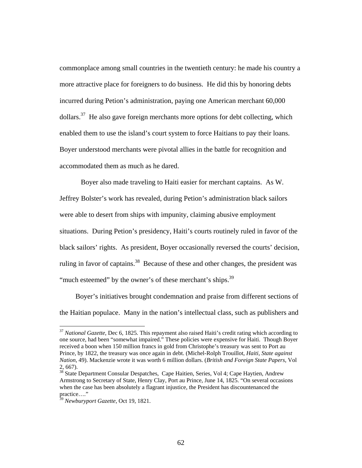commonplace among small countries in the twentieth century: he made his country a more attractive place for foreigners to do business. He did this by honoring debts incurred during Petion's administration, paying one American merchant 60,000  $dollars<sup>37</sup>$ . He also gave foreign merchants more options for debt collecting, which enabled them to use the island's court system to force Haitians to pay their loans. Boyer understood merchants were pivotal allies in the battle for recognition and accommodated them as much as he dared.

 Boyer also made traveling to Haiti easier for merchant captains. As W. Jeffrey Bolster's work has revealed, during Petion's administration black sailors were able to desert from ships with impunity, claiming abusive employment situations. During Petion's presidency, Haiti's courts routinely ruled in favor of the black sailors' rights. As president, Boyer occasionally reversed the courts' decision, ruling in favor of captains.<sup>38</sup> Because of these and other changes, the president was "much esteemed" by the owner's of these merchant's ships. $39$ 

 Boyer's initiatives brought condemnation and praise from different sections of the Haitian populace. Many in the nation's intellectual class, such as publishers and

<sup>37</sup> *National Gazette*, Dec 6, 1825*.* This repayment also raised Haiti's credit rating which according to one source, had been "somewhat impaired." These policies were expensive for Haiti. Though Boyer received a boon when 150 million francs in gold from Christophe's treasury was sent to Port au Prince, by 1822, the treasury was once again in debt. (Michel-Rolph Trouillot, *Haiti*, *State against Nation,* 49). Mackenzie wrote it was worth 6 million dollars. (*British and Foreign State Papers*, Vol 2, 667).

<sup>38</sup> State Department Consular Despatches, Cape Haitien, Series, Vol 4; Cape Haytien, Andrew Armstrong to Secretary of State, Henry Clay, Port au Prince, June 14, 1825. "On several occasions when the case has been absolutely a flagrant injustice, the President has discountenanced the practice…."

<sup>39</sup> *Newburyport Gazette*, Oct 19, 1821.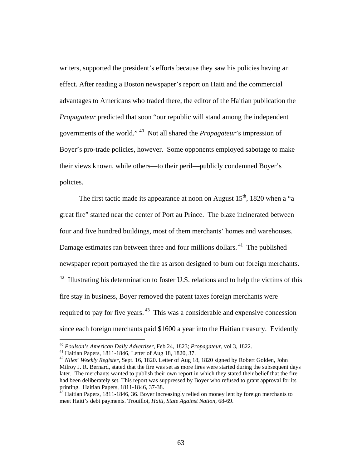writers, supported the president's efforts because they saw his policies having an effect. After reading a Boston newspaper's report on Haiti and the commercial advantages to Americans who traded there, the editor of the Haitian publication the *Propagateur* predicted that soon "our republic will stand among the independent governments of the world." 40 Not all shared the *Propagateur*'s impression of Boyer's pro-trade policies, however. Some opponents employed sabotage to make their views known, while others—to their peril—publicly condemned Boyer's policies.

The first tactic made its appearance at noon on August  $15<sup>th</sup>$ , 1820 when a "a great fire" started near the center of Port au Prince. The blaze incinerated between four and five hundred buildings, most of them merchants' homes and warehouses. Damage estimates ran between three and four millions dollars.<sup>41</sup> The published newspaper report portrayed the fire as arson designed to burn out foreign merchants.  $42$  Illustrating his determination to foster U.S. relations and to help the victims of this fire stay in business, Boyer removed the patent taxes foreign merchants were required to pay for five years. 43 This was a considerable and expensive concession since each foreign merchants paid \$1600 a year into the Haitian treasury. Evidently

<sup>40</sup> *Poulson's American Daily Advertiser*, Feb 24, 1823; *Propagateur*, vol 3, 1822. 41 Haitian Papers, 1811-1846, Letter of Aug 18, 1820, 37.

<sup>42</sup> *Niles*' *Weekly Register*, Sept. 16, 1820. Letter of Aug 18, 1820 signed by Robert Golden, John Milroy J. R. Bernard, stated that the fire was set as more fires were started during the subsequent days later. The merchants wanted to publish their own report in which they stated their belief that the fire had been deliberately set. This report was suppressed by Boyer who refused to grant approval for its printing. Haitian Papers, 1811-1846, 37-38.

<sup>&</sup>lt;sup>43</sup> Haitian Papers, 1811-1846, 36. Boyer increasingly relied on money lent by foreign merchants to meet Haiti's debt payments. Trouillot, *Haiti*, *State Against Nation*, 68-69.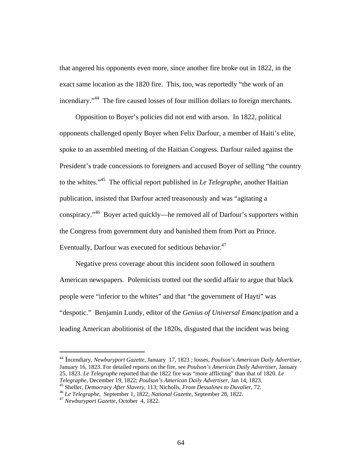that angered his opponents even more, since another fire broke out in 1822, in the exact same location as the 1820 fire. This, too, was reportedly "the work of an incendiary."<sup>44</sup> The fire caused losses of four million dollars to foreign merchants.

 Opposition to Boyer's policies did not end with arson. In 1822, political opponents challenged openly Boyer when Felix Darfour, a member of Haiti's elite, spoke to an assembled meeting of the Haitian Congress. Darfour railed against the President's trade concessions to foreigners and accused Boyer of selling "the country to the whites."45 The official report published in *Le Telegraphe*, another Haitian publication, insisted that Darfour acted treasonously and was "agitating a conspiracy."46 Boyer acted quickly—he removed all of Darfour's supporters within the Congress from government duty and banished them from Port au Prince. Eventually, Darfour was executed for seditious behavior.<sup>47</sup>

 Negative press coverage about this incident soon followed in southern American newspapers. Polemicists trotted out the sordid affair to argue that black people were "inferior to the whites" and that "the government of Hayti" was "despotic." Benjamin Lundy, editor of the *Genius of Universal Emancipation* and a leading American abolitionist of the 1820s, disgusted that the incident was being

<sup>44</sup> Incendiary, *Newburyport Gazette*, January 17, 1823 ; losses, *Poulson's American Daily Advertiser*, January 16, 1823. For detailed reports on the fire, see *Poulson's American Daily Advertiser*, January 25, 1823. *Le Telegraphe* reported that the 1822 fire was "more afflicting" than that of 1820. *Le*

<sup>&</sup>lt;sup>45</sup> Sheller, *Democracy After Slavery*, 113; Nicholls, *From Dessalines to Duvalier*, 72.<br><sup>46</sup> Le Telegraphe, September 1, 1822; *National Gazette*, September 28, 1822.<br><sup>47</sup> Newburyport Gazette. October 4. 1822.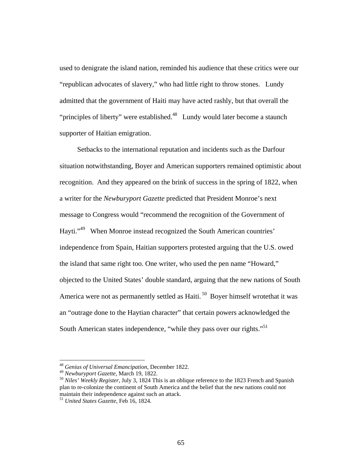used to denigrate the island nation, reminded his audience that these critics were our "republican advocates of slavery," who had little right to throw stones. Lundy admitted that the government of Haiti may have acted rashly, but that overall the "principles of liberty" were established. $48$  Lundy would later become a staunch supporter of Haitian emigration.

 Setbacks to the international reputation and incidents such as the Darfour situation notwithstanding, Boyer and American supporters remained optimistic about recognition. And they appeared on the brink of success in the spring of 1822, when a writer for the *Newburyport Gazette* predicted that President Monroe's next message to Congress would "recommend the recognition of the Government of Hayti."49 When Monroe instead recognized the South American countries' independence from Spain, Haitian supporters protested arguing that the U.S. owed the island that same right too. One writer, who used the pen name "Howard," objected to the United States' double standard, arguing that the new nations of South America were not as permanently settled as Haiti.<sup>50</sup> Boyer himself wrotethat it was an "outrage done to the Haytian character" that certain powers acknowledged the South American states independence, "while they pass over our rights."<sup>51</sup>

<sup>48</sup> *Genius of Universal Emancipation*, December 1822.

<sup>&</sup>lt;sup>49</sup> *Newburyport Gazette*, March 19, 1822.<br><sup>50</sup> *Niles' Weekly Register*, July 3, 1824 This is an oblique reference to the 1823 French and Spanish plan to re-colonize the continent of South America and the belief that the new nations could not maintain their independence against such an attack.

<sup>51</sup> *United States Gazette*, Feb 16, 1824.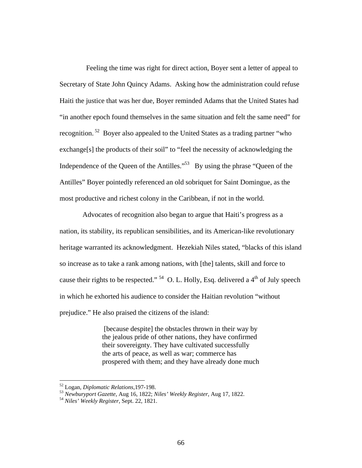Feeling the time was right for direct action, Boyer sent a letter of appeal to Secretary of State John Quincy Adams. Asking how the administration could refuse Haiti the justice that was her due, Boyer reminded Adams that the United States had "in another epoch found themselves in the same situation and felt the same need" for recognition. 52 Boyer also appealed to the United States as a trading partner "who exchange[s] the products of their soil" to "feel the necessity of acknowledging the Independence of the Queen of the Antilles."<sup>53</sup> By using the phrase "Queen of the Antilles" Boyer pointedly referenced an old sobriquet for Saint Domingue, as the most productive and richest colony in the Caribbean, if not in the world.

 Advocates of recognition also began to argue that Haiti's progress as a nation, its stability, its republican sensibilities, and its American-like revolutionary heritage warranted its acknowledgment. Hezekiah Niles stated, "blacks of this island so increase as to take a rank among nations, with [the] talents, skill and force to cause their rights to be respected."  $54$  O. L. Holly, Esq. delivered a 4<sup>th</sup> of July speech in which he exhorted his audience to consider the Haitian revolution "without prejudice." He also praised the citizens of the island:

> [because despite] the obstacles thrown in their way by the jealous pride of other nations, they have confirmed their sovereignty. They have cultivated successfully the arts of peace, as well as war; commerce has prospered with them; and they have already done much

<sup>52</sup> Logan, *Diplomatic Relations,*197-198. 53 *Newburyport Gazette*, Aug 16, 1822; *Niles' Weekly Register*, Aug 17, 1822. 54 *Niles' Weekly Register,* Sept. 22, 1821.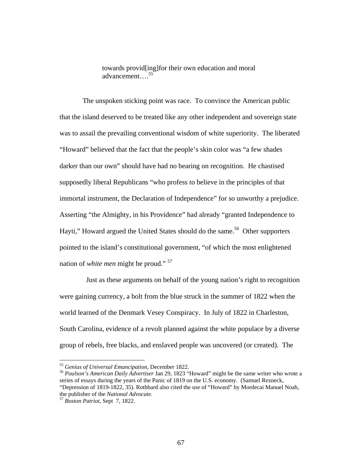towards provid[ing]for their own education and moral advancement….55

 The unspoken sticking point was race. To convince the American public that the island deserved to be treated like any other independent and sovereign state was to assail the prevailing conventional wisdom of white superiority. The liberated "Howard" believed that the fact that the people's skin color was "a few shades darker than our own" should have had no bearing on recognition. He chastised supposedly liberal Republicans "who profess to believe in the principles of that immortal instrument, the Declaration of Independence" for so unworthy a prejudice. Asserting "the Almighty, in his Providence" had already "granted Independence to Hayti," Howard argued the United States should do the same.<sup>56</sup> Other supporters pointed to the island's constitutional government, "of which the most enlightened nation of *white men* might be proud." 57

 Just as these arguments on behalf of the young nation's right to recognition were gaining currency, a bolt from the blue struck in the summer of 1822 when the world learned of the Denmark Vesey Conspiracy. In July of 1822 in Charleston, South Carolina, evidence of a revolt planned against the white populace by a diverse group of rebels, free blacks, and enslaved people was uncovered (or created). The

<sup>55</sup> *Genius of Universal Emancipation*, December 1822. 56 *Poulson's American Daily Advertiser* Jan 29, 1823 "Howard" might be the same writer who wrote a series of essays during the years of the Panic of 1819 on the U.S. economy. (Samuel Rezneck, "Depression of 1819-1822, 35). Rothbard also cited the use of "Howard" by Mordecai Manuel Noah, the publisher of the *National Advocate*. 57 *Boston Patriot*, Sept 7, 1822.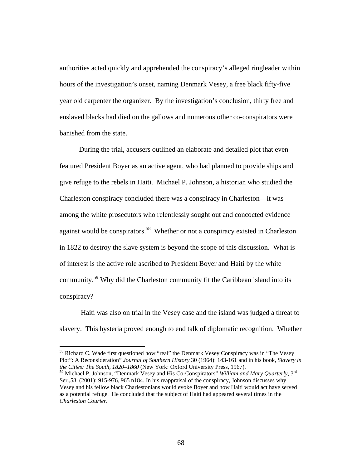authorities acted quickly and apprehended the conspiracy's alleged ringleader within hours of the investigation's onset, naming Denmark Vesey, a free black fifty-five year old carpenter the organizer. By the investigation's conclusion, thirty free and enslaved blacks had died on the gallows and numerous other co-conspirators were banished from the state.

 During the trial, accusers outlined an elaborate and detailed plot that even featured President Boyer as an active agent, who had planned to provide ships and give refuge to the rebels in Haiti. Michael P. Johnson, a historian who studied the Charleston conspiracy concluded there was a conspiracy in Charleston—it was among the white prosecutors who relentlessly sought out and concocted evidence against would be conspirators.<sup>58</sup> Whether or not a conspiracy existed in Charleston in 1822 to destroy the slave system is beyond the scope of this discussion. What is of interest is the active role ascribed to President Boyer and Haiti by the white community.59 Why did the Charleston community fit the Caribbean island into its conspiracy?

 Haiti was also on trial in the Vesey case and the island was judged a threat to slavery. This hysteria proved enough to end talk of diplomatic recognition. Whether

<sup>&</sup>lt;sup>58</sup> Richard C. Wade first questioned how "real" the Denmark Vesey Conspiracy was in "The Vesey" Plot": A Reconsideration" *Journal of Southern History* 30 (1964): 143-161 and in his book, *Slavery in the Cities: The South, 1820–1860* (New York: Oxford University Press, 1967).

<sup>59</sup> Michael P. Johnson, "Denmark Vesey and His Co-Conspirators" *William and Mary Quarterly*, 3rd Ser.,58 (2001): 915-976, 965 n184. In his reappraisal of the conspiracy, Johnson discusses why Vesey and his fellow black Charlestonians would evoke Boyer and how Haiti would act have served as a potential refuge. He concluded that the subject of Haiti had appeared several times in the *Charleston Courier*.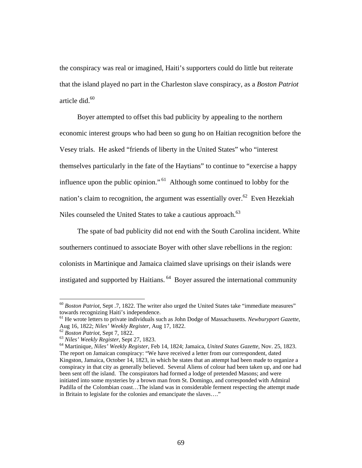the conspiracy was real or imagined, Haiti's supporters could do little but reiterate that the island played no part in the Charleston slave conspiracy, as a *Boston Patriot* article did $^{60}$ 

 Boyer attempted to offset this bad publicity by appealing to the northern economic interest groups who had been so gung ho on Haitian recognition before the Vesey trials. He asked "friends of liberty in the United States" who "interest themselves particularly in the fate of the Haytians" to continue to "exercise a happy influence upon the public opinion." 61 Although some continued to lobby for the nation's claim to recognition, the argument was essentially over.<sup>62</sup> Even Hezekiah Niles counseled the United States to take a cautious approach.<sup>63</sup>

 The spate of bad publicity did not end with the South Carolina incident. White southerners continued to associate Boyer with other slave rebellions in the region: colonists in Martinique and Jamaica claimed slave uprisings on their islands were instigated and supported by Haitians. 64 Boyer assured the international community

<sup>&</sup>lt;sup>60</sup> Boston Patriot, Sept .7, 1822. The writer also urged the United States take "immediate measures" towards recognizing Haiti's independence.

<sup>61</sup> He wrote letters to private individuals such as John Dodge of Massachusetts. *Newburyport Gazette*, Aug 16, 1822; *Niles' Weekly Register*, Aug 17, 1822.<br><sup>62</sup> Boston Patriot, Sept 7, 1822.<br><sup>63</sup> Niles' Weekly Register, Sept 27, 1823.<br><sup>64</sup> Martinique, *Niles' Weekly Register*, Feb 14, 1824; Jamaica, *United States Gazette* 

The report on Jamaican conspiracy: "We have received a letter from our correspondent, dated Kingston, Jamaica, October 14, 1823, in which he states that an attempt had been made to organize a conspiracy in that city as generally believed. Several Aliens of colour had been taken up, and one had been sent off the island. The conspirators had formed a lodge of pretended Masons; and were initiated into some mysteries by a brown man from St. Domingo, and corresponded with Admiral Padilla of the Colombian coast…The island was in considerable ferment respecting the attempt made in Britain to legislate for the colonies and emancipate the slaves…."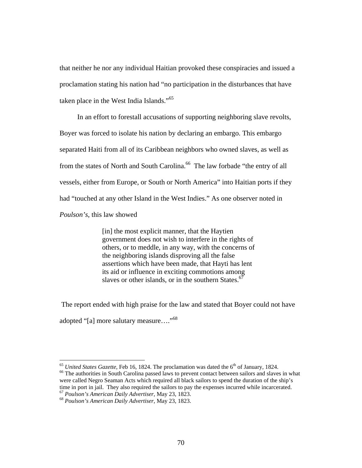that neither he nor any individual Haitian provoked these conspiracies and issued a proclamation stating his nation had "no participation in the disturbances that have taken place in the West India Islands."65

 In an effort to forestall accusations of supporting neighboring slave revolts, Boyer was forced to isolate his nation by declaring an embargo. This embargo separated Haiti from all of its Caribbean neighbors who owned slaves, as well as from the states of North and South Carolina.<sup>66</sup> The law forbade "the entry of all vessels, either from Europe, or South or North America" into Haitian ports if they had "touched at any other Island in the West Indies." As one observer noted in *Poulson's*, this law showed

> [in] the most explicit manner, that the Haytien government does not wish to interfere in the rights of others, or to meddle, in any way, with the concerns of the neighboring islands disproving all the false assertions which have been made, that Hayti has lent its aid or influence in exciting commotions among slaves or other islands, or in the southern States. $67$

The report ended with high praise for the law and stated that Boyer could not have

adopted "[a] more salutary measure...."<sup>68</sup>

 $\overline{a}$ 

<sup>65</sup> *United States Gazette*, Feb 16, 1824. The proclamation was dated the  $6<sup>th</sup>$  of January, 1824.<br><sup>66</sup> The authorities in South Carolina passed laws to prevent contact between sailors and slaves in what were called Negro Seaman Acts which required all black sailors to spend the duration of the ship's time in port in jail. They also required the sailors to pay the expenses incurred while incarcerated. 67 *Poulson's American Daily Advertiser*, May 23, 1823. 68 *Poulson's American Daily Advertiser*, May 23, 1823.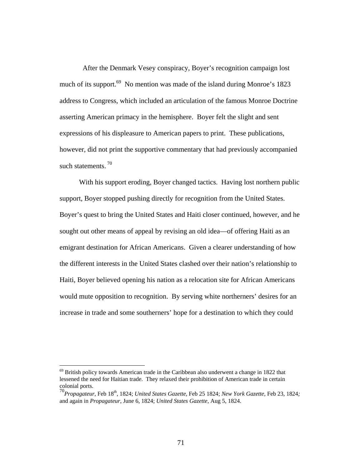After the Denmark Vesey conspiracy, Boyer's recognition campaign lost much of its support.<sup>69</sup> No mention was made of the island during Monroe's 1823 address to Congress, which included an articulation of the famous Monroe Doctrine asserting American primacy in the hemisphere. Boyer felt the slight and sent expressions of his displeasure to American papers to print. These publications, however, did not print the supportive commentary that had previously accompanied such statements.<sup>70</sup>

 With his support eroding, Boyer changed tactics. Having lost northern public support, Boyer stopped pushing directly for recognition from the United States. Boyer's quest to bring the United States and Haiti closer continued, however, and he sought out other means of appeal by revising an old idea—of offering Haiti as an emigrant destination for African Americans. Given a clearer understanding of how the different interests in the United States clashed over their nation's relationship to Haiti, Boyer believed opening his nation as a relocation site for African Americans would mute opposition to recognition. By serving white northerners' desires for an increase in trade and some southerners' hope for a destination to which they could

 $69$  British policy towards American trade in the Caribbean also underwent a change in 1822 that lessened the need for Haitian trade. They relaxed their prohibition of American trade in certain colonial ports.

<sup>70</sup>*Propagateur*, Feb 18th, 1824; *United States Gazette*, Feb 25 1824; *New York Gazette*, Feb 23, 1824*;*  and again in *Propagateur*, June 6, 1824; *United States Gazette*, Aug 5, 1824.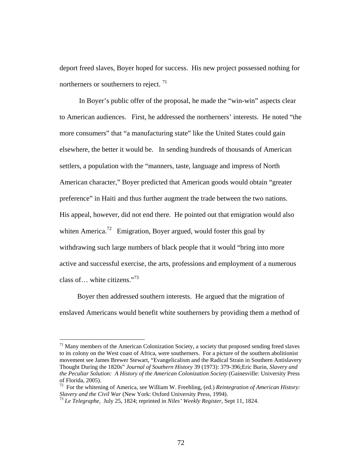deport freed slaves, Boyer hoped for success. His new project possessed nothing for northerners or southerners to reject.  $\frac{71}{2}$ 

 In Boyer's public offer of the proposal, he made the "win-win" aspects clear to American audiences. First, he addressed the northerners' interests. He noted "the more consumers" that "a manufacturing state" like the United States could gain elsewhere, the better it would be. In sending hundreds of thousands of American settlers, a population with the "manners, taste, language and impress of North American character," Boyer predicted that American goods would obtain "greater preference" in Haiti and thus further augment the trade between the two nations. His appeal, however, did not end there. He pointed out that emigration would also whiten America.<sup>72</sup> Emigration, Boyer argued, would foster this goal by withdrawing such large numbers of black people that it would "bring into more active and successful exercise, the arts, professions and employment of a numerous class of… white citizens."73

 Boyer then addressed southern interests. He argued that the migration of enslaved Americans would benefit white southerners by providing them a method of

 $71$  Many members of the American Colonization Society, a society that proposed sending freed slaves to its colony on the West coast of Africa, were southerners. For a picture of the southern abolitionist movement see James Brewer Stewart, "Evangelicalism and the Radical Strain in Southern Antislavery Thought During the 1820s" *Journal of Southern History* 39 (1973): 379-396;Eric Burin, *Slavery and the Peculiar Solution: A History of the American Colonization Society* (Gainesville: University Press of Florida, 2005).

<sup>72</sup> For the whitening of America, see William W. Freehling, (ed.) *Reintegration of American History: Slavery and the Civil War* (New York: Oxford University Press, 1994). 73 *Le Telegraphe,* July 25, 1824; reprinted in *Niles' Weekly Register*, Sept 11, 1824.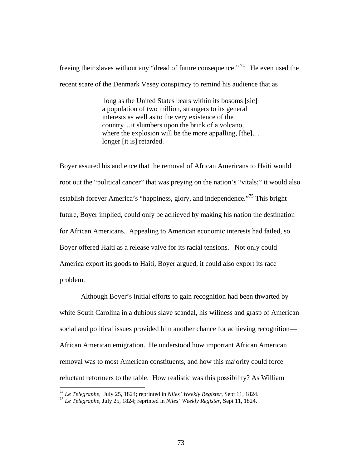freeing their slaves without any "dread of future consequence."<sup>74</sup> He even used the recent scare of the Denmark Vesey conspiracy to remind his audience that as

> long as the United States bears within its bosoms [sic] a population of two million, strangers to its general interests as well as to the very existence of the country…it slumbers upon the brink of a volcano, where the explosion will be the more appalling, [the]... longer [it is] retarded.

Boyer assured his audience that the removal of African Americans to Haiti would root out the "political cancer" that was preying on the nation's "vitals;" it would also establish forever America's "happiness, glory, and independence."<sup>75</sup> This bright future, Boyer implied, could only be achieved by making his nation the destination for African Americans. Appealing to American economic interests had failed, so Boyer offered Haiti as a release valve for its racial tensions. Not only could America export its goods to Haiti, Boyer argued, it could also export its race problem.

 Although Boyer's initial efforts to gain recognition had been thwarted by white South Carolina in a dubious slave scandal, his wiliness and grasp of American social and political issues provided him another chance for achieving recognition— African American emigration. He understood how important African American removal was to most American constituents, and how this majority could force reluctant reformers to the table. How realistic was this possibility? As William

<sup>74</sup> *Le Telegraphe,* July 25, 1824; reprinted in *Niles' Weekly Register*, Sept 11, 1824. 75 *Le Telegraphe,* July 25, 1824; reprinted in *Niles' Weekly Register*, Sept 11, 1824.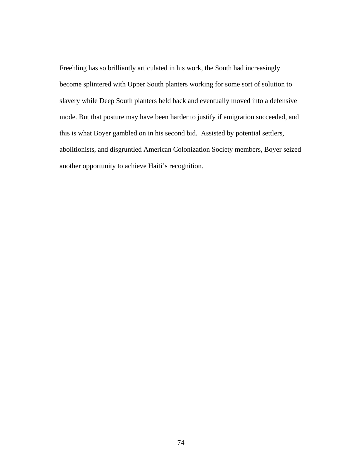Freehling has so brilliantly articulated in his work, the South had increasingly become splintered with Upper South planters working for some sort of solution to slavery while Deep South planters held back and eventually moved into a defensive mode. But that posture may have been harder to justify if emigration succeeded, and this is what Boyer gambled on in his second bid. Assisted by potential settlers, abolitionists, and disgruntled American Colonization Society members, Boyer seized another opportunity to achieve Haiti's recognition.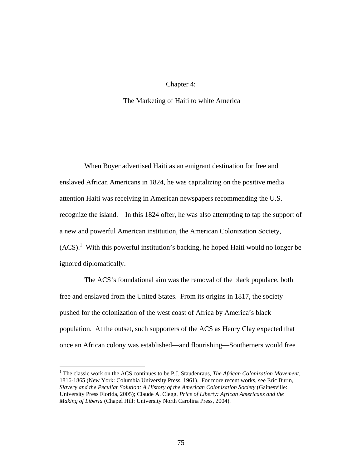## Chapter 4:

## The Marketing of Haiti to white America

 When Boyer advertised Haiti as an emigrant destination for free and enslaved African Americans in 1824, he was capitalizing on the positive media attention Haiti was receiving in American newspapers recommending the U.S. recognize the island. In this 1824 offer, he was also attempting to tap the support of a new and powerful American institution, the American Colonization Society,  $(ACS)<sup>1</sup>$  With this powerful institution's backing, he hoped Haiti would no longer be ignored diplomatically.

 The ACS's foundational aim was the removal of the black populace, both free and enslaved from the United States. From its origins in 1817, the society pushed for the colonization of the west coast of Africa by America's black population. At the outset, such supporters of the ACS as Henry Clay expected that once an African colony was established—and flourishing—Southerners would free

<sup>&</sup>lt;sup>1</sup> The classic work on the ACS continues to be P.J. Staudenraus, *The African Colonization Movement*, 1816-1865 (New York: Columbia University Press, 1961). For more recent works, see Eric Burin, *Slavery and the Peculiar Solution: A History of the American Colonization Society* (Gainesville: University Press Florida, 2005); Claude A. Clegg, *Price of Liberty: African Americans and the Making of Liberia* (Chapel Hill: University North Carolina Press, 2004).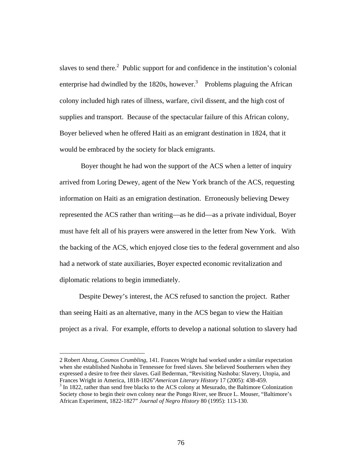slaves to send there.<sup>2</sup> Public support for and confidence in the institution's colonial enterprise had dwindled by the 1820s, however.<sup>3</sup> Problems plaguing the African colony included high rates of illness, warfare, civil dissent, and the high cost of supplies and transport. Because of the spectacular failure of this African colony, Boyer believed when he offered Haiti as an emigrant destination in 1824, that it would be embraced by the society for black emigrants.

 Boyer thought he had won the support of the ACS when a letter of inquiry arrived from Loring Dewey, agent of the New York branch of the ACS, requesting information on Haiti as an emigration destination. Erroneously believing Dewey represented the ACS rather than writing—as he did—as a private individual, Boyer must have felt all of his prayers were answered in the letter from New York. With the backing of the ACS, which enjoyed close ties to the federal government and also had a network of state auxiliaries, Boyer expected economic revitalization and diplomatic relations to begin immediately.

 Despite Dewey's interest, the ACS refused to sanction the project. Rather than seeing Haiti as an alternative, many in the ACS began to view the Haitian project as a rival. For example, efforts to develop a national solution to slavery had

<sup>2</sup> Robert Abzug, *Cosmos Crumbling*, 141. Frances Wright had worked under a similar expectation when she established Nashoba in Tennessee for freed slaves. She believed Southerners when they expressed a desire to free their slaves. Gail Bederman, "Revisiting Nashoba: Slavery, Utopia, and Frances Wright in America, 1818-1826"*American Literary History* 17 (2005): 438-459. 3

 $3$  In 1822, rather than send free blacks to the ACS colony at Mesurado, the Baltimore Colonization Society chose to begin their own colony near the Pongo River, see Bruce L. Mouser, "Baltimore's African Experiment, 1822-1827" *Journal of Negro History* 80 (1995): 113-130.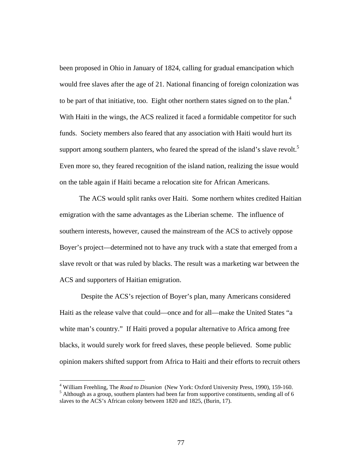been proposed in Ohio in January of 1824, calling for gradual emancipation which would free slaves after the age of 21. National financing of foreign colonization was to be part of that initiative, too. Eight other northern states signed on to the plan.<sup>4</sup> With Haiti in the wings, the ACS realized it faced a formidable competitor for such funds. Society members also feared that any association with Haiti would hurt its support among southern planters, who feared the spread of the island's slave revolt.<sup>5</sup> Even more so, they feared recognition of the island nation, realizing the issue would on the table again if Haiti became a relocation site for African Americans.

 The ACS would split ranks over Haiti. Some northern whites credited Haitian emigration with the same advantages as the Liberian scheme. The influence of southern interests, however, caused the mainstream of the ACS to actively oppose Boyer's project—determined not to have any truck with a state that emerged from a slave revolt or that was ruled by blacks. The result was a marketing war between the ACS and supporters of Haitian emigration.

 Despite the ACS's rejection of Boyer's plan, many Americans considered Haiti as the release valve that could—once and for all—make the United States "a white man's country." If Haiti proved a popular alternative to Africa among free blacks, it would surely work for freed slaves, these people believed. Some public opinion makers shifted support from Africa to Haiti and their efforts to recruit others

<sup>&</sup>lt;sup>4</sup> William Freehling, The *Road to Disunion* (New York: Oxford University Press, 1990), 159-160.  $<sup>5</sup>$  Although as a group, southern planters had been far from supportive constituents, sending all of 6</sup> slaves to the ACS's African colony between 1820 and 1825, (Burin, 17).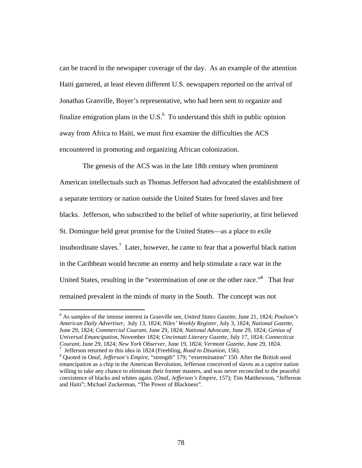can be traced in the newspaper coverage of the day. As an example of the attention Haiti garnered, at least eleven different U.S. newspapers reported on the arrival of Jonathas Granville, Boyer's representative, who had been sent to organize and finalize emigration plans in the U.S. $<sup>6</sup>$  To understand this shift in public opinion</sup> away from Africa to Haiti, we must first examine the difficulties the ACS encountered in promoting and organizing African colonization.

 The genesis of the ACS was in the late 18th century when prominent American intellectuals such as Thomas Jefferson had advocated the establishment of a separate territory or nation outside the United States for freed slaves and free blacks. Jefferson, who subscribed to the belief of white superiority, at first believed St. Domingue held great promise for the United States—as a place to exile insubordinate slaves.<sup>7</sup> Later, however, he came to fear that a powerful black nation in the Caribbean would become an enemy and help stimulate a race war in the United States, resulting in the "extermination of one or the other race."<sup>8</sup> That fear remained prevalent in the minds of many in the South. The concept was not

<sup>6</sup> As samples of the intense interest in Granville see, *United States Gazette*, June 21, 1824; *Poulson's American Daily Advertiser*, July 13, 1824; *Niles' Weekly Register*, July 3, 1824; *National Gazette*, June 29, 1824; *Commercial Courant*, June 29, 1824; *National Advocate*, June 29, 1824; *Genius of Universal Emancipation*, November 1824; *Cincinnati Literary Gazette*, July 17, 1824; *Connecticut Courant*, June 29, 1824; *New York Observer*, June 19, 1824; *Vermont Gazette*, June 29, 1824. 7 Jefferson returned to this idea in 1824 (Freehling, *Road to Disunion*, 156). 8

Quoted in Onuf, *Jefferson's Empire*, "strength" 179; "extermination" 150. After the British used emancipation as a chip in the American Revolution, Jefferson conceived of slaves as a captive nation willing to take any chance to eliminate their former masters, and was never reconciled to the peaceful coexistence of blacks and whites again. (Onuf, *Jefferson's Empire*, 157); Tim Matthewson, "Jefferson and Haiti"; Michael Zuckerman, "The Power of Blackness".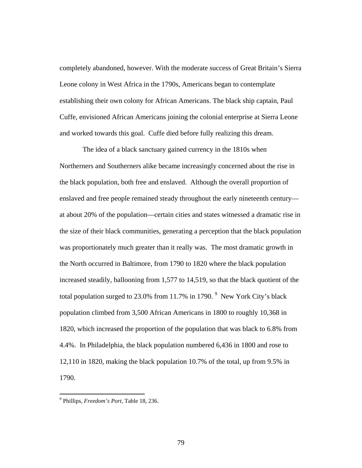completely abandoned, however. With the moderate success of Great Britain's Sierra Leone colony in West Africa in the 1790s, Americans began to contemplate establishing their own colony for African Americans. The black ship captain, Paul Cuffe, envisioned African Americans joining the colonial enterprise at Sierra Leone and worked towards this goal. Cuffe died before fully realizing this dream.

 The idea of a black sanctuary gained currency in the 1810s when Northerners and Southerners alike became increasingly concerned about the rise in the black population, both free and enslaved. Although the overall proportion of enslaved and free people remained steady throughout the early nineteenth century at about 20% of the population—certain cities and states witnessed a dramatic rise in the size of their black communities, generating a perception that the black population was proportionately much greater than it really was. The most dramatic growth in the North occurred in Baltimore, from 1790 to 1820 where the black population increased steadily, ballooning from 1,577 to 14,519, so that the black quotient of the total population surged to 23.0% from 11.7% in 1790.  $9$  New York City's black population climbed from 3,500 African Americans in 1800 to roughly 10,368 in 1820, which increased the proportion of the population that was black to 6.8% from 4.4%. In Philadelphia, the black population numbered 6,436 in 1800 and rose to 12,110 in 1820, making the black population 10.7% of the total, up from 9.5% in 1790.

<sup>9</sup> Phillips, *Freedom's Port*, Table 18, 236.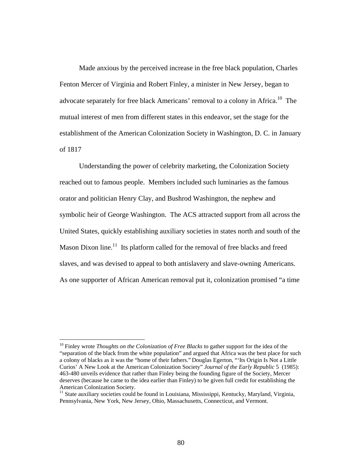Made anxious by the perceived increase in the free black population, Charles Fenton Mercer of Virginia and Robert Finley, a minister in New Jersey, began to advocate separately for free black Americans' removal to a colony in Africa.<sup>10</sup> The mutual interest of men from different states in this endeavor, set the stage for the establishment of the American Colonization Society in Washington, D. C. in January of 1817

 Understanding the power of celebrity marketing, the Colonization Society reached out to famous people. Members included such luminaries as the famous orator and politician Henry Clay, and Bushrod Washington, the nephew and symbolic heir of George Washington. The ACS attracted support from all across the United States, quickly establishing auxiliary societies in states north and south of the Mason Dixon line.<sup>11</sup> Its platform called for the removal of free blacks and freed slaves, and was devised to appeal to both antislavery and slave-owning Americans. As one supporter of African American removal put it, colonization promised "a time

<sup>10</sup> Finley wrote *Thoughts on the Colonization of Free Blacks* to gather support for the idea of the "separation of the black from the white population" and argued that Africa was the best place for such a colony of blacks as it was the "home of their fathers." Douglas Egerton, "'Its Origin Is Not a Little Curios' A New Look at the American Colonization Society" *Journal of the Early Republic* 5 (1985): 463-480 unveils evidence that rather than Finley being the founding figure of the Society, Mercer deserves (because he came to the idea earlier than Finley) to be given full credit for establishing the American Colonization Society.

 $11$  State auxiliary societies could be found in Louisiana, Mississippi, Kentucky, Maryland, Virginia, Pennsylvania, New York, New Jersey, Ohio, Massachusetts, Connecticut, and Vermont.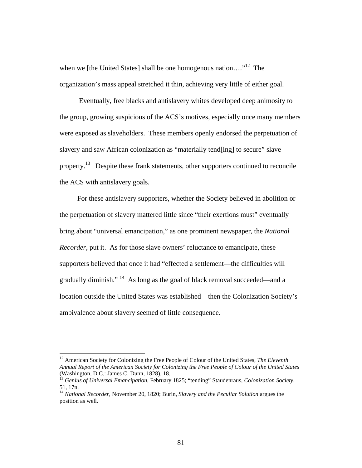when we [the United States] shall be one homogenous nation...."<sup>12</sup> The organization's mass appeal stretched it thin, achieving very little of either goal.

 Eventually, free blacks and antislavery whites developed deep animosity to the group, growing suspicious of the ACS's motives, especially once many members were exposed as slaveholders. These members openly endorsed the perpetuation of slavery and saw African colonization as "materially tend[ing] to secure" slave property.13 Despite these frank statements, other supporters continued to reconcile the ACS with antislavery goals.

 For these antislavery supporters, whether the Society believed in abolition or the perpetuation of slavery mattered little since "their exertions must" eventually bring about "universal emancipation," as one prominent newspaper, the *National Recorder*, put it. As for those slave owners' reluctance to emancipate, these supporters believed that once it had "effected a settlement—the difficulties will gradually diminish." 14 As long as the goal of black removal succeeded—and a location outside the United States was established—then the Colonization Society's ambivalence about slavery seemed of little consequence.

<sup>12</sup> American Society for Colonizing the Free People of Colour of the United States, *The Eleventh Annual Report of the American Society for Colonizing the Free People of Colour of the United States* (Washington, D.C.: James C. Dunn, 1828), 18.

<sup>13</sup> *Genius of Universal Emancipation*, February 1825; "tending" Staudenraus, *Colonization Society*, 51, 17n.

<sup>14</sup> *National Recorder*, November 20, 1820; Burin, *Slavery and the Peculiar Solution* argues the position as well.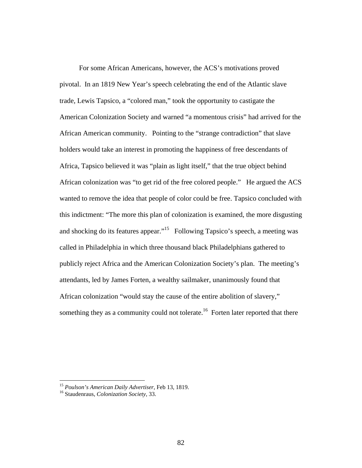For some African Americans, however, the ACS's motivations proved pivotal. In an 1819 New Year's speech celebrating the end of the Atlantic slave trade, Lewis Tapsico, a "colored man," took the opportunity to castigate the American Colonization Society and warned "a momentous crisis" had arrived for the African American community. Pointing to the "strange contradiction" that slave holders would take an interest in promoting the happiness of free descendants of Africa, Tapsico believed it was "plain as light itself," that the true object behind African colonization was "to get rid of the free colored people." He argued the ACS wanted to remove the idea that people of color could be free. Tapsico concluded with this indictment: "The more this plan of colonization is examined, the more disgusting and shocking do its features appear."15 Following Tapsico's speech, a meeting was called in Philadelphia in which three thousand black Philadelphians gathered to publicly reject Africa and the American Colonization Society's plan. The meeting's attendants, led by James Forten, a wealthy sailmaker, unanimously found that African colonization "would stay the cause of the entire abolition of slavery," something they as a community could not tolerate.<sup>16</sup> Forten later reported that there

<sup>15</sup> *Poulson's American Daily Advertiser*, Feb 13, 1819. 16 Staudenraus, *Colonization Society*, 33.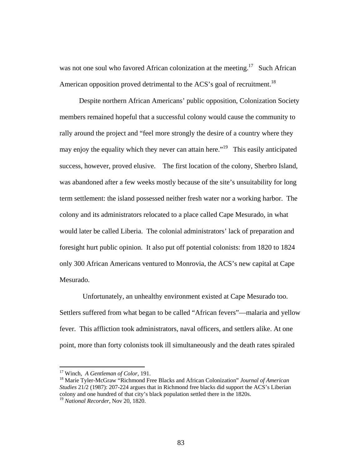was not one soul who favored African colonization at the meeting.<sup>17</sup> Such African American opposition proved detrimental to the ACS's goal of recruitment.<sup>18</sup>

 Despite northern African Americans' public opposition, Colonization Society members remained hopeful that a successful colony would cause the community to rally around the project and "feel more strongly the desire of a country where they may enjoy the equality which they never can attain here."<sup>19</sup> This easily anticipated success, however, proved elusive. The first location of the colony, Sherbro Island, was abandoned after a few weeks mostly because of the site's unsuitability for long term settlement: the island possessed neither fresh water nor a working harbor. The colony and its administrators relocated to a place called Cape Mesurado, in what would later be called Liberia. The colonial administrators' lack of preparation and foresight hurt public opinion. It also put off potential colonists: from 1820 to 1824 only 300 African Americans ventured to Monrovia, the ACS's new capital at Cape Mesurado.

 Unfortunately, an unhealthy environment existed at Cape Mesurado too. Settlers suffered from what began to be called "African fevers"—malaria and yellow fever. This affliction took administrators, naval officers, and settlers alike. At one point, more than forty colonists took ill simultaneously and the death rates spiraled

<sup>&</sup>lt;sup>17</sup> Winch, *A Gentleman of Color*, 191.<br><sup>18</sup> Marie Tyler-McGraw "Richmond Free Blacks and African Colonization" *Journal of American Studies* 21/2 (1987): 207-224 argues that in Richmond free blacks did support the ACS's Liberian colony and one hundred of that city's black population settled there in the 1820s.

<sup>19</sup> *National Recorder*, Nov 20, 1820.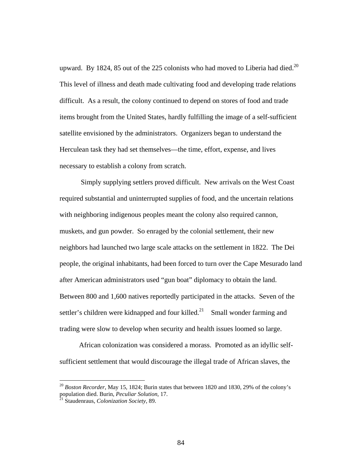upward. By 1824, 85 out of the 225 colonists who had moved to Liberia had died.<sup>20</sup> This level of illness and death made cultivating food and developing trade relations difficult. As a result, the colony continued to depend on stores of food and trade items brought from the United States, hardly fulfilling the image of a self-sufficient satellite envisioned by the administrators. Organizers began to understand the Herculean task they had set themselves—the time, effort, expense, and lives necessary to establish a colony from scratch.

 Simply supplying settlers proved difficult. New arrivals on the West Coast required substantial and uninterrupted supplies of food, and the uncertain relations with neighboring indigenous peoples meant the colony also required cannon, muskets, and gun powder. So enraged by the colonial settlement, their new neighbors had launched two large scale attacks on the settlement in 1822. The Dei people, the original inhabitants, had been forced to turn over the Cape Mesurado land after American administrators used "gun boat" diplomacy to obtain the land. Between 800 and 1,600 natives reportedly participated in the attacks. Seven of the settler's children were kidnapped and four killed.<sup>21</sup> Small wonder farming and trading were slow to develop when security and health issues loomed so large.

 African colonization was considered a morass. Promoted as an idyllic selfsufficient settlement that would discourage the illegal trade of African slaves, the

<sup>20</sup> *Boston Recorder*, May 15, 1824; Burin states that between 1820 and 1830, 29% of the colony's population died. Burin, *Peculiar Solution,* 17. 21 Staudenraus, *Colonization Society*, 89.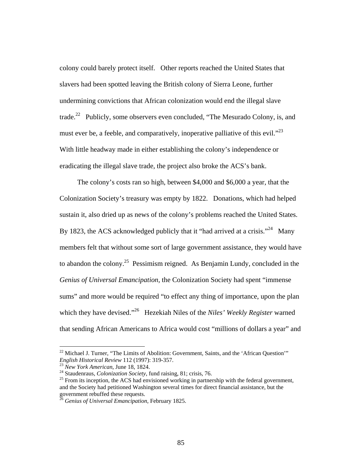colony could barely protect itself. Other reports reached the United States that slavers had been spotted leaving the British colony of Sierra Leone, further undermining convictions that African colonization would end the illegal slave trade.<sup>22</sup> Publicly, some observers even concluded, "The Mesurado Colony, is, and must ever be, a feeble, and comparatively, inoperative palliative of this evil. $^{23}$ With little headway made in either establishing the colony's independence or eradicating the illegal slave trade, the project also broke the ACS's bank.

 The colony's costs ran so high, between \$4,000 and \$6,000 a year, that the Colonization Society's treasury was empty by 1822. Donations, which had helped sustain it, also dried up as news of the colony's problems reached the United States. By 1823, the ACS acknowledged publicly that it "had arrived at a crisis."<sup>24</sup> Many members felt that without some sort of large government assistance, they would have to abandon the colony.<sup>25</sup> Pessimism reigned. As Benjamin Lundy, concluded in the *Genius of Universal Emancipation*, the Colonization Society had spent "immense sums" and more would be required "to effect any thing of importance, upon the plan which they have devised."<sup>26</sup> Hezekiah Niles of the *Niles' Weekly Register* warned that sending African Americans to Africa would cost "millions of dollars a year" and

<sup>&</sup>lt;sup>22</sup> Michael J. Turner, "The Limits of Abolition: Government, Saints, and the 'African Question'" *English Historical Review* 112 (1997): 319-357.

<sup>&</sup>lt;sup>23</sup> New York American, June 18, 1824.<br><sup>24</sup> Staudenraus, *Colonization Society*, fund raising, 81; crisis, 76.<br><sup>25</sup> From its inception, the ACS had envisioned working in partnership with the federal government, and the Society had petitioned Washington several times for direct financial assistance, but the government rebuffed these requests.

<sup>26</sup> *Genius of Universal Emancipation*, February 1825.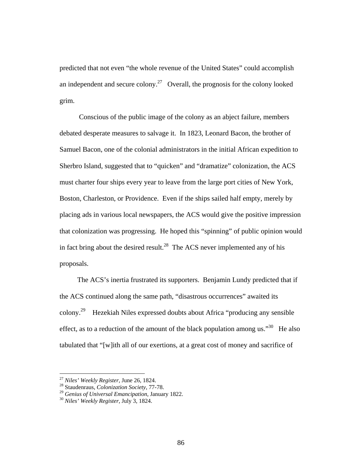predicted that not even "the whole revenue of the United States" could accomplish an independent and secure colony.<sup>27</sup> Overall, the prognosis for the colony looked grim.

 Conscious of the public image of the colony as an abject failure, members debated desperate measures to salvage it. In 1823, Leonard Bacon, the brother of Samuel Bacon, one of the colonial administrators in the initial African expedition to Sherbro Island, suggested that to "quicken" and "dramatize" colonization, the ACS must charter four ships every year to leave from the large port cities of New York, Boston, Charleston, or Providence. Even if the ships sailed half empty, merely by placing ads in various local newspapers, the ACS would give the positive impression that colonization was progressing. He hoped this "spinning" of public opinion would in fact bring about the desired result.<sup>28</sup> The ACS never implemented any of his proposals.

 The ACS's inertia frustrated its supporters. Benjamin Lundy predicted that if the ACS continued along the same path, "disastrous occurrences" awaited its colony.29 Hezekiah Niles expressed doubts about Africa "producing any sensible effect, as to a reduction of the amount of the black population among us."<sup>30</sup> He also tabulated that "[w]ith all of our exertions, at a great cost of money and sacrifice of

<sup>27</sup> *Niles' Weekly Register*, June 26, 1824. 28 Staudenraus, *Colonization Society*, 77-78.

<sup>29</sup> *Genius of Universal Emancipation*, January 1822. 30 *Niles' Weekly Register*, July 3, 1824.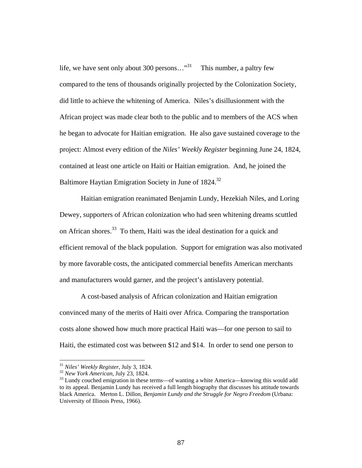life, we have sent only about 300 persons..."<sup>31</sup> This number, a paltry few compared to the tens of thousands originally projected by the Colonization Society, did little to achieve the whitening of America. Niles's disillusionment with the African project was made clear both to the public and to members of the ACS when he began to advocate for Haitian emigration. He also gave sustained coverage to the project: Almost every edition of the *Niles' Weekly Register* beginning June 24, 1824, contained at least one article on Haiti or Haitian emigration. And, he joined the Baltimore Haytian Emigration Society in June of 1824.<sup>32</sup>

 Haitian emigration reanimated Benjamin Lundy, Hezekiah Niles, and Loring Dewey, supporters of African colonization who had seen whitening dreams scuttled on African shores.33 To them, Haiti was the ideal destination for a quick and efficient removal of the black population. Support for emigration was also motivated by more favorable costs, the anticipated commercial benefits American merchants and manufacturers would garner, and the project's antislavery potential.

 A cost-based analysis of African colonization and Haitian emigration convinced many of the merits of Haiti over Africa. Comparing the transportation costs alone showed how much more practical Haiti was—for one person to sail to Haiti, the estimated cost was between \$12 and \$14. In order to send one person to

<sup>&</sup>lt;sup>31</sup> *Niles' Weekly Register*, July 3, 1824.<br><sup>32</sup> *New York American*, July 23, 1824.<br><sup>33</sup> Lundy couched emigration in these terms—of wanting a white America—knowing this would add to its appeal. Benjamin Lundy has received a full length biography that discusses his attitude towards black America. Merton L. Dillon, *Benjamin Lundy and the Struggle for Negro Freedom* (Urbana: University of Illinois Press, 1966).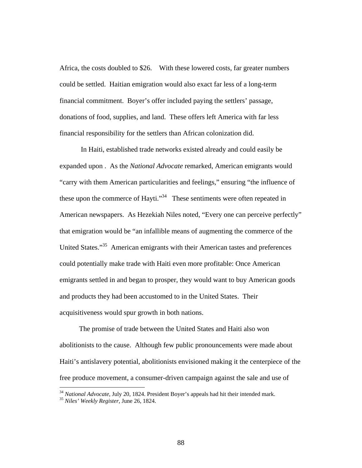Africa, the costs doubled to \$26. With these lowered costs, far greater numbers could be settled. Haitian emigration would also exact far less of a long-term financial commitment. Boyer's offer included paying the settlers' passage, donations of food, supplies, and land. These offers left America with far less financial responsibility for the settlers than African colonization did.

 In Haiti, established trade networks existed already and could easily be expanded upon . As the *National Advocate* remarked, American emigrants would "carry with them American particularities and feelings," ensuring "the influence of these upon the commerce of Hayti."<sup>34</sup> These sentiments were often repeated in American newspapers. As Hezekiah Niles noted, "Every one can perceive perfectly" that emigration would be "an infallible means of augmenting the commerce of the United States."35 American emigrants with their American tastes and preferences could potentially make trade with Haiti even more profitable: Once American emigrants settled in and began to prosper, they would want to buy American goods and products they had been accustomed to in the United States. Their acquisitiveness would spur growth in both nations.

 The promise of trade between the United States and Haiti also won abolitionists to the cause. Although few public pronouncements were made about Haiti's antislavery potential, abolitionists envisioned making it the centerpiece of the free produce movement, a consumer-driven campaign against the sale and use of

<sup>34</sup> *National Advocate*, July 20, 1824. President Boyer's appeals had hit their intended mark. 35 *Niles' Weekly Register*, June 26, 1824.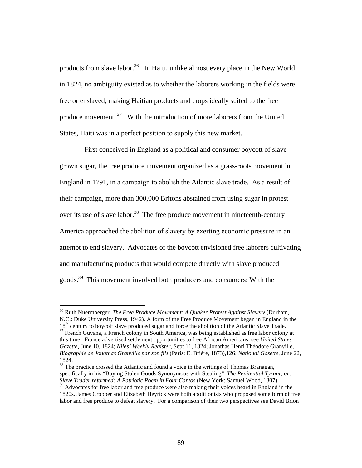products from slave labor.<sup>36</sup> In Haiti, unlike almost every place in the New World in 1824, no ambiguity existed as to whether the laborers working in the fields were free or enslaved, making Haitian products and crops ideally suited to the free produce movement. 37 With the introduction of more laborers from the United States, Haiti was in a perfect position to supply this new market.

 First conceived in England as a political and consumer boycott of slave grown sugar, the free produce movement organized as a grass-roots movement in England in 1791, in a campaign to abolish the Atlantic slave trade. As a result of their campaign, more than 300,000 Britons abstained from using sugar in protest over its use of slave labor.<sup>38</sup> The free produce movement in nineteenth-century America approached the abolition of slavery by exerting economic pressure in an attempt to end slavery. Advocates of the boycott envisioned free laborers cultivating and manufacturing products that would compete directly with slave produced goods.39 This movement involved both producers and consumers: With the

<sup>36</sup> Ruth Nuermberger, *The Free Produce Movement: A Quaker Protest Against Slavery* (Durham, N.C,: Duke University Press, 1942). A form of the Free Produce Movement began in England in the 18<sup>th</sup> century to boycott slave produced sugar and force the abolition of the Atlantic Slave Trade.  $37$  French Guyana, a French colony in South America, was being established as free labor colony at this time. France advertised settlement opportunities to free African Americans, see *United States Gazette*, June 10, 1824; *Niles' Weekly Register*, Sept 11, 1824; Jonathas Henri Théodore Granville,

*Biographie de Jonathas Granville par son fils* (Paris: E. Brière, 1873),126; *National Gazette*, June 22, 1824.

<sup>&</sup>lt;sup>38</sup> The practice crossed the Atlantic and found a voice in the writings of Thomas Branagan, specifically in his "Buying Stolen Goods Synonymous with Stealing" *The Penitential Tyrant; or, Slave Trader reformed: A Patriotic Poem in Four Cantos* (New York: Samuel Wood, 1807).

<sup>&</sup>lt;sup>39</sup> Advocates for free labor and free produce were also making their voices heard in England in the 1820s. James Cropper and Elizabeth Heyrick were both abolitionists who proposed some form of free labor and free produce to defeat slavery. For a comparison of their two perspectives see David Brion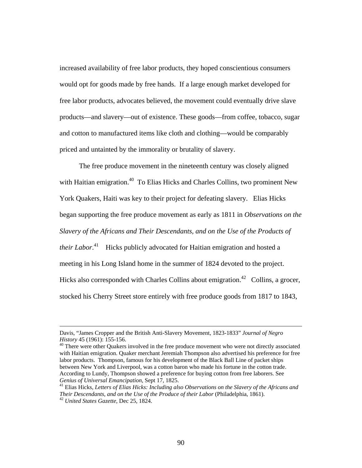increased availability of free labor products, they hoped conscientious consumers would opt for goods made by free hands. If a large enough market developed for free labor products, advocates believed, the movement could eventually drive slave products—and slavery—out of existence. These goods—from coffee, tobacco, sugar and cotton to manufactured items like cloth and clothing—would be comparably priced and untainted by the immorality or brutality of slavery.

 The free produce movement in the nineteenth century was closely aligned with Haitian emigration.<sup>40</sup> To Elias Hicks and Charles Collins, two prominent New York Quakers, Haiti was key to their project for defeating slavery. Elias Hicks began supporting the free produce movement as early as 1811 in *Observations on the Slavery of the Africans and Their Descendants, and on the Use of the Products of their Labor*.<sup>41</sup> Hicks publicly advocated for Haitian emigration and hosted a meeting in his Long Island home in the summer of 1824 devoted to the project. Hicks also corresponded with Charles Collins about emigration.<sup>42</sup> Collins, a grocer, stocked his Cherry Street store entirely with free produce goods from 1817 to 1843,

<sup>40</sup> There were other Quakers involved in the free produce movement who were not directly associated with Haitian emigration. Quaker merchant Jeremiah Thompson also advertised his preference for free labor products. Thompson, famous for his development of the Black Ball Line of packet ships between New York and Liverpool, was a cotton baron who made his fortune in the cotton trade. According to Lundy, Thompson showed a preference for buying cotton from free laborers. See Genius of Universal Emancipation, Sept 17, 1825.

Davis, "James Cropper and the British Anti-Slavery Movement, 1823-1833" *Journal of Negro* 

<sup>&</sup>lt;sup>41</sup> Elias Hicks, Letters of Elias Hicks: Including also Observations on the Slavery of the Africans and *Their Descendants, and on the Use of the Produce of their Labor* (Philadelphia, 1861). 42 *United States Gazette*, Dec 25, 1824.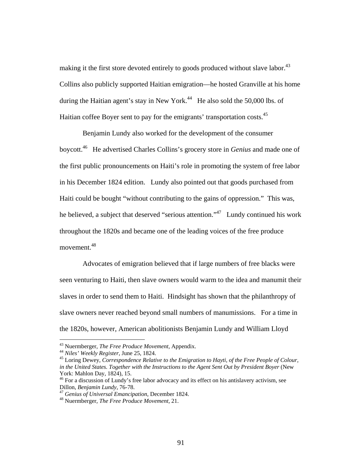making it the first store devoted entirely to goods produced without slave labor.<sup>43</sup> Collins also publicly supported Haitian emigration—he hosted Granville at his home during the Haitian agent's stay in New York.<sup>44</sup> He also sold the 50,000 lbs. of Haitian coffee Boyer sent to pay for the emigrants' transportation costs.<sup>45</sup>

 Benjamin Lundy also worked for the development of the consumer boycott.46 He advertised Charles Collins's grocery store in *Genius* and made one of the first public pronouncements on Haiti's role in promoting the system of free labor in his December 1824 edition. Lundy also pointed out that goods purchased from Haiti could be bought "without contributing to the gains of oppression." This was, he believed, a subject that deserved "serious attention."<sup>47</sup> Lundy continued his work throughout the 1820s and became one of the leading voices of the free produce movement.48

 Advocates of emigration believed that if large numbers of free blacks were seen venturing to Haiti, then slave owners would warm to the idea and manumit their slaves in order to send them to Haiti. Hindsight has shown that the philanthropy of slave owners never reached beyond small numbers of manumissions. For a time in the 1820s, however, American abolitionists Benjamin Lundy and William Lloyd

<sup>&</sup>lt;sup>43</sup> Nuermberger, *The Free Produce Movement*, Appendix.<br><sup>44</sup> Niles' Weekly Register, June 25, 1824.<br><sup>45</sup> Loring Dewey, *Correspondence Relative to the Emigration to Hayti, of the Free People of Colour*, *in the United States. Together with the Instructions to the Agent Sent Out by President Boyer* (New York: Mahlon Day, 1824), 15.

 $46$  For a discussion of Lundy's free labor advocacy and its effect on his antislavery activism, see Dillon, *Benjamin Lundy*, 76-78.

Dillon, *Benjamin Lundy*, 76-78. 47 *Genius of Universal Emancipation*, December 1824. 48 Nuermberger, *The Free Produce Movement*, 21.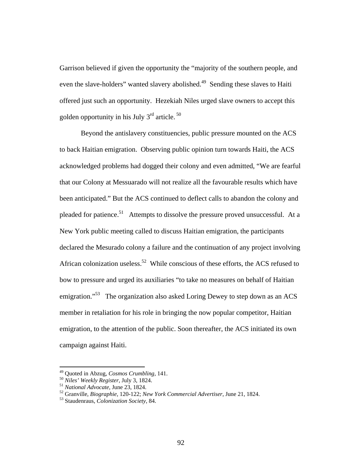Garrison believed if given the opportunity the "majority of the southern people, and even the slave-holders" wanted slavery abolished.<sup>49</sup> Sending these slaves to Haiti offered just such an opportunity. Hezekiah Niles urged slave owners to accept this golden opportunity in his July  $3<sup>rd</sup>$  article.  $<sup>50</sup>$ </sup>

 Beyond the antislavery constituencies, public pressure mounted on the ACS to back Haitian emigration. Observing public opinion turn towards Haiti, the ACS acknowledged problems had dogged their colony and even admitted, "We are fearful that our Colony at Messuarado will not realize all the favourable results which have been anticipated." But the ACS continued to deflect calls to abandon the colony and pleaded for patience.<sup>51</sup> Attempts to dissolve the pressure proved unsuccessful. At a New York public meeting called to discuss Haitian emigration, the participants declared the Mesurado colony a failure and the continuation of any project involving African colonization useless.<sup>52</sup> While conscious of these efforts, the ACS refused to bow to pressure and urged its auxiliaries "to take no measures on behalf of Haitian emigration."<sup>53</sup> The organization also asked Loring Dewey to step down as an ACS member in retaliation for his role in bringing the now popular competitor, Haitian emigration, to the attention of the public. Soon thereafter, the ACS initiated its own campaign against Haiti.

<sup>&</sup>lt;sup>49</sup> Quoted in Abzug, *Cosmos Crumbling*, 141.<br><sup>50</sup> Niles' Weekly Register, July 3, 1824.<br><sup>51</sup> National Advocate, June 23, 1824.<br><sup>52</sup> Granville, *Biographie*, 120-122; *New York Commercial Advertiser*, June 21, 1824.<br><sup>53</sup>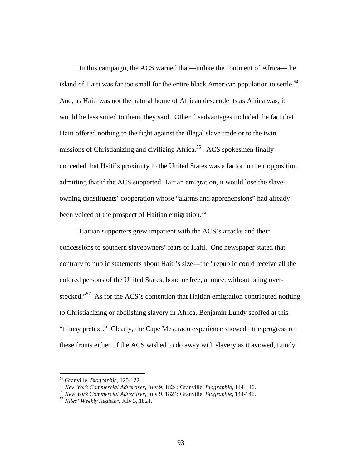In this campaign, the ACS warned that—unlike the continent of Africa—the island of Haiti was far too small for the entire black American population to settle.<sup>54</sup> And, as Haiti was not the natural home of African descendents as Africa was, it would be less suited to them, they said. Other disadvantages included the fact that Haiti offered nothing to the fight against the illegal slave trade or to the twin missions of Christianizing and civilizing Africa.<sup>55</sup> ACS spokesmen finally conceded that Haiti's proximity to the United States was a factor in their opposition, admitting that if the ACS supported Haitian emigration, it would lose the slaveowning constituents' cooperation whose "alarms and apprehensions" had already been voiced at the prospect of Haitian emigration.<sup>56</sup>

 Haitian supporters grew impatient with the ACS's attacks and their concessions to southern slaveowners' fears of Haiti. One newspaper stated that contrary to public statements about Haiti's size—the "republic could receive all the colored persons of the United States, bond or free, at once, without being overstocked."<sup>57</sup> As for the ACS's contention that Haitian emigration contributed nothing to Christianizing or abolishing slavery in Africa, Benjamin Lundy scoffed at this "flimsy pretext." Clearly, the Cape Mesurado experience showed little progress on these fronts either. If the ACS wished to do away with slavery as it avowed, Lundy

<sup>&</sup>lt;sup>54</sup> Granville, *Biographie*, 120-122.<br><sup>55</sup> New York Commercial Advertiser, July 9, 1824; Granville, *Biographie*, 144-146.<br><sup>56</sup> New York Commercial Advertiser, July 9, 1824; Granville, *Biographie*, 144-146.<br><sup>57</sup> Niles'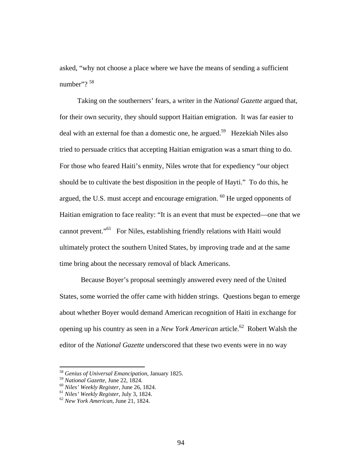asked, "why not choose a place where we have the means of sending a sufficient number"?  $58$ 

 Taking on the southerners' fears, a writer in the *National Gazette* argued that, for their own security, they should support Haitian emigration. It was far easier to deal with an external foe than a domestic one, he argued.<sup>59</sup> Hezekiah Niles also tried to persuade critics that accepting Haitian emigration was a smart thing to do. For those who feared Haiti's enmity, Niles wrote that for expediency "our object should be to cultivate the best disposition in the people of Hayti." To do this, he argued, the U.S. must accept and encourage emigration.  $^{60}$  He urged opponents of Haitian emigration to face reality: "It is an event that must be expected—one that we cannot prevent."61 For Niles, establishing friendly relations with Haiti would ultimately protect the southern United States, by improving trade and at the same time bring about the necessary removal of black Americans.

 Because Boyer's proposal seemingly answered every need of the United States, some worried the offer came with hidden strings. Questions began to emerge about whether Boyer would demand American recognition of Haiti in exchange for opening up his country as seen in a *New York American* article.<sup>62</sup> Robert Walsh the editor of the *National Gazette* underscored that these two events were in no way

<sup>58</sup> *Genius of Universal Emancipation*, January 1825.

<sup>59</sup> *National Gazette*, June 22, 1824. 60 *Niles' Weekly Register*, June 26, 1824. 61 *Niles' Weekly Register*, July 3, 1824. 62 *New York American*, June 21, 1824.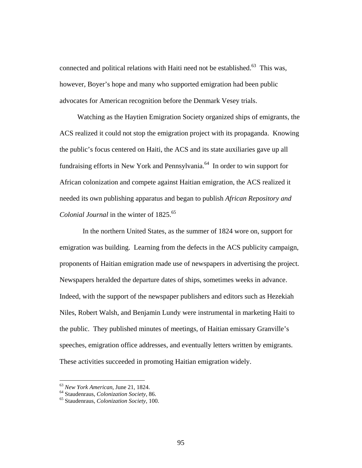connected and political relations with Haiti need not be established.<sup>63</sup> This was, however, Boyer's hope and many who supported emigration had been public advocates for American recognition before the Denmark Vesey trials.

 Watching as the Haytien Emigration Society organized ships of emigrants, the ACS realized it could not stop the emigration project with its propaganda. Knowing the public's focus centered on Haiti, the ACS and its state auxiliaries gave up all fundraising efforts in New York and Pennsylvania.<sup>64</sup> In order to win support for African colonization and compete against Haitian emigration, the ACS realized it needed its own publishing apparatus and began to publish *African Repository and Colonial Journal* in the winter of 1825.<sup>65</sup>

 In the northern United States, as the summer of 1824 wore on, support for emigration was building. Learning from the defects in the ACS publicity campaign, proponents of Haitian emigration made use of newspapers in advertising the project. Newspapers heralded the departure dates of ships, sometimes weeks in advance. Indeed, with the support of the newspaper publishers and editors such as Hezekiah Niles, Robert Walsh, and Benjamin Lundy were instrumental in marketing Haiti to the public. They published minutes of meetings, of Haitian emissary Granville's speeches, emigration office addresses, and eventually letters written by emigrants. These activities succeeded in promoting Haitian emigration widely.

<sup>63</sup> *New York American*, June 21, 1824. 64 Staudenraus, *Colonization Society*, 86. 65 Staudenraus, *Colonization Society*, 100.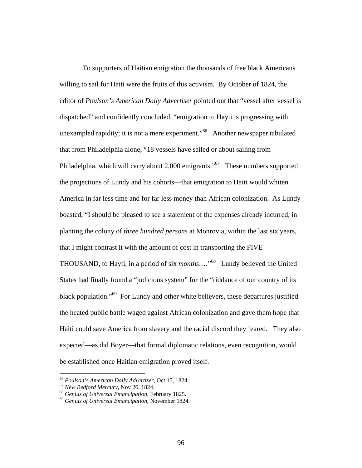To supporters of Haitian emigration the thousands of free black Americans willing to sail for Haiti were the fruits of this activism. By October of 1824, the editor of *Poulson's American Daily Advertiser* pointed out that "vessel after vessel is dispatched" and confidently concluded, "emigration to Hayti is progressing with unexampled rapidity; it is not a mere experiment."<sup>66</sup> Another newspaper tabulated that from Philadelphia alone, "18 vessels have sailed or about sailing from Philadelphia, which will carry about 2,000 emigrants."<sup>67</sup> These numbers supported the projections of Lundy and his cohorts—that emigration to Haiti would whiten America in far less time and for far less money than African colonization. As Lundy boasted, "I should be pleased to see a statement of the expenses already incurred, in planting the colony of *three hundred persons* at Monrovia, within the last six years, that I might contrast it with the amount of cost in transporting the FIVE THOUSAND, to Hayti, in a period of six *months*.…"68 Lundy believed the United States had finally found a "judicious system" for the "riddance of our country of its black population."69 For Lundy and other white believers, these departures justified the heated public battle waged against African colonization and gave them hope that Haiti could save America from slavery and the racial discord they feared. They also expected—as did Boyer—that formal diplomatic relations, even recognition, would be established once Haitian emigration proved itself.

<sup>66</sup> *Poulson's American Daily Advertiser,* Oct 15, 1824. 67 *New Bedford Mercury*, Nov 26, 1824. 68 *Genius of Universal Emancipation*, February 1825. 69 *Genius of Universal Emancipation*, November 1824.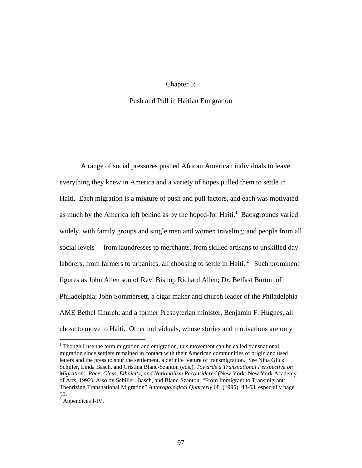## Chapter 5:

## Push and Pull in Haitian Emigration

 A range of social pressures pushed African American individuals to leave everything they knew in America and a variety of hopes pulled them to settle in Haiti. Each migration is a mixture of push and pull factors, and each was motivated as much by the America left behind as by the hoped-for  $Haiti<sup>1</sup>$ . Backgrounds varied widely, with family groups and single men and women traveling; and people from all social levels— from laundresses to merchants, from skilled artisans to unskilled day laborers, from farmers to urbanites, all choosing to settle in Haiti.  $2\degree$  Such prominent figures as John Allen son of Rev. Bishop Richard Allen; Dr. Belfast Burton of Philadelphia; John Sommersett, a cigar maker and church leader of the Philadelphia AME Bethel Church; and a former Presbyterian minister, Benjamin F. Hughes, all chose to move to Haiti. Other individuals, whose stories and motivations are only

 $1$  Though I use the term migration and emigration, this movement can be called transnational migration since settlers remained in contact with their American communities of origin and used letters and the press to spur the settlement, a definite feature of transmigration. See Nina Glick Schiller, Linda Basch, and Cristina Blanc-Szanton (eds.), *Towards a Transnational Perspective on Migration: Race, Class, Ethnicity, and Nationalism Reconsidered* (New York: New York Academy of Arts, 1992). Also by Schiller, Basch, and Blanc-Szanton, "From Immigrant to Transmigrant: Theorizing Transnational Migration" *Anthropological Quarterly* 68 (1995): 48-63, especially page 50.

<sup>&</sup>lt;sup>2</sup> Appendices I-IV.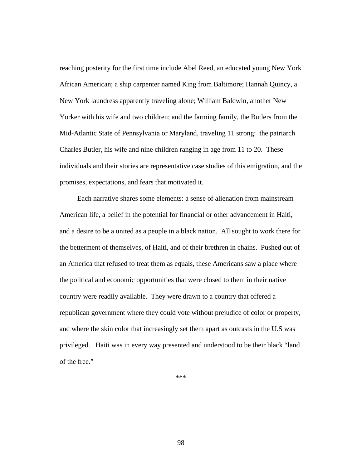reaching posterity for the first time include Abel Reed, an educated young New York African American; a ship carpenter named King from Baltimore; Hannah Quincy, a New York laundress apparently traveling alone; William Baldwin, another New Yorker with his wife and two children; and the farming family, the Butlers from the Mid-Atlantic State of Pennsylvania or Maryland, traveling 11 strong: the patriarch Charles Butler, his wife and nine children ranging in age from 11 to 20. These individuals and their stories are representative case studies of this emigration, and the promises, expectations, and fears that motivated it.

 Each narrative shares some elements: a sense of alienation from mainstream American life, a belief in the potential for financial or other advancement in Haiti, and a desire to be a united as a people in a black nation. All sought to work there for the betterment of themselves, of Haiti, and of their brethren in chains. Pushed out of an America that refused to treat them as equals, these Americans saw a place where the political and economic opportunities that were closed to them in their native country were readily available. They were drawn to a country that offered a republican government where they could vote without prejudice of color or property, and where the skin color that increasingly set them apart as outcasts in the U.S was privileged. Haiti was in every way presented and understood to be their black "land of the free."

\*\*\*

98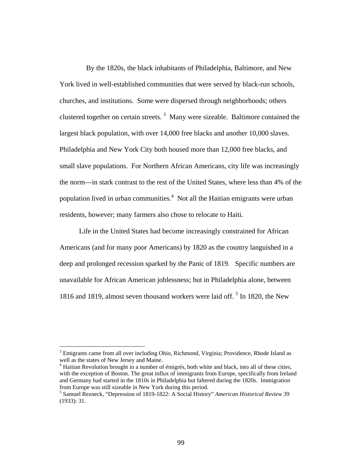By the 1820s, the black inhabitants of Philadelphia, Baltimore, and New York lived in well-established communities that were served by black-run schools, churches, and institutions. Some were dispersed through neighborhoods; others clustered together on certain streets.<sup>3</sup> Many were sizeable. Baltimore contained the largest black population, with over 14,000 free blacks and another 10,000 slaves. Philadelphia and New York City both housed more than 12,000 free blacks, and small slave populations. For Northern African Americans, city life was increasingly the norm—in stark contrast to the rest of the United States, where less than 4% of the population lived in urban communities.<sup>4</sup> Not all the Haitian emigrants were urban residents, however; many farmers also chose to relocate to Haiti.

 Life in the United States had become increasingly constrained for African Americans (and for many poor Americans) by 1820 as the country languished in a deep and prolonged recession sparked by the Panic of 1819. Specific numbers are unavailable for African American joblessness; but in Philadelphia alone, between 1816 and 1819, almost seven thousand workers were laid off.<sup>5</sup> In 1820, the New

<sup>&</sup>lt;sup>3</sup> Emigrants came from all over including Ohio, Richmond, Virginia; Providence, Rhode Island as well as the states of New Jersey and Maine.

<sup>&</sup>lt;sup>4</sup> Haitian Revolution brought in a number of émigrés, both white and black, into all of these cities, with the exception of Boston. The great influx of immigrants from Europe, specifically from Ireland and Germany had started in the 1810s in Philadelphia but faltered during the 1820s. Immigration from Europe was still sizeable in New York during this period. 5 Samuel Rezneck, "Depression of 1819-1822: A Social History" *American Historical Review*<sup>39</sup>

<sup>(1933): 31.</sup>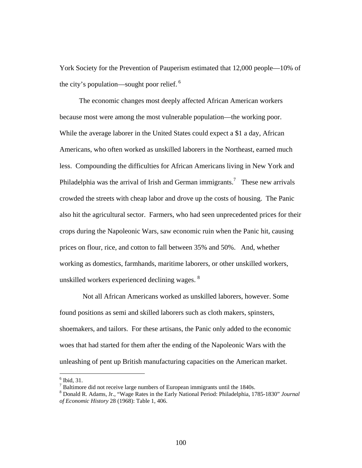York Society for the Prevention of Pauperism estimated that 12,000 people—10% of the city's population—sought poor relief.  $6\overline{ }$ 

The economic changes most deeply affected African American workers because most were among the most vulnerable population—the working poor. While the average laborer in the United States could expect a \$1 a day, African Americans, who often worked as unskilled laborers in the Northeast, earned much less. Compounding the difficulties for African Americans living in New York and Philadelphia was the arrival of Irish and German immigrants.<sup>7</sup> These new arrivals crowded the streets with cheap labor and drove up the costs of housing. The Panic also hit the agricultural sector. Farmers, who had seen unprecedented prices for their crops during the Napoleonic Wars, saw economic ruin when the Panic hit, causing prices on flour, rice, and cotton to fall between 35% and 50%. And, whether working as domestics, farmhands, maritime laborers, or other unskilled workers, unskilled workers experienced declining wages. <sup>8</sup>

Not all African Americans worked as unskilled laborers, however. Some found positions as semi and skilled laborers such as cloth makers, spinsters, shoemakers, and tailors. For these artisans, the Panic only added to the economic woes that had started for them after the ending of the Napoleonic Wars with the unleashing of pent up British manufacturing capacities on the American market.

 $<sup>6</sup>$  Ibid, 31.</sup>

<sup>&</sup>lt;sup>7</sup> Baltimore did not receive large numbers of European immigrants until the 1840s.<br><sup>8</sup> Departd B. Adams, Jr. "Waga Bates in the Early National Baried: Philadelphia, 17

Donald R. Adams, Jr., "Wage Rates in the Early National Period: Philadelphia, 1785-1830" *Journal of Economic History* 28 (1968): Table 1, 406.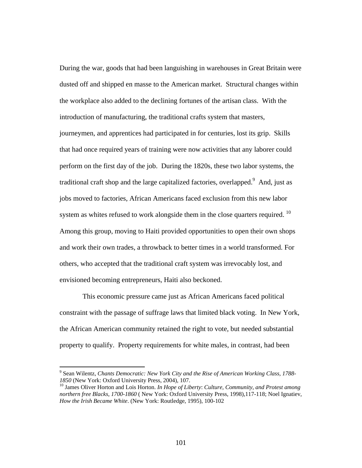During the war, goods that had been languishing in warehouses in Great Britain were dusted off and shipped en masse to the American market. Structural changes within the workplace also added to the declining fortunes of the artisan class. With the introduction of manufacturing, the traditional crafts system that masters, journeymen, and apprentices had participated in for centuries, lost its grip. Skills that had once required years of training were now activities that any laborer could perform on the first day of the job. During the 1820s, these two labor systems, the traditional craft shop and the large capitalized factories, overlapped.  $9$  And, just as jobs moved to factories, African Americans faced exclusion from this new labor system as whites refused to work alongside them in the close quarters required. <sup>10</sup> Among this group, moving to Haiti provided opportunities to open their own shops and work their own trades, a throwback to better times in a world transformed. For others, who accepted that the traditional craft system was irrevocably lost, and envisioned becoming entrepreneurs, Haiti also beckoned.

 This economic pressure came just as African Americans faced political constraint with the passage of suffrage laws that limited black voting. In New York, the African American community retained the right to vote, but needed substantial property to qualify. Property requirements for white males, in contrast, had been

<sup>9</sup> Sean Wilentz, *Chants Democratic: New York City and the Rise of American Working Class, 1788- 1850* (New York: Oxford University Press, 2004), 107.<br><sup>10</sup> James Oliver Horton and Lois Horton. *In Hope of Liberty: Culture, Community, and Protest among* 

*northern free Blacks, 1700-1860* ( New York: Oxford University Press, 1998),117-118; Noel Ignatiev, *How the Irish Became White*. (New York: Routledge, 1995), 100-102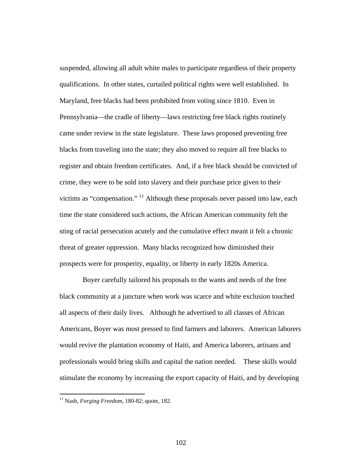suspended, allowing all adult white males to participate regardless of their property qualifications. In other states, curtailed political rights were well established. In Maryland, free blacks had been prohibited from voting since 1810. Even in Pennsylvania—the cradle of liberty—laws restricting free black rights routinely came under review in the state legislature. These laws proposed preventing free blacks from traveling into the state; they also moved to require all free blacks to register and obtain freedom certificates. And, if a free black should be convicted of crime, they were to be sold into slavery and their purchase price given to their victims as "compensation." 11 Although these proposals never passed into law, each time the state considered such actions, the African American community felt the sting of racial persecution acutely and the cumulative effect meant it felt a chronic threat of greater oppression. Many blacks recognized how diminished their prospects were for prosperity, equality, or liberty in early 1820s America.

 Boyer carefully tailored his proposals to the wants and needs of the free black community at a juncture when work was scarce and white exclusion touched all aspects of their daily lives. Although he advertised to all classes of African Americans, Boyer was most pressed to find farmers and laborers. American laborers would revive the plantation economy of Haiti, and America laborers, artisans and professionals would bring skills and capital the nation needed.These skills would stimulate the economy by increasing the export capacity of Haiti, and by developing

<sup>11</sup> Nash, *Forging Freedom*, 180-82; quote, 182.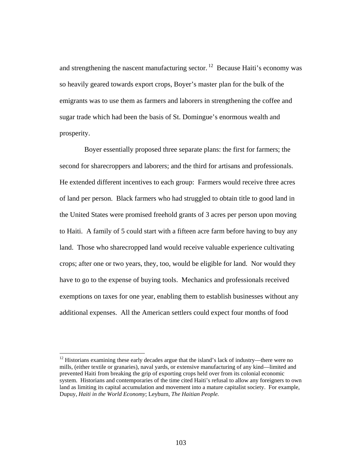and strengthening the nascent manufacturing sector.  $12$  Because Haiti's economy was so heavily geared towards export crops, Boyer's master plan for the bulk of the emigrants was to use them as farmers and laborers in strengthening the coffee and sugar trade which had been the basis of St. Domingue's enormous wealth and prosperity.

 Boyer essentially proposed three separate plans: the first for farmers; the second for sharecroppers and laborers; and the third for artisans and professionals. He extended different incentives to each group: Farmers would receive three acres of land per person. Black farmers who had struggled to obtain title to good land in the United States were promised freehold grants of 3 acres per person upon moving to Haiti. A family of 5 could start with a fifteen acre farm before having to buy any land. Those who sharecropped land would receive valuable experience cultivating crops; after one or two years, they, too, would be eligible for land. Nor would they have to go to the expense of buying tools. Mechanics and professionals received exemptions on taxes for one year, enabling them to establish businesses without any additional expenses. All the American settlers could expect four months of food

 $12$  Historians examining these early decades argue that the island's lack of industry—there were no mills, (either textile or granaries), naval yards, or extensive manufacturing of any kind—limited and prevented Haiti from breaking the grip of exporting crops held over from its colonial economic system. Historians and contemporaries of the time cited Haiti's refusal to allow any foreigners to own land as limiting its capital accumulation and movement into a mature capitalist society. For example, Dupuy, *Haiti in the World Economy*; Leyburn, *The Haitian People.*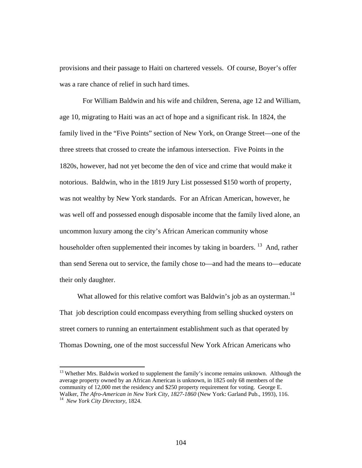provisions and their passage to Haiti on chartered vessels. Of course, Boyer's offer was a rare chance of relief in such hard times.

 For William Baldwin and his wife and children, Serena, age 12 and William, age 10, migrating to Haiti was an act of hope and a significant risk. In 1824, the family lived in the "Five Points" section of New York, on Orange Street—one of the three streets that crossed to create the infamous intersection. Five Points in the 1820s, however, had not yet become the den of vice and crime that would make it notorious. Baldwin, who in the 1819 Jury List possessed \$150 worth of property, was not wealthy by New York standards. For an African American, however, he was well off and possessed enough disposable income that the family lived alone, an uncommon luxury among the city's African American community whose householder often supplemented their incomes by taking in boarders.<sup>13</sup> And, rather than send Serena out to service, the family chose to—and had the means to—educate their only daughter.

What allowed for this relative comfort was Baldwin's job as an oysterman.<sup>14</sup> That job description could encompass everything from selling shucked oysters on street corners to running an entertainment establishment such as that operated by Thomas Downing, one of the most successful New York African Americans who

<sup>&</sup>lt;sup>13</sup> Whether Mrs. Baldwin worked to supplement the family's income remains unknown. Although the average property owned by an African American is unknown, in 1825 only 68 members of the community of 12,000 met the residency and \$250 property requirement for voting. George E. Walker, *The Afro-American in New York City, 1827-1860* (New York: Garland Pub., 1993), 116. 14 *New York City Directory*, 1824.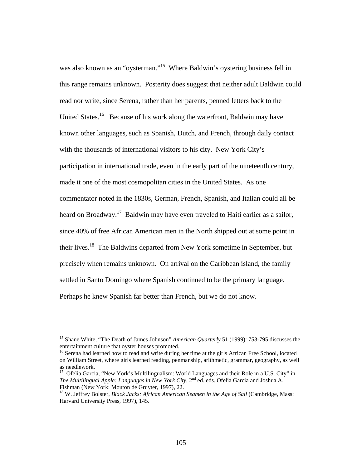was also known as an "oysterman."<sup>15</sup> Where Baldwin's oystering business fell in this range remains unknown. Posterity does suggest that neither adult Baldwin could read nor write, since Serena, rather than her parents, penned letters back to the United States.<sup>16</sup> Because of his work along the waterfront, Baldwin may have known other languages, such as Spanish, Dutch, and French, through daily contact with the thousands of international visitors to his city. New York City's participation in international trade, even in the early part of the nineteenth century, made it one of the most cosmopolitan cities in the United States. As one commentator noted in the 1830s, German, French, Spanish, and Italian could all be heard on Broadway.<sup>17</sup> Baldwin may have even traveled to Haiti earlier as a sailor, since 40% of free African American men in the North shipped out at some point in their lives.18 The Baldwins departed from New York sometime in September, but precisely when remains unknown. On arrival on the Caribbean island, the family settled in Santo Domingo where Spanish continued to be the primary language. Perhaps he knew Spanish far better than French, but we do not know.

<sup>&</sup>lt;sup>15</sup> Shane White, "The Death of James Johnson" *American Quarterly* 51 (1999): 753-795 discusses the entertainment culture that oyster houses promoted.

<sup>&</sup>lt;sup>16</sup> Serena had learned how to read and write during her time at the girls African Free School, located on William Street, where girls learned reading, penmanship, arithmetic, grammar, geography, as well as needlework.

<sup>&</sup>lt;sup>17</sup> Ofelia Garcia, "New York's Multilingualism: World Languages and their Role in a U.S. City" in *The Multilingual Apple: Languages in New York City*, 2<sup>nd</sup> ed. eds. Ofelia Garcia and Joshua A. Fishman (New York: Mouton de Gruyter, 1997), 22.

<sup>18</sup> W. Jeffrey Bolster, *Black Jacks: African American Seamen in the Age of Sail* (Cambridge, Mass: Harvard University Press, 1997), 145.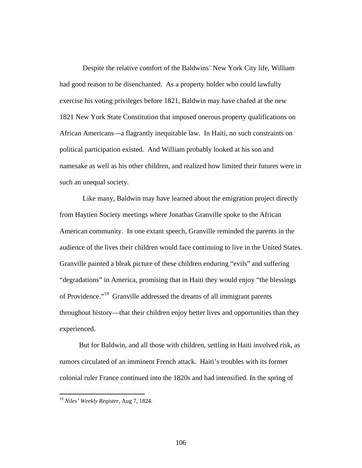Despite the relative comfort of the Baldwins' New York City life, William had good reason to be disenchanted. As a property holder who could lawfully exercise his voting privileges before 1821, Baldwin may have chafed at the new 1821 New York State Constitution that imposed onerous property qualifications on African Americans—a flagrantly inequitable law. In Haiti, no such constraints on political participation existed. And William probably looked at his son and namesake as well as his other children, and realized how limited their futures were in such an unequal society.

 Like many, Baldwin may have learned about the emigration project directly from Haytien Society meetings where Jonathas Granville spoke to the African American community. In one extant speech, Granville reminded the parents in the audience of the lives their children would face continuing to live in the United States. Granville painted a bleak picture of these children enduring "evils" and suffering "degradations" in America, promising that in Haiti they would enjoy "the blessings of Providence."19 Granville addressed the dreams of all immigrant parents throughout history—that their children enjoy better lives and opportunities than they experienced.

 But for Baldwin, and all those with children, settling in Haiti involved risk, as rumors circulated of an imminent French attack. Haiti's troubles with its former colonial ruler France continued into the 1820s and had intensified. In the spring of

<sup>19</sup> *Niles' Weekly Register*, Aug 7, 1824.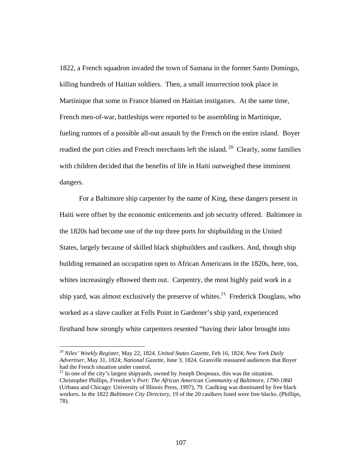1822, a French squadron invaded the town of Samana in the former Santo Domingo, killing hundreds of Haitian soldiers. Then, a small insurrection took place in Martinique that some in France blamed on Haitian instigators. At the same time, French men-of-war, battleships were reported to be assembling in Martinique, fueling rumors of a possible all-out assault by the French on the entire island. Boyer readied the port cities and French merchants left the island.<sup>20</sup> Clearly, some families with children decided that the benefits of life in Haiti outweighed these imminent dangers.

 For a Baltimore ship carpenter by the name of King, these dangers present in Haiti were offset by the economic enticements and job security offered. Baltimore in the 1820s had become one of the top three ports for shipbuilding in the United States, largely because of skilled black shipbuilders and caulkers. And, though ship building remained an occupation open to African Americans in the 1820s, here, too, whites increasingly elbowed them out. Carpentry, the most highly paid work in a ship yard, was almost exclusively the preserve of whites.<sup>21</sup> Frederick Douglass, who worked as a slave caulker at Fells Point in Gardener's ship yard, experienced firsthand how strongly white carpenters resented "having their labor brought into

<sup>20</sup> *Niles' Weekly Register*, May 22, 1824. *United States Gazette*, Feb 16, 1824; *New York Daily Advertiser*, May 31, 1824; *National Gazette*, June 3, 1824. Granville reassured audiences that Boyer had the French situation under control.

 $21$  In one of the city's largest shipyards, owned by Joseph Despeaux, this was the situation. Christopher Phillips, *Freedom's Port: The African American Community of Baltimore, 1790-1860*  (Urbana and Chicago: University of Illinois Press, 1997), 79. Caulking was dominated by free black workers. In the 1822 *Baltimore City Directory*, 19 of the 20 caulkers listed were free blacks. (Phillips, 78).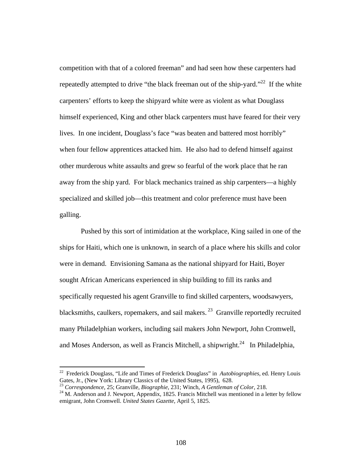competition with that of a colored freeman" and had seen how these carpenters had repeatedly attempted to drive "the black freeman out of the ship-yard."<sup>22</sup> If the white carpenters' efforts to keep the shipyard white were as violent as what Douglass himself experienced, King and other black carpenters must have feared for their very lives. In one incident, Douglass's face "was beaten and battered most horribly" when four fellow apprentices attacked him. He also had to defend himself against other murderous white assaults and grew so fearful of the work place that he ran away from the ship yard. For black mechanics trained as ship carpenters—a highly specialized and skilled job—this treatment and color preference must have been galling.

 Pushed by this sort of intimidation at the workplace, King sailed in one of the ships for Haiti, which one is unknown, in search of a place where his skills and color were in demand. Envisioning Samana as the national shipyard for Haiti, Boyer sought African Americans experienced in ship building to fill its ranks and specifically requested his agent Granville to find skilled carpenters, woodsawyers, blacksmiths, caulkers, ropemakers, and sail makers.<sup>23</sup> Granville reportedly recruited many Philadelphian workers, including sail makers John Newport, John Cromwell, and Moses Anderson, as well as Francis Mitchell, a shipwright.<sup>24</sup> In Philadelphia,

<sup>&</sup>lt;sup>22</sup> Frederick Douglass, "Life and Times of Frederick Douglass" in *Autobiographies*, ed. Henry Louis Gates, Jr., (New York: Library Classics of the United States, 1995), 628.

<sup>&</sup>lt;sup>23</sup> Correspondence, 25; Granville, *Biographie*, 231; Winch, *A Gentleman of Color*, 218.<br><sup>24</sup> M. Anderson and J. Newport, Appendix, 1825. Francis Mitchell was mentioned in a letter by fellow emigrant, John Cromwell. *United States Gazette*, April 5, 1825.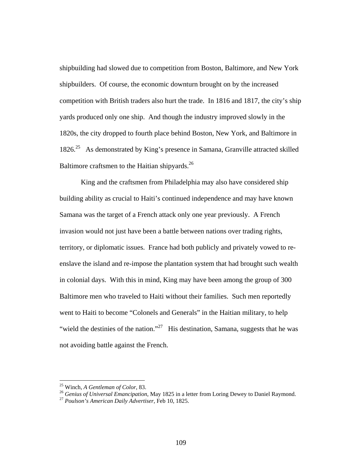shipbuilding had slowed due to competition from Boston, Baltimore, and New York shipbuilders. Of course, the economic downturn brought on by the increased competition with British traders also hurt the trade. In 1816 and 1817, the city's ship yards produced only one ship. And though the industry improved slowly in the 1820s, the city dropped to fourth place behind Boston, New York, and Baltimore in 1826.25 As demonstrated by King's presence in Samana, Granville attracted skilled Baltimore craftsmen to the Haitian shipyards.<sup>26</sup>

 King and the craftsmen from Philadelphia may also have considered ship building ability as crucial to Haiti's continued independence and may have known Samana was the target of a French attack only one year previously. A French invasion would not just have been a battle between nations over trading rights, territory, or diplomatic issues. France had both publicly and privately vowed to reenslave the island and re-impose the plantation system that had brought such wealth in colonial days. With this in mind, King may have been among the group of 300 Baltimore men who traveled to Haiti without their families. Such men reportedly went to Haiti to become "Colonels and Generals" in the Haitian military, to help "wield the destinies of the nation."<sup>27</sup> His destination, Samana, suggests that he was not avoiding battle against the French.

<sup>&</sup>lt;sup>25</sup> Winch, A Gentleman of Color, 83.<br><sup>26</sup> Genius of Universal Emancipation, May 1825 in a letter from Loring Dewey to Daniel Raymond.<br><sup>27</sup> Poulson's American Daily Advertiser. Feb 10, 1825.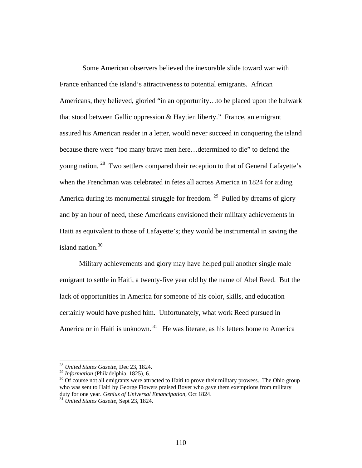Some American observers believed the inexorable slide toward war with France enhanced the island's attractiveness to potential emigrants. African Americans, they believed, gloried "in an opportunity…to be placed upon the bulwark that stood between Gallic oppression & Haytien liberty." France, an emigrant assured his American reader in a letter, would never succeed in conquering the island because there were "too many brave men here…determined to die" to defend the young nation. 28 Two settlers compared their reception to that of General Lafayette's when the Frenchman was celebrated in fetes all across America in 1824 for aiding America during its monumental struggle for freedom. <sup>29</sup> Pulled by dreams of glory and by an hour of need, these Americans envisioned their military achievements in Haiti as equivalent to those of Lafayette's; they would be instrumental in saving the island nation.<sup>30</sup>

 Military achievements and glory may have helped pull another single male emigrant to settle in Haiti, a twenty-five year old by the name of Abel Reed. But the lack of opportunities in America for someone of his color, skills, and education certainly would have pushed him. Unfortunately, what work Reed pursued in America or in Haiti is unknown.<sup>31</sup> He was literate, as his letters home to America

<sup>&</sup>lt;sup>28</sup> *United States Gazette*, Dec 23, 1824.<br><sup>29</sup> *Information* (Philadelphia, 1825), 6.

<sup>&</sup>lt;sup>30</sup> Of course not all emigrants were attracted to Haiti to prove their military prowess. The Ohio group who was sent to Haiti by George Flowers praised Boyer who gave them exemptions from military duty for one year. *Genius of Universal Emancipation*, Oct 1824. 31 *United States Gazette*, Sept 23, 1824.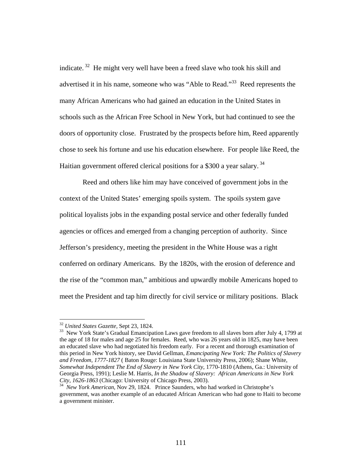indicate.  $32$  He might very well have been a freed slave who took his skill and advertised it in his name, someone who was "Able to Read."<sup>33</sup> Reed represents the many African Americans who had gained an education in the United States in schools such as the African Free School in New York, but had continued to see the doors of opportunity close. Frustrated by the prospects before him, Reed apparently chose to seek his fortune and use his education elsewhere. For people like Reed, the Haitian government offered clerical positions for a \$300 a year salary.<sup>34</sup>

 Reed and others like him may have conceived of government jobs in the context of the United States' emerging spoils system. The spoils system gave political loyalists jobs in the expanding postal service and other federally funded agencies or offices and emerged from a changing perception of authority. Since Jefferson's presidency, meeting the president in the White House was a right conferred on ordinary Americans. By the 1820s, with the erosion of deference and the rise of the "common man," ambitious and upwardly mobile Americans hoped to meet the President and tap him directly for civil service or military positions. Black

<sup>&</sup>lt;sup>32</sup> United States Gazette, Sept 23, 1824.

<sup>&</sup>lt;sup>33</sup> New York State's Gradual Emancipation Laws gave freedom to all slaves born after July 4, 1799 at the age of 18 for males and age 25 for females. Reed, who was 26 years old in 1825, may have been an educated slave who had negotiated his freedom early. For a recent and thorough examination of this period in New York history, see David Gellman, *Emancipating New York: The Politics of Slavery and Freedom, 1777-1827* ( Baton Rouge: Louisiana State University Press, 2006); Shane White, *Somewhat Independent The End of Slavery in New York City*, 1770-1810 (Athens, Ga.: University of Georgia Press, 1991); Leslie M. Harris, *In the Shadow of Slavery: African Americans in New York* 

<sup>&</sup>lt;sup>34</sup> *New York American*, Nov 29, 1824. Prince Saunders, who had worked in Christophe's government, was another example of an educated African American who had gone to Haiti to become a government minister.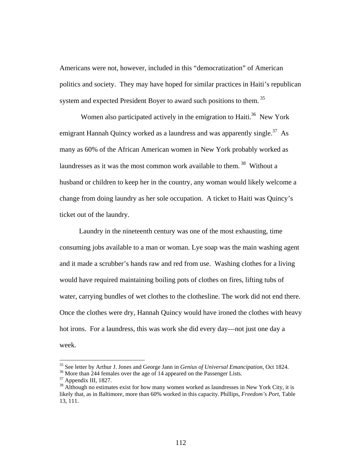Americans were not, however, included in this "democratization" of American politics and society. They may have hoped for similar practices in Haiti's republican system and expected President Boyer to award such positions to them.<sup>35</sup>

Women also participated actively in the emigration to Haiti.<sup>36</sup> New York emigrant Hannah Quincy worked as a laundress and was apparently single.<sup>37</sup> As many as 60% of the African American women in New York probably worked as laundresses as it was the most common work available to them.<sup>38</sup> Without a husband or children to keep her in the country, any woman would likely welcome a change from doing laundry as her sole occupation. A ticket to Haiti was Quincy's ticket out of the laundry.

 Laundry in the nineteenth century was one of the most exhausting, time consuming jobs available to a man or woman. Lye soap was the main washing agent and it made a scrubber's hands raw and red from use. Washing clothes for a living would have required maintaining boiling pots of clothes on fires, lifting tubs of water, carrying bundles of wet clothes to the clothesline. The work did not end there. Once the clothes were dry, Hannah Quincy would have ironed the clothes with heavy hot irons. For a laundress, this was work she did every day—not just one day a week.

<sup>&</sup>lt;sup>35</sup> See letter by Arthur J. Jones and George Jann in *Genius of Universal Emancipation*, Oct 1824.<br><sup>36</sup> More than 244 females over the age of 14 appeared on the Passenger Lists.

<sup>37</sup> Appendix III, 1827.

 $38$  Although no estimates exist for how many women worked as laundresses in New York City, it is likely that, as in Baltimore, more than 60% worked in this capacity. Phillips, *Freedom's Port*, Table 13, 111.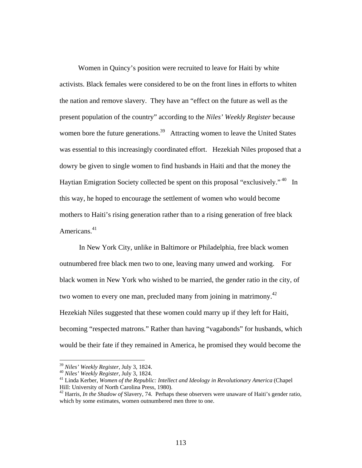Women in Quincy's position were recruited to leave for Haiti by white activists. Black females were considered to be on the front lines in efforts to whiten the nation and remove slavery. They have an "effect on the future as well as the present population of the country" according to the *Niles' Weekly Register* because women bore the future generations.<sup>39</sup> Attracting women to leave the United States was essential to this increasingly coordinated effort. Hezekiah Niles proposed that a dowry be given to single women to find husbands in Haiti and that the money the Haytian Emigration Society collected be spent on this proposal "exclusively." <sup>40</sup> In this way, he hoped to encourage the settlement of women who would become mothers to Haiti's rising generation rather than to a rising generation of free black Americans.<sup>41</sup>

 In New York City, unlike in Baltimore or Philadelphia, free black women outnumbered free black men two to one, leaving many unwed and working. For black women in New York who wished to be married, the gender ratio in the city, of two women to every one man, precluded many from joining in matrimony.<sup>42</sup> Hezekiah Niles suggested that these women could marry up if they left for Haiti, becoming "respected matrons." Rather than having "vagabonds" for husbands, which would be their fate if they remained in America, he promised they would become the

<sup>&</sup>lt;sup>39</sup> *Niles' Weekly Register*, July 3, 1824.<br><sup>40</sup> *Niles' Weekly Register*, July 3, 1824.<br><sup>41</sup> Linda Kerber, *Women of the Republic: Intellect and Ideology in Revolutionary America* (Chapel Hill: University of North Carolina Press, 1980).

<sup>42</sup> Harris, *In the Shadow of* Slavery, 74. Perhaps these observers were unaware of Haiti's gender ratio, which by some estimates, women outnumbered men three to one.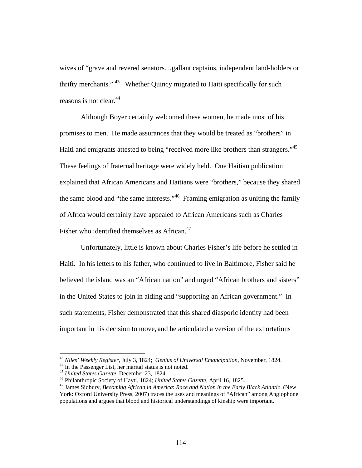wives of "grave and revered senators…gallant captains, independent land-holders or thrifty merchants." <sup>43</sup> Whether Quincy migrated to Haiti specifically for such reasons is not clear.<sup>44</sup>

Although Boyer certainly welcomed these women, he made most of his promises to men. He made assurances that they would be treated as "brothers" in Haiti and emigrants attested to being "received more like brothers than strangers."45 These feelings of fraternal heritage were widely held. One Haitian publication explained that African Americans and Haitians were "brothers," because they shared the same blood and "the same interests."46 Framing emigration as uniting the family of Africa would certainly have appealed to African Americans such as Charles Fisher who identified themselves as African.<sup>47</sup>

 Unfortunately, little is known about Charles Fisher's life before he settled in Haiti. In his letters to his father, who continued to live in Baltimore, Fisher said he believed the island was an "African nation" and urged "African brothers and sisters" in the United States to join in aiding and "supporting an African government." In such statements, Fisher demonstrated that this shared diasporic identity had been important in his decision to move, and he articulated a version of the exhortations

<sup>43</sup> *Niles' Weekly Register*, July 3, 1824; *Genius of Universal Emancipation,* November, 1824. 44 In the Passenger List, her marital status is not noted.

<sup>&</sup>lt;sup>45</sup> United States Gazette, December 23, 1824.<br><sup>46</sup> Philanthropic Society of Hayti, 1824; United States Gazette, April 16, 1825.<br><sup>47</sup> James Sidbury, *Becoming African in America: Race and Nation in the Early Black Atlanti* York: Oxford University Press, 2007) traces the uses and meanings of "African" among Anglophone populations and argues that blood and historical understandings of kinship were important.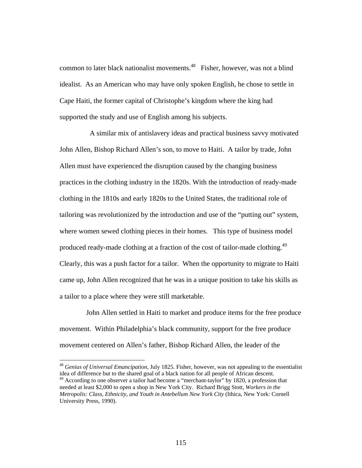common to later black nationalist movements.<sup>48</sup> Fisher, however, was not a blind idealist. As an American who may have only spoken English, he chose to settle in Cape Haiti, the former capital of Christophe's kingdom where the king had supported the study and use of English among his subjects.

 A similar mix of antislavery ideas and practical business savvy motivated John Allen, Bishop Richard Allen's son, to move to Haiti. A tailor by trade, John Allen must have experienced the disruption caused by the changing business practices in the clothing industry in the 1820s. With the introduction of ready-made clothing in the 1810s and early 1820s to the United States, the traditional role of tailoring was revolutionized by the introduction and use of the "putting out" system, where women sewed clothing pieces in their homes. This type of business model produced ready-made clothing at a fraction of the cost of tailor-made clothing.<sup>49</sup> Clearly, this was a push factor for a tailor. When the opportunity to migrate to Haiti came up, John Allen recognized that he was in a unique position to take his skills as a tailor to a place where they were still marketable.

 John Allen settled in Haiti to market and produce items for the free produce movement. Within Philadelphia's black community, support for the free produce movement centered on Allen's father, Bishop Richard Allen, the leader of the

<sup>48</sup> *Genius of Universal Emancipation*, July 1825. Fisher, however, was not appealing to the essentialist idea of difference but to the shared goal of a black nation for all people of African descent.

<sup>&</sup>lt;sup>49</sup> According to one observer a tailor had become a "merchant-taylor" by 1820, a profession that needed at least \$2,000 to open a shop in New York City. Richard Brigg Stott, *Workers in the Metropolis: Class, Ethnicity, and Youth in Antebellum New York City* (Ithica, New York: Cornell University Press, 1990).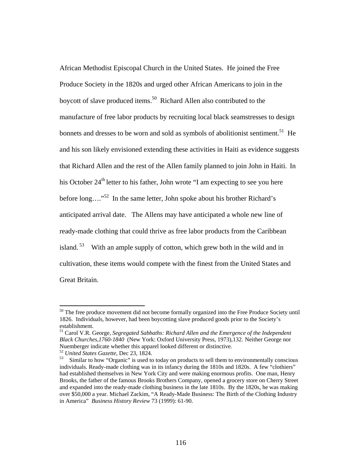African Methodist Episcopal Church in the United States. He joined the Free Produce Society in the 1820s and urged other African Americans to join in the boycott of slave produced items.<sup>50</sup> Richard Allen also contributed to the manufacture of free labor products by recruiting local black seamstresses to design bonnets and dresses to be worn and sold as symbols of abolitionist sentiment.<sup>51</sup> He and his son likely envisioned extending these activities in Haiti as evidence suggests that Richard Allen and the rest of the Allen family planned to join John in Haiti. In his October 24<sup>th</sup> letter to his father, John wrote "I am expecting to see you here before long…."52 In the same letter, John spoke about his brother Richard's anticipated arrival date. The Allens may have anticipated a whole new line of ready-made clothing that could thrive as free labor products from the Caribbean island.  $53$  With an ample supply of cotton, which grew both in the wild and in cultivation, these items would compete with the finest from the United States and Great Britain.

<sup>&</sup>lt;sup>50</sup> The free produce movement did not become formally organized into the Free Produce Society until 1826. Individuals, however, had been boycotting slave produced goods prior to the Society's establishment.

<sup>51</sup> Carol V.R. George, *Segregated Sabbaths: Richard Allen and the Emergence of the Independent Black Churches,1760-1840* (New York: Oxford University Press, 1973),132. Neither George nor Nuemberger indicate whether this apparel looked different or distinctive.<br><sup>52</sup> *United States Gazette*, Dec 23, 1824.<br><sup>53</sup> Similar to how "Organic" is used to today on products to sell them to environmentally conscious

individuals. Ready-made clothing was in its infancy during the 1810s and 1820s. A few "clothiers" had established themselves in New York City and were making enormous profits. One man, Henry Brooks, the father of the famous Brooks Brothers Company, opened a grocery store on Cherry Street and expanded into the ready-made clothing business in the late 1810s. By the 1820s, he was making over \$50,000 a year. Michael Zackim, "A Ready-Made Business: The Birth of the Clothing Industry in America" *Business History Review* 73 (1999): 61-90.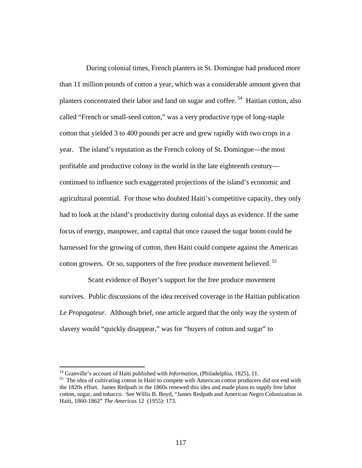During colonial times, French planters in St. Domingue had produced more than 11 million pounds of cotton a year, which was a considerable amount given that planters concentrated their labor and land on sugar and coffee.<sup>54</sup> Haitian cotton, also called "French or small-seed cotton," was a very productive type of long-staple cotton that yielded 3 to 400 pounds per acre and grew rapidly with two crops in a year. The island's reputation as the French colony of St. Domingue—the most profitable and productive colony in the world in the late eighteenth century continued to influence such exaggerated projections of the island's economic and agricultural potential. For those who doubted Haiti's competitive capacity, they only had to look at the island's productivity during colonial days as evidence. If the same focus of energy, manpower, and capital that once caused the sugar boom could be harnessed for the growing of cotton, then Haiti could compete against the American cotton growers. Or so, supporters of the free produce movement believed.<sup>55</sup>

 Scant evidence of Boyer's support for the free produce movement survives. Public discussions of the idea received coverage in the Haitian publication *Le Propagateur.* Although brief, one article argued that the only way the system of slavery would "quickly disappear," was for "buyers of cotton and sugar" to

<sup>&</sup>lt;sup>54</sup> Granville's account of Haiti published with *Information*, (Philadelphia, 1825), 11.<br><sup>55</sup> The idea of cultivating cotton in Haiti to compete with American cotton producers did not end with the 1820s effort. James Redpath in the 1860s renewed this idea and made plans to supply free labor cotton, sugar, and tobacco. See Willis B. Boyd, "James Redpath and American Negro Colonization in Haiti, 1860-1862" *The Americas* 12 (1955): 173.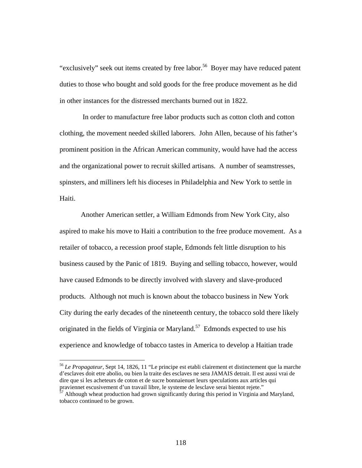"exclusively" seek out items created by free labor.<sup>56</sup> Boyer may have reduced patent duties to those who bought and sold goods for the free produce movement as he did in other instances for the distressed merchants burned out in 1822.

 In order to manufacture free labor products such as cotton cloth and cotton clothing, the movement needed skilled laborers. John Allen, because of his father's prominent position in the African American community, would have had the access and the organizational power to recruit skilled artisans. A number of seamstresses, spinsters, and milliners left his dioceses in Philadelphia and New York to settle in Haiti.

 Another American settler, a William Edmonds from New York City, also aspired to make his move to Haiti a contribution to the free produce movement. As a retailer of tobacco, a recession proof staple, Edmonds felt little disruption to his business caused by the Panic of 1819. Buying and selling tobacco, however, would have caused Edmonds to be directly involved with slavery and slave-produced products. Although not much is known about the tobacco business in New York City during the early decades of the nineteenth century, the tobacco sold there likely originated in the fields of Virginia or Maryland.<sup>57</sup> Edmonds expected to use his experience and knowledge of tobacco tastes in America to develop a Haitian trade

<sup>56</sup> *Le Propagateur*, Sept 14, 1826, 11 "Le principe est etabli clairement et distinctement que la marche d'esclaves doit etre abolio, ou bien la traite des esclaves ne sera JAMAIS detrait. Il est aussi vrai de dire que si les acheteurs de coton et de sucre bonnaienuet leurs speculations aux articles qui praviennet escusivement d'un travail libre, le systeme de lesclave serai bientot rejete."

 $57$  Although wheat production had grown significantly during this period in Virginia and Maryland, tobacco continued to be grown.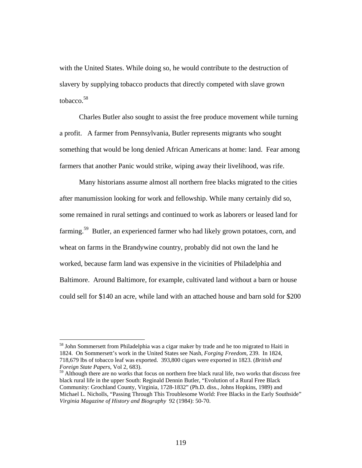with the United States. While doing so, he would contribute to the destruction of slavery by supplying tobacco products that directly competed with slave grown tobacco.58

 Charles Butler also sought to assist the free produce movement while turning a profit. A farmer from Pennsylvania, Butler represents migrants who sought something that would be long denied African Americans at home: land. Fear among farmers that another Panic would strike, wiping away their livelihood, was rife.

 Many historians assume almost all northern free blacks migrated to the cities after manumission looking for work and fellowship. While many certainly did so, some remained in rural settings and continued to work as laborers or leased land for farming.59 Butler, an experienced farmer who had likely grown potatoes, corn, and wheat on farms in the Brandywine country, probably did not own the land he worked, because farm land was expensive in the vicinities of Philadelphia and Baltimore. Around Baltimore, for example, cultivated land without a barn or house could sell for \$140 an acre, while land with an attached house and barn sold for \$200

<sup>&</sup>lt;sup>58</sup> John Sommersett from Philadelphia was a cigar maker by trade and he too migrated to Haiti in 1824. On Sommersett's work in the United States see Nash, *Forging Freedom*, 239. In 1824, 718,679 lbs of tobacco leaf was exported. 393,800 cigars were exported in 1823. (*British and Foreign State Papers*, Vol 2, 683).

<sup>&</sup>lt;sup>59</sup> Although there are no works that focus on northern free black rural life, two works that discuss free black rural life in the upper South: Reginald Dennin Butler, "Evolution of a Rural Free Black Community: Grochland County, Virginia, 1728-1832" (Ph.D. diss., Johns Hopkins, 1989) and Michael L. Nicholls, "Passing Through This Troublesome World: Free Blacks in the Early Southside" *Virginia Magazine of History and Biography* 92 (1984): 50-70.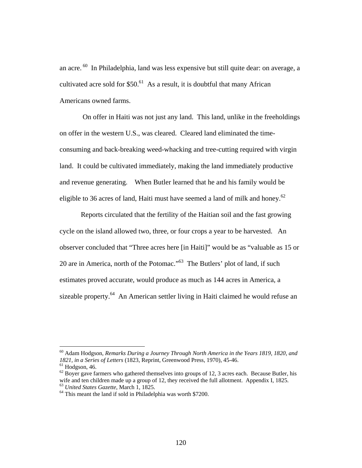an acre. 60 In Philadelphia, land was less expensive but still quite dear: on average, a cultivated acre sold for  $$50<sup>61</sup>$  As a result, it is doubtful that many African Americans owned farms.

 On offer in Haiti was not just any land. This land, unlike in the freeholdings on offer in the western U.S., was cleared. Cleared land eliminated the timeconsuming and back-breaking weed-whacking and tree-cutting required with virgin land. It could be cultivated immediately, making the land immediately productive and revenue generating. When Butler learned that he and his family would be eligible to 36 acres of land, Haiti must have seemed a land of milk and honey.<sup>62</sup>

 Reports circulated that the fertility of the Haitian soil and the fast growing cycle on the island allowed two, three, or four crops a year to be harvested. An observer concluded that "Three acres here [in Haiti]" would be as "valuable as 15 or 20 are in America, north of the Potomac."63 The Butlers' plot of land, if such estimates proved accurate, would produce as much as 144 acres in America, a sizeable property.<sup>64</sup> An American settler living in Haiti claimed he would refuse an

<sup>60</sup> Adam Hodgson, *Remarks During a Journey Through North America in the Years 1819, 1820, and 1821, in a Series of Letters* (1823, Reprint, Greenwood Press, 1970), 45-46.<br><sup>61</sup> Hodgson, 46.

 $62$  Boyer gave farmers who gathered themselves into groups of 12, 3 acres each. Because Butler, his wife and ten children made up a group of 12, they received the full allotment. Appendix I, 1825.<br><sup>63</sup> *United States Gazette*, March 1, 1825.<br><sup>64</sup> This meant the land if sold in Philadelphia was worth \$7200.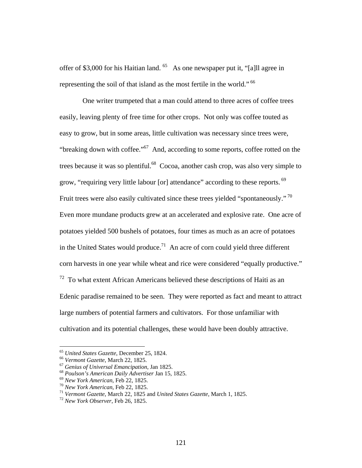offer of \$3,000 for his Haitian land.  $^{65}$  As one newspaper put it, "[a]ll agree in representing the soil of that island as the most fertile in the world." 66

 One writer trumpeted that a man could attend to three acres of coffee trees easily, leaving plenty of free time for other crops. Not only was coffee touted as easy to grow, but in some areas, little cultivation was necessary since trees were, "breaking down with coffee."67 And, according to some reports, coffee rotted on the trees because it was so plentiful.<sup>68</sup> Cocoa, another cash crop, was also very simple to grow, "requiring very little labour [or] attendance" according to these reports. <sup>69</sup> Fruit trees were also easily cultivated since these trees yielded "spontaneously."<sup>70</sup> Even more mundane products grew at an accelerated and explosive rate. One acre of potatoes yielded 500 bushels of potatoes, four times as much as an acre of potatoes in the United States would produce.<sup>71</sup> An acre of corn could yield three different corn harvests in one year while wheat and rice were considered "equally productive."  $72$  To what extent African Americans believed these descriptions of Haiti as an Edenic paradise remained to be seen. They were reported as fact and meant to attract large numbers of potential farmers and cultivators. For those unfamiliar with cultivation and its potential challenges, these would have been doubly attractive.

<sup>&</sup>lt;sup>65</sup> United States Gazette, December 25, 1824.<br>
<sup>66</sup> Vermont Gazette, March 22, 1825.<br>
<sup>67</sup> Genius of Universal Emancipation, Jan 1825.<br>
<sup>68</sup> Poulson's American Daily Advertiser Jan 15, 1825.<br>
<sup>69</sup> New York American, Feb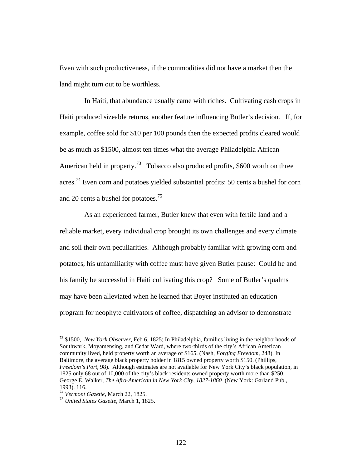Even with such productiveness, if the commodities did not have a market then the land might turn out to be worthless.

 In Haiti, that abundance usually came with riches. Cultivating cash crops in Haiti produced sizeable returns, another feature influencing Butler's decision. If, for example, coffee sold for \$10 per 100 pounds then the expected profits cleared would be as much as \$1500, almost ten times what the average Philadelphia African American held in property.<sup>73</sup> Tobacco also produced profits, \$600 worth on three acres.<sup>74</sup> Even corn and potatoes yielded substantial profits: 50 cents a bushel for corn and 20 cents a bushel for potatoes.<sup>75</sup>

 As an experienced farmer, Butler knew that even with fertile land and a reliable market, every individual crop brought its own challenges and every climate and soil their own peculiarities. Although probably familiar with growing corn and potatoes, his unfamiliarity with coffee must have given Butler pause: Could he and his family be successful in Haiti cultivating this crop? Some of Butler's qualms may have been alleviated when he learned that Boyer instituted an education program for neophyte cultivators of coffee, dispatching an advisor to demonstrate

<sup>73 \$1500,</sup> *New York Observer*, Feb 6, 1825; In Philadelphia, families living in the neighborhoods of Southwark, Moyamensing, and Cedar Ward, where two-thirds of the city's African American community lived, held property worth an average of \$165. (Nash, *Forging Freedom*, 248). In Baltimore, the average black property holder in 1815 owned property worth \$150. (Phillips, *Freedom's Port,* 98). Although estimates are not available for New York City's black population, in 1825 only 68 out of 10,000 of the city's black residents owned property worth more than \$250. George E. Walker, *The Afro-American in New York City, 1827-1860* (New York: Garland Pub., 1993), 116.

<sup>74</sup> *Vermont Gazette*, March 22, 1825. 75 *United States Gazette*, March 1, 1825.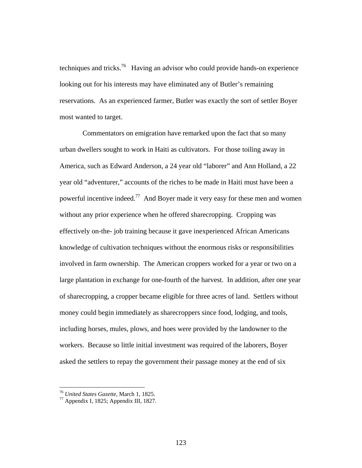techniques and tricks.<sup>76</sup> Having an advisor who could provide hands-on experience looking out for his interests may have eliminated any of Butler's remaining reservations. As an experienced farmer, Butler was exactly the sort of settler Boyer most wanted to target.

 Commentators on emigration have remarked upon the fact that so many urban dwellers sought to work in Haiti as cultivators. For those toiling away in America, such as Edward Anderson, a 24 year old "laborer" and Ann Holland, a 22 year old "adventurer," accounts of the riches to be made in Haiti must have been a powerful incentive indeed.77 And Boyer made it very easy for these men and women without any prior experience when he offered sharecropping. Cropping was effectively on-the- job training because it gave inexperienced African Americans knowledge of cultivation techniques without the enormous risks or responsibilities involved in farm ownership. The American croppers worked for a year or two on a large plantation in exchange for one-fourth of the harvest. In addition, after one year of sharecropping, a cropper became eligible for three acres of land. Settlers without money could begin immediately as sharecroppers since food, lodging, and tools, including horses, mules, plows, and hoes were provided by the landowner to the workers. Because so little initial investment was required of the laborers, Boyer asked the settlers to repay the government their passage money at the end of six

<sup>76</sup> *United States Gazette*, March 1, 1825. 77 Appendix I, 1825; Appendix III, 1827.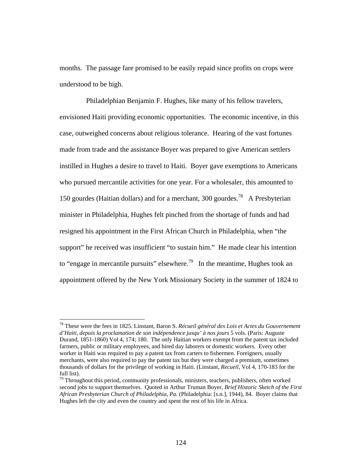months. The passage fare promised to be easily repaid since profits on crops were understood to be high.

 Philadelphian Benjamin F. Hughes, like many of his fellow travelers, envisioned Haiti providing economic opportunities. The economic incentive, in this case, outweighed concerns about religious tolerance. Hearing of the vast fortunes made from trade and the assistance Boyer was prepared to give American settlers instilled in Hughes a desire to travel to Haiti. Boyer gave exemptions to Americans who pursued mercantile activities for one year. For a wholesaler, this amounted to 150 gourdes (Haitian dollars) and for a merchant, 300 gourdes.<sup>78</sup> A Presbyterian minister in Philadelphia, Hughes felt pinched from the shortage of funds and had resigned his appointment in the First African Church in Philadelphia, when "the support" he received was insufficient "to sustain him." He made clear his intention to "engage in mercantile pursuits" elsewhere.<sup>79</sup> In the meantime, Hughes took an appointment offered by the New York Missionary Society in the summer of 1824 to

<sup>78</sup> These were the fees in 1825. Linstant, Baron S. *Récueil général des Lois et Actes du Gouvernement d'Haiti, depuis la proclamation de son indépendence jusqu' à nos jours* 5 vols. (Paris: Auguste Durand, 1851-1860) Vol 4, 174; 180. The only Haitian workers exempt from the patent tax included farmers, public or military employees, and hired day laborers or domestic workers. Every other worker in Haiti was required to pay a patent tax from carters to fishermen. Foreigners, usually merchants, were also required to pay the patent tax but they were charged a premium, sometimes thousands of dollars for the privilege of working in Haiti. (Linstant, *Recueil,* Vol 4, 170-183 for the full list).

 $79$  Throughout this period, community professionals, ministers, teachers, publishers, often worked second jobs to support themselves. Quoted in Arthur Truman Boyer, *Brief Historic Sketch of the First African Presbyterian Church of Philadelphia, Pa.* (Philadelphia: [s.n.], 1944), 84. Boyer claims that Hughes left the city and even the country and spent the rest of his life in Africa.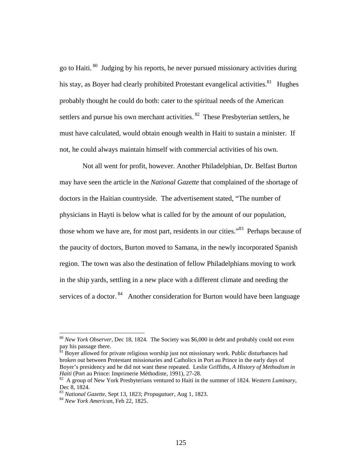go to Haiti. 80 Judging by his reports, he never pursued missionary activities during his stay, as Boyer had clearly prohibited Protestant evangelical activities.<sup>81</sup> Hughes probably thought he could do both: cater to the spiritual needs of the American settlers and pursue his own merchant activities. <sup>82</sup> These Presbyterian settlers, he must have calculated, would obtain enough wealth in Haiti to sustain a minister. If not, he could always maintain himself with commercial activities of his own.

 Not all went for profit, however. Another Philadelphian, Dr. Belfast Burton may have seen the article in the *National Gazette* that complained of the shortage of doctors in the Haitian countryside. The advertisement stated, "The number of physicians in Hayti is below what is called for by the amount of our population, those whom we have are, for most part, residents in our cities."83 Perhaps because of the paucity of doctors, Burton moved to Samana, in the newly incorporated Spanish region. The town was also the destination of fellow Philadelphians moving to work in the ship yards, settling in a new place with a different climate and needing the services of a doctor.  $84$  Another consideration for Burton would have been language

 $81$  Boyer allowed for private religious worship just not missionary work. Public disturbances had broken out between Protestant missionaries and Catholics in Port au Prince in the early days of Boyer's presidency and he did not want these repeated. Leslie Griffiths, *A History of Methodism in Haiti* (Port au Prince: Imprimerie Méthodiste, 1991), 27-28.<br><sup>82</sup> A group of New York Presbyterians ventured to Haiti in the summer of 1824. *Western Luminary*,

<sup>80</sup> *New York Observer*, Dec 18, 1824. The Society was \$6,000 in debt and probably could not even pay his passage there.

Dec 8, 1824.

<sup>83</sup> *National Gazette*, Sept 13, 1823; *Propagatuer*, Aug 1, 1823. 84 *New York American*, Feb 22, 1825.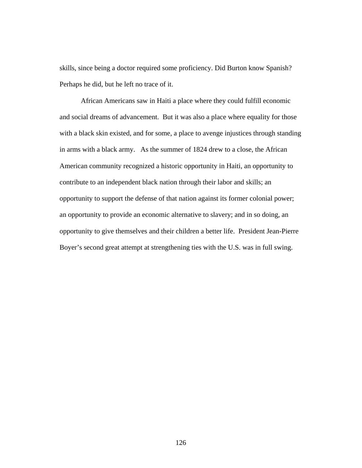skills, since being a doctor required some proficiency. Did Burton know Spanish? Perhaps he did, but he left no trace of it.

 African Americans saw in Haiti a place where they could fulfill economic and social dreams of advancement. But it was also a place where equality for those with a black skin existed, and for some, a place to avenge injustices through standing in arms with a black army. As the summer of 1824 drew to a close, the African American community recognized a historic opportunity in Haiti, an opportunity to contribute to an independent black nation through their labor and skills; an opportunity to support the defense of that nation against its former colonial power; an opportunity to provide an economic alternative to slavery; and in so doing, an opportunity to give themselves and their children a better life. President Jean-Pierre Boyer's second great attempt at strengthening ties with the U.S. was in full swing.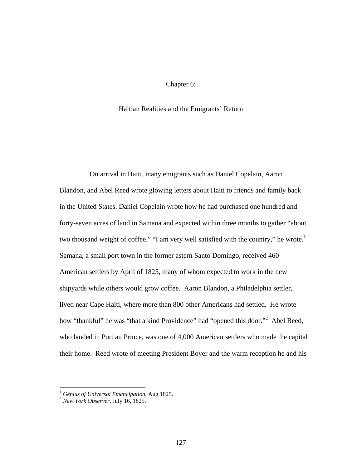## Chapter 6:

## Haitian Realities and the Emigrants' Return

 On arrival in Haiti, many emigrants such as Daniel Copelain, Aaron Blandon, and Abel Reed wrote glowing letters about Haiti to friends and family back in the United States. Daniel Copelain wrote how he had purchased one hundred and forty-seven acres of land in Samana and expected within three months to gather "about two thousand weight of coffee." "I am very well satisfied with the country," he wrote.<sup>1</sup> Samana, a small port town in the former astern Santo Domingo, received 460 American settlers by April of 1825, many of whom expected to work in the new shipyards while others would grow coffee. Aaron Blandon, a Philadelphia settler, lived near Cape Haiti, where more than 800 other Americans had settled. He wrote how "thankful" he was "that a kind Providence" had "opened this door."<sup>2</sup> Abel Reed, who landed in Port au Prince, was one of 4,000 American settlers who made the capital their home. Reed wrote of meeting President Boyer and the warm reception he and his

<sup>1</sup> *Genius of Universal Emancipation*, Aug 1825. 2 *New York Observer*, July 16, 1825.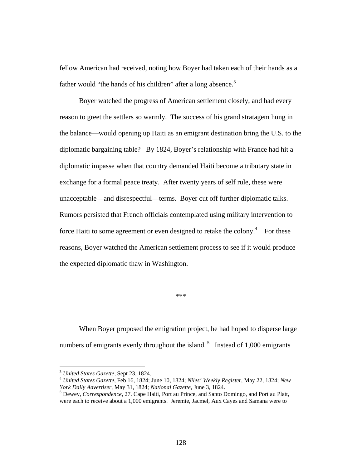fellow American had received, noting how Boyer had taken each of their hands as a father would "the hands of his children" after a long absence.<sup>3</sup>

 Boyer watched the progress of American settlement closely, and had every reason to greet the settlers so warmly. The success of his grand stratagem hung in the balance—would opening up Haiti as an emigrant destination bring the U.S. to the diplomatic bargaining table? By 1824, Boyer's relationship with France had hit a diplomatic impasse when that country demanded Haiti become a tributary state in exchange for a formal peace treaty. After twenty years of self rule, these were unacceptable—and disrespectful—terms. Boyer cut off further diplomatic talks. Rumors persisted that French officials contemplated using military intervention to force Haiti to some agreement or even designed to retake the colony. $4$  For these reasons, Boyer watched the American settlement process to see if it would produce the expected diplomatic thaw in Washington.

\*\*\*

 When Boyer proposed the emigration project, he had hoped to disperse large numbers of emigrants evenly throughout the island.<sup>5</sup> Instead of 1,000 emigrants

<sup>3</sup> *United States Gazette*, Sept 23, 1824. 4 *United States Gazette*, Feb 16, 1824; June 10, 1824; *Niles' Weekly Register*, May 22, 1824; *New York Daily Advertiser*, May 31, 1824; *National Gazette*, June 3, 1824. 5

Dewey, *Correspondence*, 27. Cape Haiti, Port au Prince, and Santo Domingo, and Port au Platt, were each to receive about a 1,000 emigrants. Jeremie, Jacmel, Aux Cayes and Samana were to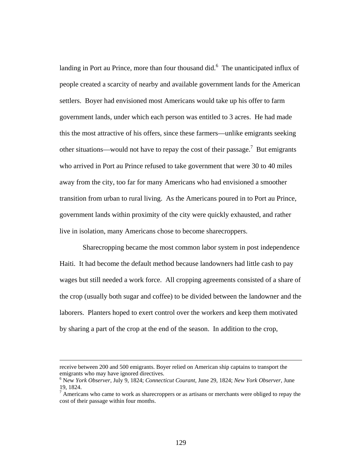landing in Port au Prince, more than four thousand did. $<sup>6</sup>$  The unanticipated influx of</sup> people created a scarcity of nearby and available government lands for the American settlers. Boyer had envisioned most Americans would take up his offer to farm government lands, under which each person was entitled to 3 acres. He had made this the most attractive of his offers, since these farmers—unlike emigrants seeking other situations—would not have to repay the cost of their passage.<sup>7</sup> But emigrants who arrived in Port au Prince refused to take government that were 30 to 40 miles away from the city, too far for many Americans who had envisioned a smoother transition from urban to rural living. As the Americans poured in to Port au Prince, government lands within proximity of the city were quickly exhausted, and rather live in isolation, many Americans chose to become sharecroppers.

 Sharecropping became the most common labor system in post independence Haiti. It had become the default method because landowners had little cash to pay wages but still needed a work force. All cropping agreements consisted of a share of the crop (usually both sugar and coffee) to be divided between the landowner and the laborers. Planters hoped to exert control over the workers and keep them motivated by sharing a part of the crop at the end of the season. In addition to the crop,

receive between 200 and 500 emigrants. Boyer relied on American ship captains to transport the emigrants who may have ignored directives.

<sup>6</sup> N*e*w *York Observer*, July 9, 1824; *Connecticut Courant*, June 29, 1824; *New York Observer*, June 19, 1824.

 $<sup>7</sup>$  Americans who came to work as sharecroppers or as artisans or merchants were obliged to repay the</sup> cost of their passage within four months.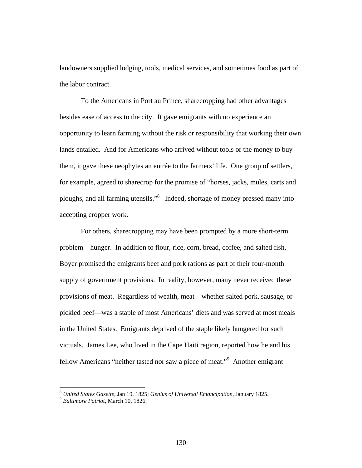landowners supplied lodging, tools, medical services, and sometimes food as part of the labor contract.

 To the Americans in Port au Prince, sharecropping had other advantages besides ease of access to the city. It gave emigrants with no experience an opportunity to learn farming without the risk or responsibility that working their own lands entailed. And for Americans who arrived without tools or the money to buy them, it gave these neophytes an entrée to the farmers' life. One group of settlers, for example, agreed to sharecrop for the promise of "horses, jacks, mules, carts and ploughs, and all farming utensils."<sup>8</sup> Indeed, shortage of money pressed many into accepting cropper work.

 For others, sharecropping may have been prompted by a more short-term problem—hunger. In addition to flour, rice, corn, bread, coffee, and salted fish, Boyer promised the emigrants beef and pork rations as part of their four-month supply of government provisions. In reality, however, many never received these provisions of meat. Regardless of wealth, meat—whether salted pork, sausage, or pickled beef—was a staple of most Americans' diets and was served at most meals in the United States. Emigrants deprived of the staple likely hungered for such victuals. James Lee, who lived in the Cape Haiti region, reported how he and his fellow Americans "neither tasted nor saw a piece of meat."<sup>9</sup> Another emigrant

<sup>8</sup> *United States Gazette*, Jan 19, 1825; *Genius of Universal Emancipation*, January 1825. 9 *Baltimore Patriot*, March 10, 1826.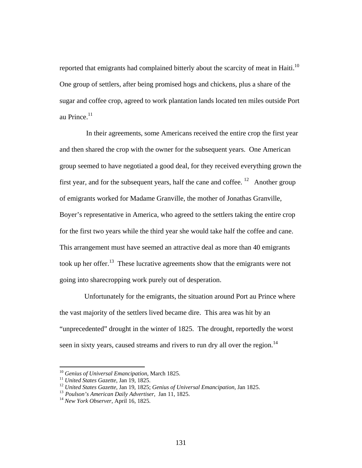reported that emigrants had complained bitterly about the scarcity of meat in Haiti.<sup>10</sup> One group of settlers, after being promised hogs and chickens, plus a share of the sugar and coffee crop, agreed to work plantation lands located ten miles outside Port au Prince. $11$ 

 In their agreements, some Americans received the entire crop the first year and then shared the crop with the owner for the subsequent years. One American group seemed to have negotiated a good deal, for they received everything grown the first year, and for the subsequent years, half the cane and coffee.  $12$  Another group of emigrants worked for Madame Granville, the mother of Jonathas Granville, Boyer's representative in America, who agreed to the settlers taking the entire crop for the first two years while the third year she would take half the coffee and cane. This arrangement must have seemed an attractive deal as more than 40 emigrants took up her offer.<sup>13</sup> These lucrative agreements show that the emigrants were not going into sharecropping work purely out of desperation.

 Unfortunately for the emigrants, the situation around Port au Prince where the vast majority of the settlers lived became dire. This area was hit by an "unprecedented" drought in the winter of 1825. The drought, reportedly the worst seen in sixty years, caused streams and rivers to run dry all over the region.<sup>14</sup>

<sup>&</sup>lt;sup>10</sup> Genius of Universal Emancipation, March 1825.<br><sup>11</sup> United States Gazette, Jan 19, 1825.<br><sup>12</sup> United States Gazette, Jan 19, 1825; Genius of Universal Emancipation, Jan 1825.<br><sup>13</sup> Poulson's American Daily Advertiser,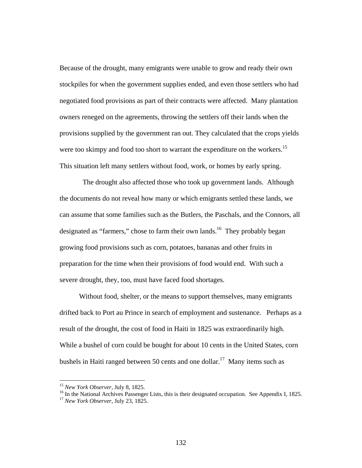Because of the drought, many emigrants were unable to grow and ready their own stockpiles for when the government supplies ended, and even those settlers who had negotiated food provisions as part of their contracts were affected. Many plantation owners reneged on the agreements, throwing the settlers off their lands when the provisions supplied by the government ran out. They calculated that the crops yields were too skimpy and food too short to warrant the expenditure on the workers.<sup>15</sup> This situation left many settlers without food, work, or homes by early spring.

 The drought also affected those who took up government lands. Although the documents do not reveal how many or which emigrants settled these lands, we can assume that some families such as the Butlers, the Paschals, and the Connors, all designated as "farmers," chose to farm their own lands.<sup>16</sup> They probably began growing food provisions such as corn, potatoes, bananas and other fruits in preparation for the time when their provisions of food would end. With such a severe drought, they, too, must have faced food shortages.

 Without food, shelter, or the means to support themselves, many emigrants drifted back to Port au Prince in search of employment and sustenance. Perhaps as a result of the drought, the cost of food in Haiti in 1825 was extraordinarily high. While a bushel of corn could be bought for about 10 cents in the United States, corn bushels in Haiti ranged between 50 cents and one dollar.<sup>17</sup> Many items such as

<sup>&</sup>lt;sup>15</sup> *New York Observer*, July 8, 1825.<br><sup>16</sup> In the National Archives Passenger Lists, this is their designated occupation. See Appendix I, 1825.<br><sup>17</sup> *New York Observer*, July 23, 1825.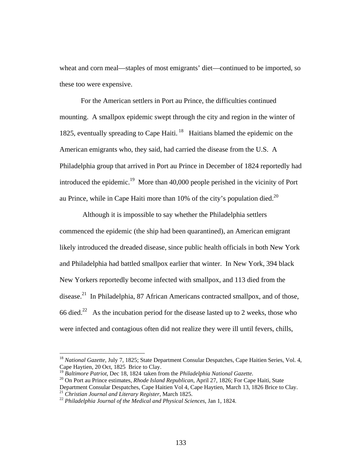wheat and corn meal—staples of most emigrants' diet—continued to be imported, so these too were expensive.

 For the American settlers in Port au Prince, the difficulties continued mounting. A smallpox epidemic swept through the city and region in the winter of 1825, eventually spreading to Cape Haiti.  $18$  Haitians blamed the epidemic on the American emigrants who, they said, had carried the disease from the U.S. A Philadelphia group that arrived in Port au Prince in December of 1824 reportedly had introduced the epidemic.<sup>19</sup> More than 40,000 people perished in the vicinity of Port au Prince, while in Cape Haiti more than  $10\%$  of the city's population died.<sup>20</sup>

 Although it is impossible to say whether the Philadelphia settlers commenced the epidemic (the ship had been quarantined), an American emigrant likely introduced the dreaded disease, since public health officials in both New York and Philadelphia had battled smallpox earlier that winter. In New York, 394 black New Yorkers reportedly become infected with smallpox, and 113 died from the disease.<sup>21</sup> In Philadelphia, 87 African Americans contracted smallpox, and of those, 66 died.<sup>22</sup> As the incubation period for the disease lasted up to 2 weeks, those who were infected and contagious often did not realize they were ill until fevers, chills,

<sup>18</sup> *National Gazette*, July 7, 1825; State Department Consular Despatches, Cape Haitien Series, Vol. 4, Cape Haytien, 20 Oct, 1825 Brice to Clay.

<sup>19</sup> *Baltimore Patriot*, Dec 18, 1824 taken from the *Philadelphia National Gazette.* 20 On Port au Prince estimates, *Rhode Island Republican*, April 27, 1826; For Cape Haiti, State Department Consular Despatches, Cape Haitien Vol 4, Cape Haytien, March 13, 1826 Brice to Clay.

<sup>21</sup> *Christian Journal and Literary Register*, March 1825. 22 *Philadelphia Journal of the Medical and Physical Sciences*, Jan 1, 1824.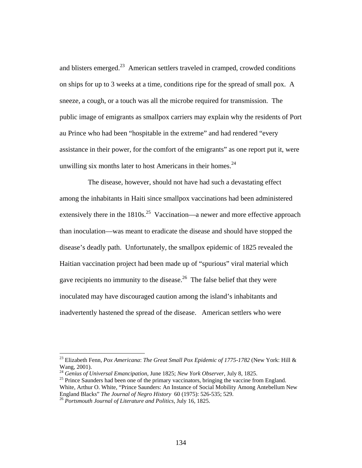and blisters emerged. $^{23}$  American settlers traveled in cramped, crowded conditions on ships for up to 3 weeks at a time, conditions ripe for the spread of small pox. A sneeze, a cough, or a touch was all the microbe required for transmission. The public image of emigrants as smallpox carriers may explain why the residents of Port au Prince who had been "hospitable in the extreme" and had rendered "every assistance in their power, for the comfort of the emigrants" as one report put it, were unwilling six months later to host Americans in their homes. $24$ 

 The disease, however, should not have had such a devastating effect among the inhabitants in Haiti since smallpox vaccinations had been administered extensively there in the  $1810s^{25}$  Vaccination—a newer and more effective approach than inoculation—was meant to eradicate the disease and should have stopped the disease's deadly path. Unfortunately, the smallpox epidemic of 1825 revealed the Haitian vaccination project had been made up of "spurious" viral material which gave recipients no immunity to the disease.<sup>26</sup> The false belief that they were inoculated may have discouraged caution among the island's inhabitants and inadvertently hastened the spread of the disease. American settlers who were

<sup>23</sup> Elizabeth Fenn, *Pox Americana*: *The Great Small Pox Epidemic of 1775-1782* (New York: Hill & Wang, 2001).<br><sup>24</sup> Genius of Universal Emancipation, June 1825; New York Observer, July 8, 1825.

<sup>&</sup>lt;sup>25</sup> Prince Saunders had been one of the primary vaccinators, bringing the vaccine from England. White, Arthur O. White, "Prince Saunders: An Instance of Social Mobility Among Antebellum New England Blacks" *The Journal of Negro History* 60 (1975): 526-535; 529. 26 *Portsmouth Journal of Literature and Politics,* July 16, 1825.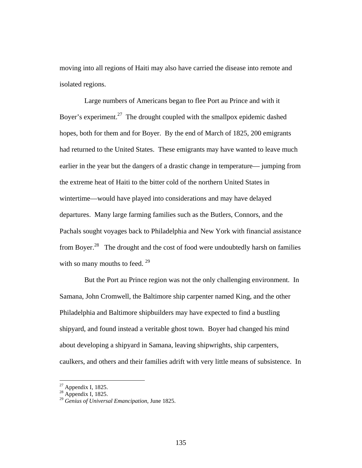moving into all regions of Haiti may also have carried the disease into remote and isolated regions.

 Large numbers of Americans began to flee Port au Prince and with it Boyer's experiment.<sup>27</sup> The drought coupled with the smallpox epidemic dashed hopes, both for them and for Boyer. By the end of March of 1825, 200 emigrants had returned to the United States. These emigrants may have wanted to leave much earlier in the year but the dangers of a drastic change in temperature— jumping from the extreme heat of Haiti to the bitter cold of the northern United States in wintertime—would have played into considerations and may have delayed departures. Many large farming families such as the Butlers, Connors, and the Pachals sought voyages back to Philadelphia and New York with financial assistance from Boyer.28 The drought and the cost of food were undoubtedly harsh on families with so many mouths to feed.  $29$ 

 But the Port au Prince region was not the only challenging environment. In Samana, John Cromwell, the Baltimore ship carpenter named King, and the other Philadelphia and Baltimore shipbuilders may have expected to find a bustling shipyard, and found instead a veritable ghost town. Boyer had changed his mind about developing a shipyard in Samana, leaving shipwrights, ship carpenters, caulkers, and others and their families adrift with very little means of subsistence. In

 $27$  Appendix I, 1825.

 $28$  Appendix I, 1825.

<sup>29</sup> *Genius of Universal Emancipation*, June 1825.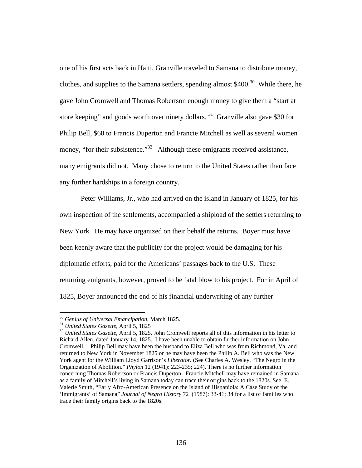one of his first acts back in Haiti, Granville traveled to Samana to distribute money, clothes, and supplies to the Samana settlers, spending almost  $$400.<sup>30</sup>$  While there, he gave John Cromwell and Thomas Robertson enough money to give them a "start at store keeping" and goods worth over ninety dollars. 31 Granville also gave \$30 for Philip Bell, \$60 to Francis Duperton and Francie Mitchell as well as several women money, "for their subsistence."<sup>32</sup> Although these emigrants received assistance, many emigrants did not. Many chose to return to the United States rather than face any further hardships in a foreign country.

 Peter Williams, Jr., who had arrived on the island in January of 1825, for his own inspection of the settlements, accompanied a shipload of the settlers returning to New York. He may have organized on their behalf the returns. Boyer must have been keenly aware that the publicity for the project would be damaging for his diplomatic efforts, paid for the Americans' passages back to the U.S. These returning emigrants, however, proved to be fatal blow to his project. For in April of 1825, Boyer announced the end of his financial underwriting of any further

<sup>&</sup>lt;sup>30</sup> *Genius of Universal Emancipation*, March 1825.<br><sup>31</sup> *United States Gazette*, April 5, 1825<br><sup>32</sup> *United States Gazette*, April 5, 1825. John Cromwell reports all of this information in his letter to Richard Allen, dated January 14, 1825. I have been unable to obtain further information on John Cromwell. Philip Bell may have been the husband to Eliza Bell who was from Richmond, Va. and returned to New York in November 1825 or he may have been the Philip A. Bell who was the New York agent for the William Lloyd Garrison's *Liberator.* (See Charles A. Wesley, "The Negro in the Organization of Abolition." *Phylon* 12 (1941): 223-235; 224). There is no further information concerning Thomas Robertson or Francis Duperton. Francie Mitchell may have remained in Samana as a family of Mitchell's living in Samana today can trace their origins back to the 1820s. See E. Valerie Smith, "Early Afro-American Presence on the Island of Hispaniola: A Case Study of the 'Immigrants' of Samana" *Journal of Negro History* 72 (1987): 33-41; 34 for a list of families who trace their family origins back to the 1820s.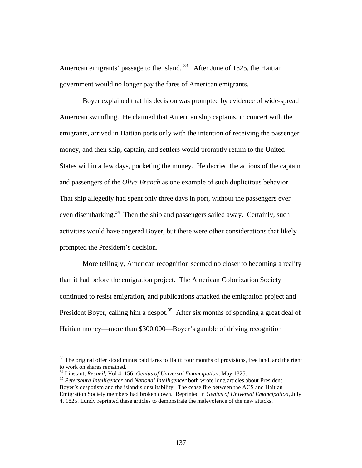American emigrants' passage to the island.  $33$  After June of 1825, the Haitian government would no longer pay the fares of American emigrants.

 Boyer explained that his decision was prompted by evidence of wide-spread American swindling. He claimed that American ship captains, in concert with the emigrants, arrived in Haitian ports only with the intention of receiving the passenger money, and then ship, captain, and settlers would promptly return to the United States within a few days, pocketing the money. He decried the actions of the captain and passengers of the *Olive Branch* as one example of such duplicitous behavior. That ship allegedly had spent only three days in port, without the passengers ever even disembarking.<sup>34</sup> Then the ship and passengers sailed away. Certainly, such activities would have angered Boyer, but there were other considerations that likely prompted the President's decision.

 More tellingly, American recognition seemed no closer to becoming a reality than it had before the emigration project. The American Colonization Society continued to resist emigration, and publications attacked the emigration project and President Boyer, calling him a despot.<sup>35</sup> After six months of spending a great deal of Haitian money—more than \$300,000—Boyer's gamble of driving recognition

 $33$  The original offer stood minus paid fares to Haiti: four months of provisions, free land, and the right to work on shares remained.<br><sup>34</sup> Linstant, *Recueil*, Vol 4, 156; *Genius of Universal Emancipation*, May 1825.

<sup>&</sup>lt;sup>35</sup> Petersburg Intelligencer and National Intelligencer both wrote long articles about President Boyer's despotism and the island's unsuitability. The cease fire between the ACS and Haitian Emigration Society members had broken down. Reprinted in *Genius of Universal Emancipation,* July 4, 1825. Lundy reprinted these articles to demonstrate the malevolence of the new attacks.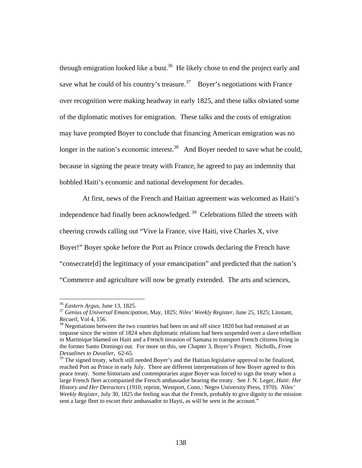through emigration looked like a bust. $36$  He likely chose to end the project early and save what he could of his country's treasure.<sup>37</sup> Boyer's negotiations with France over recognition were making headway in early 1825, and these talks obviated some of the diplomatic motives for emigration. These talks and the costs of emigration may have prompted Boyer to conclude that financing American emigration was no longer in the nation's economic interest.<sup>38</sup> And Boyer needed to save what he could, because in signing the peace treaty with France, he agreed to pay an indemnity that hobbled Haiti's economic and national development for decades.

 At first, news of the French and Haitian agreement was welcomed as Haiti's independence had finally been acknowledged. 39 Celebrations filled the streets with cheering crowds calling out "Vive la France, vive Haiti, vive Charles X, vive Boyer!" Boyer spoke before the Port au Prince crowds declaring the French have "consecrate[d] the legitimacy of your emancipation" and predicted that the nation's "Commerce and agriculture will now be greatly extended. The arts and sciences,

<sup>36</sup> *Eastern Argus*, June 13, 1825. 37 *Genius of Universal Emancipation*, May, 1825; *Niles' Weekly Register*, June 25, 1825; Linstant, *Recueil*, Vol 4, 156.<br><sup>38</sup> Negotiations between the two countries had been on and off since 1820 but had remained at an

impasse since the winter of 1824 when diplomatic relations had been suspended over a slave rebellion in Martinique blamed on Haiti and a French invasion of Samana to transport French citizens living in the former Santo Domingo out. For more on this, see Chapter 3, Boyer's Project. Nicholls, *From Dessalines to Duvalier*, 62-65.

<sup>&</sup>lt;sup>39</sup> The signed treaty, which still needed Boyer's and the Haitian legislative approval to be finalized, reached Port au Prince in early July. There are different interpretations of how Boyer agreed to this peace treaty. Some historians and contemporaries argue Boyer was forced to sign the treaty when a large French fleet accompanied the French ambassador bearing the treaty. See J. N. Leger, *Haiti: Her History and Her Detractors* (1910; reprint, Westport, Conn.: Negro University Press, 1970). *Niles' Weekly Register*, July 30, 1825 the feeling was that the French, probably to give dignity to the mission sent a large fleet to escort their ambassador to Hayti, as will be seen in the account."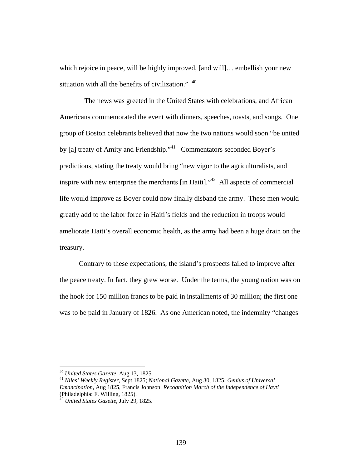which rejoice in peace, will be highly improved, [and will]... embellish your new situation with all the benefits of civilization."  $40$ 

 The news was greeted in the United States with celebrations, and African Americans commemorated the event with dinners, speeches, toasts, and songs. One group of Boston celebrants believed that now the two nations would soon "be united by [a] treaty of Amity and Friendship."<sup>41</sup> Commentators seconded Boyer's predictions, stating the treaty would bring "new vigor to the agriculturalists, and inspire with new enterprise the merchants  $\left[$ in Haiti $\right]$ .<sup> $,42$ </sup> All aspects of commercial life would improve as Boyer could now finally disband the army. These men would greatly add to the labor force in Haiti's fields and the reduction in troops would ameliorate Haiti's overall economic health, as the army had been a huge drain on the treasury.

 Contrary to these expectations, the island's prospects failed to improve after the peace treaty. In fact, they grew worse. Under the terms, the young nation was on the hook for 150 million francs to be paid in installments of 30 million; the first one was to be paid in January of 1826. As one American noted, the indemnity "changes

<sup>40</sup> *United States Gazette*, Aug 13, 1825. 41 *Niles' Weekly Register*, Sept 1825; *National Gazette*, Aug 30, 1825; *Genius of Universal Emancipation*, Aug 1825, Francis Johnson, *Recognition March of the Independence of Hayti* (Philadelphia: F. Willing, 1825).

<sup>42</sup> *United States Gazette*, July 29, 1825.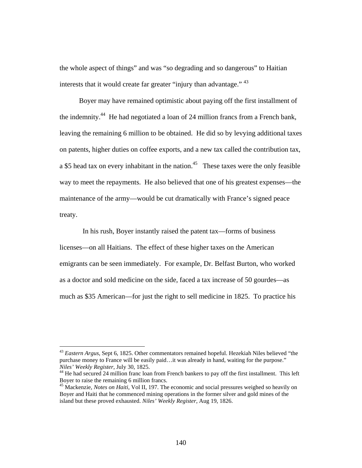the whole aspect of things" and was "so degrading and so dangerous" to Haitian interests that it would create far greater "injury than advantage." <sup>43</sup>

 Boyer may have remained optimistic about paying off the first installment of the indemnity.44 He had negotiated a loan of 24 million francs from a French bank, leaving the remaining 6 million to be obtained. He did so by levying additional taxes on patents, higher duties on coffee exports, and a new tax called the contribution tax, a \$5 head tax on every inhabitant in the nation.<sup>45</sup> These taxes were the only feasible way to meet the repayments. He also believed that one of his greatest expenses—the maintenance of the army—would be cut dramatically with France's signed peace treaty.

 In his rush, Boyer instantly raised the patent tax—forms of business licenses—on all Haitians. The effect of these higher taxes on the American emigrants can be seen immediately. For example, Dr. Belfast Burton, who worked as a doctor and sold medicine on the side, faced a tax increase of 50 gourdes—as much as \$35 American—for just the right to sell medicine in 1825. To practice his

<sup>43</sup> *Eastern Argus*, Sept 6, 1825. Other commentators remained hopeful. Hezekiah Niles believed "the purchase money to France will be easily paid…it was already in hand, waiting for the purpose." *Niles' Weekly Register*, July 30, 1825. 44 He had secured 24 million franc loan from French bankers to pay off the first installment. This left

Boyer to raise the remaining 6 million francs.

<sup>45</sup> Mackenzie, *Notes on Haiti*, Vol II, 197. The economic and social pressures weighed so heavily on Boyer and Haiti that he commenced mining operations in the former silver and gold mines of the island but these proved exhausted. *Niles' Weekly Register*, Aug 19, 1826.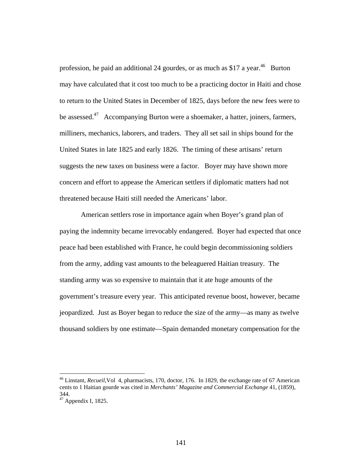profession, he paid an additional 24 gourdes, or as much as  $$17$  a year.<sup>46</sup> Burton may have calculated that it cost too much to be a practicing doctor in Haiti and chose to return to the United States in December of 1825, days before the new fees were to be assessed.47 Accompanying Burton were a shoemaker, a hatter, joiners, farmers, milliners, mechanics, laborers, and traders. They all set sail in ships bound for the United States in late 1825 and early 1826. The timing of these artisans' return suggests the new taxes on business were a factor. Boyer may have shown more concern and effort to appease the American settlers if diplomatic matters had not threatened because Haiti still needed the Americans' labor.

 American settlers rose in importance again when Boyer's grand plan of paying the indemnity became irrevocably endangered. Boyer had expected that once peace had been established with France, he could begin decommissioning soldiers from the army, adding vast amounts to the beleaguered Haitian treasury. The standing army was so expensive to maintain that it ate huge amounts of the government's treasure every year. This anticipated revenue boost, however, became jeopardized. Just as Boyer began to reduce the size of the army—as many as twelve thousand soldiers by one estimate—Spain demanded monetary compensation for the

<sup>46</sup> Linstant, *Recueil*,Vol 4, pharmacists, 170, doctor, 176. In 1829, the exchange rate of 67 American cents to 1 Haitian gourde was cited in *Merchants' Magazine and Commercial Exchange* 41, (1859), 344.

 $47$  Appendix I, 1825.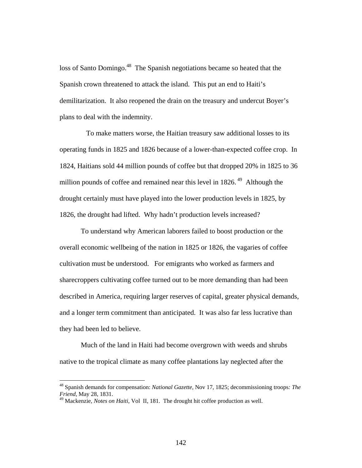loss of Santo Domingo.<sup>48</sup> The Spanish negotiations became so heated that the Spanish crown threatened to attack the island. This put an end to Haiti's demilitarization. It also reopened the drain on the treasury and undercut Boyer's plans to deal with the indemnity.

 To make matters worse, the Haitian treasury saw additional losses to its operating funds in 1825 and 1826 because of a lower-than-expected coffee crop. In 1824, Haitians sold 44 million pounds of coffee but that dropped 20% in 1825 to 36 million pounds of coffee and remained near this level in  $1826$ .<sup>49</sup> Although the drought certainly must have played into the lower production levels in 1825, by 1826, the drought had lifted. Why hadn't production levels increased?

 To understand why American laborers failed to boost production or the overall economic wellbeing of the nation in 1825 or 1826, the vagaries of coffee cultivation must be understood. For emigrants who worked as farmers and sharecroppers cultivating coffee turned out to be more demanding than had been described in America, requiring larger reserves of capital, greater physical demands, and a longer term commitment than anticipated. It was also far less lucrative than they had been led to believe.

 Much of the land in Haiti had become overgrown with weeds and shrubs native to the tropical climate as many coffee plantations lay neglected after the

<sup>48</sup> Spanish demands for compensation: *National Gazette*, Nov 17, 1825; decommissioning troops*: The Friend*, May 28, 1831.

<sup>49</sup> Mackenzie, *Notes on Haiti*, Vol II, 181. The drought hit coffee production as well.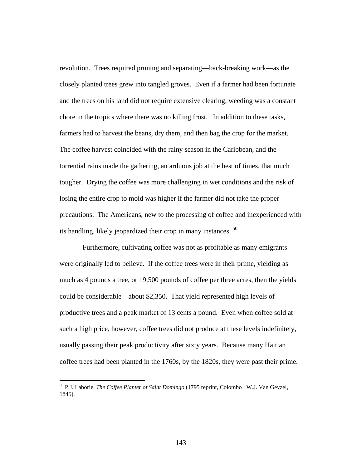revolution. Trees required pruning and separating—back-breaking work—as the closely planted trees grew into tangled groves. Even if a farmer had been fortunate and the trees on his land did not require extensive clearing, weeding was a constant chore in the tropics where there was no killing frost. In addition to these tasks, farmers had to harvest the beans, dry them, and then bag the crop for the market. The coffee harvest coincided with the rainy season in the Caribbean, and the torrential rains made the gathering, an arduous job at the best of times, that much tougher. Drying the coffee was more challenging in wet conditions and the risk of losing the entire crop to mold was higher if the farmer did not take the proper precautions. The Americans, new to the processing of coffee and inexperienced with its handling, likely jeopardized their crop in many instances. 50

 Furthermore, cultivating coffee was not as profitable as many emigrants were originally led to believe. If the coffee trees were in their prime, yielding as much as 4 pounds a tree, or 19,500 pounds of coffee per three acres, then the yields could be considerable—about \$2,350. That yield represented high levels of productive trees and a peak market of 13 cents a pound. Even when coffee sold at such a high price, however, coffee trees did not produce at these levels indefinitely, usually passing their peak productivity after sixty years. Because many Haitian coffee trees had been planted in the 1760s, by the 1820s, they were past their prime.

<sup>50</sup> P.J. Laborie, *The Coffee Planter of Saint Domingo* (1795 reprint, Colombo : W.J. Van Geyzel, 1845).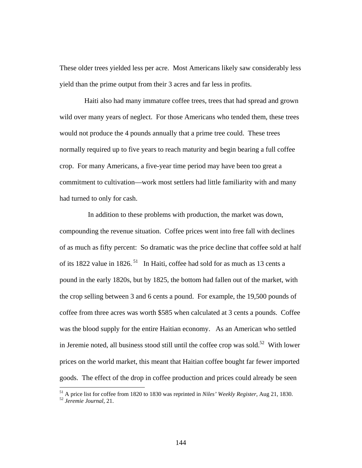These older trees yielded less per acre. Most Americans likely saw considerably less yield than the prime output from their 3 acres and far less in profits.

 Haiti also had many immature coffee trees, trees that had spread and grown wild over many years of neglect. For those Americans who tended them, these trees would not produce the 4 pounds annually that a prime tree could. These trees normally required up to five years to reach maturity and begin bearing a full coffee crop. For many Americans, a five-year time period may have been too great a commitment to cultivation—work most settlers had little familiarity with and many had turned to only for cash.

 In addition to these problems with production, the market was down, compounding the revenue situation. Coffee prices went into free fall with declines of as much as fifty percent: So dramatic was the price decline that coffee sold at half of its 1822 value in 1826.<sup>51</sup> In Haiti, coffee had sold for as much as 13 cents a pound in the early 1820s, but by 1825, the bottom had fallen out of the market, with the crop selling between 3 and 6 cents a pound. For example, the 19,500 pounds of coffee from three acres was worth \$585 when calculated at 3 cents a pounds. Coffee was the blood supply for the entire Haitian economy. As an American who settled in Jeremie noted, all business stood still until the coffee crop was sold.<sup>52</sup> With lower prices on the world market, this meant that Haitian coffee bought far fewer imported goods. The effect of the drop in coffee production and prices could already be seen

<sup>&</sup>lt;sup>51</sup> A price list for coffee from 1820 to 1830 was reprinted in *Niles' Weekly Register*, Aug 21, 1830. *52 Jeremie Journal*, 21.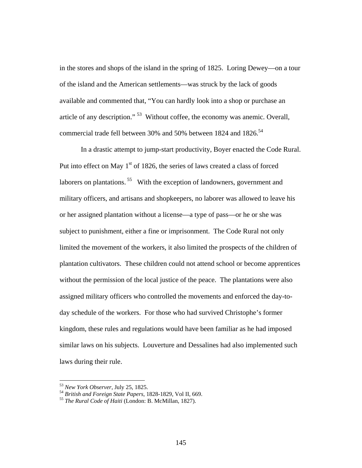in the stores and shops of the island in the spring of 1825. Loring Dewey—on a tour of the island and the American settlements—was struck by the lack of goods available and commented that, "You can hardly look into a shop or purchase an article of any description." 53 Without coffee, the economy was anemic. Overall, commercial trade fell between 30% and 50% between 1824 and 1826.<sup>54</sup>

 In a drastic attempt to jump-start productivity, Boyer enacted the Code Rural. Put into effect on May  $1<sup>st</sup>$  of 1826, the series of laws created a class of forced laborers on plantations.<sup>55</sup> With the exception of landowners, government and military officers, and artisans and shopkeepers, no laborer was allowed to leave his or her assigned plantation without a license—a type of pass—or he or she was subject to punishment, either a fine or imprisonment. The Code Rural not only limited the movement of the workers, it also limited the prospects of the children of plantation cultivators. These children could not attend school or become apprentices without the permission of the local justice of the peace. The plantations were also assigned military officers who controlled the movements and enforced the day-today schedule of the workers. For those who had survived Christophe's former kingdom, these rules and regulations would have been familiar as he had imposed similar laws on his subjects. Louverture and Dessalines had also implemented such laws during their rule.

<sup>53</sup> *New York Observer*, July 25, 1825. 54 *British and Foreign State Papers*, 1828-1829, Vol II, 669. 55 *The Rural Code of Haiti* (London: B. McMillan, 1827).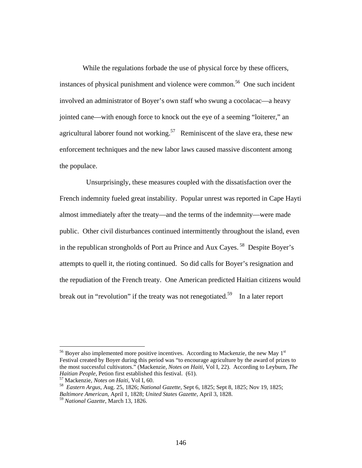While the regulations forbade the use of physical force by these officers, instances of physical punishment and violence were common.<sup>56</sup> One such incident involved an administrator of Boyer's own staff who swung a cocolacac—a heavy jointed cane—with enough force to knock out the eye of a seeming "loiterer," an agricultural laborer found not working.<sup>57</sup> Reminiscent of the slave era, these new enforcement techniques and the new labor laws caused massive discontent among the populace.

 Unsurprisingly, these measures coupled with the dissatisfaction over the French indemnity fueled great instability. Popular unrest was reported in Cape Hayti almost immediately after the treaty—and the terms of the indemnity—were made public. Other civil disturbances continued intermittently throughout the island, even in the republican strongholds of Port au Prince and Aux Cayes. 58 Despite Boyer's attempts to quell it, the rioting continued. So did calls for Boyer's resignation and the repudiation of the French treaty. One American predicted Haitian citizens would break out in "revolution" if the treaty was not renegotiated.<sup>59</sup> In a later report

 $56$  Boyer also implemented more positive incentives. According to Mackenzie, the new May  $1<sup>st</sup>$ Festival created by Boyer during this period was "to encourage agriculture by the award of prizes to the most successful cultivators." (Mackenzie, *Notes on Haiti*, Vol I, 22). According to Leyburn, *The Haitian People,* Petion first established this festival. (61). 57 Mackenzie, *Notes on Haiti*, Vol I, 60. 58 *Eastern Argus,* Aug. 25, 1826; *National Gazette*, Sept 6, 1825; Sept 8, 1825; Nov 19, 1825;

*Baltimore American*, April 1, 1828; *United States Gazette*, April 3, 1828.

<sup>59</sup> *National Gazette*, March 13, 1826.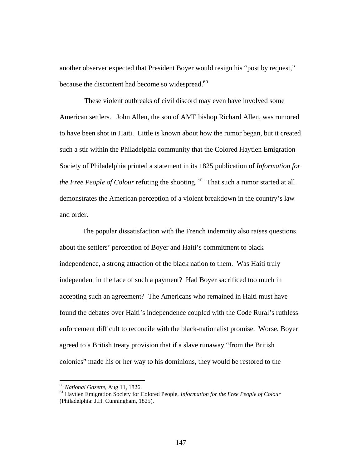another observer expected that President Boyer would resign his "post by request," because the discontent had become so widespread.<sup>60</sup>

 These violent outbreaks of civil discord may even have involved some American settlers. John Allen, the son of AME bishop Richard Allen, was rumored to have been shot in Haiti. Little is known about how the rumor began, but it created such a stir within the Philadelphia community that the Colored Haytien Emigration Society of Philadelphia printed a statement in its 1825 publication of *Information for the Free People of Colour refuting the shooting.* <sup>61</sup> That such a rumor started at all demonstrates the American perception of a violent breakdown in the country's law and order.

 The popular dissatisfaction with the French indemnity also raises questions about the settlers' perception of Boyer and Haiti's commitment to black independence, a strong attraction of the black nation to them. Was Haiti truly independent in the face of such a payment? Had Boyer sacrificed too much in accepting such an agreement? The Americans who remained in Haiti must have found the debates over Haiti's independence coupled with the Code Rural's ruthless enforcement difficult to reconcile with the black-nationalist promise. Worse, Boyer agreed to a British treaty provision that if a slave runaway "from the British colonies" made his or her way to his dominions, they would be restored to the

<sup>60</sup> *National Gazette*, Aug 11, 1826. 61 Haytien Emigration Society for Colored People, *Information for the Free People of Colour* (Philadelphia: J.H. Cunningham, 1825).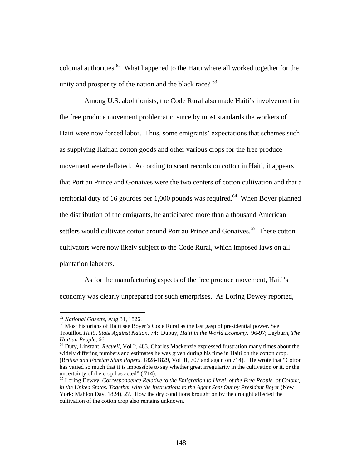colonial authorities. $62$  What happened to the Haiti where all worked together for the unity and prosperity of the nation and the black race? <sup>63</sup>

 Among U.S. abolitionists, the Code Rural also made Haiti's involvement in the free produce movement problematic, since by most standards the workers of Haiti were now forced labor. Thus, some emigrants' expectations that schemes such as supplying Haitian cotton goods and other various crops for the free produce movement were deflated. According to scant records on cotton in Haiti, it appears that Port au Prince and Gonaives were the two centers of cotton cultivation and that a territorial duty of 16 gourdes per 1,000 pounds was required.<sup>64</sup> When Boyer planned the distribution of the emigrants, he anticipated more than a thousand American settlers would cultivate cotton around Port au Prince and Gonaives.<sup>65</sup> These cotton cultivators were now likely subject to the Code Rural, which imposed laws on all plantation laborers.

 As for the manufacturing aspects of the free produce movement, Haiti's economy was clearly unprepared for such enterprises. As Loring Dewey reported,

<sup>&</sup>lt;sup>62</sup> *National Gazette*, Aug 31, 1826.<br><sup>63</sup> Most historians of Haiti see Boyer's Code Rural as the last gasp of presidential power. See Trouillot, *Haiti, State Against Nation*, 74; Dupuy, *Haiti in the World Economy,* 96-97; Leyburn, *The Haitian People*, 66.<br><sup>64</sup> Duty, Linstant, *Recueil*, Vol 2, 483. Charles Mackenzie expressed frustration many times about the

widely differing numbers and estimates he was given during his time in Haiti on the cotton crop. (B*ritish and Foreign State Papers,* 1828-1829, Vol II, 707 and again on 714). He wrote that "Cotton has varied so much that it is impossible to say whether great irregularity in the cultivation or it, or the uncertainty of the crop has acted" ( 714).

<sup>65</sup> Loring Dewey, *Correspondence Relative to the Emigration to Hayti, of the Free People of Colour, in the United States. Together with the Instructions to the Agent Sent Out by President Boyer* (New York: Mahlon Day, 1824), 27. How the dry conditions brought on by the drought affected the cultivation of the cotton crop also remains unknown.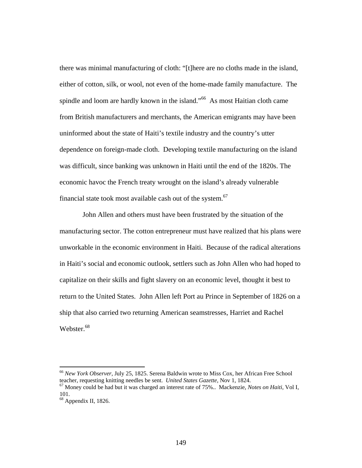there was minimal manufacturing of cloth: "[t]here are no cloths made in the island, either of cotton, silk, or wool, not even of the home-made family manufacture. The spindle and loom are hardly known in the island."<sup>66</sup> As most Haitian cloth came from British manufacturers and merchants, the American emigrants may have been uninformed about the state of Haiti's textile industry and the country's utter dependence on foreign-made cloth. Developing textile manufacturing on the island was difficult, since banking was unknown in Haiti until the end of the 1820s. The economic havoc the French treaty wrought on the island's already vulnerable financial state took most available cash out of the system.<sup>67</sup>

 John Allen and others must have been frustrated by the situation of the manufacturing sector. The cotton entrepreneur must have realized that his plans were unworkable in the economic environment in Haiti. Because of the radical alterations in Haiti's social and economic outlook, settlers such as John Allen who had hoped to capitalize on their skills and fight slavery on an economic level, thought it best to return to the United States. John Allen left Port au Prince in September of 1826 on a ship that also carried two returning American seamstresses, Harriet and Rachel Webster.<sup>68</sup>

<sup>&</sup>lt;sup>66</sup> *New York Observer*, July 25, 1825. Serena Baldwin wrote to Miss Cox, her African Free School teacher, requesting knitting needles be sent. *United States Gazette*, Nov 1, 1824.

<sup>&</sup>lt;sup>67</sup> Money could be had but it was charged an interest rate of 75%.. Mackenzie, *Notes on Haiti*, Vol I, 101.

 $68$  Appendix II, 1826.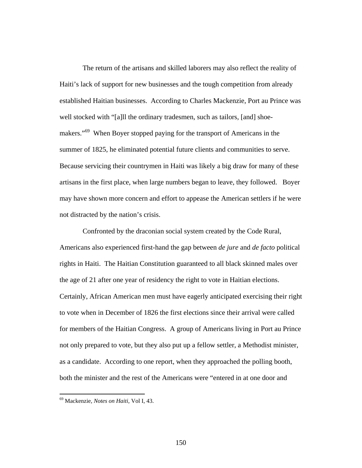The return of the artisans and skilled laborers may also reflect the reality of Haiti's lack of support for new businesses and the tough competition from already established Haitian businesses. According to Charles Mackenzie, Port au Prince was well stocked with "[a]ll the ordinary tradesmen, such as tailors, [and] shoemakers."<sup>69</sup> When Boyer stopped paying for the transport of Americans in the summer of 1825, he eliminated potential future clients and communities to serve. Because servicing their countrymen in Haiti was likely a big draw for many of these artisans in the first place, when large numbers began to leave, they followed. Boyer may have shown more concern and effort to appease the American settlers if he were not distracted by the nation's crisis.

 Confronted by the draconian social system created by the Code Rural, Americans also experienced first-hand the gap between *de jure* and *de facto* political rights in Haiti. The Haitian Constitution guaranteed to all black skinned males over the age of 21 after one year of residency the right to vote in Haitian elections. Certainly, African American men must have eagerly anticipated exercising their right to vote when in December of 1826 the first elections since their arrival were called for members of the Haitian Congress. A group of Americans living in Port au Prince not only prepared to vote, but they also put up a fellow settler, a Methodist minister, as a candidate. According to one report, when they approached the polling booth, both the minister and the rest of the Americans were "entered in at one door and

<sup>69</sup> Mackenzie, *Notes on Haiti*, Vol I, 43.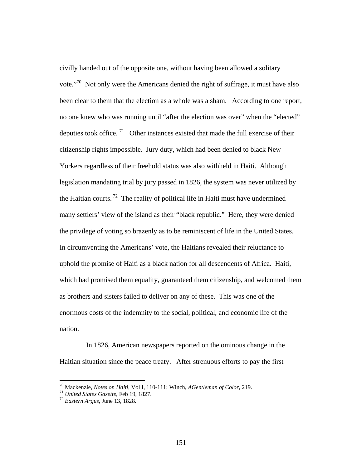civilly handed out of the opposite one, without having been allowed a solitary vote."70 Not only were the Americans denied the right of suffrage, it must have also been clear to them that the election as a whole was a sham. According to one report, no one knew who was running until "after the election was over" when the "elected" deputies took office.  $71$  Other instances existed that made the full exercise of their citizenship rights impossible. Jury duty, which had been denied to black New Yorkers regardless of their freehold status was also withheld in Haiti. Although legislation mandating trial by jury passed in 1826, the system was never utilized by the Haitian courts.<sup>72</sup> The reality of political life in Haiti must have undermined many settlers' view of the island as their "black republic." Here, they were denied the privilege of voting so brazenly as to be reminiscent of life in the United States. In circumventing the Americans' vote, the Haitians revealed their reluctance to uphold the promise of Haiti as a black nation for all descendents of Africa. Haiti, which had promised them equality, guaranteed them citizenship, and welcomed them as brothers and sisters failed to deliver on any of these. This was one of the enormous costs of the indemnity to the social, political, and economic life of the nation.

 In 1826, American newspapers reported on the ominous change in the Haitian situation since the peace treaty. After strenuous efforts to pay the first

<sup>70</sup> Mackenzie, *Notes on Haiti,* Vol I, 110-111; Winch, *AGentleman of Color*, 219. 71 *United States Gazette*, Feb 19, 1827. 72 *Eastern Argus*, June 13, 1828.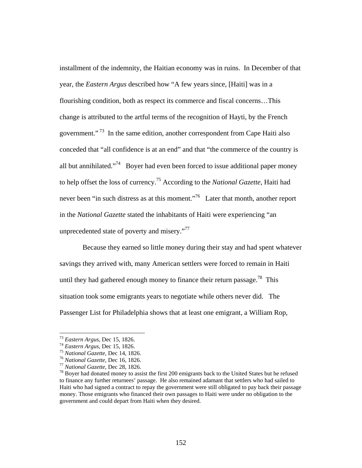installment of the indemnity, the Haitian economy was in ruins. In December of that year, the *Eastern Argus* described how "A few years since, [Haiti] was in a flourishing condition, both as respect its commerce and fiscal concerns…This change is attributed to the artful terms of the recognition of Hayti, by the French government."<sup>73</sup> In the same edition, another correspondent from Cape Haiti also conceded that "all confidence is at an end" and that "the commerce of the country is all but annihilated. $174$  Boyer had even been forced to issue additional paper money to help offset the loss of currency.75 According to the *National Gazette*, Haiti had never been "in such distress as at this moment."<sup>76</sup> Later that month, another report in the *National Gazette* stated the inhabitants of Haiti were experiencing "an unprecedented state of poverty and misery."<sup>77</sup>

 Because they earned so little money during their stay and had spent whatever savings they arrived with, many American settlers were forced to remain in Haiti until they had gathered enough money to finance their return passage.<sup>78</sup> This situation took some emigrants years to negotiate while others never did. The Passenger List for Philadelphia shows that at least one emigrant, a William Rop,

<sup>&</sup>lt;sup>73</sup> Eastern Argus, Dec 15, 1826.<br><sup>74</sup> Eastern Argus, Dec 15, 1826.<br><sup>75</sup> National Gazette, Dec 14, 1826.<br><sup>76</sup> National Gazette, Dec 16, 1826.<br><sup>77</sup> National Gazette, Dec 28, 1826.<br><sup>78</sup> Boyer had donated money to assist the to finance any further returnees' passage. He also remained adamant that settlers who had sailed to Haiti who had signed a contract to repay the government were still obligated to pay back their passage money. Those emigrants who financed their own passages to Haiti were under no obligation to the government and could depart from Haiti when they desired.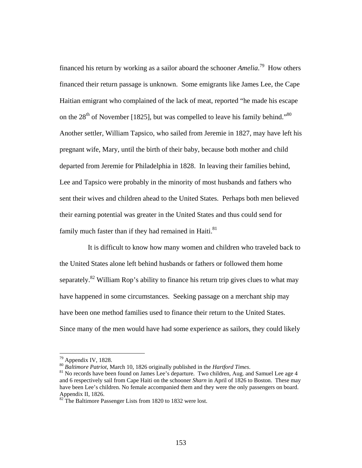financed his return by working as a sailor aboard the schooner *Amelia*. 79 How others financed their return passage is unknown. Some emigrants like James Lee, the Cape Haitian emigrant who complained of the lack of meat, reported "he made his escape on the  $28<sup>th</sup>$  of November [1825], but was compelled to leave his family behind."<sup>80</sup> Another settler, William Tapsico, who sailed from Jeremie in 1827, may have left his pregnant wife, Mary, until the birth of their baby, because both mother and child departed from Jeremie for Philadelphia in 1828. In leaving their families behind, Lee and Tapsico were probably in the minority of most husbands and fathers who sent their wives and children ahead to the United States. Perhaps both men believed their earning potential was greater in the United States and thus could send for family much faster than if they had remained in Haiti.<sup>81</sup>

 It is difficult to know how many women and children who traveled back to the United States alone left behind husbands or fathers or followed them home separately.<sup>82</sup> William Rop's ability to finance his return trip gives clues to what may have happened in some circumstances. Seeking passage on a merchant ship may have been one method families used to finance their return to the United States. Since many of the men would have had some experience as sailors, they could likely

<sup>&</sup>lt;sup>79</sup> Appendix IV, 1828.<br><sup>80</sup> Baltimore Patriot, March 10, 1826 originally published in the *Hartford Times*.

<sup>&</sup>lt;sup>81</sup> No records have been found on James Lee's departure. Two children, Aug. and Samuel Lee age 4 and 6 respectively sail from Cape Haiti on the schooner *Sharn* in April of 1826 to Boston. These may have been Lee's children. No female accompanied them and they were the only passengers on board. Appendix II, 1826.

<sup>&</sup>lt;sup>82</sup>The Baltimore Passenger Lists from 1820 to 1832 were lost.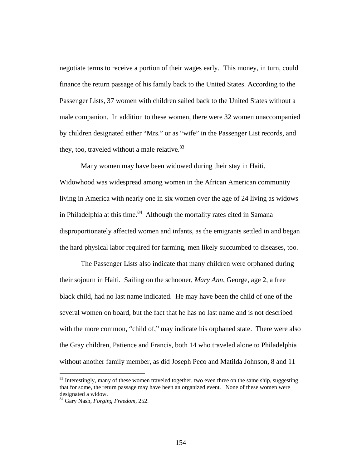negotiate terms to receive a portion of their wages early. This money, in turn, could finance the return passage of his family back to the United States. According to the Passenger Lists, 37 women with children sailed back to the United States without a male companion. In addition to these women, there were 32 women unaccompanied by children designated either "Mrs." or as "wife" in the Passenger List records, and they, too, traveled without a male relative.<sup>83</sup>

 Many women may have been widowed during their stay in Haiti. Widowhood was widespread among women in the African American community living in America with nearly one in six women over the age of 24 living as widows in Philadelphia at this time. $84$  Although the mortality rates cited in Samana disproportionately affected women and infants, as the emigrants settled in and began the hard physical labor required for farming, men likely succumbed to diseases, too.

 The Passenger Lists also indicate that many children were orphaned during their sojourn in Haiti. Sailing on the schooner, *Mary Ann*, George, age 2, a free black child, had no last name indicated. He may have been the child of one of the several women on board, but the fact that he has no last name and is not described with the more common, "child of," may indicate his orphaned state. There were also the Gray children, Patience and Francis, both 14 who traveled alone to Philadelphia without another family member, as did Joseph Peco and Matilda Johnson, 8 and 11

<sup>&</sup>lt;sup>83</sup> Interestingly, many of these women traveled together, two even three on the same ship, suggesting that for some, the return passage may have been an organized event. None of these women were designated a widow.

<sup>84</sup> Gary Nash, *Forging Freedom*, 252.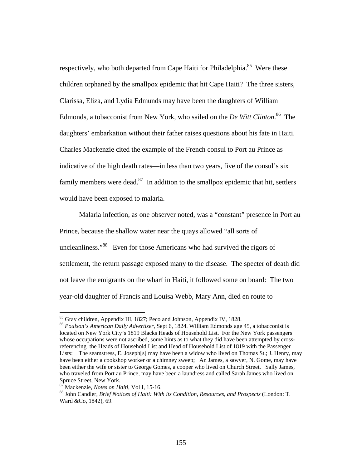respectively, who both departed from Cape Haiti for Philadelphia.<sup>85</sup> Were these children orphaned by the smallpox epidemic that hit Cape Haiti? The three sisters, Clarissa, Eliza, and Lydia Edmunds may have been the daughters of William Edmonds, a tobacconist from New York, who sailed on the *De Witt Clinton*. 86 The daughters' embarkation without their father raises questions about his fate in Haiti. Charles Mackenzie cited the example of the French consul to Port au Prince as indicative of the high death rates—in less than two years, five of the consul's six family members were dead. $87$  In addition to the smallpox epidemic that hit, settlers would have been exposed to malaria.

 Malaria infection, as one observer noted, was a "constant" presence in Port au Prince, because the shallow water near the quays allowed "all sorts of uncleanliness."<sup>88</sup>Even for those Americans who had survived the rigors of settlement, the return passage exposed many to the disease. The specter of death did not leave the emigrants on the wharf in Haiti, it followed some on board: The two year-old daughter of Francis and Louisa Webb, Mary Ann, died en route to

<sup>85</sup> Gray children, Appendix III, 1827; Peco and Johnson, Appendix IV, 1828.

<sup>86</sup> *Poulson's American Daily Advertiser*, Sept 6, 1824. William Edmonds age 45, a tobacconist is located on New York City's 1819 Blacks Heads of Household List. For the New York passengers whose occupations were not ascribed, some hints as to what they did have been attempted by crossreferencing the Heads of Household List and Head of Household List of 1819 with the Passenger Lists: The seamstress, E. Joseph[s] may have been a widow who lived on Thomas St.; J. Henry, may have been either a cookshop worker or a chimney sweep; An James, a sawyer, N. Gome, may have been either the wife or sister to George Gomes, a cooper who lived on Church Street. Sally James, who traveled from Port au Prince, may have been a laundress and called Sarah James who lived on Spruce Street, New York.<br><sup>87</sup> Mackenzie, *Notes on Haiti*, Vol I, 15-16.

<sup>&</sup>lt;sup>88</sup> John Candler, *Brief Notices of Haiti: With its Condition, Resources, and Prospects (London: T.* Ward &Co, 1842), 69.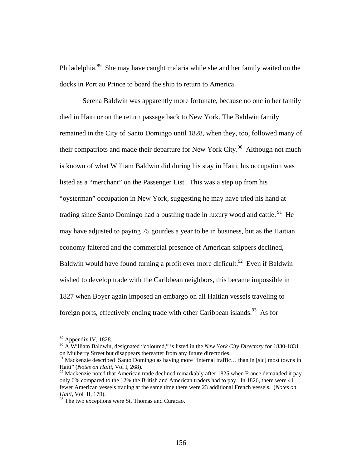Philadelphia.<sup>89</sup> She may have caught malaria while she and her family waited on the docks in Port au Prince to board the ship to return to America.

 Serena Baldwin was apparently more fortunate, because no one in her family died in Haiti or on the return passage back to New York. The Baldwin family remained in the City of Santo Domingo until 1828, when they, too, followed many of their compatriots and made their departure for New York City.<sup>90</sup> Although not much is known of what William Baldwin did during his stay in Haiti, his occupation was listed as a "merchant" on the Passenger List. This was a step up from his "oysterman" occupation in New York, suggesting he may have tried his hand at trading since Santo Domingo had a bustling trade in luxury wood and cattle.<sup>91</sup> He may have adjusted to paying 75 gourdes a year to be in business, but as the Haitian economy faltered and the commercial presence of American shippers declined, Baldwin would have found turning a profit ever more difficult.<sup>92</sup> Even if Baldwin wished to develop trade with the Caribbean neighbors, this became impossible in 1827 when Boyer again imposed an embargo on all Haitian vessels traveling to foreign ports, effectively ending trade with other Caribbean islands.<sup>93</sup> As for

<sup>89</sup> Appendix IV, 1828.

<sup>90</sup> A William Baldwin, designated "coloured," is listed in the *New York City Directory* for 1830-1831 on Mulberry Street but disappears thereafter from any future directories.

<sup>&</sup>lt;sup>91</sup> Mackenzie described Santo Domingo as having more "internal traffic... than in [sic] most towns in Haiti" (*Notes on Haiti,* Vol I, 268).

 $92$  Mackenzie noted that American trade declined remarkably after 1825 when France demanded it pay only 6% compared to the 12% the British and American traders had to pay. In 1826, there were 41 fewer American vessels trading at the same time there were 23 additional French vessels. (*Notes on Haiti*, Vol II, 179).

 $93$  The two exceptions were St. Thomas and Curacao.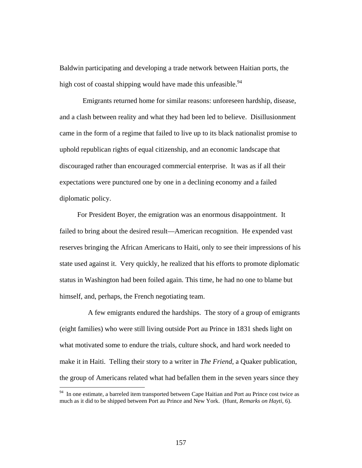Baldwin participating and developing a trade network between Haitian ports, the high cost of coastal shipping would have made this unfeasible.<sup>94</sup>

Emigrants returned home for similar reasons: unforeseen hardship, disease, and a clash between reality and what they had been led to believe. Disillusionment came in the form of a regime that failed to live up to its black nationalist promise to uphold republican rights of equal citizenship, and an economic landscape that discouraged rather than encouraged commercial enterprise. It was as if all their expectations were punctured one by one in a declining economy and a failed diplomatic policy.

 For President Boyer, the emigration was an enormous disappointment. It failed to bring about the desired result—American recognition. He expended vast reserves bringing the African Americans to Haiti, only to see their impressions of his state used against it. Very quickly, he realized that his efforts to promote diplomatic status in Washington had been foiled again. This time, he had no one to blame but himself, and, perhaps, the French negotiating team.

 A few emigrants endured the hardships. The story of a group of emigrants (eight families) who were still living outside Port au Prince in 1831 sheds light on what motivated some to endure the trials, culture shock, and hard work needed to make it in Haiti. Telling their story to a writer in *The Friend*, a Quaker publication, the group of Americans related what had befallen them in the seven years since they

<sup>&</sup>lt;sup>94</sup> In one estimate, a barreled item transported between Cape Haitian and Port au Prince cost twice as much as it did to be shipped between Port au Prince and New York. (Hunt, *Remarks on Hayti*, 6).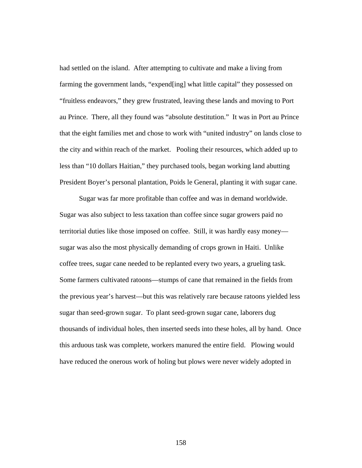had settled on the island. After attempting to cultivate and make a living from farming the government lands, "expend[ing] what little capital" they possessed on "fruitless endeavors," they grew frustrated, leaving these lands and moving to Port au Prince. There, all they found was "absolute destitution." It was in Port au Prince that the eight families met and chose to work with "united industry" on lands close to the city and within reach of the market. Pooling their resources, which added up to less than "10 dollars Haitian," they purchased tools, began working land abutting President Boyer's personal plantation, Poids le General, planting it with sugar cane.

 Sugar was far more profitable than coffee and was in demand worldwide. Sugar was also subject to less taxation than coffee since sugar growers paid no territorial duties like those imposed on coffee. Still, it was hardly easy money sugar was also the most physically demanding of crops grown in Haiti. Unlike coffee trees, sugar cane needed to be replanted every two years, a grueling task. Some farmers cultivated ratoons—stumps of cane that remained in the fields from the previous year's harvest—but this was relatively rare because ratoons yielded less sugar than seed-grown sugar. To plant seed-grown sugar cane, laborers dug thousands of individual holes, then inserted seeds into these holes, all by hand. Once this arduous task was complete, workers manured the entire field. Plowing would have reduced the onerous work of holing but plows were never widely adopted in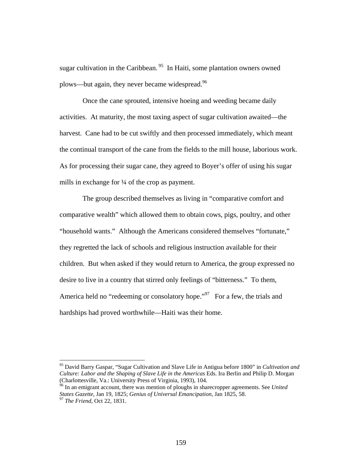sugar cultivation in the Caribbean.<sup>95</sup> In Haiti, some plantation owners owned plows—but again, they never became widespread.<sup>96</sup>

 Once the cane sprouted, intensive hoeing and weeding became daily activities. At maturity, the most taxing aspect of sugar cultivation awaited—the harvest. Cane had to be cut swiftly and then processed immediately, which meant the continual transport of the cane from the fields to the mill house, laborious work. As for processing their sugar cane, they agreed to Boyer's offer of using his sugar mills in exchange for ¼ of the crop as payment.

 The group described themselves as living in "comparative comfort and comparative wealth" which allowed them to obtain cows, pigs, poultry, and other "household wants." Although the Americans considered themselves "fortunate," they regretted the lack of schools and religious instruction available for their children. But when asked if they would return to America, the group expressed no desire to live in a country that stirred only feelings of "bitterness." To them, America held no "redeeming or consolatory hope."<sup>97</sup> For a few, the trials and hardships had proved worthwhile—Haiti was their home.

<sup>95</sup> David Barry Gaspar, "Sugar Cultivation and Slave Life in Antigua before 1800" in *Cultivation and Culture: Labor and the Shaping of Slave Life in the Americas* Eds. Ira Berlin and Philip D. Morgan (Charlottesville, Va.: University Press of Virginia, 1993), 104.

<sup>96</sup> In an emigrant account, there was mention of ploughs in sharecropper agreements. See *United States Gazette*, Jan 19, 1825; *Genius of Universal Emancipation*, Jan 1825, 58. 97 *The Friend*, Oct 22, 1831.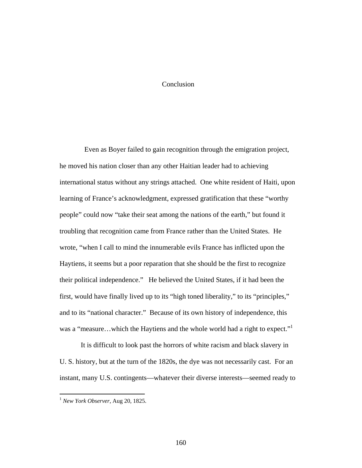## Conclusion

 Even as Boyer failed to gain recognition through the emigration project, he moved his nation closer than any other Haitian leader had to achieving international status without any strings attached. One white resident of Haiti, upon learning of France's acknowledgment, expressed gratification that these "worthy people" could now "take their seat among the nations of the earth," but found it troubling that recognition came from France rather than the United States. He wrote, "when I call to mind the innumerable evils France has inflicted upon the Haytiens, it seems but a poor reparation that she should be the first to recognize their political independence." He believed the United States, if it had been the first, would have finally lived up to its "high toned liberality," to its "principles," and to its "national character." Because of its own history of independence, this was a "measure...which the Haytiens and the whole world had a right to expect."<sup>1</sup>

 It is difficult to look past the horrors of white racism and black slavery in U. S. history, but at the turn of the 1820s, the dye was not necessarily cast. For an instant, many U.S. contingents—whatever their diverse interests—seemed ready to

<sup>1</sup> *New York Observer*, Aug 20, 1825.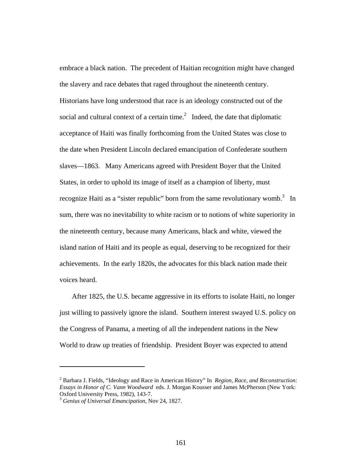embrace a black nation. The precedent of Haitian recognition might have changed the slavery and race debates that raged throughout the nineteenth century. Historians have long understood that race is an ideology constructed out of the social and cultural context of a certain time. $^2$  Indeed, the date that diplomatic acceptance of Haiti was finally forthcoming from the United States was close to the date when President Lincoln declared emancipation of Confederate southern slaves—1863. Many Americans agreed with President Boyer that the United States, in order to uphold its image of itself as a champion of liberty, must recognize Haiti as a "sister republic" born from the same revolutionary womb.<sup>3</sup> In sum, there was no inevitability to white racism or to notions of white superiority in the nineteenth century, because many Americans, black and white, viewed the island nation of Haiti and its people as equal, deserving to be recognized for their achievements. In the early 1820s, the advocates for this black nation made their voices heard.

 After 1825, the U.S. became aggressive in its efforts to isolate Haiti, no longer just willing to passively ignore the island. Southern interest swayed U.S. policy on the Congress of Panama, a meeting of all the independent nations in the New World to draw up treaties of friendship. President Boyer was expected to attend

<sup>2</sup> Barbara J. Fields, "Ideology and Race in American History" In *Region, Race, and Reconstruction: Essays in Honor of C. Vann Woodward* eds. J. Morgan Kousser and James McPherson (New York: Oxford University Press, 1982), 143-7.

<sup>3</sup> *Genius of Universal Emancipation*, Nov 24, 1827.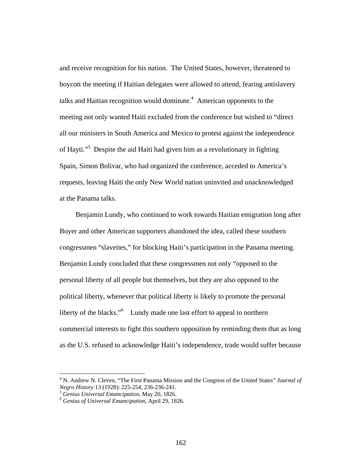and receive recognition for his nation. The United States, however, threatened to boycott the meeting if Haitian delegates were allowed to attend, fearing antislavery talks and Haitian recognition would dominate. $4$  American opponents to the meeting not only wanted Haiti excluded from the conference but wished to "direct all our ministers in South America and Mexico to protest against the independence of Hayti."<sup>5</sup> Despite the aid Haiti had given him as a revolutionary in fighting Spain, Simon Bolivar, who had organized the conference, acceded to America's requests, leaving Haiti the only New World nation uninvited and unacknowledged at the Panama talks.

 Benjamin Lundy, who continued to work towards Haitian emigration long after Boyer and other American supporters abandoned the idea, called these southern congressmen "slaveites," for blocking Haiti's participation in the Panama meeting. Benjamin Lundy concluded that these congressmen not only "opposed to the personal liberty of all people but themselves, but they are also opposed to the political liberty, whenever that political liberty is likely to promote the personal liberty of the blacks."<sup>6</sup> Lundy made one last effort to appeal to northern commercial interests to fight this southern opposition by reminding them that as long as the U.S. refused to acknowledge Haiti's independence, trade would suffer because

<sup>&</sup>lt;sup>4</sup> N. Andrew N. Cleven, "The First Panama Mission and the Congress of the United States" *Journal of Negro History* 13 (1928): 225-254; 236-236-241. 5 *Genius Universal Emancipation*, May 20, 1826. 6 *Genius of Universal Emancipation*, April 29, 1826.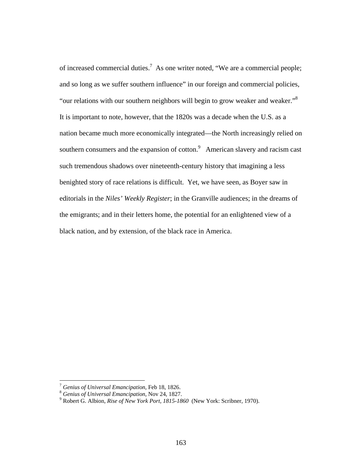of increased commercial duties.<sup>7</sup> As one writer noted, "We are a commercial people; and so long as we suffer southern influence" in our foreign and commercial policies, "our relations with our southern neighbors will begin to grow weaker and weaker." $8$ It is important to note, however, that the 1820s was a decade when the U.S. as a nation became much more economically integrated—the North increasingly relied on southern consumers and the expansion of cotton. $9$  American slavery and racism cast such tremendous shadows over nineteenth-century history that imagining a less benighted story of race relations is difficult. Yet, we have seen, as Boyer saw in editorials in the *Niles' Weekly Register*; in the Granville audiences; in the dreams of the emigrants; and in their letters home, the potential for an enlightened view of a black nation, and by extension, of the black race in America.

<sup>&</sup>lt;sup>7</sup> Genius of Universal Emancipation, Feb 18, 1826.<br><sup>8</sup> Genius of Universal Emancipation, Nov 24, 1827.<br><sup>9</sup> Pobert G. Albion, *Bige of Navy York Bort, 1815, 18*.

Robert G. Albion, *Rise of New York Port, 1815-1860* (New York: Scribner, 1970).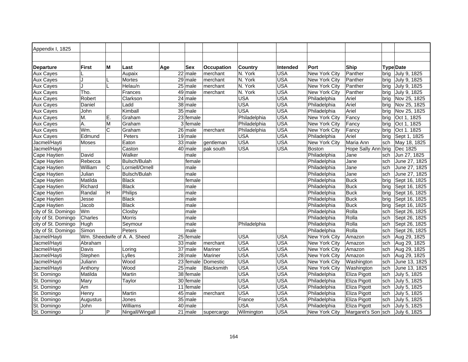| Appendix I, 1825<br>М<br>Port<br>Ship<br><b>Type Date</b><br><b>First</b><br>Last<br><b>Occupation</b><br><b>Country</b><br><b>Departure</b><br>Age<br>Sex<br><b>Intended</b><br>N. York<br><b>USA</b><br>Panther<br><b>Aux Cayes</b><br>Aupaix<br>22 male<br>New York City<br>July 9, 1825<br>merchant<br>brig<br>29 male<br>N. York<br><b>USA</b><br>Panther<br><b>Aux Cayes</b><br>Mortes<br>merchant<br>New York City<br>July 9, 1825<br>brig<br><b>USA</b><br>J<br>$25$ male<br>N. York<br><b>Aux Cayes</b><br>Helau/n<br>merchant<br>New York City<br>Panther<br>July 9, 1825<br>brig |  |
|---------------------------------------------------------------------------------------------------------------------------------------------------------------------------------------------------------------------------------------------------------------------------------------------------------------------------------------------------------------------------------------------------------------------------------------------------------------------------------------------------------------------------------------------------------------------------------------------|--|
|                                                                                                                                                                                                                                                                                                                                                                                                                                                                                                                                                                                             |  |
|                                                                                                                                                                                                                                                                                                                                                                                                                                                                                                                                                                                             |  |
|                                                                                                                                                                                                                                                                                                                                                                                                                                                                                                                                                                                             |  |
|                                                                                                                                                                                                                                                                                                                                                                                                                                                                                                                                                                                             |  |
|                                                                                                                                                                                                                                                                                                                                                                                                                                                                                                                                                                                             |  |
|                                                                                                                                                                                                                                                                                                                                                                                                                                                                                                                                                                                             |  |
| N. York<br><b>USA</b><br>Tho.<br>49 male<br>New York City<br>Panther<br><b>Aux Cayes</b><br>Frances<br>merchant<br>July 9, 1825<br>brig                                                                                                                                                                                                                                                                                                                                                                                                                                                     |  |
| $\overline{24}$ male<br><b>USA</b><br><b>Aux Cayes</b><br>Robert<br><b>USA</b><br>Philadelphia<br>Ariel<br>Nov 25, 1825<br>Clarkson<br>brig                                                                                                                                                                                                                                                                                                                                                                                                                                                 |  |
| <b>USA</b><br><b>USA</b><br>Ladd<br>38 male<br>Philadelphia<br>Ariel<br>Nov 25, 1825<br><b>Aux Cayes</b><br>Daniel<br>brig                                                                                                                                                                                                                                                                                                                                                                                                                                                                  |  |
| <b>USA</b><br><b>USA</b><br>Kimball<br>35 male<br>Ariel<br>Philadelphia<br>Nov 25, 1825<br><b>Aux Cayes</b><br>John<br>brig                                                                                                                                                                                                                                                                                                                                                                                                                                                                 |  |
| <b>USA</b><br>Philadelphia<br><b>New York City</b><br><b>Aux Cayes</b><br>M.<br>Ε.<br>Graham<br>23 female<br>Fancy<br>Oct 1, 1825<br>brig                                                                                                                                                                                                                                                                                                                                                                                                                                                   |  |
| 3 female<br><b>USA</b><br><b>Aux Cayes</b><br>A.<br>M<br>Graham<br>Philadelphia<br>New York City<br>Fancy<br>Oct 1, 1825<br>brig                                                                                                                                                                                                                                                                                                                                                                                                                                                            |  |
| Wm.<br>C<br><b>USA</b><br>New York City<br>Fancy<br><b>Aux Cayes</b><br>Graham<br>26 male<br>Philadelphia<br>Oct 1. 1825<br>merchant<br>brig                                                                                                                                                                                                                                                                                                                                                                                                                                                |  |
| 19 male<br><b>USA</b><br><b>USA</b><br><b>Aux Cayes</b><br>Edmund<br>Philadelphia<br>Ariel<br>Sept 1, 1825<br>Peters<br>brig                                                                                                                                                                                                                                                                                                                                                                                                                                                                |  |
| 33 male<br><b>USA</b><br><b>USA</b><br>Jacmel/Hayti<br>Eaton<br>New York City<br>Maria Ann<br>May 18, 1825<br><b>Moses</b><br>gentleman<br>sch                                                                                                                                                                                                                                                                                                                                                                                                                                              |  |
| Jacmel/Hayti<br>Caston<br>40 male<br><b>USA</b><br><b>USA</b><br><b>Boston</b><br>Hope Sally Ann brig<br>Dec 1825<br>pak south                                                                                                                                                                                                                                                                                                                                                                                                                                                              |  |
| Walker<br>Philadelphia<br>Jun 27, 1825<br>Cape Haytien<br>David<br>male<br>Jane<br>sch                                                                                                                                                                                                                                                                                                                                                                                                                                                                                                      |  |
| Rebecca<br>Bulsch/Bulah<br>Philadelphia<br>June 27, 1825<br>Cape Haytien<br>Jane<br>female<br>sch                                                                                                                                                                                                                                                                                                                                                                                                                                                                                           |  |
| William<br>C<br>Lorniell/Ornell<br>Cape Haytien<br>male<br>Philadelphia<br>Jane<br>June 27, 1825<br>sch                                                                                                                                                                                                                                                                                                                                                                                                                                                                                     |  |
| Cape Haytien<br>Julian<br>Bulsch/Bulah<br>male<br>Philadelphia<br>Jane<br>June 27, 1825<br>sch                                                                                                                                                                                                                                                                                                                                                                                                                                                                                              |  |
| Matilda<br><b>Buck</b><br><b>Cape Haytien</b><br>Black<br>female<br>Philadelphia<br>Sept 16, 1825<br>brig                                                                                                                                                                                                                                                                                                                                                                                                                                                                                   |  |
| <b>Black</b><br>Cape Haytien<br>Richard<br>Philadelphia<br><b>Buck</b><br>Sept 16, 1825<br>male<br>brig                                                                                                                                                                                                                                                                                                                                                                                                                                                                                     |  |
| <b>Philips</b><br>Randal<br>H<br>Philadelphia<br><b>Buck</b><br><b>Cape Haytien</b><br>male<br>Sept 16, 1825<br>brig                                                                                                                                                                                                                                                                                                                                                                                                                                                                        |  |
| <b>Buck</b><br><b>Black</b><br>Sept 16, 1825<br>Cape Haytien<br>Jesse<br>male<br>Philadelphia<br>brig                                                                                                                                                                                                                                                                                                                                                                                                                                                                                       |  |
| Black<br>Philadelphia<br><b>Buck</b><br>Cape Haytien<br>Jacob<br>male<br>Sept 16, 1825<br>brig                                                                                                                                                                                                                                                                                                                                                                                                                                                                                              |  |
| Wm<br>Rolla<br>city of St. Domingo<br>Closby<br>Philadelphia<br>Sept 26, 1825<br>male<br>sch                                                                                                                                                                                                                                                                                                                                                                                                                                                                                                |  |
| Rolla<br>Charles<br>Morris<br>male<br>Philadelphia<br>Sept 26, 1825<br>city of St. Domingo<br>sch                                                                                                                                                                                                                                                                                                                                                                                                                                                                                           |  |
| city of St. Domingo<br>male<br>Philadelphia<br>Philadelphia<br>Rolla<br>Sept 26, 1825<br>Hugh<br>Seymour<br>sch                                                                                                                                                                                                                                                                                                                                                                                                                                                                             |  |
| Rolla<br>city of St. Domingo<br>Simon<br>Peters<br>Philadelphia<br>Sept 26, 1825<br>male<br>sch                                                                                                                                                                                                                                                                                                                                                                                                                                                                                             |  |
| Wm. Sheedwife of A. A. Sheed<br><b>USA</b><br>Amazon<br>Jacmel/Hayti<br>25 female<br><b>USA</b><br>New York City<br>Aug 29, 1825<br>sch                                                                                                                                                                                                                                                                                                                                                                                                                                                     |  |
| <b>USA</b><br><b>USA</b><br>Amazon<br>Jacmel/Hayti<br>Abraham<br>33 male<br>merchant<br>New York City<br>Aug 29, 1825<br>sch                                                                                                                                                                                                                                                                                                                                                                                                                                                                |  |
| <b>USA</b><br><b>USA</b><br>Jacmel/Hayti<br>37 male<br>New York City<br>Aug 29, 1825<br>Davis<br>Mariner<br>Amazon<br>Loring<br>sch                                                                                                                                                                                                                                                                                                                                                                                                                                                         |  |
| $28$ male<br><b>USA</b><br><b>USA</b><br>Jacmel/Hayti<br>Lylles<br>Mariner<br>New York City<br>Amazon<br>Aug 29, 1825<br>Stephen<br>sch                                                                                                                                                                                                                                                                                                                                                                                                                                                     |  |
| <b>USA</b><br><b>USA</b><br>Wood<br>23<br><b>New York City</b><br>Jacmel/Hayti<br>Juliann<br>female<br>Domestic<br>Washington<br>sch<br>June 13, 1825                                                                                                                                                                                                                                                                                                                                                                                                                                       |  |
| <b>USA</b><br><b>USA</b><br>Jacmel/Hayti<br>Wood<br>25 male<br>Blacksmith<br>New York City<br>Washington<br>June 13, 1825<br>Anthony<br>sch                                                                                                                                                                                                                                                                                                                                                                                                                                                 |  |
| <b>USA</b><br><b>USA</b><br>St. Domingo<br>Matilda<br>$\overline{38}$ female<br>Philadelphia<br>July 5, 1825<br>Martin<br>Eliza Pigott<br>sch                                                                                                                                                                                                                                                                                                                                                                                                                                               |  |
| <b>USA</b><br>$\overline{30}$ female<br><b>USA</b><br>St. Domingo<br>Mary<br>Taylor<br>Philadelphia<br>Eliza Pigott<br>July 5, 1825<br>sch                                                                                                                                                                                                                                                                                                                                                                                                                                                  |  |
| <b>USA</b><br><b>USA</b><br>Am<br>11<br>Philadelphia<br>female<br>Eliza Pigott<br>July 5, 1825<br>St. Domingo<br>sch                                                                                                                                                                                                                                                                                                                                                                                                                                                                        |  |
| <b>USA</b><br><b>USA</b><br>45 male<br>Philadelphia<br>July 5, 1825<br>St. Domingo<br>Henry<br>Martin<br>Eliza Pigott<br>merchant<br>sch                                                                                                                                                                                                                                                                                                                                                                                                                                                    |  |
| $35$ male<br>USA<br>St. Domingo<br>France<br>Philadelphia<br>Eliza Pigott<br>July 5, 1825<br>Augustus<br>Jones<br>sch                                                                                                                                                                                                                                                                                                                                                                                                                                                                       |  |
| <b>USA</b><br><b>USA</b><br>$\overline{40}$ male<br>Williams<br>Philadelphia<br>Eliza Pigott<br>St. Domingo<br>John<br>sch<br>July 5, 1825                                                                                                                                                                                                                                                                                                                                                                                                                                                  |  |
| P<br><b>USA</b><br>$\overline{21}$ male<br>St. Domingo<br>Ningall/Wingall<br>Wilmington<br><b>New York City</b><br>Margaret's Son sch<br>July 6, 1825<br>supercargo                                                                                                                                                                                                                                                                                                                                                                                                                         |  |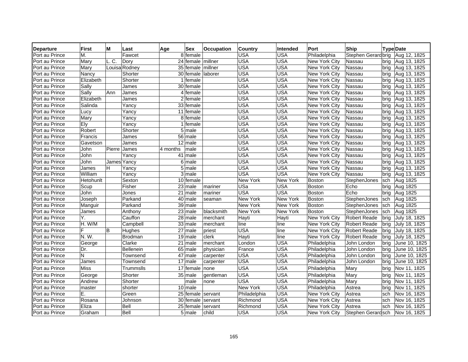| <b>Departure</b> | <b>First</b> | М      | Last          | Age<br>Sex            | <b>Occupation</b> | <b>Country</b>  | Intended        | Port                 | Ship                |      | <b>Type Date</b> |
|------------------|--------------|--------|---------------|-----------------------|-------------------|-----------------|-----------------|----------------------|---------------------|------|------------------|
| Port au Prince   | М.           |        | Fawcet        | 8 female              |                   | USA             | <b>USA</b>      | Philadelphia         | Stephen Gerardbrig  |      | Aug 12, 1825     |
| Port au Prince   | Mary         | L.C.   | Dory          | 24 female millner     |                   | <b>USA</b>      | <b>USA</b>      | New York City        | Nassau              | bria | Aug 13, 1825     |
| Port au Prince   | Mary         |        | Louisa Rodney | 35 female             | millner           | <b>USA</b>      | <b>USA</b>      | New York City        | Nassau              | bria | Aug 13, 1825     |
| Port au Prince   | Nancy        |        | Shorter       | 30 female laborer     |                   | <b>USA</b>      | <b>USA</b>      | New York City        | Nassau              | bria | Aug 13, 1825     |
| Port au Prince   | Elizabeth    |        | Shorter       | 1 female              |                   | <b>USA</b>      | <b>USA</b>      | New York City        | Nassau              | bria | Aug 13, 1825     |
| Port au Prince   | Sally        |        | James         | 30 female             |                   | <b>USA</b>      | <b>USA</b>      | New York City        | Nassau              | brig | Aug 13, 1825     |
| Port au Prince   | Sally        | Ann    | James         | 4 female              |                   | <b>USA</b>      | <b>USA</b>      | New York City        | Nassau              | brig | Aug 13, 1825     |
| Port au Prince   | Elizabeth    |        | James         | $\overline{2}$ female |                   | <b>USA</b>      | <b>USA</b>      | New York City        | Nassau              | bria | Aug 13, 1825     |
| Port au Prince   | Salinda      |        | Yancy         | 33 female             |                   | <b>USA</b>      | <b>USA</b>      | New York City        | Nassau              | bria | Aug 13, 1825     |
| Port au Prince   | Lucy         |        | Yancy         | 11 female             |                   | <b>USA</b>      | <b>USA</b>      | New York City        | Nassau              | brig | Aug 13, 1825     |
| Port au Prince   | Mary         |        | Yancy         | 8 female              |                   | <b>USA</b>      | <b>USA</b>      | New York City        | Nassau              | brig | Aug 13, 1825     |
| Port au Prince   | Ely          |        | Yancy         | 1 female              |                   | <b>USA</b>      | <b>USA</b>      | New York City        | Nassau              | brig | Aug 13, 1825     |
| Port au Prince   | Robert       |        | Shorter       | 5 male                |                   | <b>USA</b>      | <b>USA</b>      | New York City        | Nassau              | brig | Aug 13, 1825     |
| Port au Prince   | Francis      |        | James         | 56 male               |                   | <b>USA</b>      | <b>USA</b>      | New York City        | Nassau              | brig | Aug 13, 1825     |
| Port au Prince   | Gavetson     |        | James         | $\overline{12}$ male  |                   | <b>USA</b>      | <b>USA</b>      | New York City        | Nassau              | bria | Aug 13, 1825     |
| Port au Prince   | John         | Pierre | James         | 4 months<br>male      |                   | <b>USA</b>      | <b>USA</b>      | New York City        | Nassau              | bria | Aug 13, 1825     |
| Port au Prince   | John         |        | Yancy         | 41 male               |                   | <b>USA</b>      | <b>USA</b>      | New York City        | Nassau              | bria | Aug 13, 1825     |
| Port au Prince   | John         |        | James Yancy   | $6$ male              |                   | <b>USA</b>      | <b>USA</b>      | New York City        | Nassau              | bria | Aug 13, 1825     |
| Port au Prince   | James        | H      | Yancy         | $5$ male              |                   | USA             | <b>USA</b>      | New York City        | Nassau              | brig | Aug 13, 1825     |
| Port au Prince   | William      |        | Yancy         | $3$ male              |                   | <b>USA</b>      | <b>USA</b>      | New York City        | Nassau              | brig | Aug 13, 1825     |
| Port au Prince   | Hetohunlt    |        | Sexton        | 10 female             |                   | <b>New York</b> | <b>New York</b> | <b>Boston</b>        | StephenJones        | sch  | Aug 1825         |
| Port au Prince   | Scup         |        | Fisher        | 23 male               | mariner           | USa             | <b>USA</b>      | <b>Boston</b>        | Echo                | brig | Aug 1825         |
| Port au Prince   | John         |        | Jones         | 21<br>male            | mariner           | <b>USA</b>      | <b>USA</b>      | <b>Boston</b>        | Echo                | brig | Aug 1825         |
| Port au Prince   | Joseph       |        | Parkand       | $\overline{40}$ male  | seaman            | <b>New York</b> | <b>New York</b> | <b>Boston</b>        | StephenJones        | sch  | Aug 1825         |
| Port au Prince   | Manguir      |        | Parkand       | $39$ male             |                   | New York        | <b>New York</b> | Boston               | StephenJones        | sch  | Aug 1825         |
| Port au Prince   | James        |        | Anthony       | $23$ male             | blacksmith        | New York        | New York        | <b>Boston</b>        | StephenJones        | sch  | Aug 1825         |
| Port au Prince   | Υ.           |        | Cauffon       | $28$ male             | merchant          | Hayti           | Hayti           | New York City        | <b>Robert Reade</b> | bria | July 18, 1825    |
| Port au Prince   | H. W/M       |        | Campbell      | 33 male               | merchant          | line            | line            | New York City        | <b>Robert Reade</b> | bria | July 18, 1825    |
| Port au Prince   | F            | B      | Hughes        | $\overline{27}$ male  | priest            | <b>USA</b>      | line            | New York City        | <b>Robert Reade</b> | brig | July 18, 1825    |
| Port au Prince   | N.W.         |        | Brodman       | 19 male               | clerk             | Hayti           | line            | New York City        | <b>Robert Reade</b> | brig | July 18, 1825    |
| Port au Prince   | George       |        | Clarke        | 21<br>male            | merchant          | London          | <b>USA</b>      | Philadelphia         | John London         | brig | June 10, 1825    |
| Port au Prince   | Dr.          |        | Bellenein     | 65 male               | physician         | France          | <b>USA</b>      | Philadelphia         | John London         | brig | June 10, 1825    |
| Port au Prince   | N            |        | Townsend      | 47 male               | carpenter         | <b>USA</b>      | <b>USA</b>      | Philadelphia         | John London         | brig | June 10, 1825    |
| Port au Prince   | James        |        | Townsend      | $17$ male             | carpenter         | <b>USA</b>      | <b>USA</b>      | Philadelphia         | John London         | brig | June 10, 1825    |
| Port au Prince   | <b>Miss</b>  |        | Trummslls     | 17 female             | none              | <b>USA</b>      | <b>USA</b>      | Philadelphia         | Mary                | brig | Nov 11, 1825     |
| Port au Prince   | George       |        | Shorter       | 35 male               | gentleman         | <b>USA</b>      | <b>USA</b>      | Philadelphia         | Mary                | bria | Nov 11, 1825     |
| Port au Prince   | Andrew       |        | Shorter       | male                  | none              | <b>USA</b>      | <b>USA</b>      | Philadelphia         | Mary                | bria | Nov 11, 1825     |
| Port au Prince   | master       |        | shorter       | $10$ male             |                   | <b>New York</b> | <b>USA</b>      | Philadelphia         | Astrea              | bria | Nov 11, 1825     |
| Port au Prince   | Ε.           |        | Green         | 25 female             | servant           | Philadelphia    | <b>USA</b>      | New York City        | Astrea              | sch  | Nov 16, 1825     |
| Port au Prince   | Rosana       |        | Johnson       | 30 female             | servant           | Richmond        | <b>USA</b>      | New York City        | Astrea              | sch  | Nov 16, 1825     |
| Port au Prince   | Eliza        |        | Bell          | 25 female             | servant           | Richmond        | <b>USA</b>      | <b>New York City</b> | Astrea              | sch  | Nov 16, 1825     |
| Port au Prince   | Graham       |        | Bell          | 5 male                | child             | <b>USA</b>      | <b>USA</b>      | New York City        | Stephen Gerardsch   |      | Nov 16, 1825     |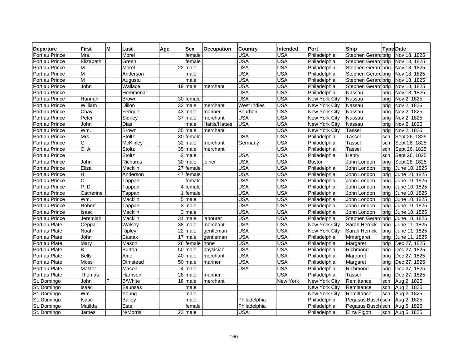| <b>Departure</b> | <b>First</b><br>м | Last            | Age<br>Sex             | Occupation    | <b>Country</b>     | Intended        | Port          | Ship                               |      | <b>Type Date</b> |
|------------------|-------------------|-----------------|------------------------|---------------|--------------------|-----------------|---------------|------------------------------------|------|------------------|
| Port au Prince   | Mrs.              | Morel           | female                 |               | USA                | USA             | Philadelphia  | Stephen Gerard brig   Nov 18, 1825 |      |                  |
| Port au Prince   | Elizabeth         | Green           | female                 |               | <b>USA</b>         | <b>USA</b>      | Philadelphia  | Stephen Gerardbrig                 |      | Nov 18, 1825     |
| Port au Prince   | M                 | Morel           | 22 male                |               | <b>USA</b>         | <b>USA</b>      | Philadelphia  | Stephen Gerard brig                |      | Nov 18, 1825     |
| Port au Prince   | M                 | Anderson        | male                   |               | <b>USA</b>         | <b>USA</b>      | Philadelphia  | Stephen Gerardbrig                 |      | Nov 18, 1825     |
| Port au Prince   | M                 | Augustu         | male                   |               | <b>USA</b>         | <b>USA</b>      | Philadelphia  | Stephen Gerardbrig                 |      | Nov 18, 1825     |
| Port au Prince   | John              | Wallace         | $19$ male              | merchant      | <b>USA</b>         | <b>USA</b>      | Philadelphia  | Stephen Gerardbrig                 |      | Nov 18, 1825     |
| Port au Prince   |                   | Hemmenar        |                        |               | <b>USA</b>         | <b>USA</b>      | Philadelphia  | Nassau                             | bria | Nov 18, 1825     |
| Port au Prince   | Hannah            | <b>Brown</b>    | 30 female              |               | <b>USA</b>         | <b>USA</b>      | New York City | Nassau                             | brig | Nov 2, 1825      |
| Port au Prince   | William           | Dillon          | $\overline{32}$ male   | merchant      | <b>West Indies</b> | <b>USA</b>      | New York City | Nassau                             | brig | Nov 2, 1825      |
| Port au Prince   | Chay.             | Ferique         | $\overline{43}$ male   | mariner       | Bourbon            | <b>USA</b>      | New York City | Nassau                             | bria | Nov 2, 1825      |
| Port au Prince   | Peter             | Sidney          | $\overline{37}$ male   | merchant      | <b>USA</b>         | <b>USA</b>      | New York City | Nassau                             | bria | Nov 2, 1825      |
| Port au Prince   | John              | Dias            | male                   | Hattis/Hattes | <b>USA</b>         | <b>USA</b>      | New York City | Nassau                             | brig | Nov 2, 1825      |
| Port au Prince   | Wm.               | <b>Brown</b>    | 35 male                | merchant      |                    | <b>USA</b>      | New York City | Tassel                             | brig | Nov 2, 1825      |
| Port au Prince   | Mrs               | Stoltz          | 30 female              |               | <b>USA</b>         | <b>USA</b>      | Philadelphia  | <b>Tassel</b>                      | sch  | Sept 26, 1825    |
| Port au Prince   | G                 | <b>McKinley</b> | $32$ male              | merchant      | Germany            | <b>USA</b>      | Philadelphia  | <b>Tassel</b>                      | sch  | Sept 26, 1825    |
| Port au Prince   | C. A              | Stoltz          | 35 male                | merchant      |                    | <b>USA</b>      | Philadelphia  | Tassel                             | sch  | Sept 26, 1825    |
| Port au Prince   |                   | Stoltz          | $2$ male               |               | <b>USA</b>         | <b>USA</b>      | Philadelphia  | Henry                              | sch  | Sept 26, 1825    |
| Port au Prince   | John              | Richards        | 30 male                | ioiner        | <b>USA</b>         | <b>USA</b>      | <b>Boston</b> | John London                        | brig | Sept 28, 1825    |
| Port au Prince   | Eliza             | Macklin         | $\overline{27}$ female |               | USA                | <b>USA</b>      | Philadelphia  | John London                        | brig | June 10, 1825    |
| Port au Prince   | H.                | Anderson        | 47 female              |               | <b>USA</b>         | <b>USA</b>      | Philadelphia  | John London                        | brig | June 10, 1825    |
| Port au Prince   | C                 | Tappan          | female                 |               | <b>USA</b>         | <b>USA</b>      | Philadelphia  | John London                        | brig | June 10, 1825    |
| Port au Prince   | P. D.             | Tappan          | 4 female               |               | <b>USA</b>         | <b>USA</b>      | Philadelphia  | John London                        | brig | June 10, 1825    |
| Port au Prince   | Catherine         | Tappan          | 1 female               |               | <b>USA</b>         | <b>USA</b>      | Philadelphia  | John London                        | brig | June 10, 1825    |
| Port au Prince   | Wm.               | Macklin         | $\overline{5}$ male    |               | <b>USA</b>         | <b>USA</b>      | Philadelphia  | John London                        | brig | June 10, 1825    |
| Port au Prince   | Robert            | Tappan          | $\overline{3}$ male    |               | <b>USA</b>         | <b>USA</b>      | Philadelphia  | John London                        | brig | June 10, 1825    |
| Port au Prince   | Isaac             | Macklin         | 3 male                 |               | <b>USA</b>         | <b>USA</b>      | Philadelphia  | John London                        | brig | June 10, 1825    |
| Port au Prince   | Jeremiah          | Macklin         | 31 male                | labourer      | <b>USA</b>         | <b>USA</b>      | Philadelphia  | Stephen Gerard brig                |      | June 10, 1825    |
| Port au Plate    | Ceppa             | Walsey          | 38 male                | merchant      | <b>USA</b>         | <b>USA</b>      | New York City | Sarah Herrick                      | brig | June 11, 1825    |
| Port au Plate    | Noah              | Ripley          | $\overline{2}2$ male   | gentleman     | <b>USA</b>         | <b>USA</b>      | New York City | Sarah Herrick                      | brig | June 11, 1825    |
| Port au Plate    | John              | Castax          | 17 male                | gentleman     | <b>USA</b>         | <b>USA</b>      | Philadelphia  | Mmargaret                          | brig | June 11, 1825    |
| Port au Plate    | Mary              | Mason           | 26 female              | none          | <b>USA</b>         | <b>USA</b>      | Philadelphia  | Margaret                           | brig | Dec 27, 1825     |
| Port au Plate    | B                 | <b>Burton</b>   | $\overline{50}$ male   | physician     | <b>USA</b>         | <b>USA</b>      | Philadelphia  | Richmond                           | brig | Dec 27, 1825     |
| Port au Plate    | <b>Belly</b>      | Aine            | $\overline{40}$ male   | merchant      | <b>USA</b>         | <b>USA</b>      | Philadelphia  | Margaret                           | brig | Dec 27, 1825     |
| Port au Plate    | Moss              | Olmstead        | 50 male                | mariner       | <b>USA</b>         | <b>USA</b>      | Philadelphia  | Margaret                           | brig | Dec 27, 1825     |
| Port au Plate    | Master            | Mason           | 4 male                 |               | <b>USA</b>         | <b>USA</b>      | Philadelphia  | Richmond                           | brig | Dec 27, 1825     |
| Port au Plate    | Thomas            | Harrison        | $28$ male              | mariner       |                    | <b>USA</b>      | Philadelphia  | Tassel                             | brig | Dec 27, 1825     |
| St. Domingo      | F<br>John         | <b>B/White</b>  | $18$ male              | merchant      |                    | <b>New York</b> | New York City | Remittance                         | sch  | Aug 2, 1825      |
| St. Domingo      | Isaac             | Saunsas         | male                   |               |                    |                 | New York City | Remittance                         | sch  | Aug 2, 1825      |
| St. Domingo      | Wm                | Young           | male                   |               |                    |                 | New York City | Remittance                         | sch  | Aug 2, 1825      |
| St. Domingo      | Isaac             | <b>Bailey</b>   | male                   |               | Philadelphia       |                 | Philadelphia  | Pegasus Busch sch                  |      | Aug 2, 1825      |
| St. Domingo      | Matilda           | Estel           | female                 |               | Philadelphia       |                 | Philadelphia  | Pegasus Busch sch                  |      | Aug 5, 1825      |
| St. Domingo      | James             | N/Morris        | 23 male                |               | <b>USA</b>         |                 | Philadelphia  | <b>Eliza Pigott</b>                | sch  | Aug 5, 1825      |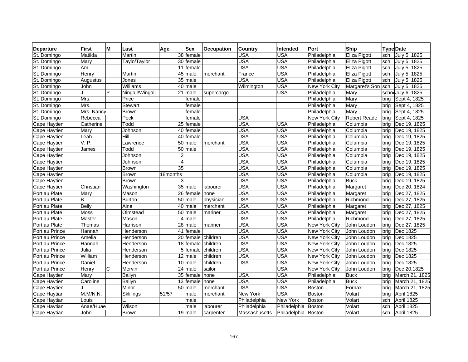| <b>Departure</b>    | <b>First</b> | M | Last            | Age            | <b>Sex</b>           | <b>Occupation</b>  | <b>Country</b> | Intended            | Port          | Ship                |      | <b>Type Date</b>  |
|---------------------|--------------|---|-----------------|----------------|----------------------|--------------------|----------------|---------------------|---------------|---------------------|------|-------------------|
| St. Domingo         | Matilda      |   | Martin          |                | 38 female            |                    | <b>USA</b>     | USA                 | Philadelphia  | Eliza Pigott        | sch  | July 5, 1825      |
| St. Domingo         | Mary         |   | Taylo/Taylor    |                | 30 female            |                    | <b>USA</b>     | <b>USA</b>          | Philadelphia  | Eliza Pigott        | sch  | July 5, 1825      |
| St. Domingo         | Am           |   |                 |                | 11 female            |                    | <b>USA</b>     | <b>USA</b>          | Philadelphia  | Eliza Pigott        | sch  | July 5, 1825      |
| St. Domingo         | Henry        |   | Martin          |                | $\overline{45}$ male | merchant           | France         | <b>USA</b>          | Philadelphia  | <b>Eliza Pigott</b> | sch  | July 5, 1825      |
| St. Domingo         | Augustus     |   | Jones           |                | 35 male              |                    | <b>USA</b>     | <b>USA</b>          | Philadelphia  | Eliza Pigott        | sch  | July 5, 1825      |
| St. Domingo         | John         |   | Williams        |                | $\overline{40}$ male |                    | Wilmington     | <b>USA</b>          | New York City | Margaret's Son      | sch  | July 5, 1825      |
| St. Domingo         |              | P | Ningall/Wingall |                | 21 male              | supercargo         |                | <b>USA</b>          | Philadelphia  | Mary                |      | schodJuly 6, 1825 |
| St. Domingo         | Mrs.         |   | Price           |                | female               |                    |                |                     | Philadelphia  | Mary                | brig | Sept 4, 1825      |
| St. Domingo         | Mrs.         |   | <b>Stewart</b>  |                | female               |                    |                |                     | Philadelphia  | Mary                | bria | Sept 4, 1825      |
| St. Domingo         | Mrs. Nancy   |   | <b>Brown</b>    |                | female               |                    |                |                     | Philadelphia  | Mary                | brig | Sept 4, 1825      |
| St. Domingo         | Rebecca      |   | Peck            |                | female               |                    | <b>USA</b>     |                     | New York City | Robert Reade        | brig | Sept 4, 1825      |
| <b>Cape Haytien</b> | Catherine    |   | Todd            |                | 25 female            |                    | <b>USA</b>     | <b>USA</b>          | Philadelphia  | Columbia            | brig | Dec 19, 1825      |
| Cape Haytien        | Mary         |   | Johnson         |                | 40 female            |                    | <b>USA</b>     | <b>USA</b>          | Philadelphia  | Columbia            | brig | Dec 19, 1825      |
| Cape Haytien        | Leah         |   | Hill            |                | 40 female            |                    | <b>USA</b>     | <b>USA</b>          | Philadelphia  | Columbia            | brig | Dec 19, 1825      |
| Cape Haytien        | V.P.         |   | Lawrence        |                | 50 male              | merchant           | <b>USA</b>     | <b>USA</b>          | Philadelphia  | Columbia            | brig | Dec 19, 1825      |
| Cape Haytien        | James        |   | Todd            |                | $\overline{50}$ male |                    | <b>USA</b>     | <b>USA</b>          | Philadelphia  | Columbia            | brig | Dec 19, 1825      |
| <b>Cape Haytien</b> |              |   | Johnson         | $\overline{2}$ |                      |                    | <b>USA</b>     | <b>USA</b>          | Philadelphia  | Columbia            | brig | Dec 19, 1825      |
| Cape Haytien        |              |   | Johnson         | 4              |                      |                    | <b>USA</b>     | <b>USA</b>          | Philadelphia  | Columbia            | brig | Dec 19, 1825      |
| Cape Haytien        |              |   | <b>Brown</b>    | 35             |                      |                    | <b>USA</b>     | <b>USA</b>          | Philadelphia  | Columbia            | brig | Dec 19, 1825      |
| Cape Haytien        |              |   | Brown           | 18months       |                      |                    | <b>USA</b>     | <b>USA</b>          | Philadelphia  | Columbia            | brig | Dec 19, 1825      |
| Cape Haytien        |              |   | Brown           | 3              |                      |                    | <b>USA</b>     | <b>USA</b>          | Philadelphia  | <b>Buck</b>         | brig | Dec 19, 1825      |
| Cape Haytien        | Christian    |   | Washington      |                | 35 male              | labourer           | <b>USA</b>     | <b>USA</b>          | Philadelphia  | Margaret            | brig | Dec 20, 1824      |
| Port au Plate       | Mary         |   | Mason           |                | 26 female none       |                    | <b>USA</b>     | <b>USA</b>          | Philadelphia  | Margaret            | brig | Dec 27, 1825      |
| Port au Plate       | B            |   | Burton          |                | 50 male              | physician          | <b>USA</b>     | <b>USA</b>          | Philadelphia  | Richmond            | brig | Dec 27, 1825      |
| Port au Plate       | <b>Belly</b> |   | Aine            |                | $40$ male            | merchant           | <b>USA</b>     | <b>USA</b>          | Philadelphia  | Margaret            | brig | Dec 27, 1825      |
| Port au Plate       | Moss         |   | Olmstead        |                | $\overline{50}$ male | mariner            | USA            | <b>USA</b>          | Philadelphia  | Margaret            | bria | Dec 27, 1825      |
| Port au Plate       | Master       |   | Mason           |                | 4 male               |                    | <b>USA</b>     | <b>USA</b>          | Philadelphia  | Richmond            | brig | Dec 27, 1825      |
| Port au Plate       | Thomas       |   | Harrison        |                | 28 male              | mariner            | <b>USA</b>     | <b>USA</b>          | New York City | John Loudon         | brig | Dec 27, 1825      |
| Port au Prince      | Hannah       |   | Henderson       |                | 41 female            |                    | <b>USA</b>     | <b>USA</b>          | New York City | John Loudon         | brig | Dec 1825          |
| Port au Prince      | Amelia       |   | Henderson       |                |                      | 20 female children | <b>USA</b>     | <b>USA</b>          | New York City | John Loudon         | brig | Dec 1825          |
| Port au Prince      | Hannah       |   | Henderson       |                |                      | 18 female children | <b>USA</b>     | <b>USA</b>          | New York City | John Loudon         | brig | Dec 1825          |
| Port au Prince      | Julia        |   | Henderson       |                |                      | 5 female children  | <b>USA</b>     | <b>USA</b>          | New York City | John Loudon         | brig | Dec 1825          |
| Port au Prince      | William      |   | Henderson       |                | 12 male              | children           | <b>USA</b>     | <b>USA</b>          | New York City | John Loudon         | bria | Dec 1825          |
| Port au Prince      | Daniel       |   | Henderson       |                | 10 male              | children           | <b>USA</b>     | <b>USA</b>          | New York City | John Loudon         | brig | Dec 1825          |
| Port au Prince      | Henry        | C | Mervin          |                | $\overline{24}$ male | sailor             |                | <b>USA</b>          | New York City | John Loudon         | brig | Dec 20,1825       |
| Cape Haytien        | Mary         |   | Bailyn          |                | 35 female            | none               | <b>USA</b>     | <b>USA</b>          | Philadelphia  | <b>Buck</b>         | brig | March 21, 1825    |
| Cape Haytien        | Caroline     |   | Bailyn          |                | 13 female none       |                    | <b>USA</b>     | <b>USA</b>          | Philadelphia  | <b>Buck</b>         | bria | March 21, 1825    |
| Cape Haytien        | J.           |   | Minor           |                | $\overline{50}$ male | merchant           | <b>USA</b>     | <b>USA</b>          | <b>Boston</b> | Fornax              | brig | March 21, 1825    |
| Cape Haytian        | M.M/N.N.     |   | Sklilings       | 51/57          | male                 | merchant           | New York       | <b>USA</b>          | Boston        | Volart              | brig | April 1825        |
| Cape Haytian        | Louis        |   |                 |                | male                 |                    | Philadelphia   | New York            | <b>Boston</b> | Volart              | sch  | April 1825        |
| Cape Haytian        | Anae/Huae    |   | Wilson          |                | male                 | labourer           | Philadelphia   | Philadelphia        | <b>Boston</b> | Volart              | sch  | April 1825        |
| Cape Haytian        | John         |   | Brown           |                | 19 male              | carpenter          | Massashusetts  | Philadelphia Boston |               | Volart              | sch  | April 1825        |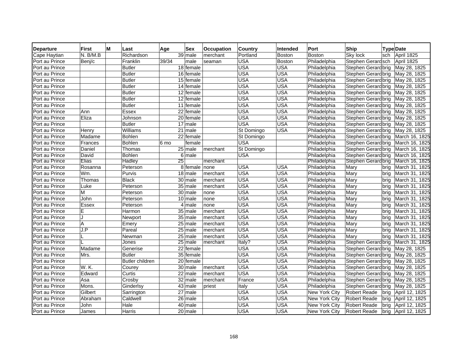| <b>Departure</b> | <b>First</b>   | M | Last                   | Age   | Sex                    | <b>Occupation</b> | <b>Country</b> | Intended      | Port          | Ship                |      | <b>Type Date</b> |
|------------------|----------------|---|------------------------|-------|------------------------|-------------------|----------------|---------------|---------------|---------------------|------|------------------|
| Cape Haytian     | N. B/M.B       |   | Richardson             |       | 39 male                | merchant          | Portland       | <b>Boston</b> | <b>Boston</b> | Sky lock            | sch  | April 1825       |
| Port au Prince   | Benj/c         |   | Franklin               | 39/34 | male                   | seaman            | <b>USA</b>     | Boston        | Philadelphia  | Stephen Gerard sch  |      | April 1825       |
| Port au Prince   |                |   | <b>Butler</b>          |       | 18 female              |                   | <b>USA</b>     | <b>USA</b>    | Philadelphia  | Stephen Gerard brig |      | May 28, 1825     |
| Port au Prince   |                |   | Butler                 |       | 16 female              |                   | <b>USA</b>     | <b>USA</b>    | Philadelphia  | Stephen Gerard brig |      | May 28, 1825     |
| Port au Prince   |                |   | <b>Butler</b>          |       | 15 female              |                   | USA            | <b>USA</b>    | Philadelphia  | Stephen Gerard brig |      | May 28, 1825     |
| Port au Prince   |                |   | <b>Butler</b>          |       | 14 female              |                   | <b>USA</b>     | <b>USA</b>    | Philadelphia  | Stephen Gerardbrig  |      | May 28, 1825     |
| Port au Prince   |                |   | <b>Butler</b>          |       | 12 female              |                   | <b>USA</b>     | <b>USA</b>    | Philadelphia  | Stephen Gerard brig |      | May 28, 1825     |
| Port au Prince   |                |   | <b>Butler</b>          |       | $\overline{12}$ female |                   | <b>USA</b>     | <b>USA</b>    | Philadelphia  | Stephen Gerard brig |      | May 28, 1825     |
| Port au Prince   |                |   | <b>Butler</b>          |       | 11 female              |                   | <b>USA</b>     | <b>USA</b>    | Philadelphia  | Stephen Gerard brig |      | May 28, 1825     |
| Port au Prince   | Ann            |   | Essex                  |       | 22 female              |                   | <b>USA</b>     | <b>USA</b>    | Philadelphia  | Stephen Gerard brig |      | May 28, 1825     |
| Port au Prince   | Eliza          |   | Johnson                |       | 20 female              |                   | <b>USA</b>     | <b>USA</b>    | Philadelphia  | Stephen Gerard brig |      | May 28, 1825     |
| Port au Prince   |                |   | Butler                 |       | $\overline{17}$ male   |                   | <b>USA</b>     | <b>USA</b>    | Philadelphia  | Stephen Gerardbrig  |      | May 28, 1825     |
| Port au Prince   | Henry          |   | Williams               |       | $\overline{21}$ male   |                   | St Domingo     | <b>USA</b>    | Philadelphia  | Stephen Gerardbrig  |      | May 28, 1825     |
| Port au Prince   | Madame         |   | <b>Bohlen</b>          |       | $\overline{22}$ female |                   | St Domingo     |               | Philadelphia  | Stephen Gerardbrig  |      | March 16, 1825   |
| Port au Prince   | <b>Frances</b> |   | <b>Bohlen</b>          | 6 mo  | female                 |                   | <b>USA</b>     |               | Philadelphia  | Stephen Gerard brig |      | March 16, 1825   |
| Port au Prince   | Daniel         |   | Thomas                 |       | 25 male                | merchant          | St Domingo     |               | Philadelphia  | Stephen Gerardbrig  |      | March 16, 1825   |
| Port au Prince   | David          |   | <b>Bohlen</b>          |       | 6 male                 |                   | <b>USA</b>     |               | Philadelphia  | Stephen Gerardbrig  |      | March 16, 1825   |
| Port au Prince   | Elias          |   | Hadley                 | 25    |                        | merchant          |                |               | Philadelphia  | Stephen Gerard brig |      | March 16, 1825   |
| Port au Prince   | Rosanna        |   | Peterson               |       | 8 female               | none              | <b>USA</b>     | <b>USA</b>    | Philadelphia  | Mary                | brig | March 31, 1825   |
| Port au Prince   | Wm.            |   | Purvis                 |       | 18 male                | merchant          | <b>USA</b>     | <b>USA</b>    | Philadelphia  | Mary                | brig | March 31, 1825   |
| Port au Prince   | Thomas         |   | <b>Black</b>           |       | 30 male                | merchant          | <b>USA</b>     | <b>USA</b>    | Philadelphia  | Mary                | brig | March 31, 1825   |
| Port au Prince   | Luke           |   | Peterson               |       | 35 male                | merchant          | <b>USA</b>     | <b>USA</b>    | Philadelphia  | Mary                | brig | March 31, 1825   |
| Port au Prince   | M              |   | Peterson               |       | $\overline{30}$ male   | none              | <b>USA</b>     | <b>USA</b>    | Philadelphia  | Mary                | brig | March 31, 1825   |
| Port au Prince   | John           |   | Peterson               |       | 10 male                | none              | <b>USA</b>     | <b>USA</b>    | Philadelphia  | Mary                | brig | March 31, 1825   |
| Port au Prince   | Essex          |   | Peterson               |       | $\overline{4}$ male    | none              | <b>USA</b>     | <b>USA</b>    | Philadelphia  | Mary                | brig | March 31, 1825   |
| Port au Prince   | E              |   | Harmon                 |       | 35 male                | merchant          | <b>USA</b>     | <b>USA</b>    | Philadelphia  | Mary                | brig | March 31, 1825   |
| Port au Prince   | J              |   | Newport                |       | $35$ male              | merchant          | <b>USA</b>     | <b>USA</b>    | Philadelphia  | Mary                | brig | March 31, 1825   |
| Port au Prince   | Α              |   | Emery                  |       | $25$ male              | merchant          | <b>USA</b>     | <b>USA</b>    | Philadelphia  | Mary                | brig | March 31, 1825   |
| Port au Prince   | J.P            |   | Pareal                 |       | 25 male                | merchant          | <b>USA</b>     | <b>USA</b>    | Philadelphia  | Mary                | bria | March 31, 1825   |
| Port au Prince   | L              |   | Newman                 |       | $25$ male              | merchant          | <b>USA</b>     | <b>USA</b>    | Philadelphia  | Mary                | brig | March 31, 1825   |
| Port au Prince   |                |   | Jones                  |       | 25 male                | merchant          | Italy?         | <b>USA</b>    | Philadelphia  | Stephen Gerard brig |      | March 31, 1825   |
| Port au Prince   | Madame         |   | Generise               |       | 22 female              |                   | <b>USA</b>     | <b>USA</b>    | Philadelphia  | Stephen Gerard brig |      | May 28, 1825     |
| Port au Prince   | Mrs.           |   | <b>Butler</b>          |       | 35 female              |                   | <b>USA</b>     | <b>USA</b>    | Philadelphia  | Stephen Gerard brig |      | May 28, 1825     |
| Port au Prince   |                |   | <b>Butler children</b> |       | 20 female              |                   | <b>USA</b>     | <b>USA</b>    | Philadelphia  | Stephen Gerardbrig  |      | May 28, 1825     |
| Port au Prince   | W. K.          |   | Courey                 |       | $\overline{30}$ male   | merchant          | <b>USA</b>     | <b>USA</b>    | Philadelphia  | Stephen Gerard brig |      | May 28, 1825     |
| Port au Prince   | Edward         |   | Curtis                 |       | 22 male                | merchant          | <b>USA</b>     | <b>USA</b>    | Philadelphia  | Stephen Gerard brig |      | May 28, 1825     |
| Port au Prince   | Asa            |   | Crosby                 |       | 32 male                | merchant          | France         | USA           | Philadelphia  | Stephen Gerard brig |      | May 28, 1825     |
| Port au Prince   | Mons.          |   | Ginderlsy              |       | 43 male                | priest            | Italy          | <b>USA</b>    | Philadelphia  | Stephen Gerard brig |      | May 28, 1825     |
| Port au Prince   | Gilbert        |   | Sarrington             |       | $\overline{27}$ male   |                   | <b>USA</b>     | <b>USA</b>    | New York City | <b>Robert Reade</b> | brig | April 12, 1825   |
| Port au Prince   | Abraham        |   | Caldwell               |       | 26 male                |                   | <b>USA</b>     | <b>USA</b>    | New York City | <b>Robert Reade</b> | brig | April 12, 1825   |
| Port au Prince   | John           |   | Hale                   |       | $\overline{40}$ male   |                   | USA            | USA           | New York City | Robert Reade        | brig | April 12, 1825   |
| Port au Prince   | James          |   | Harris                 |       | 20 male                |                   | <b>USA</b>     | <b>USA</b>    | New York City | <b>Robert Reade</b> | brig | April 12, 1825   |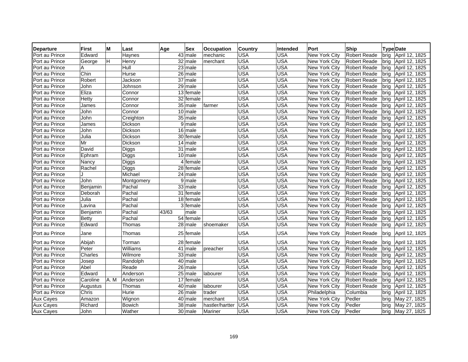| <b>Departure</b> | M<br><b>First</b> | Last           | <b>Sex</b><br>Age      | <b>Occupation</b> | <b>Country</b> | Intended   | Port                 | Ship                | <b>Type Date</b>       |
|------------------|-------------------|----------------|------------------------|-------------------|----------------|------------|----------------------|---------------------|------------------------|
| Port au Prince   | Edward            | Haynes         | 43 male                | mechanic          | <b>USA</b>     | <b>USA</b> | New York City        | <b>Robert Reade</b> | April 12, 1825<br>brig |
| Port au Prince   | H<br>George       | Henry          | $\overline{32}$ male   | merchant          | <b>USA</b>     | <b>USA</b> | New York City        | <b>Robert Reade</b> | brig<br>April 12, 1825 |
| Port au Prince   | Α                 | Hull           | 23 male                |                   | <b>USA</b>     | <b>USA</b> | New York City        | <b>Robert Reade</b> | April 12, 1825<br>brig |
| Port au Prince   | Chin              | Hurse          | 26 male                |                   | <b>USA</b>     | <b>USA</b> | New York City        | <b>Robert Reade</b> | April 12, 1825<br>brig |
| Port au Prince   | Robert            | Jackson        | $37$ male              |                   | <b>USA</b>     | <b>USA</b> | New York City        | <b>Robert Reade</b> | brig<br>April 12, 1825 |
| Port au Prince   | John              | Johnson        | $29$ male              |                   | <b>USA</b>     | <b>USA</b> | New York City        | <b>Robert Reade</b> | April 12, 1825<br>bria |
| Port au Prince   | Eliza             | Connor         | 13 female              |                   | <b>USA</b>     | <b>USA</b> | New York City        | <b>Robert Reade</b> | brig<br>April 12, 1825 |
| Port au Prince   | Hetty             | Connor         | $\overline{32}$ female |                   | <b>USA</b>     | <b>USA</b> | New York City        | <b>Robert Reade</b> | April 12, 1825<br>brig |
| Port au Prince   | James             | Connor         | 35 male                | farmer            | <b>USA</b>     | <b>USA</b> | New York City        | <b>Robert Reade</b> | brig<br>April 12, 1825 |
| Port au Prince   | John              | Connor         | $\overline{10}$ male   |                   | <b>USA</b>     | <b>USA</b> | New York City        | <b>Robert Reade</b> | brig<br>April 12, 1825 |
| Port au Prince   | John              | Creighton      | 35 male                |                   | <b>USA</b>     | <b>USA</b> | <b>New York City</b> | <b>Robert Reade</b> | April 12, 1825<br>brig |
| Port au Prince   | James             | Dickson        | $9$ male               |                   | <b>USA</b>     | <b>USA</b> | New York City        | <b>Robert Reade</b> | April 12, 1825<br>brig |
| Port au Prince   | John              | Dickson        | $16$ male              |                   | <b>USA</b>     | <b>USA</b> | New York City        | Robert Reade        | brig<br>April 12, 1825 |
| Port au Prince   | Julia             | Dickson        | 30 female              |                   | <b>USA</b>     | <b>USA</b> | New York City        | Robert Reade        | brig<br>April 12, 1825 |
| Port au Prince   | Mr                | <b>Dickson</b> | $14$ male              |                   | <b>USA</b>     | <b>USA</b> | New York City        | <b>Robert Reade</b> | April 12, 1825<br>bria |
| Port au Prince   | David             | Diggs          | 31 male                |                   | <b>USA</b>     | <b>USA</b> | New York City        | <b>Robert Reade</b> | bria<br>April 12, 1825 |
| Port au Prince   | Ephram            | Diggs          | $10$ male              |                   | <b>USA</b>     | <b>USA</b> | New York City        | <b>Robert Reade</b> | brig<br>April 12, 1825 |
| Port au Prince   | Nancy             | Diggs          | 4 female               |                   | <b>USA</b>     | <b>USA</b> | New York City        | <b>Robert Reade</b> | brig<br>April 12, 1825 |
| Port au Prince   | Rachel            | Diggs          | 28 female              |                   | <b>USA</b>     | <b>USA</b> | New York City        | <b>Robert Reade</b> | April 12, 1825<br>brig |
| Port au Prince   |                   | Michael        | 24 male                |                   | <b>USA</b>     | <b>USA</b> | New York City        | <b>Robert Reade</b> | brig<br>April 12, 1825 |
| Port au Prince   | John              | Montgomery     | $\overline{9}$ male    |                   | <b>USA</b>     | <b>USA</b> | New York City        | <b>Robert Reade</b> | brig<br>April 12, 1825 |
| Port au Prince   | Benjamin          | Pachal         | 33 male                |                   | <b>USA</b>     | <b>USA</b> | <b>New York City</b> | <b>Robert Reade</b> | brig<br>April 12, 1825 |
| Port au Prince   | Deborah           | Pachal         | 31 female              |                   | <b>USA</b>     | <b>USA</b> | New York City        | Robert Reade        | brig<br>April 12, 1825 |
| Port au Prince   | Julia             | Pachal         | 18 female              |                   | <b>USA</b>     | <b>USA</b> | <b>New York City</b> | <b>Robert Reade</b> | bria<br>April 12, 1825 |
| Port au Prince   | Lavina            | Pachal         | 3 female               |                   | <b>USA</b>     | <b>USA</b> | New York City        | <b>Robert Reade</b> | April 12, 1825<br>brig |
| Port au Prince   | Benjamin          | Pachal         | 43/63<br>male          |                   | <b>USA</b>     | <b>USA</b> | <b>New York City</b> | <b>Robert Reade</b> | April 12, 1825<br>brig |
| Port au Prince   | Betty             | Pachal         | $\overline{54}$ female |                   | <b>USA</b>     | <b>USA</b> | <b>New York City</b> | <b>Robert Reade</b> | April 12, 1825<br>brig |
| Port au Prince   | Edward            | Thomas         | 28 male                | shoemaker         | <b>USA</b>     | <b>USA</b> | New York City        | <b>Robert Reade</b> | brig<br>April 12, 1825 |
| Port au Prince   | Jane              | Thomas         | 25 female              |                   | USA            | <b>USA</b> | New York City        | Robert Reade        | April 12, 1825<br>brig |
| Port au Prince   | Abijah            | Torman         | 28 female              |                   | USA            | <b>USA</b> | New York City        | <b>Robert Reade</b> | brig<br>April 12, 1825 |
| Port au Prince   | Peter             | Williams       | 41<br>Imale            | preacher          | <b>USA</b>     | <b>USA</b> | New York City        | <b>Robert Reade</b> | April 12, 1825<br>brig |
| Port au Prince   | Charles           | Wilmore        | 33 male                |                   | <b>USA</b>     | <b>USA</b> | New York City        | <b>Robert Reade</b> | brig<br>April 12, 1825 |
| Port au Prince   | Josep             | Randolph       | 40 male                |                   | <b>USA</b>     | <b>USA</b> | New York City        | <b>Robert Reade</b> | April 12, 1825<br>brig |
| Port au Prince   | Abel              | Reade          | 26 male                |                   | <b>USA</b>     | <b>USA</b> | New York City        | <b>Robert Reade</b> | April 12, 1825<br>brig |
| Port au Prince   | Edward            | Anderson       | $25$ male              | labourer          | <b>USA</b>     | <b>USA</b> | New York City        | Robert Reade        | April 12, 1825<br>brig |
| Port au Prince   | Caroline<br>A.M   | Anderson       | 17 female              |                   | <b>USA</b>     | <b>USA</b> | New York City        | <b>Robert Reade</b> | April 12, 1825<br>bria |
| Port au Prince   | Augustus          | Thomas         | $\overline{40}$ male   | labourer          | <b>USA</b>     | <b>USA</b> | New York City        | <b>Robert Reade</b> | April 12, 1825<br>brig |
| Port au Prince   | Chris             | Hurie          | $\overline{26}$ male   | trader            | <b>USA</b>     | <b>USA</b> | Philadelphia         | Columbia            | April 12, 1825<br>brig |
| <b>Aux Cayes</b> | Amazon            | Wignon         | 40 male                | merchant          | <b>USA</b>     | <b>USA</b> | New York City        | Pedler              | brig<br>May 27, 1825   |
| <b>Aux Cayes</b> | Richard           | <b>Bowich</b>  | 38 male                | hastler/hartter   | <b>USA</b>     | <b>USA</b> | New York City        | Pedler              | May 27, 1825<br>bria   |
| <b>Aux Cayes</b> | John              | Wather         | 30 male                | Mariner           | <b>USA</b>     | <b>USA</b> | New York City        | Pedler              | May 27, 1825<br>brig   |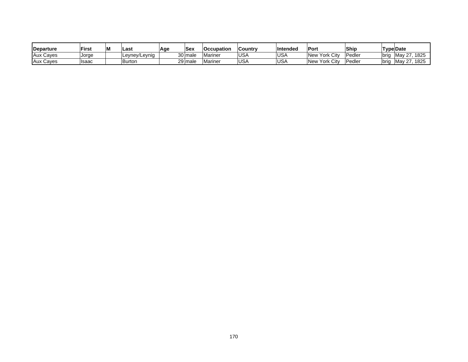| <b>IDeparture</b> | <b>First</b> | M | Last          | <b>Sex</b><br>Age | Occupation | <b>Country</b> | Intended | Port                           | Ship                               | Tvpe Date                                    |
|-------------------|--------------|---|---------------|-------------------|------------|----------------|----------|--------------------------------|------------------------------------|----------------------------------------------|
| <b>Aux Cayes</b>  | Jorge        |   | Leyney/Leynig | 30 male           | Marine     | <b>USA</b>     | USA      | <b>York City</b><br><b>New</b> | Pedler                             | 1825<br>רמ<br>brig<br>Mav                    |
| <b>Aux Cayes</b>  | Isaac        |   | Burton        | 29 male           | Mariner    | <b>USA</b>     | USA      | York Citv<br>'New              | $\overline{\phantom{0}}$<br>Pedler | 1825<br>. $\blacksquare$ Mav $2^{-}$<br>bria |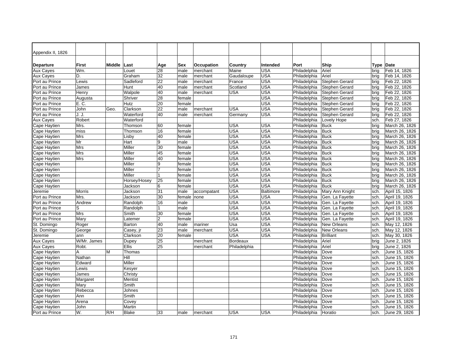| Appendix II, 1826 |               |        |              |                 |            |             |                 |                  |              |                  |           |                |
|-------------------|---------------|--------|--------------|-----------------|------------|-------------|-----------------|------------------|--------------|------------------|-----------|----------------|
| <b>Departure</b>  | <b>First</b>  | Middle | Last         | Age             | <b>Sex</b> | Occupation  | Country         | Intended         | Port         | Ship             | Type Date |                |
| <b>Aux Cayes</b>  | Wm.           |        | Louet        | 28              | male       | merchant    | Maine           | USA              | Philadelphia | Ariel            | brig      | Feb 14, 1826   |
| <b>Aux Cayes</b>  | D.            |        | Graham       | 32              | male       | merchant    | Gaudaloupe      | <b>USA</b>       | Philadelphia | Ariel            | bria      | Feb 14, 1826   |
| Port au Prince    | Lewis         |        | Sadleford    | $\overline{22}$ | male       | merchant    | France          | USA              | Philadelphia | Stephen Gerard   | brig      | Feb 22, 1826   |
| Port au Prince    | James         |        | Hunt         | 40              | male       | merchant    | Scotland        | <b>USA</b>       | Philadelphia | Stephen Gerard   | brig      | Feb 22, 1826   |
| Port au Prince    | Henry         |        | Walpole      | 40              | male       | merchant    | USA             | <b>USA</b>       | Philadelphia | Stephen Gerard   | brig      | Feb 22, 1826   |
| Port au Prince    | Augusta       |        | Shriver      | 28              | female     |             |                 | USA              | Philadelphia | Stephen Gerard   | brig      | Feb 22, 1826   |
| Port au Prince    | E. C.         |        | Hutz         | 20              | female     |             |                 | <b>USA</b>       | Philadelphia | Stephen Gerard   | brig      | Feb 22, 1826   |
| Port au Prince    | John          | Geo.   | Clarkson     | $\overline{22}$ | male       | merchant    | USA             | <b>USA</b>       | Philadelphia | Stephen Gerard   | brig      | Feb 22, 1826   |
| Port au Prince    | J. J.         |        | Waterford    | 40              | male       | merchant    | Germany         | USA              | Philadelphia | Stephen Gerard   | brig      | Feb 22, 1826   |
| Aux Cayes         | Robert        |        | Waterford    |                 |            |             |                 |                  | Philadelphia | Lovely Hope      | sch.      | Feb 27, 1826   |
| Cape Haytien      | Mrs.          |        | Thomson      | 60              | female     |             | <b>USA</b>      | USA              | Philadelphia | <b>Buck</b>      | brig      | March 26, 1826 |
| Cape Haytien      | miss          |        | Thomson      | 16              | female     |             | <b>USA</b>      | USA              | Philadelphia | <b>Buck</b>      | brig      | March 26, 1826 |
| Cape Haytien      | <b>Mrs</b>    |        | Lisby        | 40              | female     |             | <b>USA</b>      | USA              | Philadelphia | <b>Buck</b>      | brig      | March 26, 1826 |
| Cape Haytien      | Mr            |        | Hart         | 9               | male       |             | USA             | USA              | Philadelphia | <b>Buck</b>      | brig      | March 26, 1826 |
| Cape Haytien      | Mrs           |        | Miller       | 30              | female     |             | <b>USA</b>      | USA              | Philadelphia | <b>Buck</b>      | brig      | March 26, 1826 |
| Cape Haytien      | <b>Mrs</b>    |        | Miller       | 45              | female     |             | <b>USA</b>      | USA              | Philadelphia | <b>Buck</b>      | brig      | March 26, 1826 |
| Cape Haytien      | Mrs           |        | Miller       | 40              | female     |             | <b>USA</b>      | <b>USA</b>       | Philadelphia | <b>Buck</b>      | brig      | March 26, 1826 |
| Cape Haytien      |               |        | Miller       | 9               | female     |             | <b>USA</b>      | <b>USA</b>       | Philadelphia | <b>Buck</b>      | brig      | March 26, 1826 |
| Cape Haytien      |               |        | Miller       | 7               | female     |             | <b>USA</b>      | <b>USA</b>       | Philadelphia | <b>Buck</b>      | brig      | March 26, 1826 |
| Cape Haytien      |               |        | Miller       |                 | female     |             | <b>USA</b>      | USA              | Philadelphia | <b>Buck</b>      | brig      | March 26, 1826 |
| Cape Haytien      |               |        | Horsey/Hosey | 25              | female     |             | <b>USA</b>      | USA              | Philadelphia | <b>Buck</b>      | brig      | March 26, 1826 |
| Cape Haytien      |               |        | Jackson      | 6               | female     |             | <b>USA</b>      | <b>USA</b>       | Philadelphia | <b>Buck</b>      | brig      | March 26, 1826 |
| Jeremie           | <b>Morris</b> |        | Jackson      | 31              | male       | accompatant | <b>USA</b>      | <b>Baltimore</b> | Philadelphia | Mary Ann Knight  | sch.      | April 15, 1826 |
| Port au Prince    | Mrs.          |        | Jackson      | $\overline{30}$ | female     | none        | <b>USA</b>      | <b>USA</b>       | Philadelphia | Gen. La Fayette  | sch.      | April 19, 1826 |
| Port au Prince    | Andrew        |        | Randolph     | 16              | male       |             | <b>USA</b>      | <b>USA</b>       | Philadelphia | Gen. La Fayette  | sch.      | April 19, 1826 |
| Port au Prince    | S             |        | Randolph     |                 | male       |             | <b>USA</b>      | <b>USA</b>       | Philadelphia | Gen. La Fayette  | sch.      | April 19, 1826 |
| Port au Prince    | Mrs           |        | Smith        | 30              | female     |             | <b>USA</b>      | USA              | Philadelphia | Gen. La Fayette  | sch.      | April 19, 1826 |
| Port au Prince    | Mary          |        | Latemer      | $\overline{2}$  | female     |             | <b>USA</b>      | <b>USA</b>       | Philadelphia | Gen. La Fayette  | sch.      | April 19, 1826 |
| St. Domingo       | Roger         |        | Barton       | 40              | male       | mariner     | Usa             | <b>USA</b>       | Philadelphia | New Orleans      | sch.      | May 12, 1826   |
| St. Domingo       | George        |        | Casey, jr    | 23              | male       | merchant    | <b>USA</b>      | <b>USA</b>       | Philadelphia | New Orleans      | sch.      | May 12, 1826   |
| Jeremie           | ann           |        | Clarkson     | 20              | female     |             | USA             | USA              | Philadelphia | <b>Brilliant</b> | sch.      | May 30, 1826   |
| Aux Cayes         | W/Mr. James   |        | Dupey        | 25              |            | merchant    | <b>Bordeaux</b> |                  | Philadelphia | Ariel            | bria      | June 2, 1826   |
| <b>Aux Cayes</b>  | Robt.         |        | Ellis        | 25              |            | merchant    | Philadelphia    |                  | Philadelphia | Ariel            | brig      | June 2, 1826   |
| Cape Haytien      | A             | М      | Thomas       |                 |            |             |                 |                  | Philadelphia | Dove             | sch.      | June 15, 1826  |
| Cape Haytien      | Nathan        |        | Hill         |                 |            |             |                 |                  | Philadelphia | Dove             | sch.      | June 15, 1826  |
| Cape Haytien      | Edward        |        | Miller       |                 |            |             |                 |                  | Philadelphia | Dove             | sch.      | June 15, 1826  |
| Cape Haytien      | Lewis         |        | Kesyer       |                 |            |             |                 |                  | Philadelphia | Dove             | sch.      | June 15, 1826  |
| Cape Haytien      | James         |        | Christy      |                 |            |             |                 |                  | Philadelphia | Dove             | sch.      | June 15, 1826  |
| Cape Haytien      | Margaret      |        | Mentist      |                 |            |             |                 |                  | Philadelphia | Dove             | sch.      | June 15, 1826  |
| Cape Haytien      | Mary          |        | Smith        |                 |            |             |                 |                  | Philadelphia | Dove             | sch.      | June 15, 1826  |
| Cape Haytien      | Rebecca       |        | Johnes       |                 |            |             |                 |                  | Philadelphia | Dove             | sch.      | June 15, 1826  |
| Cape Haytien      | Ann           |        | Smith        |                 |            |             |                 |                  | Philadelphia | Dove             | sch.      | June 15, 1826  |
| Cape Haytien      | Arena         |        | Covey        |                 |            |             |                 |                  | Philadelphia | Dove             | sch.      | June 15, 1826  |
| Cape Haytien      | John          |        | Martin       |                 |            |             |                 |                  | Philadelphia | Dove             | sch.      | June 15, 1826  |
| Port au Prince    | W.            | R/H    | <b>Blake</b> | 33              | male       | merchant    | USA             | USA              | Philadelphia | Horatio          | sch.      | June 29, 1826  |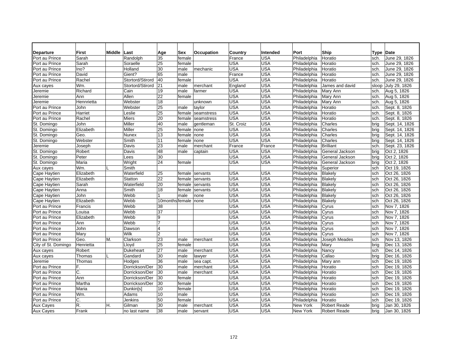| Departure           | <b>First</b> | Middle | ∣Last            | Age             | Sex    | Occupation | Country    | Intended   | Port         | Ship                | Type Date |                |
|---------------------|--------------|--------|------------------|-----------------|--------|------------|------------|------------|--------------|---------------------|-----------|----------------|
| Port au Prince      | Sarah        |        | Randolph         | 35              | female |            | France     | USA        | Philadelphia | Horatio             | sch.      | June 29, 1826  |
| Port au Prince      | Sarah        |        | Soraelle         | 25              | female |            | <b>USA</b> | <b>USA</b> | Philadelphia | Horatio             | sch.      | June 29, 1826  |
| Port au Prince      | Ino?         |        | Holland          | 30              | male   | mechanic   | <b>USA</b> | USA        | Philadelphia | Horatio             | sch.      | June 29, 1826  |
| Port au Prince      | David        |        | Gient?           | 65              | male   |            | France     | <b>USA</b> | Philadelphia | Horatio             | sch.      | June 29, 1826  |
| Port au Prince      | Rachel       |        | Stortord/Stirord | 40              | female |            | <b>USA</b> | <b>USA</b> | Philadelphia | Horatio             | sch.      | June 29, 1826  |
| Aux cayes           | Wm.          |        | Stortord/Stirord | 21              | male   | merchant   | England    | USA        | Philadelphia | James and david     | sloop     | July 29, 1826  |
| Jeremie             | Richard      |        | Cain             | 19              | male   | farmer     | <b>USA</b> | USA        | Philadelphia | Mary Ann            | sch.      | Aug 5, 1826    |
| Jeremie             | Ann          |        | Allen            | 22              | female |            | USA        | USA        | Philadelphia | Mary Ann            | sch.      | Aug 5, 1826    |
| Jeremie             | Hennrietta   |        | Webster          | 18              |        | unknown    | <b>USA</b> | <b>USA</b> | Philadelphia | Mary Ann            | sch.      | Aug 5, 1826    |
| Port au Prince      | John         |        | Webster          | 25              | male   | taylor     | <b>USA</b> | USA        | Philadelphia | Horatio             | sch.      | Sept. 8, 1826  |
| Port au Prince      | Harriet      |        | Leslie           | 25              | female | seamstress | USA        | USA        | Philadelphia | Horatio             | sch.      | Sept. 8, 1826  |
| Port au Prince      | Rachel       |        | <b>Miers</b>     | 20              | female | seamstress | USA        | USA        | Philadelphia | Horatio             | sch.      | Sept. 8, 1826  |
| St. Domingo         | John         |        | Miller           | 40              | male   | aentleman  | St. Croiz  | USA        | Philadelphia | Charles             | bria      | Sept. 14, 1826 |
| St. Domingo         | Elizabeth    |        | Miller           | 25              | female | none       | USA        | USA        | Philadelphia | Charles             | brig      | Sept. 14, 1826 |
| St. Domingo         | Geo.         |        | Nunex            | 13              | female | none       | USA        | USA        | Philadelphia | Charles             | brig      | Sept. 14, 1826 |
| St. Domingo         | Webster      |        | Smith            | 11              | female | none       | <b>USA</b> | <b>USA</b> | Philadelphia | Charles             | brig      | Sept. 14, 1826 |
| Jeremie             | Joseph       |        | Davis            | 23              | male   | merchant   | France     | France     | Philadelphia | <b>Brilliant</b>    | sch.      | Sept. 23, 1826 |
| St. Domingo         | Robert       |        | Davis            | 48              | male   | captain    | <b>USA</b> | USA        | Philadelphia | General Jackson     | brig      | Oct 2, 1826    |
| St. Domingo         | Peter        |        | Lees             | 30              |        |            | <b>USA</b> | USA        | Philadelphia | General Jackson     | brig      | Oct 2, 1826    |
| St. Domingo         | Maria        |        | Wright           | 24              | female |            | USA        | USA        | Philadelphia | General Jackson     | brig      | Oct 2, 1826    |
| Aux cayes           | Wm.          |        | Smith            |                 |        |            |            |            | Philadelphia | Superior            | sch       | Oct 19, 1826   |
| Cape Haytien        | Elizabeth    |        | Waterfield       | 25              | female | servants   | USA        | USA        | Philadelphia | <b>Blakely</b>      | sch       | Oct 26, 1826   |
| Cape Haytien        | Elizabeth    |        | Statton          | $\overline{22}$ | female | servants   | USA        | USA        | Philadelphia | Blakely             | sch       | Oct 26, 1826   |
| Cape Haytien        | Sarah        |        | Waterfield       | 20              | female | servants   | USA        | USA        | Philadelphia | Blakely             | sch       | Oct 26, 1826   |
| Cape Haytien        | Anna         |        | Smith            | 18              | female | servants   | <b>USA</b> | USA        | Philadelphia | Blakely             | sch       | Oct 26, 1826   |
| Cape Haytien        | John         |        | Webb             |                 | male   | none       | <b>USA</b> | USA        | Philadelphia | Blakely             | sch       | Oct 26, 1826   |
| Cape Haytien        | Elizabeth    |        | Webb             | 10months female |        | none       | <b>USA</b> | USA        | Philadelphia | Blakely             | sch       | Oct 26, 1826   |
| Port au Prince      | Francis      |        | Webb             | 38              |        |            | USA        | USA        | Philadelphia | Cyrus               | sch       | Nov 7, 1826    |
| Port au Prince      | Louisa       |        | Webb             | $\overline{37}$ |        |            | <b>USA</b> | USA        | Philadelphia | Cyrus               | sch       | Nov 7, 1826    |
| Port au Prince      | Elizabeth    |        | Webb             | 9               |        |            | USA        | <b>USA</b> | Philadelphia | Cyrus               | sch       | Nov 7, 1826    |
| Port au Prince      | Ann          |        | Webb             | $\overline{7}$  |        |            | USA        | USA        | Philadelphia | Cyrus               | sch       | Nov 7, 1826    |
| Port au Prince      | John         |        | Dawson           | $\overline{4}$  |        |            | USA        | USA        | Philadelphia | Cyrus               | sch       | Nov 7, 1826    |
| Port au Prince      | Marv         |        | Wilk             | $\overline{2}$  |        |            | USA        | <b>USA</b> | Philadelphia | Cyrus               | sch       | Nov 7, 1826    |
| Port au Prince      | Geo.         | M.     | Clarkson         | 23              | male   | merchant   | USA        | USA        | Philadelphia | Joseph Meades       | sch       | Nov 13, 1826   |
| City of St. Domingo | Henrietta    |        | Lloyd            | $\overline{25}$ | female |            | USA        | <b>USA</b> | Philadelphia | Mary                | brig      | Dec 13, 1826   |
| Aux cayes           | Robert       |        | Dukeheart        | 27              | male   | merchant   | USA        | USA        | Philadelphia | Nancy               | sch       | Dec 14, 1826   |
| Aux cayes           | Thomas       |        | Gandard          | 30              | male   | lawyer     | USA        | USA        | Philadelphia | Callao              | brig      | Dec 16, 1826   |
| Jeremie             | Thomas       |        | Hodges           | 36              | male   | sea capt.  | USA        | USA        | Philadelphia | Mary ann            | sch       | Dec 19, 1826   |
| Port au Prince      | F.           |        | Dorrickson/Der   | 30              | male   | merchant   | <b>USA</b> | USA        | Philadelphia | Horatio             | sch       | Dec 19, 1826   |
| Port au Prince      | C.           |        | Dorrickson/Der   | 30              | male   | merchant   | <b>USA</b> | <b>USA</b> | Philadelphia | Horatio             | sch       | Dec 19, 1826   |
| Port au Prince      | Ann          |        | Dorrickson/Der   | 30              | female |            | <b>USA</b> | USA        | Philadelphia | Horatio             | sch       | Dec 19, 1826   |
| Port au Prince      | Martha       |        | Dorrickson/Der   | 30              | female |            | <b>USA</b> | USA        | Philadelphia | Horatio             | sch       | Dec 19, 1826   |
| Port au Prince      | Maria        |        | Dunkin[s]        | 10              | female |            | <b>USA</b> | USA        | Philadelphia | Horatio             | sch       | Dec 19, 1826   |
| Port au Prince      | Wm.          |        | Adams            | 10              | male   |            | USA        | USA        | Philadelphia | Horatio             | sch       | Dec 19, 1826   |
| Port au Prince      | С.           |        | Jenkins          | 50              | female |            | <b>USA</b> | USA        | Philadelphia | Horatio             | sch       | Dec 19, 1826   |
| <b>Aux Cayes</b>    | R.           | Η.     | Gilman           | 30              | male   | merchant   | <b>USA</b> | USA        | New York     | <b>Robert Reade</b> | brig      | Jan 30, 1826   |
| <b>Aux Cayes</b>    | Frank        |        | no last name     | 38              | male   | servant    | USA        | USA        | New York     | <b>Robert Reade</b> | bria      | Jan 30, 1826   |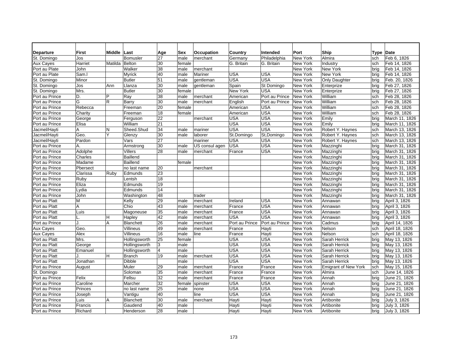| <b>Departure</b> | <b>First</b> | Middle       | Last             | Age             | Sex    | Occupation     | Country        | Intended       | Port            | Ship                        | <b>Type</b> | Date           |
|------------------|--------------|--------------|------------------|-----------------|--------|----------------|----------------|----------------|-----------------|-----------------------------|-------------|----------------|
| St. Domingo      | Jos          |              | Bomusler         | 27              | male   | merchant       | Germanv        | Philadelphia   | New York        | Almira                      | sch         | Feb 6, 1826    |
| Aux Cayes        | Harriet      | Matilda      | Belton           | 30              | female |                | G. Britain     | G. Britain     | <b>New York</b> | Industry                    | sch         | Feb 14, 1826   |
| Port au Plate    | John         |              | Walker           | 38              | male   | merchant       |                |                | New York        | New York                    | brig        | Feb 14, 1826   |
| Port au Plate    | Sam.         |              | Myrick           | 40              | male   | Mariner        | USA            | <b>USA</b>     | <b>New York</b> | <b>New York</b>             | brig        | Feb 14, 1826   |
| St. Domingo      | Minor        |              | <b>Butler</b>    | 51              | male   | gentleman      | USA            | <b>USA</b>     | New York        | Only Daughter               | brig        | Feb. 20, 1826  |
| St. Domingo      | Jos          | Ann          | Llanza           | 30              | male   | aentleman      | Spain          | St Domingo     | New York        | Enterprize                  | brig        | Feb 27, 1826   |
| St. Domingo      | Mrs.         |              | <b>Butler</b>    | 30              | female |                | New York       | USA            | New York        | Enterprize                  | brig        | Feb 27, 1826   |
| Port au Prince   | D.           | P            | Ray              | 38              | male   | merchant       | American       | Port au Prince | New York        | William                     | sch         | Feb 28, 1826   |
| Port au Prince   | G            | $\mathsf{R}$ | Barry            | 30              | male   | merchant       | English        | Port au Prince | New York        | William                     | sch         | Feb 28, 1826   |
| Port au Prince   | Rebecca      |              | Freeman          | $\overline{20}$ | female |                | American       | USA            | New York        | William                     | sch         | Feb 28, 1826   |
| Port au Prince   | Charity      |              | Freeman          | 18              | female |                | American       | <b>USA</b>     | New York        | William                     | sch         | Feb 28, 1826   |
| Port au Prince   | George       |              | Ferguson         | $\overline{22}$ |        | merchant       | USA            | <b>USA</b>     | New York        | Emily                       | brig        | March 11, 1826 |
| Port au Prince   | Elisa        |              | William          | 21              |        |                | <b>USA</b>     | USA            | New York        | Emily                       | bria        | March 11, 1826 |
| Jacmel/Hayti     | A            | N            | Sheed.Shud       | $\overline{34}$ | male   | mariner        | <b>USA</b>     | <b>USA</b>     | New York        | Robert Y. Haynes            | sch         | March 13, 1826 |
| Jacmel/Hayti     | Geo.         | Υ            | Glenzy           | 30              | male   | laborer        | St.Domingo     | St, Domingo    | <b>New York</b> | Robert Y. Haynes            | sch         | March 13, 1826 |
| Jacmel/Hayti     | Pardon       |              | Vars             | 27              |        | mariner        | <b>USA</b>     | <b>USA</b>     | New York        | Robert Y. Haynes            | sch         | March 13, 1826 |
| Port au Prince   | Α.           |              | Armstrong        | 30              | male   | US consul agen | <b>USA</b>     | <b>USA</b>     | New York        | Mazzinghi                   | brig        | March 31, 1826 |
| Port au Prince   | Adolphe      |              | <b>Villers</b>   | 28              | male   | merchant       | France         | USA            | New York        | Mazzinghi                   | brig        | March 31, 1826 |
| Port au Prince   | Charles      |              | Baillend         |                 |        |                |                |                | New York        | Mazzinghi                   | brig        | March 31, 1826 |
| Port au Prince   | Madame       |              | Baillend         |                 | female |                |                |                | New York        | Mazzinghi                   | brig        | March 31, 1826 |
| Port au Prince   | Pbersect     |              | no last name     | 20              |        | merchant       |                |                | New York        | Mazzinghi                   | brig        | March 31, 1826 |
| Port au Prince   | Clarissa     | Ruby         | Edmunds          | 23              |        |                |                |                | New York        | Mazzinghi                   | brig        | March 31, 1826 |
| Port au Prince   | Ruby         |              | Lentsh           | 18              |        |                |                |                | New York        | Mazzinghi                   | bria        | March 31, 1826 |
| Port au Prince   | Eliza        |              | Edmunds          | 19              |        |                |                |                | New York        | Mazzinghi                   | brig        | March 31, 1826 |
| Port au Prince   | Lydia        |              | Edmunds          | 14              |        |                |                |                | New York        | Mazzinghi                   | bria        | March 31, 1826 |
| Port au Prince   | John         |              | Washington       | 48              |        | trader         |                |                | New York        | Mazzinghi                   | brig        | March 31, 1826 |
| Port au Platt    | M            |              | Kelly            | $\overline{29}$ | male   | merchant       | Ireland        | USA            | New York        | Annawan                     | brig        | April 3, 1826  |
| Port au Platt    | A            |              | Chio             | 43              | male   | merchant       | France         | USA            | New York        | Annawan                     | brig        | April 3, 1826  |
| Port au Platt    | Luis         |              | Magoneuse        | 35              | male   | merchant       | France         | USA            | New York        | Annawan                     | brig        | April 3, 1826  |
| Port au Platt    | L.           | н            | Hapley           | 42              | male   | merchant       | <b>USA</b>     | USA            | New York        | Annawan                     | brig        | April 3, 1826  |
| Port au Prince   | J.           | A            | <b>Blanchett</b> | $\overline{26}$ | male   | merchant       | Port au Prince | Port au Prince | New York        | Cadmus                      | brig        | April 14, 1826 |
| Aux Cayes        | Geo.         |              | Villineus        | 49              | male   | merchant       | France         | Hayti          | New York        | Nelson                      | sch         | April 18, 1826 |
| <b>Aux Cayes</b> | Alex         |              | Villineus        | 16              | male   | line           | France         | Hayti          | New York        | Nelson                      | sch         | April 18, 1826 |
| Port au Platt    | Mrs.         |              | Hollingsworth    | 25              | female |                | USA            | USA            | New York        | Sarah Herrick               | brig        | May 13, 1826   |
| Port au Platt    | George       |              | Hollingsworth    | 3               | male   |                | USA            | <b>USA</b>     | <b>New York</b> | Sarah Herrick               | brig        | May 13, 1826   |
| Port au Platt    | Emanuel      |              | Hollingsworth    | $\overline{4}$  | male   |                | <b>USA</b>     | USA            | New York        | Sarah Herrick               | brig        | May 13, 1826   |
| Port au Platt    | .I.          | H            | <b>Branch</b>    | $\overline{19}$ | male   | merchant       | <b>USA</b>     | USA            | New York        | Sarah Herrick               | brig        | May 13, 1826   |
| Port au Platt    | Jonathan     |              | <b>Dibble</b>    |                 | male   |                | USA            | <b>USA</b>     | New York        | Sarah Herrick               | brig        | May 13, 1826   |
| Port au Prince   | August       |              | Muler            | 29              | male   | merchant       | France         | France         | New York        | <b>Emigrant of New York</b> | sch         | May 15, 1826   |
| St. Domingo      |              |              | Soloman          | 35              | male   | merchant       | France         | France         | New York        | Almira                      | sch         | June 14, 1826  |
| Port au Prince   | Felix        |              | Fellsu           | 32              | male   | merchant       | France         | France         | New York        | Annah                       | brig        | June 21, 1826  |
| Port au Prince   | Caroline     |              | Marcher          | 32              | female | spinster       | <b>USA</b>     | <b>USA</b>     | New York        | Annah                       | bria        | June 21, 1826  |
| Port au Prince   | Princes      |              | no last name     | 25              | male   | none           | <b>USA</b>     | <b>USA</b>     | New York        | Annah                       | brig        | June 21, 1826  |
| Port au Prince   | Joseph       |              | Vantigu          | 40              |        | line           | USA            | <b>USA</b>     | New York        | Annah                       | brig        | June 21, 1826  |
| Port au Prince   | Luis         | A            | <b>Blanchett</b> | 30              | male   | merchant       | Hayti          | Hayti          | New York        | Artibonite                  | brig        | July 3, 1826   |
| Port au Prince   | Francis      |              | Gaudend          | 40              | male   |                | Hayti          | Hayti          | New York        | Artibonite                  | brig        | July 3, 1826   |
| Port au Prince   | Richard      |              | Henderson        | 28              | male   |                | Hayti          | Hayti          | New York        | Artibonite                  | brig        | July 3, 1826   |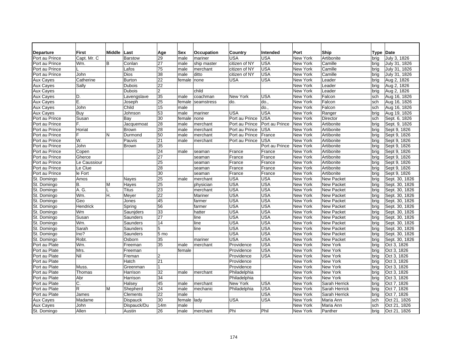| <b>Departure</b> | <b>First</b> | Middle | ∣Last          | Age             | Sex         | Occupation  | Country        | Intended       | Port            | Ship              | Type Date |                |
|------------------|--------------|--------|----------------|-----------------|-------------|-------------|----------------|----------------|-----------------|-------------------|-----------|----------------|
| Port au Prince   | Capt. Mr. C  |        | <b>Barstow</b> | 29              | male        | mariner     | <b>USA</b>     | USA            | New York        | Artibonite        | brig      | July 3, 1826   |
| Port au Prince   | Wm.          | B      | Conlan         | 27              | male        | ship master | citizen of NY  | <b>USA</b>     | New York        | Camille           | brig      | July 31, 1826  |
| Port au Prince   |              |        | Lafos          | 75              | male        | merchant    | citizen of NY  | <b>USA</b>     | New York        | Camille           | brig      | July 31, 1826  |
| Port au Prince   | John         |        | Dios           | 38              | male        | ditto       | citizen of NY  | <b>USA</b>     | New York        | Camille           | brig      | July 31, 1826  |
| Aux Cayes        | Catherine    |        | <b>Burton</b>  | $\overline{22}$ | female none |             | <b>USA</b>     | <b>USA</b>     | New York        | Leader            | brig      | Aug 2, 1826    |
| Aux Cayes        | Sally        |        | Dubois         | 22              |             |             |                |                | New York        | Leader            | brig      | Aug 2, 1826    |
| Aux Cayes        |              |        | <b>Dubois</b>  | $\overline{2}$  |             | child       |                |                | New York        | Leader            | brig      | Aug 2, 1826    |
| Aux Cayes        | D.           |        | Lavengslave    | 35              | male        | coachman    | New York       | <b>USA</b>     | New York        | Falcon            | sch       | Aug 16, 1826   |
| <b>Aux Cayes</b> | Ε.           |        | Joseph         | 25              | female      | seamstress  | do.            | do.            | New York        | Falcon            | sch       | Aug 16, 1826   |
| Aux Cayes        | John         |        | Child          | 15              | male        |             |                | do.            | New York        | Falcon            | sch       | Aug 16, 1826   |
| Aux Cayes        | Buy          |        | Johnson        | 53              | male        | mariner     | <b>USA</b>     | <b>USA</b>     | New York        | Ranger            | brig      | Aug 19, 1826   |
| Port au Prince   | Susan        |        | Bay            | 30              | female      | Inone       | Port au Prince | <b>USA</b>     | New York        | Director          | sch       | Sept. 6, 1826  |
| Port au Prince   | F.           |        | Jacquemoat     | 28              | male        | merchant    | Port au Prince | Port au Prince | New York        | Artibonite        | brig      | Sept. 9, 1826  |
| Port au Prince   | Horiat       |        | <b>Brown</b>   | 28              | male        | merchant    | Port au Prince | <b>USA</b>     | New York        | Artibonite        | brig      | Sept 9, 1826   |
| Port au Prince   | F.           | N      | Durmond        | 50              | male        | merchant    | Port au Prince | France         | New York        | Artibonite        | brig      | Sept 9, 1826   |
| Port au Prince   | W.           |        | Pauvis         | 21              | male        | merchant    | Port au Prince | USA            | New York        | Artibonite        | brig      | Sept 9, 1826   |
| Port au Prince   | John         |        | <b>Brown</b>   | 35              |             |             |                | Port au Prince | New York        | Artibonite        | brig      | Sept 9, 1826   |
| Port au Prince   | Copen        |        |                | 24              | male        | seaman      | France         | France         | New York        | Artibonite        | brig      | Sept 9, 1826   |
| Port au Prince   | Gherce       |        |                | 27              |             | seaman      | France         | France         | New York        | Artibonite        | brig      | Sept 9, 1826   |
| Port au Prince   | Le Caussiour |        |                | 25              |             | seaman      | France         | France         | New York        | Artibonite        | brig      | Sept 9, 1826   |
| Port au Prince   | Le Clue      |        |                | 28              |             | seaman      | France         | France         | New York        | Artibonite        | brig      | Sept 9, 1826   |
| Port au Prince   | le Fort      |        |                | 30              |             | seaman      | France         | France         | New York        | Artibonite        | brig      | Sept 9, 1826   |
| St. Domingo      | Amos         |        | Nayes          | 25              | male        | merchant    | <b>USA</b>     | <b>USA</b>     | New York        | <b>New Packet</b> | brig      | Sept. 30, 1826 |
| St. Domingo      | <b>B.</b>    | M      | Hayes          | 25              |             | physician   | <b>USA</b>     | <b>USA</b>     | New York        | <b>New Packet</b> | brig      | Sept. 30, 1826 |
| St. Domingo      | A.G.         |        | <b>Titus</b>   | 23              |             | merchant    | <b>USA</b>     | <b>USA</b>     | New York        | <b>New Packet</b> | brig      | Sept. 30, 1826 |
| St. Domingo      | Wm.          | Η.     | Meyer          | 22              |             | Mariner     | <b>USA</b>     | <b>USA</b>     | New York        | <b>New Packet</b> | brig      | Sept. 30, 1826 |
| St. Domingo      | Geo          |        | Jones          | 45              |             | farmer      | <b>USA</b>     | <b>USA</b>     | New York        | <b>New Packet</b> | brig      | Sept. 30, 1826 |
| St. Domingo      | Hendrick     |        | Spring         | 56              |             | farmer      | <b>USA</b>     | <b>USA</b>     | New York        | <b>New Packet</b> | brig      | Sept. 30, 1826 |
| St. Domingo      | Wm           |        | Sauniders      | 33              |             | hatter      | <b>USA</b>     | <b>USA</b>     | <b>New York</b> | <b>New Packet</b> | brig      | Sept. 30, 1826 |
| St. Domingo      | Susan        |        | Saunders       | 27              |             | line        | <b>USA</b>     | <b>USA</b>     | New York        | <b>New Packet</b> | brig      | Sept. 30, 1826 |
| St. Domingo      | Wm.          |        | Saunders       | 14              |             | line        | <b>USA</b>     | <b>USA</b>     | New York        | <b>New Packet</b> | brig      | Sept. 30, 1826 |
| St. Domingo      | Sarah        |        | Saunders       | 5               |             | line        | <b>USA</b>     | USA            | New York        | <b>New Packet</b> | brig      | Sept. 30, 1826 |
| St. Domingo      | Ino?         |        | Saunders       | 5 mo            |             |             | <b>USA</b>     | <b>USA</b>     | New York        | <b>New Packet</b> | brig      | Sept. 30, 1826 |
| St. Domingo      | Robt.        |        | Osborn         | 35              |             | mariner     | <b>USA</b>     | <b>USA</b>     | <b>New York</b> | <b>New Packet</b> | brig      | Sept. 30, 1826 |
| Port au Plate    | Wm.          |        | Freeman        | 35              | male        | merchant    | Providence     | <b>USA</b>     | New York        | New York          | brig      | Oct 3, 1826    |
| Port au Plate    | Mrs.         |        | Freeman        |                 | female      |             | Providence     | USA            | New York        | New York          | brig      | Oct 3, 1826    |
| Port au Plate    | Nil          |        | Freman         | $\overline{2}$  |             |             | Providence     | <b>USA</b>     | New York        | New York          | brig      | Oct 3, 1826    |
| Port au Plate    |              |        | Hatch          | 21              |             |             | Providence     |                | New York        | New York          | brig      | Oct 3, 1826    |
| Port au Plate    | Muss.        |        | Greenman       | 1               |             |             | Providence     |                | New York        | New York          | brig      | Oct 3, 1826    |
| Port au Plate    | Thomas       |        | Harrison       | 32              | male        | merchant    | Philadelphia   |                | New York        | New York          | brig      | Oct 3, 1826    |
| Port au Plate    | Abr          |        | Harrison       | 34              |             |             | Philadelphia   |                | New York        | New York          | brig      | Oct 3, 1826    |
| Port au Plate    | C.           |        | Halsey         | 45              | male        | merchant    | New York       | <b>USA</b>     | New York        | Sarah Herrick     | brig      | Oct 7, 1826    |
| Port au Plate    | R            | M      | Shepherd       | 24              | male        | mechanic    | Philadelphia   | <b>USA</b>     | New York        | Sarah Herrick     | brig      | Oct 7, 1826    |
| Port au Plate    | James        |        | Clements       | $\overline{22}$ | male        |             |                | <b>USA</b>     | New York        | Sarah Herrick     | brig      | Oct 7, 1826    |
| <b>Aux Cayes</b> | Madame       |        | Dispauck       | 30              | female lady |             | <b>USA</b>     | <b>USA</b>     | New York        | Maria Ann         | sch       | Oct 21, 1826   |
| Aux Cayes        | John         |        | Dispauck/Du    | 14m             | male        |             |                |                | New York        | Maria Ann         | sch       | Oct 21, 1826   |
| St. Domingo      | Allen        |        | Austin         | 26              | male        | merchant    | Phi            | Phil           | New York        | Panther           | brig      | Oct 21, 1826   |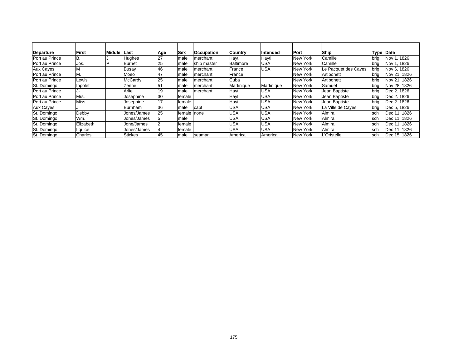| Departure        | <b>First</b> | <b>Middle</b> | Last           | Age | <b>Sex</b>   | <b>Occupation</b> | <b>Country</b> | Intended   | Port     | <b>Ship</b>          | Type        | Date         |
|------------------|--------------|---------------|----------------|-----|--------------|-------------------|----------------|------------|----------|----------------------|-------------|--------------|
| Port au Prince   | IB.          |               | Hughes         | 27  | male         | merchant          | Hayti          | Hayti      | New York | Camille              | <b>brig</b> | Nov 1, 1826  |
| Port au Prince   | Jos.         |               | Burnet         | 25  | male         | ship master       | Baltimore      | <b>USA</b> | New York | Camille              | brig        | Nov 1, 1826  |
| <b>Aux Cayes</b> |              |               | <b>Busay</b>   | 46  | male         | merchant          | France         | <b>USA</b> | New York | Le Pacquet des Cayes | brig        | Nov 6, 1826  |
| Port au Prince   | M.           |               | Moeo           | 47  | male         | merchant          | France         |            | New York | Artibonett           | brig        | Nov 21, 1826 |
| Port au Prince   | Lewis        |               | McCardy        | 25  | male         | merchant          | Cuba           |            | New York | Artibonett           | brig        | Nov 21, 1826 |
| St. Domingo      | Ippolet      |               | Zenne          | 51  | male         | merchant          | Martinique     | Martinique | New York | Samuel               | brig        | Nov 28, 1826 |
| Port au Prince   |              |               | Arlie          | 19  | male         | merchant          | Hayti          | <b>USA</b> | New York | Jean Baptiste        | brig        | Dec 2, 1826  |
| Port au Prince   | Mrs.         |               | Josephine      | 30  | female       |                   | Hayti          | <b>USA</b> | New York | Jean Baptiste        | brig        | Dec 2, 1826  |
| Port au Prince   | Miss         |               | Josephine      | 17  | female       |                   | Hayti          | <b>USA</b> | New York | Jean Baptiste        | brig        | Dec 2, 1826  |
| <b>Aux Cayes</b> |              |               | Burnham        | 36  | male         | capt              | <b>USA</b>     | <b>USA</b> | New York | La Ville de Cayes    | brig        | Dec 5, 1826  |
| St. Domingo      | Debby        |               | Jones/James    | 25  | female Inone |                   | <b>USA</b>     | <b>USA</b> | New York | Almira               | Isch        | Dec 11, 1826 |
| St. Domingo      | Wm.          |               | Jones/James    |     | male         |                   | <b>USA</b>     | <b>USA</b> | New York | Almira               | <b>sch</b>  | Dec 11, 1826 |
| St. Domingo      | Elizabeth    |               | Jone/James     |     | female       |                   | <b>USA</b>     | <b>USA</b> | New York | Almira               | Isch        | Dec 11, 1826 |
| St. Domingo      | Lquice       |               | Jones/James    |     | female       |                   | <b>USA</b>     | <b>USA</b> | New York | Almira               | Isch        | Dec 11, 1826 |
| St. Domingo      | Charles      |               | <b>Stickes</b> | 45  | male         | seaman            | America        | America    | New York | L'Oristelle          | <b>sch</b>  | Dec 15, 1826 |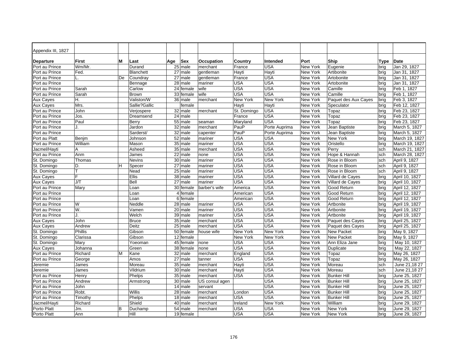| Appendix III, 1827 |                    |    |                  |                      |                   |                       |                 |          |                      |      |                              |
|--------------------|--------------------|----|------------------|----------------------|-------------------|-----------------------|-----------------|----------|----------------------|------|------------------------------|
| <b>Departure</b>   | <b>First</b>       | м  | Last             | Sex<br>Age           | <b>Occupation</b> | Country               | Intended        | Port     | Ship                 | Type | <b>Date</b>                  |
| Port au Prince     | Wm/Mr.             |    | Durand           | $25$ male            | merchant          | France                | <b>USA</b>      | New York | Eugenie              | brig | Jan 29, 1827                 |
| Port au Prince     | Fed.               |    | <b>Blanchett</b> | $27$ male            | gentleman         | Hayti                 | Hayti           | New York | Artibonite           | brig | Jan 31, 1827                 |
| Port au Prince     |                    | De | Coundray         | 27 male              | gentleman         | France                | <b>USA</b>      | New York | Artobonite           | brig | Jan 31, 1827                 |
| Port au Prince     |                    |    | Bennage          | 28<br>male           | mariner           | USA                   | <b>USA</b>      | New York | Artobonite           | brig | Jan 31, 1827                 |
| Port au Prince     | Sarah              |    | Carlow           | 24<br>female         | wife              | USA                   | <b>USA</b>      | New York | Camille              | brig | Feb 1. 1827                  |
| Port au Prince     | Sarah              |    | <b>Brown</b>     | 33 female            | wife              | <b>USA</b>            | USA             | New York | Camille              | brig | Feb 1, 1827                  |
| <b>Aux Cayes</b>   | Η.                 |    | Valiston/W       | 36<br>male           | merchant          | New York              | <b>New York</b> | New York | Paquet des Aux Cayes | brig | Feb 3, 1827                  |
| Aux Cayes          | Mrs.               |    | Sallie?Gallic    | female               |                   | Hayti                 | Hayti           | New York | Speculator           | brig | Feb 12, 1827                 |
| Port au Prince     | John               |    | Verjospere       | 32 male              | merchant          | St. Domingo           | USA             | New York | Topaz                | brig | Feb 23, 1827                 |
| Port au Prince     | Jos.               |    | Dreamsend        | 24 male              |                   | France                | USA             | New York | Topaz                | brig | Feb 23, 1827                 |
| Port au Prince     | Paul               |    | Berry            | 55 male              | seaman            | Maryland              | USA             | New York | Topaz                | brig | Feb 23, 1827                 |
| Port au Prince     | J.                 |    | Jardon           | $32$ male            | merchant          | PauP                  | Porte Auprima   | New York | Jean Baptiste        | brig | March 5, 1827                |
| Port au Prince     |                    |    | Sarderst/        | 32<br>male           | capenter          | PauP                  | Porte Auprima   | New York | Jean Baptiste        | brig | March 5, 1827                |
| Port au Platt      | Benjm              |    | Johnson          | 52 male              | mariner           | USA                   | <b>USA</b>      | New York | New York             | brig | March 19, 1827               |
| Port au Prince     | William            |    | Mason            | 35<br>male           | mariner           | USA                   | USA             | New York | Oristello            | brig | March 19, 1827               |
| Jacmel/Hayti       | Α                  |    | Asheed           | 35 male              | merchant          | USA                   | USA             | New York | Perry                | sch  | March 21, 1827               |
| Port au Prince     | Anm                |    | James            | 22 male              | none              | USA                   | USA             | New York | Hope & Hannah        | sch  | March 28, 1827               |
| St. Domingo        | Thomas             |    | Nevins           | 30 male              | mariner           | USA                   | USA             | New York | Rose in Bloom        | sch  | April 9, 1827                |
| St. Domingo        | D.                 | Н  | Specer           | 27 male              | mariner           | USA                   | USA             | New York | Rose in Bloom        | sch  | April 9, 1827                |
| St. Domingo        | т                  |    | Nead             | $\overline{25}$ male | mariner           | USA                   | USA             | New York | Rose in Bloom        | sch  | April 9, 1827                |
| <b>Aux Cayes</b>   | F                  |    | <b>Ellis</b>     | 38 male              | mariner           | USA                   | USA             | New York | Villard de Cayes     | brig | April 10, 1827               |
| <b>Aux Cayes</b>   | J/T                |    | Bell             | 27<br>male           | mariner           | USA                   | USA             | New York | Villard de Cayes     | brig | April 10, 1827               |
| Port au Prince     | Mary               |    | Loan             | 30 female            | barber's wife     | America               | USA             | New York | Good Return          | brig | April 12, 1827               |
| Port au Prince     |                    |    | Loan             | 4 female             |                   | American              | USA             | New York | Good Return          | brig | April 12, 1827               |
| Port au Prince     |                    |    | Loan             | 6 female             |                   | American              | USA             | New York | Good Return          | brig | April 12, 1827               |
| Port au Prince     | W                  |    | Neddle           | 28 male              | mariner           | USA                   | <b>USA</b>      | New York | Artbonite            | brig | April 19, 1827               |
| Port au Prince     | W.                 |    | Vamen            | 20 male              | mariner           | <b>USA</b>            | <b>USA</b>      | New York | Artbonite            | brig | April 19, 1827               |
| Port au Prince     | J.                 |    | Welch            | 39 male              | mariner           | USA                   | <b>USA</b>      | New York | Artbonite            | brig | April 19, 1827               |
| Aux Cayes          | John               |    | <b>Bruce</b>     | 35 male              | merchant          | <b>USA</b>            | USA             | New York | Paquet des Cayes     | brig | April 25, 1827               |
| <b>Aux Cayes</b>   | Andrew             |    | Deitz            | 25<br>male           | merchant          | USA                   | <b>USA</b>      | New York | Paquet des Cayes     | brig | April 25, 1827               |
| St. Domingo        | Phillis            |    | Gibson           | 50 female            | house wife        | New York              | New York        | New York | <b>New Packet</b>    | brig | May 9, 1827                  |
| St. Domingo        | Clarissa           |    | Gibson           | 12 female            |                   | New York              | New York        | New York | <b>New Packet</b>    | brig | May 9, 1827                  |
| St. Domingo        | Mary               |    | Yoeoman          | 45 female            | none              | <b>USA</b>            | <b>USA</b>      | New York | Ann Eliza Jane       |      | May 10, 1827                 |
| Aux Cayes          |                    |    | Green            | 38 female            | none              | <b>USA</b>            | <b>USA</b>      | New York | Duplicate            | brig |                              |
| Port au Prince     | Johanna<br>Richard | M  |                  | 32 male              |                   |                       | <b>USA</b>      | New York | Topaz                | brig | May 22, 1827<br>May 26, 1827 |
| Port au Prince     |                    |    | Kane<br>Amos     | 27 male              | merchant          | England<br><b>USA</b> | <b>USA</b>      | New York |                      | brig |                              |
|                    | George             |    |                  |                      | tanner            |                       | <b>USA</b>      |          | Topaz                | brig | May 26, 1827                 |
| Jeremie            | James              |    | Moreau           | 35 male              | merchant          | Hayti                 | USA             | New York | Moreau               | sch  | June 21,18 27                |
| Jeremie            | James              |    | Vildrium         | 30 male              | merchant          | Hayti                 |                 | New York | Moreau               | sch  | June 21,18 27                |
| Port au Prince     | Henry              |    | Phelps           | 35 male              | merchant          | <b>USA</b>            | USA             | New York | <b>Bunker Hill</b>   | brig | June 25, 1827                |
| Port au Prince     | Andrew             |    | Armstrong        | 30 male              | US consul agen    |                       | <b>USA</b>      | New York | <b>Bunker Hill</b>   | brig | June 25, 1827                |
| Port au Prince     | John               |    |                  | 14 male              | servant           |                       | <b>USA</b>      | New York | <b>Bunker Hill</b>   | brig | June 25, 1827                |
| Port au Prince     | Robt.              |    | Willis           | 28 male              | merchant          | London                | <b>USA</b>      | New York | <b>Bunker Hill</b>   | brig | June 25, 1827                |
| Port au Prince     | Timothy            |    | Phelps           | 18 male              | merchant          | <b>USA</b>            | <b>USA</b>      | New York | <b>Bunker Hill</b>   | brig | June 25, 1827                |
| Jacmel/Hayti       | Richard            |    | Shield           | 40 male              | merchant          | Ireland               | New York        | New York | William              | brig | June 29, 1827                |
| Porto Platt        | Jm.                | B  | Duchamp          | 54 male              | merchant          | <b>USA</b>            | <b>USA</b>      | New York | New York             | brig | June 29, 1827                |
| Porto Platt        | Ann                |    | Hill             | 19 female            |                   | <b>USA</b>            | <b>USA</b>      | New York | <b>New York</b>      | brig | June 29, 1827                |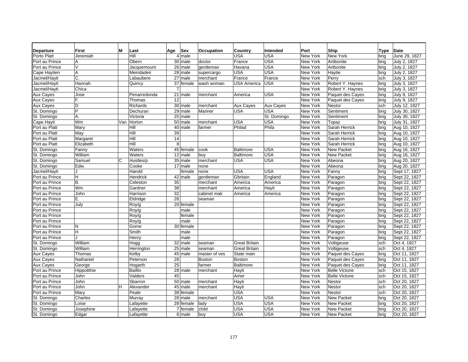| <b>Departure</b> | М<br>First  | Last           | Age | Sex                   | Occupation    | Country              | Intended    | Port     | Ship                  | Type | <b>Date</b>   |
|------------------|-------------|----------------|-----|-----------------------|---------------|----------------------|-------------|----------|-----------------------|------|---------------|
| Porto Platt      | Jeremiah    | Hill           |     | 4 male                |               | USA                  | USA         | New York | New York              | brig | June 29, 1827 |
| Port au Prince   | А           | Obern          |     | 30 male               | doctor        | France               | <b>USA</b>  | New York | Artibonite            | brig | July 2, 1827  |
| Port au Prince   | $\sqrt{ }$  | Jacquemount    |     | 26 male               | gentleman     | Havana               | <b>USA</b>  | New York | Artbonite             | brig | July 2, 1827  |
| Cape Haytien     | A           | Meindadeir     |     | 28 male               | supercargo    | USA                  | <b>USA</b>  | New York | Haytie                | brig | July 2, 1827  |
| Jacmel/Hayti     | C.          | Labaubere      |     | 27 male               | merchant      | France               | France      | New York | Perry                 | sch  | July 3, 1827  |
| Jacmel/Hayti     | Hannah      | Quincy         | 37  | female                | wash woman    | USA America          | USA         | New York | Robert Y. Haynes      | brig | July 3, 1827  |
| Jacmel/Hayti     | Chica       |                | 7   |                       |               |                      |             | New York | Robert Y. Haynes      | brig | July 3, 1827  |
| Aux Cayes        | Jose        | Penarredonda   | 21  | male                  | merchant      | America              | USA         | New York | Paquet des Cayes      | brig | July 9, 1827  |
| Aux Cayes        | F.          | Thomas         | 12  |                       |               |                      |             | New York | Paquet des Cayes      | brig | July 9, 1827  |
| Aux Cayes        | D           | Richards       |     | 30 male               | merchant      | <b>Aux Cayes</b>     | Aux Cayes   | New York | Nestor                | sch  | July 12, 1827 |
| St. Domingo      | P           | Dechuran       |     | $29$ male             | Mariner       | USA                  | <b>USA</b>  | New York | Sentiment             | brig | July 30, 1827 |
| St. Domingo      | А.          | Victoria       |     | $25$ male             |               |                      | St. Domingo | New York | Sentiment             | bria | July 30, 1827 |
| Cape Hayti       | Wm          | Van<br>Horton  |     | 50 male               | merchant      | USA                  | USA         | New York | Topaz                 | brig | July 31, 1827 |
| Port au Platt    | Mary        | Hill           | 40  | male                  | farmer        | Philad               | Phila       | New York | Sarah Herrick         | bria | Aug 10, 1827  |
| Port au Platt    | May         | Hill           | 39  |                       |               |                      |             | New York | Sarah Herrick         | brig | Aug 10, 1827  |
| Port au Platt    | Margaret    | Hill           | 14  |                       |               |                      |             | New York | Sarah Herrick         | brig | Aug 10, 1827  |
| Port au Platt    | Elizabeth   | Hill           | 8   |                       |               |                      |             | New York | Sarah Herrick         | brig | Aug 10, 1827  |
| St. Domingo      | Fanny       | Waters         |     | 45 female             | cook          | Baltimore            | USA         | New York | <b>New Packet</b>     | bria | Aug 16, 1827  |
| St. Domingo      | William     | Waters         |     | $12$ male             | boy           | Baltimore            | <b>USA</b>  | New York | <b>New Packet</b>     | brig | Aug 16, 1827  |
| St. Domingo      | Samuel<br>C | Hustles/p      |     | $35$ male             | merchant      | USA                  | USA         | New York | Abeona                | brig | Aug 20, 1827  |
| St. Domingo      | Edw.        | Cooke          |     | 17 male               | none          |                      |             | New York | Abeona                | brig | Aug 20, 1827  |
| Jacmel/Hayti     |             | Harold         |     | female                | none          | <b>USA</b>           | <b>USA</b>  | New York | Fanny                 | bria | Sept 17, 1827 |
| Port au Prince   | H           | Hendrick       |     | 42 male               | gentleman     | Gbritain             | England     | New York | Paragon               | brig | Sept 22, 1827 |
| Port au Prince   | <b>B.</b>   | Celeston       | 35  |                       | merchant      | America              | America     | New York | Paragon               | bria | Sept 22, 1827 |
| Port au Prince   | Wm          | Gardner        | 38  |                       | merchant      | America              | Hayti       | New York | Paragon               | bria | Sept 22, 1827 |
| Port au Prince   | John        | Harrison       | 32  |                       | cabinet mak   | America              | America     | New York | Paragon               | brig | Sept 22, 1827 |
| Port au Prince   | Ε.          | Eldridge       | 26  |                       | seaman        |                      |             | New York | Paragon               | brig | Sept 22, 1827 |
| Port au Prince   | July        | Roy/g          |     | 20 female             |               |                      |             | New York | Paragon               | brig | Sept 22, 1827 |
| Port au Prince   |             | Roy/g          |     | male                  |               |                      |             | New York | Paragon               | brig | Sept 22, 1827 |
| Port au Prince   |             | Roy/g          |     | female                |               |                      |             | New York | Paragon               | brig | Sept 22, 1827 |
| Port au Prince   |             | Roy/g          |     | male                  |               |                      |             | New York | Paragon               | brig | Sept 22, 1827 |
| Port au Prince   | N           | Gome           |     | 30 female             |               |                      |             | New York | Paragon               | brig | Sept 22, 1827 |
| Port au Prince   | H           | Smith          |     | male                  |               |                      |             | New York | Paragon               | brig | Sept 22, 1827 |
| Port au Prince   | 1.          | Henry          |     | male                  |               |                      |             | New York | Paragon               | brig | Sept 22, 1827 |
| St. Domingo      | William     | Hogg           | 32  | male                  | seaman        | <b>Great Britain</b> |             | New York | Voltigeuse            | sch  | Oct 4, 1827   |
| St. Domingo      | William     | Herrington     | 25  | male                  | seaman        | <b>Great Britain</b> |             | New York | Voltigeuse            | sch  | Oct 4, 1827   |
| Aux Cayes        | Thomas      | Kelby          |     | 45 male               | master of ves | State main           |             | New York | Paquet des Cayes      | brig | Oct 11, 1827  |
| Aux Cayes        | Nathaniel   | Peterson       | 28  |                       | <b>Boston</b> | <b>Boston</b>        |             | New York | Paquet des Cayes      | bria | Oct 11, 1827  |
| Aux Cayes        | George      | Hogarth        | 25  |                       | farmer        | <b>Baltimore</b>     |             | New York | Paquet des Cayes      | brig | Oct 11, 1827  |
| Port au Prince   | Hippolithie | <b>Baillio</b> | 28  | male                  | merchant      | Hayti                |             | New York | <b>Belle Victorie</b> | sch  | Oct 15, 1827  |
| Port au Prince   | John        | Valders        | 45  |                       |               | Amer                 |             | New York | <b>Belle Victorie</b> | sch  | Oct 15, 1827  |
| Port au Prince   | John        | Sbarron        |     | 50 male               | merchant      | Hayti                |             | New York | Nestor                | sch  | Oct 20, 1827  |
| Port au Prince   | John<br>н   | Alexander      |     | $\overline{45}$ male  | merchant      | Hayti                |             | New York | Nestor                | sch  | Oct 20, 1827  |
| Port au Prince   | Mary        | Peale          |     | 38 female             |               | <b>USA</b>           |             | New York | Nestor                | sch  | Oct 20, 1827  |
| St. Domingo      | Charles     | Murray         |     | $28$ male             | merchant      | <b>USA</b>           | <b>USA</b>  | New York | <b>New Packet</b>     | brig | Oct 20, 1827  |
| St. Domingo      | Loise       | Lafayette      |     | 28 female             | lady          | <b>USA</b>           | <b>USA</b>  | New York | New Packet            | brig | Oct 20, 1827  |
| St. Domingo      | Josephine   | Lafayette      |     | $\overline{7}$ female | child         | <b>USA</b>           | <b>USA</b>  | New York | <b>New Packet</b>     | bria | Oct 20, 1827  |
| St. Domingo      | Edgar       | Lafayette      |     | 6 male                | boy           | <b>USA</b>           | <b>USA</b>  | New York | New Packet            | brig | Oct 20, 1827  |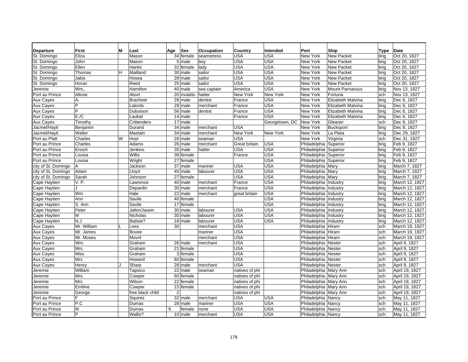| <b>Departure</b>    | First          | м | Last             | Age            | Sex        | Occupation  | Country        | Intended       | Port                    | Ship                   | Type | <b>Date</b>    |
|---------------------|----------------|---|------------------|----------------|------------|-------------|----------------|----------------|-------------------------|------------------------|------|----------------|
| St. Domingo         | Eliza          |   | Mason            |                | 34 female  | seamstress  | <b>USA</b>     | <b>USA</b>     | New York                | <b>New Packet</b>      | brig | Oct 20, 1827   |
| St. Domingo         | John           |   | Mason            |                | 5 male     | boy         | <b>USA</b>     | <b>USA</b>     | New York                | <b>New Packet</b>      | brig | Oct 20, 1827   |
| St. Domingo         | Ellen          |   | Hanks            |                | 32 female  | lady        | <b>USA</b>     | <b>USA</b>     | New York                | <b>New Packet</b>      | brig | Oct 20, 1827   |
| St. Domingo         | Thomas         | н | Mailland         |                | 30 male    | sailor      | <b>USA</b>     | <b>USA</b>     | New York                | <b>New Packet</b>      | brig | Oct 20, 1827   |
| St. Domingo         | Jabis          |   | Hosea            |                | 28 male    | sailor      | <b>USA</b>     | <b>USA</b>     | New York                | <b>New Packet</b>      | bria | Oct 20, 1827   |
| St. Domingo         | Horan          |   | Reed             |                | 25 male    | sailor      | <b>USA</b>     | <b>USA</b>     | New York                | <b>New Packet</b>      | brig | Oct 20, 1827   |
| Jeremie             | Wm.            |   | Hamilton         |                | 40 male    | sea captain | America        | <b>USA</b>     | New York                | <b>Mount Parnassus</b> | brig | Nov 13, 1827   |
| Port au Prince      | Altose         |   | Abort            |                | 20 mulatto | hatter      | New York       | New York       | New York                | Fortuna                | sch  | Nov 13, 1827   |
| <b>Aux Cayes</b>    | Α.             |   | <b>Bracheer</b>  |                | 28 male    | dentist     | France         | <b>USA</b>     | New York                | Elizabeth Malvina      | brig | Dec 6, 1827    |
| <b>Aux Cayes</b>    | P              |   | Lalords          |                | 29 male    | merchant    | France         | <b>USA</b>     | New York                | Elizabeth Malvina      | brig | Dec 6, 1827    |
| <b>Aux Cayes</b>    | $\overline{P}$ |   | Duboison         |                | 56 male    | dentist     | France         | <b>USA</b>     | New York                | Elizabeth Malvina      | brig | Dec 6, 1827    |
| <b>Aux Cayes</b>    | E./C           |   | Laubat           |                | $14$ male  |             | France         | <b>USA</b>     | New York                | Elizabeth Malvina      | brig | Dec 6, 1827    |
| Aux Cayes           | Timothy        |   | Crittenders      |                | 17 male    |             |                | Georgetown, DC | New York                | Gleaner                | sch  | Dec 6, 1827    |
| Jacmel/Hayti        | Benjamin       |   | Durand           |                | 34 male    | merchant    | <b>USA</b>     |                | New York                | <b>Bucksport</b>       | brig | Dec 8, 1827    |
| Jacmel/Hayti        | Walter         |   | Mastain          |                | 34 male    | merchant    | New York       | New York       | New York                | La Plata               | brig | Dec 29, 1827   |
| Port au Platt       | Charles        | W | Hoyt             |                | 28 male    | seaman      | <b>USA</b>     |                | New York                | Virginia               | sch  | Dec 31, 1827   |
| Port au Prince      | Charles        |   | Adams            |                | 26 male    | merchant    | Great britain  | <b>USA</b>     | Philadelphia Superior   |                        | brig | Feb 9, 1827    |
| Port au Prince      | Enoch          |   | Jenkins          |                | $35$ male  | hatter      | <b>USA</b>     | <b>USA</b>     | Philadelphia Superior   |                        | brig | Feb 9, 1827    |
| Port au Prince      | Louisa         |   | Willis           |                | 38 female  |             | France         | <b>USA</b>     | Philadelphia Superior   |                        | brig | Feb 9, 1827    |
| Port au Prince      | Louisa         |   | Wright           |                | 27 female  |             |                | <b>USA</b>     | Philadelphia Superior   |                        | brig | Feb 9, 1827    |
| city of St. Domingo | Α              |   | Jackson          |                | 37 male    | mariner     | <b>USA</b>     | <b>USA</b>     | Philadelphia Mary       |                        | brig | March 7, 1827  |
| city of St. Domingo | Adam           |   | Lloyd            |                | 45 male    | labourer    | <b>USA</b>     | <b>USA</b>     | Philadelphia Mary       |                        | brig | March 7, 1827  |
| city of St. Domingo | Sarah          |   | Johnson          |                | 27 female  |             | <b>USA</b>     | <b>USA</b>     | Philadelphia Mary       |                        | brig | March 7, 1827  |
| Cape Haytien        | V. P.          |   | Lawrence         |                | 40 male    | merchant    | France         | <b>USA</b>     | Philadelphia Industry   |                        | brig | March 12, 1827 |
| Cape Haytien        | $\blacksquare$ |   | Depardin         |                | 30 male    | merchant    | France         | <b>USA</b>     | Philadelphia   Industry |                        | brig | March 12, 1827 |
| Cape Haytien        | Wm             |   | Hale             |                | 22 male    | merchant    | great britain  | <b>USA</b>     | Philadelphia            | Industry               | bria | March 12, 1827 |
| Cape Haytien        | Ann            |   | Savile           |                | 40 female  |             |                | <b>USA</b>     | Philadelphia   Industry |                        | bria | March 12, 1827 |
| Cape Haytien        | S. Ann         |   | Savile           |                | 17 female  |             |                | <b>USA</b>     | Philadelphia Industry   |                        | bria | March 12, 1827 |
| Cape Haytien        | Peter          |   | Jafen/Jasein     |                | 30 male    | labourer    | <b>USA</b>     | <b>USA</b>     | Philadelphia Industry   |                        | brig | March 12, 1827 |
| Cape Haytien        | M              |   | Nicholas         |                | 30 male    | labourer    | <b>USA</b>     | <b>USA</b>     | Philadelphia Industry   |                        | brig | March 12, 1827 |
| Cape Haytien        | N.J            |   | Batiste?         |                | 18 male    | labourer    | <b>USA</b>     | <b>USA</b>     | Philadelphia Industry   |                        | brig | March 12, 1827 |
| Aux Cayes           | Mr. William    |   | Lees             | 30             |            | merchant    | <b>USA</b>     |                | Philadelphia Hiram      |                        | sch  | March 19, 1827 |
| <b>Aux Cayes</b>    | Mr. James      |   | <b>Bovee</b>     |                |            | mariner     | <b>USA</b>     |                | Philadelphia Hiram      |                        | sch  | March 19, 1827 |
| <b>Aux Cayes</b>    | Mr. Moses      |   | Movril           |                |            | merchant    | <b>USA</b>     |                | Philadelphia Hiram      |                        | sch  | March 19, 1827 |
| <b>Aux Cayes</b>    | Wm.            |   | Graham           |                | 26 male    | merchant    | <b>USA</b>     |                | Philadelphia Nester     |                        | sch  | April 9, 1827  |
| <b>Aux Cayes</b>    | Mrs.           |   | Graham           |                | 21 female  |             | <b>USA</b>     |                | Philadelphia Nester     |                        | sch  | April 9, 1827  |
| <b>Aux Cayes</b>    | Miss           |   | Graham           |                | 3 female   |             | <b>USA</b>     |                | Philadelphia Nester     |                        | sch  | April 9, 1827  |
| Aux Cayes           | Mrs            |   | Howard           |                | 60 female  |             | <b>USA</b>     |                | Philadelphia Nester     |                        | sch  | April 9, 1827  |
| Aux Cayes           | Henry          |   | Sharp            |                | 28 male    | merchant    | <b>USA</b>     |                | Philadelphia Nester     |                        | sch  | April 9, 1827  |
| Jeremie             | William        |   | Tapsico          |                | 22 male    | seaman      | natives of phi |                | Philadelphia Mary Ann   |                        | sch  | April 19, 1827 |
| Jeremie             | Mrs.           |   | Cowper           |                | 60 female  |             | natives of phi |                | Philadelphia Mary Ann   |                        | sch  | April 19, 1827 |
| Jeremie             | <b>Mrs</b>     |   | Wilson           |                | 22 female  |             | natives of phi |                | Philadelphia Mary Ann   |                        | sch  | April 19, 1827 |
| Jeremie             | Emiline        |   | Cowper           |                | 15 female  |             | natives of phi |                | Philadelphia Mary Ann   |                        | sch  | April 19, 1827 |
| Jeremie             | George         |   | free black child | $\overline{2}$ |            |             | natives of phi |                | Philadelphia Mary Ann   |                        | sch  | April 19, 1827 |
| Port au Prince      | F              |   | Squires          |                | 32 male    | merchant    | <b>USA</b>     | <b>USA</b>     | Philadelphia Nancy      |                        | sch  | May 11, 1827   |
| Port au Prince      | P.C            |   | Dumas            |                | 28 male    | mariner     | <b>USA</b>     | <b>USA</b>     | Philadelphia Nancy      |                        | sch  | May 11, 1827   |
| Port au Prince      | M              |   | Dumas            | ۰9             | female     | none        | <b>USA</b>     | <b>USA</b>     | Philadelphia Nancy      |                        | sch  | May 11, 1827   |
| Port au Prince      | lP.            |   | Wallis?          |                | 10 male    | merchant    | <b>USA</b>     | <b>USA</b>     | Philadelphia Nancy      |                        | sch  | May 11, 1827   |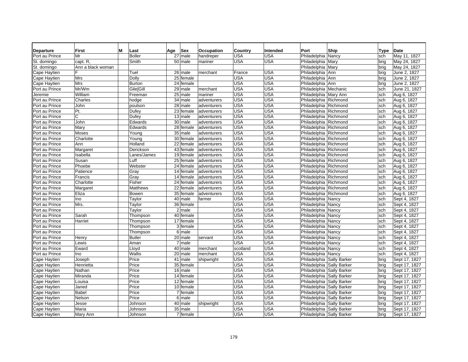| <b>Departure</b> | First             | м | Last             | Sex<br>Age           | <b>Occupation</b> | Country    | Intended   | Port                      | Ship  | Type | <b>Date</b>   |
|------------------|-------------------|---|------------------|----------------------|-------------------|------------|------------|---------------------------|-------|------|---------------|
| Port au Prince   | Mr                |   | <b>Boller</b>    | 27 male              | handreper         | USA        | USA        | Philadelphia Nancy        |       | sch  | May 11, 1827  |
| St. domingo      | capt. R.          |   | Smith            | 50 male              | mariner           | USA        | USA        | Philadelphia Mary         |       | brig | May 24, 1827  |
| St. domingo      | Ann a black woman |   |                  |                      |                   |            |            | Philadelphia   Mary       |       | brig | May 24, 1827  |
| Cape Haytien     | F                 |   | Tuel             | 26 male              | merchant          | France     | USA        | Philadelphia Ann          |       | brig | June 2, 1827  |
| Cape Haytien     | Mrs               |   | Dolly            | 25 female            |                   | USA        | USA        | Philadelphia Ann          |       | brig | June 2, 1827  |
| Cape Haytien     | Mrs               |   | <b>Burton</b>    | 24 female            |                   | <b>USA</b> | USA        | Philadelphia Ann          |       | brig | June 2, 1827  |
| Port au Prince   | Mr/Wm             |   | <b>Gile[Gill</b> | 29 male              | merchant          | USA        | USA        | Philadelphia Mechanic     |       | sch  | June 21, 1827 |
| Jeremie          | William           |   | Freeman          | 25 male              | mariner           | USA        | USA        | Philadelphia Mary Ann     |       | sch  | Aug 6, 1827   |
| Port au Prince   | Charles           |   | hodge            | 34<br>male           | adventurers       | USA        | USA        | Philadelphia Richmond     |       | sch  | Aug 6, 1827   |
| Port au Prince   | John              |   | poulson          | 28<br>male           | adventurers       | USA        | USA        | Philadelphia Richmond     |       | sch  | Aug 6, 1827   |
| Port au Prince   | Pt.               |   | Dufey            | 23<br>female         | adventurers       | USA        | USA        | Philadelphia Richmond     |       | sch  | Aug 6, 1827   |
| Port au Prince   | C                 |   | Dufey            | 13 male              | adventurers       | USA        | USA        | Philadelphia Richmond     |       | sch  | Aug 6, 1827   |
| Port au Prince   | John              |   | Edwards          | 30<br>male           | adventurers       | USA        | USA        | Philadelphia Richmond     |       | sch  | Aug 6, 1827   |
| Port au Prince   | Mary              |   | Edwards          | 28<br>female         | adventurers       | USA        | <b>USA</b> | Philadelphia Richmond     |       | sch  | Aug 6, 1827   |
| Port au Prince   | Moses             |   | Young            | 35<br>male           | adventurers       | USA        | <b>USA</b> | Philadelphia Richmond     |       | sch  | Aug 6, 1827   |
| Port au Prince   | Charlotte         |   | Young            | 30 female            | adventurers       | USA        | USA        | Philadelphia Richmond     |       | sch  | Aug 6, 1827   |
| Port au Prince   | Ann               |   | Holland          | 22 female            | adventurers       | <b>USA</b> | <b>USA</b> | Philadelphia Richmond     |       | sch  | Aug 6, 1827   |
| Port au Prince   | Margaret          |   | Derickson        | 43 female            | adventurers       | USA        | USA        | Philadelphia Richmond     |       | sch  | Aug 6, 1827   |
| Port au Prince   | Isabella          |   | Lanes/James      | 19 female            | adventurers       | USA        | USA        | Philadelphia Richmond     |       | sch  | Aug 6, 1827   |
| Port au Prince   | Susan             |   | Luff             | 25<br>female         | adventurers       | USA        | USA        | Philadelphia Richmond     |       | sch  | Aug 6, 1827   |
| Port au Prince   | Phoebe            |   | Webster          | 24<br>female         | adventurers       | USA        | USA        | Philadelphia Richmond     |       | sch  | Aug 6, 1827   |
| Port au Prince   | Patience          |   | Gray             | 14 female            | adventurers       | <b>USA</b> | USA        | Philadelphia Richmond     |       | sch  | Aug 6, 1827   |
| Port au Prince   | Francis           |   | Gray             | 14<br>female         | adventurers       | USA        | USA        | Philadelphia Richmond     |       | sch  | Aug 6, 1827   |
| Port au Prince   | Charlotte         |   | Fisher           | 24<br>female         | adventurers       | <b>USA</b> | <b>USA</b> | Philadelphia Richmond     |       | sch  | Aug 6, 1827   |
| Port au Prince   | Margaret          |   | <b>Matthews</b>  | 22<br>female         | adventurers       | USA        | USA        | Philadelphia Richmond     |       | sch  | Aug 6, 1827   |
| Port au Prince   | Eliza             |   | Bowen            | 35<br>female         | adventurers       | USA        | USA        | Philadelphia Richmond     |       | sch  | Aug 6, 1827   |
| Port au Prince   | Ino               |   | Taylor           | $\overline{40}$ male | farmer            | USA        | USA        | Philadelphia Nancy        |       | sch  | Sept 4, 1827  |
| Port au Prince   | Mrs.              |   | Taylor           | 36 female            |                   | USA        | USA        | Philadelphia Nancy        |       | sch  | Sept 4, 1827  |
| Port au Prince   |                   |   | Taylor           | $2$ male             |                   | USA        | USA        | Philadelphia Nancy        |       | sch  | Sept 4, 1827  |
| Port au Prince   | Sarah             |   | Thompson         | 40 female            |                   | USA        | USA        | Philadelphia Nancy        |       | sch  | Sept 4, 1827  |
| Port au Prince   | Harriet           |   | Thompson         | 17 female            |                   | <b>USA</b> | <b>USA</b> | Philadelphia Nancy        |       | sch  | Sept 4, 1827  |
| Port au Prince   |                   |   | Thompson         | 3 female             |                   | USA        | USA        | Philadelphia Nancy        |       | sch  | Sept 4, 1827  |
| Port au Prince   |                   |   | Thompson         | 6 male               |                   | <b>USA</b> | USA        | Philadelphia Nancy        |       | sch  | Sept 4, 1827  |
| Port au Prince   | Henry             |   | <b>Butler</b>    | 20 male              | servant           | USA        | USA        | Philadelphia              | Nancy | sch  | Sept 4, 1827  |
| Port au Prince   | Lewis             |   | Aman             | $7$ male             |                   | <b>USA</b> | USA        | Philadelphia Nancy        |       | sch  | Sept 4, 1827  |
| Port au Prince   | Eward             |   | Lloyd            | 40 male              | merchant          | scotland   | <b>USA</b> | Philadelphia Nancy        |       | sch  | Sept 4, 1827  |
| Port au Prince   | Ino               |   | Wallis           | 20 male              | merchant          | USA        | <b>USA</b> | Philadelphia Nancy        |       | sch  | Sept 4, 1827  |
| Cape Haytien     | Joseph            |   | Price            | 41 male              | shipwright        | USA        | USA        | Philadelphia Sally Barker |       | brig | Sept 17, 1827 |
| Cape Haytien     | Henrietta         |   | Price            | 35 female            |                   | USA        | <b>USA</b> | Philadelphia Sally Barker |       | brig | Sept 17, 1827 |
| Cape Haytien     | Nathan            |   | Price            | 16 male              |                   | USA        | USA        | Philadelphia Sally Barker |       | brig | Sept 17, 1827 |
| Cape Haytien     | Miranda           |   | Price            | $14$ female          |                   | <b>USA</b> | <b>USA</b> | Philadelphia Sally Barker |       | brig | Sept 17, 1827 |
| Cape Haytien     | Louisa            |   | Price            | 12 female            |                   | USA        | <b>USA</b> | Philadelphia Sally Barker |       | brig | Sept 17, 1827 |
| Cape Haytien     | Janed             |   | Price            | 10 female            |                   | <b>USA</b> | USA        | Philadelphia Sally Barker |       | brig | Sept 17, 1827 |
| Cape Haytien     | <b>Babel</b>      |   | Price            | 7 female             |                   | USA        | <b>USA</b> | Philadelphia Sally Barker |       | brig | Sept 17, 1827 |
| Cape Haytien     | Nelson            |   | Price            | 6 male               |                   | USA        | USA        | Philadelphia Sally Barker |       | brig | Sept 17, 1827 |
| Cape Haytien     | Jesse             |   | Johnson          | 40 male              | shipwright        | USA        | <b>USA</b> | Philadelphia Sally Barker |       | brig | Sept 17, 1827 |
| Cape Haytien     | Maria             |   | Johnson          | 35 male              |                   | <b>USA</b> | <b>USA</b> | Philadelphia Sally Barker |       | brig | Sept 17, 1827 |
| Cape Haytien     | Mary Ann          |   | Johnson          | 7 female             |                   | <b>USA</b> | USA        | Philadelphia Sally Barker |       | brig | Sept 17, 1827 |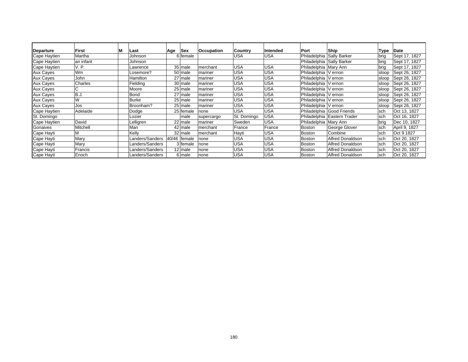| Departure        | First     | Last            | Age             | Sex            | <b>Occupation</b> | Country     | Intended   | Port                      | Ship                        | Type  | Date          |
|------------------|-----------|-----------------|-----------------|----------------|-------------------|-------------|------------|---------------------------|-----------------------------|-------|---------------|
| Cape Haytien     | Martha    | Johnson         |                 | 6 female       |                   | USA         | <b>USA</b> |                           | Philadelphia Sally Barker   | brig  | Sept 17, 1827 |
| Cape Haytien     | an infant | Johnson         |                 |                |                   |             |            | Philadelphia Sally Barker |                             | brig  | Sept 17, 1827 |
| Cape Haytien     | V. P.     | Lawrence        |                 | 35 male        | merchant          | USA         | <b>USA</b> | Philadelphia Mary Ann     |                             | brig  | Sept 17, 1827 |
| <b>Aux Cayes</b> | <b>Wm</b> | Losemore?       |                 | 50 male        | mariner           | USA         | <b>USA</b> | Philadelphia V ernon      |                             | sloop | Sept 26, 1827 |
| <b>Aux Cayes</b> | John      | Hamilton        |                 | 27 male        | mariner           | USA         | <b>USA</b> | Philadelphia V ernon      |                             | sloop | Sept 26, 1827 |
| <b>Aux Cayes</b> | Charles   | Fielding        |                 | $30$ male      | mariner           | USA         | <b>USA</b> | Philadelphia   V ernon    |                             | sloop | Sept 26, 1827 |
| <b>Aux Cayes</b> | C         | Moore           |                 | 25 male        | mariner           | USA         | <b>USA</b> | Philadelphia V ernon      |                             | sloop | Sept 26, 1827 |
| <b>Aux Cayes</b> | B.J.      | Bond            |                 | 27 male        | mariner           | USA         | <b>USA</b> | Philadelphia   V ernon    |                             | sloop | Sept 26, 1827 |
| <b>Aux Cayes</b> | W         | Burke           |                 | 25 male        | mariner           | USA         | <b>USA</b> | Philadelphia V ernon      |                             | sloop | Sept 26, 1827 |
| Aux Cayes        | Jos       | Broonham?       |                 | $25$ male      | mariner           | USA         | <b>USA</b> | Philadelphia V ernon      |                             | sloop | Sept 26, 1827 |
| Cape Haytien     | Adelaide  | Dodge           | 25 <sub>1</sub> | female         | none              | USA         | <b>USA</b> |                           | Philadelphia Good Friends   | sch   | Oct 13, 1827  |
| St. Domingo      |           | Lozier          |                 | male           | supercargo        | St. Domingo | <b>USA</b> |                           | Philadelphia Eastern Trader | sch   | Oct 16, 1827  |
| Cape Haytien     | David     | Lelligren       |                 | 22 male        | mariner           | Sweden      | <b>USA</b> | Philadelphia Mary Ann     |                             | bria  | Dec 10, 1827  |
| Gonaives         | Mitchell  | Man             |                 | 42 male        | merchant          | France      | France     | <b>Boston</b>             | George Glover               | sch   | April 9, 1827 |
| Cape Hayti       | м         | Kelly           |                 | 32 male        | merchant          | Hayti       | <b>USA</b> | <b>Boston</b>             | Combine                     | sch   | Oct 9 1827    |
| Cape Hayti       | Mary      | Landers/Sanders | 40/46           | <b>female</b>  | none              | USA         | <b>USA</b> | <b>Boston</b>             | Alfred Donaldson            | sch   | Oct 20, 1827  |
| Cape Hayti       | Mary      | Landers/Sanders |                 | 3   female     | none              | USA         | <b>USA</b> | <b>Boston</b>             | <b>Alfred Donaldson</b>     | sch   | Oct 20, 1827  |
| Cape Hayti       | Francis   | Landers/Sanders |                 | $12 \mid$ male | none              | USA         | <b>USA</b> | Boston                    | <b>Alfred Donaldson</b>     | sch   | Oct 20, 1827  |
| Cape Hayti       | Enoch     | Landers/Sanders |                 | 6 male         | none              | USA         | <b>USA</b> | <b>Boston</b>             | <b>Alfred Donaldson</b>     | sch   | Oct 20, 1827  |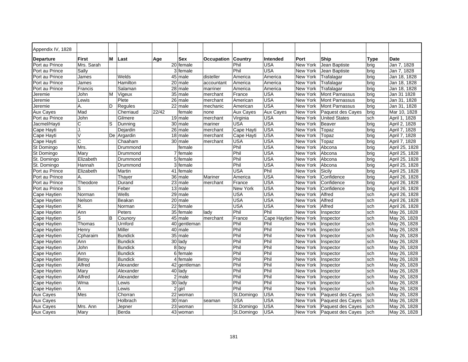| Appendix IV, 1828   |            |   |                |       |                       |            |                  |                  |          |                              |             |                |
|---------------------|------------|---|----------------|-------|-----------------------|------------|------------------|------------------|----------|------------------------------|-------------|----------------|
| Departure           | First      | м | Last           | Age   | Sex                   | Occupation | Country          | <b>Intended</b>  | Port     | Ship                         | <b>Type</b> | Date           |
| Port au Prince      | Mrs. Sarah |   |                |       | 20 female             |            | Phil             | <b>USA</b>       | New York | Jean Baptiste                | brig        | Jan 7, 1828    |
| Port au Prince      | Sally      |   |                |       | 3 female              |            | Phil             | <b>USA</b>       | New York | Jean Baptiste                | brig        | Jan 7, 1828    |
| Port au Prince      | James      |   | Welds          |       | 45 male               | disteller  | America          | America          | New York | Trafalagar                   | brig        | Jan 18, 1828   |
| Port au Prince      | James      |   | Hamilton       |       | 20 male               | accountant | America          | America          | New York | Trafalagar                   | brig        | Jan 18, 1828   |
| Port au Prince      | Francis    |   | Salaman        |       | 28 male               | marriner   | America          | America          | New York | Trafalagar                   | brig        | Jan 18, 1828   |
| Jeremie             | John       | м | Vigeux         |       | $35$ male             | merchant   | France           | <b>USA</b>       | New York | <b>Mont Parnassus</b>        | brig        | Jan 31 1828    |
| Jeremie             | Lewis      |   | Plete          |       | 26 male               | merchant   | American         | <b>USA</b>       | New York | Mont Parnassus               | brig        | Jan 31, 1828   |
| Jeremie             | А.         | D | Regules        |       | 22 male               | mechanic   | American         | <b>USA</b>       | New York | Mont Parnassus               | brig        | Jan 31, 1828   |
| <b>Aux Cayes</b>    | Mad        |   | Cherriaud      | 22/42 | female                | none       | <b>Aux Cayes</b> | <b>Aux Cayes</b> | New York | Paquest des Cayes            | brig        | Mar 10, 1828   |
| Port au Prince      | John       |   | Gilmere        |       | $19$ male             | merchant   | Virginia         | <b>USA</b>       | New York | <b>United States</b>         | sch         | April 1, 1828  |
| Jacmel/Hayti        | С          | S | Dunning        |       | $30$ male             | mariner    | <b>USA</b>       | <b>USA</b>       | New York | Beaver                       | brig        | April 2, 1828  |
| Cape Hayti          | J.         |   | Dejardin       |       | 26 male               | merchant   | Cape Hayti       | <b>USA</b>       | New York | Topaz                        | brig        | April 7, 1828  |
| Cape Hayti          | V          |   | De Argardin    |       | $18$ male             | merchant   | Cape Hayti       | <b>USA</b>       | New York | Topaz                        | brig        | April 7, 1828  |
| Cape Hayti          | С          |   | Chaaham        |       | 30 male               | merchant   | USA              | <b>USA</b>       | New York | Topaz                        | brig        | April 7, 1828  |
| St Domingo          | Mrs.       |   | Drummond       |       | female                |            | Phil             | <b>USA</b>       | New York | Abcona                       | brig        | April 25, 1828 |
| <b>St Domingo</b>   | Mary       |   | Drummond       |       | 7 female              |            | Phil             | <b>USA</b>       | New York | Abcona                       | brig        | April 25, 1828 |
| St. Domingo         | Elizabeth  |   | Drummond       |       | $\overline{5}$ female |            | Phil             | <b>USA</b>       | New York | Abcona                       | brig        | April 25, 1828 |
| St. Domingo         | Hannah     |   | Drummond       |       | 3 female              |            | Phil             | <b>USA</b>       | New York | Abcona                       | brig        | April 25, 1828 |
| Port au Prince      | Elizabeth  |   | Martin         |       | 41 female             |            | <b>USA</b>       | Phil             | New York | Sicily                       | brig        | April 25, 1828 |
| Port au Prince      | А.         |   | Thayer         |       | 36 male               | Mariner    | America          | <b>USA</b>       | New York | Confidence                   | brig        | April 26, 1828 |
| Port au Prince      | Theodore   |   | Durand         |       | $23$ male             | merchant   | France           | <b>USA</b>       | New York | Confidence                   | brig        | April 26, 1828 |
| Port au Prince      | S          |   | Feber          |       | $13$ male             |            | New York         | <b>USA</b>       | New York | Confidence                   | brig        | April 26, 1828 |
| Cape Haytien        | Norman     |   | Wells          |       | 29 male               |            | <b>USA</b>       | <b>USA</b>       | New York | Alfred                       | sch         | April 26, 1828 |
| Cape Haytien        | Nelson     |   | Beakan         |       | $20$ male             |            | <b>USA</b>       | <b>USA</b>       | New York | Alfred                       | sch         | April 26, 1828 |
| Cape Haytien        | R.         |   | Norman         |       | 22 female             |            | <b>USA</b>       | <b>USA</b>       | New York | Alfred                       | sch         | April 26, 1828 |
| <b>Cape Haytien</b> | Ann        |   | Peters         |       | 35 female             | ladv       | Phil             | Phil             | New York | Inspector                    | sch         | May 26, 1828   |
| Cape Haytien        | S          | B | Counory        |       | 45 male               | merchant   | France           | Cape Haytien     | New York | Inspector                    | sch         | May 26, 1828   |
| Cape Haytien        | Thomas     |   | Urnford        |       | 40 gentleman          |            | Phil             | Phil             | New York | Inspector                    | sch         | May 26, 1828   |
| Cape Haytien        | Henry      |   | Miller         |       | 40 male               |            | Phil             | Phil             | New York | Inspector                    | sch         | May 26, 1828   |
| Cape Haytien        | Cpharaim   |   | <b>Bundick</b> |       | 35 male               |            | Phil             | Phil             | New York | Inspector                    | sch         | May 26, 1828   |
| Cape Haytien        | Ann        |   | Bundick        |       | 30 lady               |            | Phil             | Phil             | New York | Inspector                    | sch         | May 26, 1828   |
| Cape Haytien        | John       |   | <b>Bundick</b> |       | 8 boy                 |            | Phil             | Phil             | New York | Inspector                    | sch         | May 26, 1828   |
| Cape Haytien        | Ann        |   | <b>Bundick</b> |       | 6 female              |            | Phil             | Phil             | New York | Inspector                    | sch         | May 26, 1828   |
| Cape Haytien        | Betsy      |   | <b>Bundick</b> |       | 4 female              |            | Phil             | Phil             | New York | Inspector                    | sch         | May 26, 1828   |
| Cape Haytien        | Alfred     |   | Alexander      |       | 42 gentleman          |            | Phil             | Phil             | New York | Inspector                    | sch         | May 26, 1828   |
| Cape Haytien        | Mary       |   | Alexander      |       | 40 lady               |            | Phil             | Phil             | New York | Inspector                    | sch         | May 26, 1828   |
| Cape Haytien        | Alfred     |   | Alexander      |       | 2 male                |            | Phil             | Phil             | New York | Inspector                    | sch         | May 26, 1828   |
| Cape Haytien        | Wma        |   | Lewis          |       | 30 lady               |            | Phil             | Phil             | New York | Inspector                    | sch         | May 26, 1828   |
| Cape Haytien        | Α          |   | Lewis          |       | $2$ girl              |            | Phil             | Phil             | New York | Inspector                    | sch         | May 26, 1828   |
| <b>Aux Cayes</b>    | Mes        |   | Chorran        |       | 22 woman              |            | St.Domingo       | <b>USA</b>       | New York | Paquest des Cayes            | sch         | May 26, 1828   |
| <b>Aux Cayes</b>    |            |   | Holbrach       |       | $30$ man              | seaman     | <b>USA</b>       | <b>USA</b>       | New York | Paquest des Cayes            | sch         | May 26, 1828   |
| <b>Aux Cayes</b>    | Mrs. Ann   |   | Jepner         |       | $\overline{23}$ woman |            | St.Domingo       | <b>USA</b>       | New York | Paquest des Cayes            | sch         | May 26, 1828   |
| Aux Cayes           | Mary       |   | Berda          |       | 43 woman              |            | St.Domingo       | <b>USA</b>       |          | New York   Paquest des Cayes | sch         | May 26, 1828   |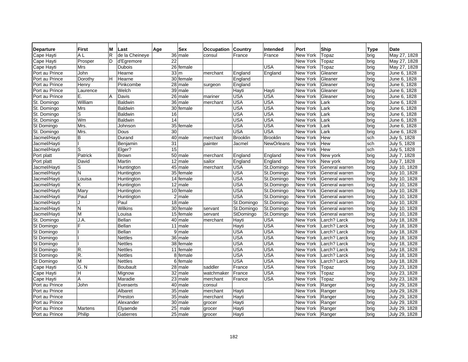| <b>Departure</b>  | <b>First</b> | м  | Last            | Age             | <b>Sex</b>             | <b>Occupation Country</b> |                 | Intended          | Port     | Ship           | <b>Type</b> | Date          |
|-------------------|--------------|----|-----------------|-----------------|------------------------|---------------------------|-----------------|-------------------|----------|----------------|-------------|---------------|
| Cape Hayti        | A L          | R. | de la Cheineye  |                 | 36 male                | consul                    | France          | France            | New York | Topaz          | brig        | May 27, 1828  |
| Cape Hayti        | Prosper      | D  | d'Egremore      | $\overline{22}$ |                        |                           |                 |                   | New York | Topaz          | brig        | May 27, 1828  |
| Cape Hayti        | Mrs          |    | <b>Dubois</b>   |                 | 26 female              |                           |                 | <b>USA</b>        | New York | Topaz          | brig        | May 27, 1828  |
| Port au Prince    | John         |    | Hearne          |                 | 33 <sub>cm</sub>       | merchant                  | England         | England           | New York | Gleaner        | brig        | June 6, 1828  |
| Port au Prince    | Dorothy      | H  | Hearne          |                 | 30 female              |                           | England         |                   | New York | Gleaner        | brig        | June 6, 1828  |
| Port au Prince    | Henry        |    | Pinkcombe       |                 | 28 male                | surgeon                   | England         |                   | New York | Gleaner        | brig        | June 6, 1828  |
| Port au Prince    | Laurence     |    | Welch           |                 | 39 male                |                           | Hayti           | Hayti             | New York | Gleaner        | brig        | June 6, 1828  |
| Port au Prince    | Ε.           | A  | Davis           |                 | 26 male                | mariner                   | <b>USA</b>      | <b>USA</b>        | New York | Gleaner        | brig        | June 6, 1828  |
| St. Domingo       | William      |    | Baldwin         |                 | $36$ male              | merchant                  | <b>USA</b>      | <b>USA</b>        | New York | Lark           | brig        | June 6, 1828  |
| St. Domingo       | <b>Mrs</b>   |    | <b>Baldwin</b>  |                 | $\overline{30}$ female |                           | <b>USA</b>      | <b>USA</b>        | New York | Lark           | brig        | June 6, 1828  |
| St. Domingo       | S            |    | Baldwin         | 16              |                        |                           | <b>USA</b>      | <b>USA</b>        | New York | Lark           | brig        | June 6, 1828  |
| St. Domingo       | Wm           |    | <b>Baldwin</b>  | $\overline{14}$ |                        |                           | <b>USA</b>      | <b>USA</b>        | New York | Lark           | brig        | June 6, 1828  |
| <b>St Domingo</b> | Mrs.         |    | Johnson         |                 | 35 female              |                           | <b>USA</b>      | <b>USA</b>        | New York | Lark           | brig        | June 6, 1828  |
| St. Domingo       | Mrs.         |    | Dous            | 30              |                        |                           | <b>USA</b>      | USA               | New York | Lark           | brig        | June 6, 1828  |
| Jacmel/Hayti      | B            |    | Durand          |                 | $40$ male              | merchant                  | <b>Brooklin</b> | <b>Brooklin</b>   | New York | Hew            | sch         | July 5, 1828  |
| Jacmel/Hayti      |              |    | Benjamin        | 31              |                        | painter                   | Jacmel          | <b>NewOrleans</b> | New York | Hew            | sch         | July 5, 1828  |
| Jacmel/Hayti      | S            |    | Elger?          | $\overline{15}$ |                        |                           |                 |                   | New York | Hew            | sch         | July 5, 1828  |
| Port platt        | Patrick      |    | <b>Brown</b>    |                 | 50 male                | merchant                  | England         | England           | New York | New york       | brig        | July 7, 1828  |
| Port platt        | David        |    | Martin          |                 | $12$ male              | sailor                    | England         | England           | New York | New york       | brig        | July 7, 1828  |
| Jacmel/Hayti      | S            |    | Huntington      |                 | 45 male                | merchant                  | <b>USA</b>      | St.Domingo        | New York | General warren | brig        | July 10, 1828 |
| Jacmel/Hayti      | N            |    | Huntington      |                 | 35 female              |                           | <b>USA</b>      | St.Domingo        | New York | General warren | brig        | July 10, 1828 |
| Jacmel/Hayti      | Louisa       |    | Huntington      |                 | 14 female              |                           | <b>USA</b>      | St.Domingo        | New York | General warren | brig        | July 10, 1828 |
| Jacmel/Hayti      | Κ            |    | Huntington      |                 | $12$ male              |                           | <b>USA</b>      | St.Domingo        | New York | General warren | brig        | July 10, 1828 |
| Jacmel/Havti      | Marv         |    | Huntington      |                 | 10 female              |                           | <b>USA</b>      | St.Domingo        | New York | General warren | brig        | July 10, 1828 |
| Jacmel/Hayti      | Paul         |    | Huntington      |                 | $2$ male               |                           | <b>USA</b>      | St.Domingo        | New York | General warren | brig        | July 10, 1828 |
| Jacmel/Hayti      | 1.           |    | Paul            |                 | $18$ male              |                           | St.Domingo      | St.Domingo        | New York | General warren | brig        | July 10, 1828 |
| Jacmel/Hayti      | N            |    | Wilkins         |                 | 30 female              | servant                   | St.Domingo      | St.Domingo        | New York | General warren | brig        | July 10, 1828 |
| Jacmel/Hayti      | М            |    | Louisa          |                 | $\overline{15}$ female | servant                   | StDomingo       | St.Domingo        | New York | General warren | brig        | July 10, 1828 |
| St. Domingo       | J.A.         |    | Bellan          |                 | 40 male                | merchant                  | Hayti           | USA               | New York | Larch? Larck   | brig        | July 18, 1828 |
| St Domingo        | E            |    | Bellan          |                 | $11$ male              |                           | Hayti           | <b>USA</b>        | New York | Larch? Larck   | brig        | July 18, 1828 |
| St Domingo        |              |    | Bellan          |                 | 9 male                 |                           | <b>USA</b>      | <b>USA</b>        | New York | Larch? Larck   | brig        | July 18, 1828 |
| <b>St Domingo</b> |              |    | <b>Nettles</b>  |                 | 36 male                |                           | <b>USA</b>      | <b>USA</b>        | New York | Larch? Larck   | brig        | July 18, 1828 |
| <b>St Domingo</b> |              |    | <b>Nettles</b>  |                 | 38 female              |                           | <b>USA</b>      | <b>USA</b>        | New York | Larch? Larck   | brig        | July 18, 1828 |
| St Domingo        | R.           |    | <b>Nettles</b>  |                 | 11 female              |                           | <b>USA</b>      | <b>USA</b>        | New York | Larch? Larck   | brig        | July 18, 1828 |
| St Domingo        | R.           |    | <b>Nettles</b>  |                 | 8 female               |                           | <b>USA</b>      | <b>USA</b>        | New York | Larch? Larck   | brig        | July 18, 1828 |
| St Domingo        | M            |    | <b>Nettles</b>  |                 | 6 female               |                           | <b>USA</b>      | <b>USA</b>        | New York | Larch? Larck   | brig        | July 18, 1828 |
| Cape Hayti        | G.N          |    | <b>Boubault</b> |                 | 28 male                | saddler                   | France          | <b>USA</b>        | New York | Topaz          | brig        | July 23, 1828 |
| Cape Hayti        | H            |    | Mignow          |                 | 32 male                | watchmaker                | France          | <b>USA</b>        | New York | Topaz          | brig        | July 23, 1828 |
| Cape Havti        | Α            |    | Maradie         |                 | $23$ male              | merchant                  | France          | <b>USA</b>        | New York | Topaz          | brig        | July 23, 1828 |
| Port au Prince    | John         |    | Everaerts       |                 | 40 male                | consul                    |                 |                   | New York | Ranger         | brig        | July 29, 1828 |
| Port au Prince    |              |    | Albaret         |                 | 35 male                | merchant                  | Hayti           |                   | New York | Ranger         | brig        | July 29, 1828 |
| Port au Prince    |              |    | Preston         |                 | $35$ male              | merchant                  | Hayti           |                   | New York | Ranger         | brig        | July 29, 1828 |
| Port au Prince    |              |    | Alexander       |                 | 30 male                | grocer                    | Hayti           |                   | New York | Ranger         | brig        | July 29, 1828 |
| Port au Prince    | Martens      |    | Elyaende        | 25              | male                   | grocer                    | Hayti           |                   | New York | Ranger         | brig        | July 29, 1828 |
| Port au Prince    | Philip       |    | Gatierres       |                 | $25$ male              | grocer                    | Hayti           |                   | New York | Ranger         | brig        | July 29, 1828 |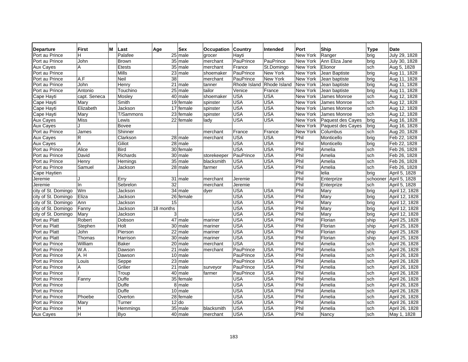| <b>Departure</b>    | <b>First</b> | М | Last            | Age       | <b>Sex</b>             | Occupation  | <b>Country</b> | Intended                  | Port            | Ship              | Type     | <b>Date</b>    |
|---------------------|--------------|---|-----------------|-----------|------------------------|-------------|----------------|---------------------------|-----------------|-------------------|----------|----------------|
| Port au Prince      | H            |   | Palafee         |           | $25$ male              | grocer      | Hayti          |                           | New York        | Ranger            | brig     | July 29, 1828  |
| Port au Prince      | John         |   | <b>Brown</b>    |           | 35 male                | merchant    | PauPrince      | PauPrince                 | New York        | Ann Eliza Jane    | brig     | July 30, 1828  |
| <b>Aux Cayes</b>    | A            |   | <b>Etests</b>   |           | $35$ male              | merchant    | France         | St.Domingo                | New York        | Elionor           | sch      | Aug 5, 1828    |
| Port au Prince      |              |   | <b>Mills</b>    |           | 23 male                | shoemaker   | PauPrince      | New York                  | New York        | Jean Baptiste     | brig     | Aug 11, 1828   |
| Port au Prince      | A.F          |   | Neil            | 38        |                        | merchant    | PauPrince      | New York                  | New York        | Jean baptiste     | brig     | Aug 11, 1828   |
| Port au Prince      | John         |   | Henry           |           | $\overline{21}$ male   | tanner      |                | Rhode Island Rhode Island | New York        | Jean baptiste     | brig     | Aug 11, 1828   |
| Port au Prince      | Antonio      |   | Touchino        |           | $25$ male              | tailor      | Venice         | France                    | <b>New York</b> | Jean baptiste     | brig     | Aug 11, 1828   |
| Cape Hayti          | capt. Seneca |   | Mosley          |           | 40 male                | shoemaker   | <b>USA</b>     | <b>USA</b>                | New York        | James Monroe      | sch      | Aug 12, 1828   |
| Cape Hayti          | Mary         |   | Smith           |           | 19 female              | spinster    | <b>USA</b>     | <b>USA</b>                | New York        | James Monroe      | sch      | Aug 12, 1828   |
| Cape Hayti          | Elizabeth    |   | Jackson         |           | 17 female              | spinster    | <b>USA</b>     | <b>USA</b>                | New York        | James Monroe      | sch      | Aug 12, 1828   |
| Cape Hayti          | Mary         |   | T/Sammons       |           | $\overline{23}$ female | spinster    | <b>USA</b>     | <b>USA</b>                | New York        | James Monroe      | sch      | Aug 12, 1828   |
| <b>Aux Cayes</b>    | Miss         |   | Lewis           |           | 22 female              | lady        | <b>USA</b>     | <b>USA</b>                | New York        | Paquest des Cayes | brig     | Aug 16, 1828   |
| <b>Aux Cayes</b>    |              |   | <b>Bovee</b>    |           |                        |             |                |                           | New York        | Paquest des Cayes | brig     | Aug 16, 1828   |
| Port au Prince      | James        |   | Shinner         |           |                        | merchant    | France         | France                    | New York        | Columbus          | sch      | Aug 20, 1828   |
| <b>Aux Cayes</b>    | R            |   | Clarkson        |           | 28 male                | merchant    | <b>USA</b>     | <b>USA</b>                | Phil            | Monticello        | brig     | Feb 22, 1828   |
| <b>Aux Cayes</b>    | A            |   | Giliot          |           | $\overline{28}$ male   |             | <b>USA</b>     | <b>USA</b>                | Phil            | Monticello        | brig     | Feb 22, 1828   |
| Port au Prince      | Alice        |   | Bird            |           | $\overline{30}$ female |             | <b>USA</b>     | <b>USA</b>                | Phil            | Amelia            | sch      | Feb 26, 1828   |
| Port au Prince      | David        |   | <b>Richards</b> |           | $30$ male              | storekeeper | PauPrince      | <b>USA</b>                | Phil            | Amelia            | sch      | Feb 26, 1828   |
| Port au Prince      | Henry        |   | Hemings         |           | 35 male                | blacksmith  | <b>USA</b>     | <b>USA</b>                | Phil            | Amelia            | sch      | Feb 26, 1828   |
| Port au Prince      | Samuel       |   | Jackson         |           | 28 male                | farmer      | <b>USA</b>     | <b>USA</b>                | Phil            | Amelia            | sch      | Feb 26, 1828   |
| Cape Haytien        |              |   |                 |           |                        |             |                |                           | Phil            | lelia             | brig     | April 5, 1828  |
| Jeremie             | 1.           |   | Erry            |           | 31 male                | merchant    | Jeremie        |                           | Phil            | Enterprize        | schooner | April 5, 1828  |
| Jeremie             | In           |   | Sebrelon        | 32        |                        | merchant    | Jeremie        |                           | Phil            | Enterprize        | sch      | April 5, 1828  |
| city of St. Domingo | Wm           |   | Jackson         |           | $34$ male              | dyer        | <b>USA</b>     | <b>USA</b>                | Phil            | Mary              | brig     | April 12, 1828 |
| city of St. Domingo | Eliza        |   | Jackson         |           | $\overline{26}$ female |             | <b>USA</b>     | <b>USA</b>                | Phil            | Mary              | brig     | April 12, 1828 |
| city of St. Domingo | Ann          |   | Jackson         | 15        |                        |             | <b>USA</b>     | <b>USA</b>                | Phil            | Mary              | brig     | April 12, 1828 |
| city of St. Domingo | Fanny        |   | Jackson         | 18 months |                        |             | <b>USA</b>     | <b>USA</b>                | Phil            | Mary              | brig     | April 12, 1828 |
| city of St. Domingo | Mary         |   | Jackson         |           | 3                      |             | <b>USA</b>     | <b>USA</b>                | Phil            | Mary              | brig     | April 12, 1828 |
| Port au Platt       | Robert       |   | Dobson          |           | $47$ male              | mariner     | <b>USA</b>     | <b>USA</b>                | Phil            | Florian           | ship     | April 25, 1828 |
| Port au Platt       | Stephen      |   | Holt            |           | 30 male                | mariner     | <b>USA</b>     | <b>USA</b>                | Phil            | Florian           | ship     | April 25, 1828 |
| Port au Platt       | John         |   | Pierson         |           | $\overline{22}$ male   | mariner     | <b>USA</b>     | <b>USA</b>                | Phil            | Florian           | ship     | April 25, 1828 |
| Port au Platt       | Thomas       |   | Harrison        |           | 30 male                | mariner     | <b>USA</b>     | <b>USA</b>                | Phil            | Florian           | ship     | April 25, 1828 |
| Port au Prince      | William      |   | <b>Baker</b>    |           | $\overline{20}$ male   | merchant    | <b>USA</b>     | <b>USA</b>                | Phil            | Amelia            | sch      | April 26, 1828 |
| Port au Prince      | W.A.         |   | Dawson          |           | $\overline{21}$ male   | merchant    | PauPrince      | <b>USA</b>                | Phil            | Amelia            | sch      | April 26, 1828 |
| Port au Prince      | A.H          |   | Dawson          |           | $10$ male              |             | PauPrince      | <b>USA</b>                | Phil            | Amelia            | sch      | April 26, 1828 |
| Port au Prince      | Louis        |   | Seppe           |           | $\overline{23}$ male   |             | PauPrince      | <b>USA</b>                | Phil            | Amelia            | sch      | April 26, 1828 |
| Port au Prince      | A            |   | Grilier         |           | $\overline{21}$ male   | surveyor    | PauPrince      | <b>USA</b>                | Phil            | Amelia            | sch      | April 26, 1828 |
| Port au Prince      |              |   | Troup           |           | 40 male                | farmer      | PauPrince      | <b>USA</b>                | Phil            | Amelia            | sch      | April 26, 1828 |
| Port au Prince      | Fanny        |   | Duffe           |           | 35 female              |             | <b>USA</b>     | <b>USA</b>                | Phil            | Amelia            | sch      | April 26, 1828 |
| Port au Prince      |              |   | Duffe           |           | 8 male                 |             | <b>USA</b>     | <b>USA</b>                | Phil            | Amelia            | sch      | April 26, 1828 |
| Port au Prince      |              |   | Duffe           |           | 10 male                |             | <b>USA</b>     | <b>USA</b>                | Phil            | Amelia            | sch      | April 26, 1828 |
| Port au Prince      | Phoebe       |   | Overton         |           | 28 female              |             | <b>USA</b>     | <b>USA</b>                | Phil            | Amelia            | sch      | April 26, 1828 |
| Port au Prince      | Mary         |   | Turner          |           | $12$ do                |             | <b>USA</b>     | <b>USA</b>                | Phil            | Amelia            | sch      | April 26, 1828 |
| Port au Prince      | H            |   | Hemmings        |           | 35 male                | blacksmith  | <b>USA</b>     | <b>USA</b>                | Phil            | Amelia            | sch      | April 26, 1828 |
| <b>Aux Cayes</b>    | H.           |   | <b>Byo</b>      |           | 40 male                | merchant    | <b>USA</b>     | <b>USA</b>                | Phil            | Nancy             | sch      | May 1, 1828    |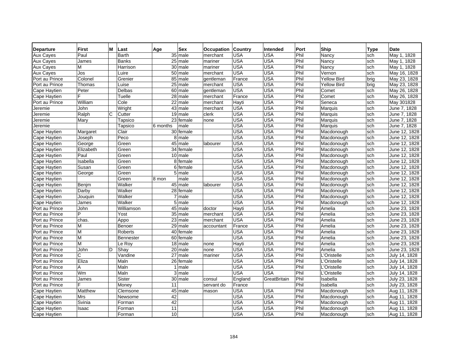| <b>Departure</b> | <b>First</b> | М | Last             | Age      | <b>Sex</b>           | Occupation | <b>Country</b> | <b>Intended</b> | Port | Ship               | <b>Type</b> | <b>Date</b>   |
|------------------|--------------|---|------------------|----------|----------------------|------------|----------------|-----------------|------|--------------------|-------------|---------------|
| <b>Aux Cayes</b> | Paul         |   | Barth            |          | $35$ male            | merchant   | <b>USA</b>     | <b>USA</b>      | Phil | Nancy              | sch         | May 1, 1828   |
| <b>Aux Cayes</b> | James        |   | <b>Banks</b>     |          | $25$ male            | mariner    | <b>USA</b>     | <b>USA</b>      | Phil | Nancy              | sch         | May 1, 1828   |
| <b>Aux Cayes</b> | М            |   | Harrison         |          | 30 male              | mariner    | <b>USA</b>     | <b>USA</b>      | Phil | Nancy              | sch         | May 1, 1828   |
| <b>Aux Cayes</b> | Jos          |   | Luire            |          | $50$ male            | merchant   | <b>USA</b>     | <b>USA</b>      | Phil | Vernon             | sch         | May 16, 1828  |
| Port au Prince   | Colonel      |   | Grenier          |          | 85 male              | gentleman  | France         | <b>USA</b>      | Phil | <b>Yellow Bird</b> | brig        | May 23, 1828  |
| Port au Prince   | Thomas       |   | Luise            |          | $25$ male            | merchant   | <b>USA</b>     | <b>USA</b>      | Phil | <b>Yellow Bird</b> | brig        | May 23, 1828  |
| Cape Haytien     | Peter        |   | Delbas           |          | 60 male              | gentleman  | <b>USA</b>     | <b>USA</b>      | Phil | Comet              | sch         | May 26, 1828  |
| Cape Haytien     | F            |   | Tuelle           |          | $28$ male            | merchant   | France         | <b>USA</b>      | Phil | Comet              | sch         | May 26, 1828  |
| Port au Prince   | William      |   | Cole             |          | 22 male              | merchant   | Hayti          | <b>USA</b>      | Phil | Seneca             | sch         | May 301828    |
| Jeremie          | John         |   | Wright           |          | 43 male              | merchant   | <b>USA</b>     | <b>USA</b>      | Phil | Marquis            | sch         | June 7, 1828  |
| Jeremie          | Ralph        | С | Cutter           |          | 19 male              | clerk      | <b>USA</b>     | <b>USA</b>      | Phil | Marquis            | sch         | June 7, 1828  |
| Jeremie          | Mary         |   | Tapsico          |          | $23$ female          | none       | <b>USA</b>     | <b>USA</b>      | Phil | Marquis            | sch         | June 7, 1828  |
| Jeremie          |              |   | Tapsico          | 6 months | male                 |            | <b>USA</b>     | <b>USA</b>      | Phil | Marquis            | sch         | June 7, 1828  |
| Cape Haytien     | Margaret     |   | Clair            |          | 30 female            |            | <b>USA</b>     | <b>USA</b>      | Phil | Macdonough         | sch         | June 12, 1828 |
| Cape Haytien     | Joseph       |   | $P_{\text{eco}}$ |          | 8 male               |            | <b>USA</b>     | USA             | Phil | Macdonough         | sch         | June 12, 1828 |
| Cape Haytien     | George       |   | Green            |          | $45$ male            | labourer   | <b>USA</b>     | <b>USA</b>      | Phil | Macdonough         | sch         | June 12, 1828 |
| Cape Haytien     | Elizabeth    |   | Green            |          | 34 female            |            | <b>USA</b>     | <b>USA</b>      | Phil | Macdonough         | sch         | June 12, 1828 |
| Cape Haytien     | Paul         |   | Green            |          | 10 male              |            | <b>USA</b>     | <b>USA</b>      | Phil | Macdonough         | sch         | June 12, 1828 |
| Cape Haytien     | Isabella     |   | Green            |          | 8 female             |            | <b>USA</b>     | <b>USA</b>      | Phil | Macdonough         | sch         | June 12, 1828 |
| Cape Haytien     | Susan        |   | Green            |          | 6 female             |            | <b>USA</b>     | USA             | Phil | Macdonough         | sch         | June 12, 1828 |
| Cape Haytien     | George       |   | Green            |          | $\overline{5}$ male  |            | <b>USA</b>     | <b>USA</b>      | Phil | Macdonough         | sch         | June 12, 1828 |
| Cape Haytien     |              |   | Green            | 8 mon    | male                 |            | <b>USA</b>     | <b>USA</b>      | Phil | Macdonough         | sch         | June 12, 1828 |
| Cape Haytien     | Benjm        |   | Walker           |          | 45 male              | labourer   | <b>USA</b>     | <b>USA</b>      | Phil | Macdonough         | sch         | June 12, 1828 |
| Cape Haytien     | Darby        |   | Walker           |          | 28 female            |            | <b>USA</b>     | <b>USA</b>      | Phil | Macdonough         | sch         | June 12, 1828 |
| Cape Haytien     | Jouquin      |   | Walker           |          | 7 male               |            | <b>USA</b>     | <b>USA</b>      | Phil | Macdonough         | sch         | June 12, 1828 |
| Cape Haytien     | James        |   | Walker           |          | 5 male               |            | <b>USA</b>     | <b>USA</b>      | Phil | Macdonough         | sch         | June 12, 1828 |
| Port au Prince   | John         |   | Williamson       |          | 45 male              | doctor     | Hayti          | <b>USA</b>      | Phil | Amelia             | sch         | June 23, 1828 |
| Port au Prince   | P            |   | Yost             |          | $35$ male            | merchant   | <b>USA</b>     | <b>USA</b>      | Phil | Amelia             | sch         | June 23, 1828 |
| Port au Prince   | chas.        |   | Appo             |          | 23 male              | merchant   | <b>USA</b>     | <b>USA</b>      | Phil | Amelia             | sch         | June 23, 1828 |
| Port au Prince   | М            |   | Benoer           |          | 29 male              | accountant | France         | <b>USA</b>      | Phil | Amelia             | sch         | June 23, 1828 |
| Port au Prince   | М            |   | Roberts          |          | 40 female            |            | <b>USA</b>     | <b>USA</b>      | Phil | Amelia             | sch         | June 23, 1828 |
| Port au Prince   | М            |   | <b>Bennester</b> |          | 60 female            |            | <b>USA</b>     | <b>USA</b>      | Phil | Amelia             | sch         | June 23, 1828 |
| Port au Prince   | М            |   | Le Roy           |          | 18 male              | none       | Hayti          | <b>USA</b>      | Phil | Amelia             | sch         | June 23, 1828 |
| Port au Prince   | John         | D | Shay             |          | 20 male              | none       | USA            | <b>USA</b>      | Phil | Amelia             | sch         | June 23, 1828 |
| Port au Prince   | С            |   | Vandine          |          | 27 male              | mariner    | <b>USA</b>     | <b>USA</b>      | Phil | L'Oristelle        | sch         | July 14, 1828 |
| Port au Prince   | Eliza        |   | Maln             |          | 26 female            |            | <b>USA</b>     | <b>USA</b>      | Phil | L'Oristelle        | sch         | July 14, 1828 |
| Port au Prince   | A            |   | Maln             |          | $1$ male             |            | <b>USA</b>     | <b>USA</b>      | Phil | L'Oristelle        | sch         | July 14, 1828 |
| Port au Prince   | Wm           |   | Maln             |          | $3$ male             |            | <b>USA</b>     | <b>USA</b>      | Phil | L'Oristelle        | sch         | July 14, 1828 |
| Port au Prince   | James        |   | Sister           |          | 30 male              | consul     | England        | GreatBritain    | Phil | Isabella           | sch         | July 23, 1828 |
| Port au Prince   | F.           |   | Money            | 11       |                      | servant do | France         |                 | Phil | Isabella           | sch         | July 23, 1828 |
| Cape Haytien     | Matthew      |   | Clemsone         |          | $\overline{45}$ male | mason      | <b>USA</b>     | <b>USA</b>      | Phil | Macdonough         | sch         | Aug 11, 1828  |
| Cape Haytien     | Mrs          |   | Newsome          | 42       |                      |            | <b>USA</b>     | <b>USA</b>      | Phil | Macdonough         | sch         | Aug 11, 1828  |
| Cape Haytien     | Svinia       |   | Forman           | 42       |                      |            | <b>USA</b>     | <b>USA</b>      | Phil | Macdonough         | sch         | Aug 11, 1828  |
| Cape Haytien     | Isaac        |   | Forman           | 11       |                      |            | <b>USA</b>     | <b>USA</b>      | Phil | Macdonough         | sch         | Aug 11, 1828  |
| Cape Haytien     |              |   | Forman           | 10       |                      |            | <b>USA</b>     | <b>USA</b>      | Phil | Macdonough         | sch         | Aug 11, 1828  |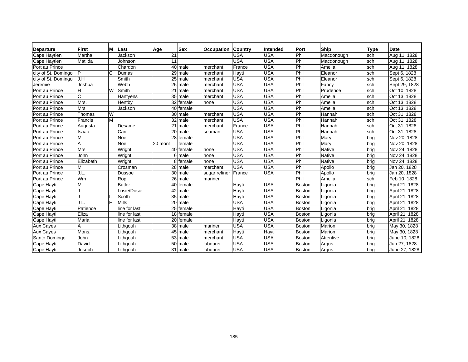| Departure           | <b>First</b> | м  | Last          | Age     | <b>Sex</b> | Occupation    | Country    | Intended   | Port          | <b>Ship</b>   | <b>Type</b> | <b>Date</b>    |
|---------------------|--------------|----|---------------|---------|------------|---------------|------------|------------|---------------|---------------|-------------|----------------|
| Cape Haytien        | Martha       |    | Jackson       | 21      |            |               | <b>USA</b> | <b>USA</b> | Phil          | Macdonough    | sch         | Aug 11, 1828   |
| Cape Haytien        | Matilda      |    | Johnson       | 11      |            |               | <b>USA</b> | <b>USA</b> | Phil          | Macdonough    | sch         | Aug 11, 1828   |
| Port au Prince      |              |    | Chardon       |         | 40 male    | merchant      | France     | <b>USA</b> | Phil          | Amelia        | sch         | Aug 11, 1828   |
| city of St. Domingo | P            | C  | Dumas         |         | 29 male    | merchant      | Hayti      | <b>USA</b> | Phil          | Eleanor       | sch         | Sept 6, 1828   |
| city of St. Domingo | J.H          |    | Smith         |         | 25 male    | merchant      | <b>USA</b> | <b>USA</b> | Phil          | Eleanor       | sch         | Sept 6, 1828   |
| Jeremie             | Joshua       |    | Webb          |         | 26 male    | merchant      | <b>USA</b> | <b>USA</b> | Phil          | Fancy         | sch         | Sept 29, 1828  |
| Port au Prince      | н            | W  | Smith         |         | 21 male    | merchant      | <b>USA</b> | <b>USA</b> | Phil          | Prudence      | sch         | Oct 10, 1828   |
| Port au Prince      | C            |    | Hantyens      |         | 35 male    | merchant      | <b>USA</b> | <b>USA</b> | Phil          | Amelia        | sch         | Oct 13, 1828   |
| Port au Prince      | Mrs.         |    | Hentby        |         | 32 female  | none          | <b>USA</b> | <b>USA</b> | Phil          | Amelia        | sch         | Oct 13, 1828   |
| Port au Prince      | <b>Mrs</b>   |    | Jackson       |         | 40 female  |               | <b>USA</b> | <b>USA</b> | Phil          | Amelia        | sch         | Oct 13, 1828   |
| Port au Prince      | Thomas       | W  |               |         | 30 male    | merchant      | <b>USA</b> | <b>USA</b> | Phil          | Hannah        | sch         | Oct 31, 1828   |
| Port au Prince      | Francis      | М  |               |         | 32 male    | merchant      | <b>USA</b> | <b>USA</b> | Phil          | Hannah        | sch         | Oct 31, 1828   |
| Port au Prince      | Augusta      |    | Desame        |         | 21 male    | merchant      | France     | <b>USA</b> | Phil          | Hannah        | sch         | Oct 31, 1828   |
| Port au Prince      | Isaac        |    | Carr          |         | 20 male    | seaman        | <b>USA</b> | <b>USA</b> | Phil          | Hannah        | sch         | Oct 31, 1828   |
| Port au Prince      | M            |    | Noel          |         | 28 female  |               | <b>USA</b> | <b>USA</b> | Phil          | Mary          | brig        | Nov 20, 1828   |
| Port au Prince      | A            |    | Noel          | 20 mont | female     |               | <b>USA</b> | <b>USA</b> | Phil          | Mary          | brig        | Nov 20, 1828   |
| Port au Prince      | <b>Mrs</b>   |    | Wright        |         | 40 female  | none          | <b>USA</b> | <b>USA</b> | Phil          | <b>Native</b> | brig        | Nov 24, 1828   |
| Port au Prince      | John         |    | Wright        |         | 6 male     | none          | <b>USA</b> | <b>USA</b> | Phil          | <b>Native</b> | brig        | Nov 24, 1828   |
| Port au Prince      | Elizabeth    |    | Wright        | 81      | female     | none          | <b>USA</b> | <b>USA</b> | Phil          | <b>Native</b> | brig        | Nov 24, 1828   |
| Port au Prince      | М            |    | Crosman       |         | 28 male    | merchant      | <b>USA</b> | <b>USA</b> | Phil          | Apollo        | brig        | Jan 20, 1828   |
| Port au Prince      | J.L.         |    | Dussoe        |         | 30 male    | sugar refiner | France     | <b>USA</b> | Phil          | Apollo        | brig        | Jan 20, 1828   |
| Port au Prince      | Wm           |    | Rop           |         | 26 male    | mariner       |            |            | Phil          | Amelia        | sch         | Feb 10, 1828   |
| Cape Hayti          | M            |    | <b>Butler</b> |         | 40 female  |               | Hayti      | <b>USA</b> | <b>Boston</b> | Ligonia       | brig        | April 21, 1828 |
| Cape Hayti          |              |    | Losie/Dosie   |         | 42 male    |               | Hayti      | <b>USA</b> | <b>Boston</b> | Ligonia       | brig        | April 21, 1828 |
| Cape Hayti          |              |    | Scoth         |         | 35 male    |               | Hayti      | <b>USA</b> | Boston        | Ligonia       | brig        | April 21, 1828 |
| Cape Hayti          | JL.          | H. | Mills         |         | 20 male    |               | <b>USA</b> | <b>USA</b> | Boston        | Ligonia       | brig        | April 21, 1828 |
| Cape Hayti          | Patience     |    | line for last |         | 25 female  |               | Hayti      | <b>USA</b> | Boston        | Ligonia       | brig        | April 21, 1828 |
| Cape Hayti          | Eliza        |    | line for last |         | 18 female  |               | Hayti      | <b>USA</b> | <b>Boston</b> | Ligonia       | brig        | April 21, 1828 |
| Cape Hayti          | Maria        |    | line for last |         | 20 female  |               | Hayti      | <b>USA</b> | Boston        | Ligonia       | brig        | April 21, 1828 |
| <b>Aux Cayes</b>    | Α            |    | Lithgouh      |         | $38$ male  | mariner       | <b>USA</b> | <b>USA</b> | <b>Boston</b> | Marion        | brig        | May 30, 1828   |
| <b>Aux Cayes</b>    | Mons.        |    | Lithgouh      |         | 45 male    | merchant      | Hayti      | Hayti      | Boston        | Marion        | <b>brig</b> | May 30, 1828   |
| Santo Domingo       | John         |    | Lithgouh      |         | 53 male    | merchant      | <b>USA</b> | <b>USA</b> | Boston        | Attentive     | brig        | June 10, 1828  |
| Cape Hayti          | David        |    | Lithgouh      |         | 50 male    | labourer      | <b>USA</b> | <b>USA</b> | <b>Boston</b> | Argus         | brig        | Jun 27, 1828   |
| Cape Hayti          | Joseph       |    | Lithgouh      |         | 31 male    | labourer      | <b>USA</b> | <b>USA</b> | Boston        | Argus         | brig        | June 27, 1828  |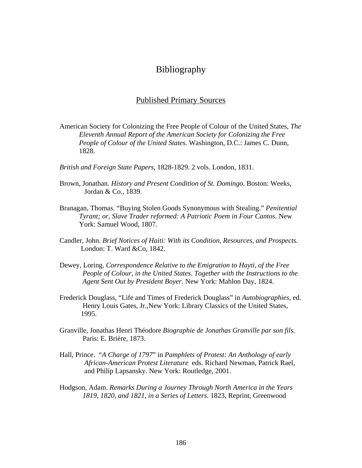# Bibliography

#### Published Primary Sources

- American Society for Colonizing the Free People of Colour of the United States, *The Eleventh Annual Report of the American Society for Colonizing the Free People of Colour of the United States*. Washington, D.C.: James C. Dunn, 1828.
- *British and Foreign State Papers*, 1828-1829. 2 vols. London, 1831.
- Brown, Jonathan. *History and Present Condition of St. Domingo*. Boston: Weeks, Jordan & Co., 1839.
- Branagan, Thomas. "Buying Stolen Goods Synonymous with Stealing." *Penitential Tyrant; or, Slave Trader reformed: A Patriotic Poem in Four Cantos*. New York: Samuel Wood, 1807.
- Candler, John. *Brief Notices of Haiti: With its Condition, Resources, and Prospects.* London: T. Ward &Co, 1842.
- Dewey, Loring. *Correspondence Relative to the Emigration to Hayti, of the Free People of Colour, in the United States. Together with the Instructions to the Agent Sent Out by President Boyer*. New York: Mahlon Day, 1824.
- Frederick Douglass, "Life and Times of Frederick Douglass" in *Autobiographies,* ed. Henry Louis Gates, Jr.,New York: Library Classics of the United States,1995.
- Granville, Jonathas Henri Théodore *Biographie de Jonathas Granville par son fils.*  Paris: E. Brière, 1873.
- Hall, Prince. "*A Charge of 1797*" in *Pamphlets of Protest: An Anthology of early African-American Protest Literature* eds. Richard Newman, Patrick Rael, and Philip Lapsansky. New York: Routledge, 2001.
- Hodgson, Adam. *Remarks During a Journey Through North America in the Years 1819, 1820, and 1821, in a Series of Letters*. 1823, Reprint, Greenwood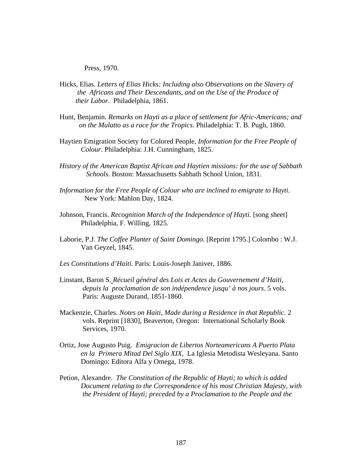Press, 1970.

- Hicks, Elias. *Letters of Elias Hicks: Including also Observations on the Slavery of the Africans and Their Descendants, and on the Use of the Produce of their Labor*. Philadelphia, 1861.
- Hunt, Benjamin. *Remarks on Hayti as a place of settlement for Afric-Americans; and on the Mulatto as a race for the Tropics*. Philadelphia: T. B. Pugh, 1860.
- Haytien Emigration Society for Colored People, *Information for the Free People of Colour*. Philadelphia: J.H. Cunningham, 1825.
- *History of the American Baptist African and Haytien missions: for the use of Sabbath Schools.* Boston: Massachusetts Sabbath School Union, 1831.
- *Information for the Free People of Colour who are inclined to emigrate to Hayti.*  New York: Mahlon Day, 1824.
- Johnson, Francis. *Recognition March of the Independence of Hayti.* [song sheet] Philadelphia, F. Willing, 1825.
- Laborie, P.J. *The Coffee Planter of Saint Domingo.* [Reprint 1795.] Colombo : W.J. Van Geyzel, 1845.
- *Les Constitutions d'Haiti.* Paris: Louis-Joseph Janiver, 1886.
- Linstant, Baron S. *Récueil général des Lois et Actes du Gouvernement d'Haiti, depuis la proclamation de son indépendence jusqu' à nos jours*. 5 vols. Paris: Auguste Durand, 1851-1860.
- Mackenzie, Charles. *Notes on Haiti, Made during a Residence in that Republic.* 2 vols. Reprint [1830], Beaverton, Oregon: International Scholarly Book Services, 1970.
- Ortiz, Jose Augusto Puig. *Emigracion de Libertos Norteamericans A Puerto Plata en la Primera Mitad Del Siglo XIX*, La Iglesia Metodista Wesleyana. Santo Domingo: Editora Alfa y Omega, 1978.
- Petion, Alexandre. *The Constitution of the Republic of Hayti; to which is added Document relating to the Correspondence of his most Christian Majesty, with the President of Hayti; preceded by a Proclamation to the People and the*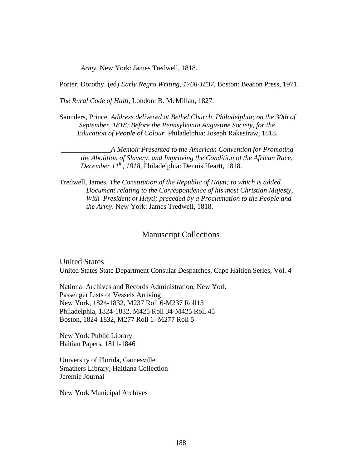*Army.* New York: James Tredwell, 1818.

Porter, Dorothy. (ed) *Early Negro Writing*, *1760-1837*, Boston: Beacon Press, 1971.

*The Rural Code of Haiti*, London: B. McMillan, 1827.

Saunders, Prince. *Address delivered at Bethel Church, Philadelphia; on the 30th of September, 1818: Before the Pennsylvania Augustine Society, for the Education of People of Colour.* Philadelphia: Joseph Rakestraw, 1818.

 \_\_\_\_\_\_\_\_\_\_\_\_\_\_*A Memoir Presented to the American Convention for Promoting the Abolition of Slavery, and Improving the Condition of the African Race, December 11th, 1818,* Philadelphia: Dennis Heartt, 1818.

Tredwell, James. *The Constitution of the Republic of Hayti; to which is added Document relating to the Correspondence of his most Christian Majesty, With President of Hayti; preceded by a Proclamation to the People and the Army*. New York: James Tredwell, 1818.

#### Manuscript Collections

United States United States State Department Consular Despatches, Cape Haitien Series, Vol. 4

National Archives and Records Administration, New York Passenger Lists of Vessels Arriving New York, 1824-1832, M237 Roll 6-M237 Roll13 Philadelphia, 1824-1832, M425 Roll 34-M425 Roll 45 Boston, 1824-1832, M277 Roll 1- M277 Roll 5

New York Public Library Haitian Papers, 1811-1846

University of Florida, Gainesville Smathers Library, Haitiana Collection Jeremie Journal

New York Municipal Archives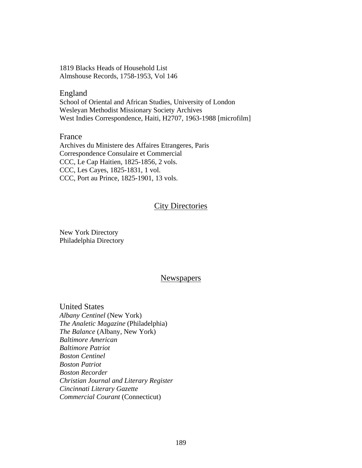1819 Blacks Heads of Household List Almshouse Records, 1758-1953, Vol 146

England School of Oriental and African Studies, University of London Wesleyan Methodist Missionary Society Archives West Indies Correspondence, Haiti, H2707, 1963-1988 [microfilm]

France

Archives du Ministere des Affaires Etrangeres, Paris Correspondence Consulaire et Commercial CCC, Le Cap Haitien, 1825-1856, 2 vols. CCC, Les Cayes, 1825-1831, 1 vol. CCC, Port au Prince, 1825-1901, 13 vols.

# City Directories

New York Directory Philadelphia Directory

# **Newspapers**

United States *Albany Centinel* (New York) *The Analetic Magazine* (Philadelphia) *The Balance* (Albany, New York) *Baltimore American Baltimore Patriot Boston Centinel Boston Patriot Boston Recorder Christian Journal and Literary Register Cincinnati Literary Gazette Commercial Courant* (Connecticut)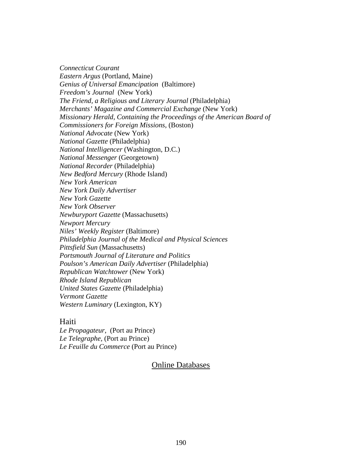*Connecticut Courant Eastern Argus* (Portland, Maine) *Genius of Universal Emancipation* (Baltimore) *Freedom's Journal* (New York) *The Friend, a Religious and Literary Journal* (Philadelphia) *Merchants' Magazine and Commercial Exchange* (New York) *Missionary Herald, Containing the Proceedings of the American Board of Commissioners for Foreign Missions,* (Boston) *National Advocate* (New York) *National Gazette* (Philadelphia) *National Intelligencer* (Washington, D.C.) *National Messenger* (Georgetown) *National Recorder* (Philadelphia) *New Bedford Mercury* (Rhode Island) *New York American New York Daily Advertiser New York Gazette New York Observer Newburyport Gazette* (Massachusetts) *Newport Mercury Niles' Weekly Register* (Baltimore) *Philadelphia Journal of the Medical and Physical Sciences Pittsfield Sun* (Massachusetts) *Portsmouth Journal of Literature and Politics Poulson's American Daily Advertiser* (Philadelphia) *Republican Watchtower* (New York) *Rhode Island Republican United States Gazette* (Philadelphia) *Vermont Gazette Western Luminary* (Lexington, KY)

# Haiti

*Le Propagateur*, (Port au Prince) *Le Telegraphe,* (Port au Prince) *Le Feuille du Commerce* (Port au Prince)

# Online Databases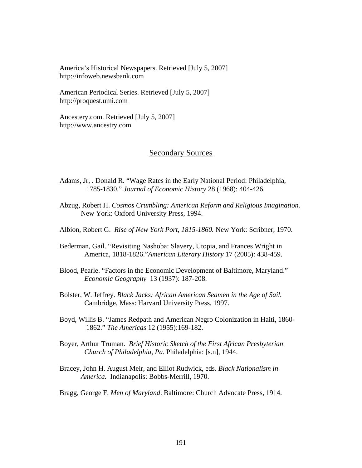America's Historical Newspapers. Retrieved [July 5, 2007] http://infoweb.newsbank.com

American Periodical Series. Retrieved [July 5, 2007] http://proquest.umi.com

Ancestery.com. Retrieved [July 5, 2007] http://www.ancestry.com

### Secondary Sources

- Adams, Jr, . Donald R. "Wage Rates in the Early National Period: Philadelphia, 1785-1830." *Journal of Economic History* 28 (1968): 404-426.
- Abzug, Robert H. *Cosmos Crumbling: American Reform and Religious Imagination.* New York: Oxford University Press, 1994.
- Albion, Robert G. *Rise of New York Port, 1815-1860.* New York: Scribner, 1970.
- Bederman, Gail. "Revisiting Nashoba: Slavery, Utopia, and Frances Wright in America, 1818-1826."*American Literary History* 17 (2005): 438-459.
- Blood, Pearle. "Factors in the Economic Development of Baltimore, Maryland." *Economic Geography* 13 (1937): 187-208.
- Bolster, W. Jeffrey. *Black Jacks: African American Seamen in the Age of Sail.*  Cambridge, Mass: Harvard University Press, 1997.
- Boyd, Willis B. "James Redpath and American Negro Colonization in Haiti, 1860- 1862." *The Americas* 12 (1955):169-182.
- Boyer, Arthur Truman. *Brief Historic Sketch of the First African Presbyterian Church of Philadelphia, Pa.* Philadelphia: [s.n], 1944.
- Bracey, John H. August Meir, and Elliot Rudwick, eds. *Black Nationalism in America.* Indianapolis: Bobbs-Merrill, 1970.
- Bragg, George F. *Men of Maryland*. Baltimore: Church Advocate Press, 1914.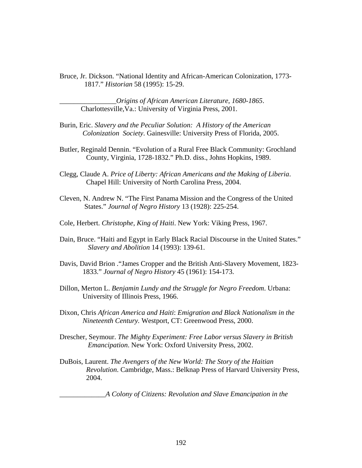Bruce, Jr. Dickson. "National Identity and African-American Colonization, 1773- 1817." *Historian* 58 (1995): 15-29.

\_\_\_\_\_\_\_\_\_\_\_\_\_\_\_\_*Origins of African American Literature*, *1680*-*1865*. Charlottesville,Va.: University of Virginia Press, 2001.

- Burin, Eric. *Slavery and the Peculiar Solution: A History of the American Colonization Society*. Gainesville: University Press of Florida, 2005.
- Butler, Reginald Dennin. "Evolution of a Rural Free Black Community: Grochland County, Virginia, 1728-1832." Ph.D. diss., Johns Hopkins, 1989.
- Clegg, Claude A. *Price of Liberty: African Americans and the Making of Liberia*. Chapel Hill: University of North Carolina Press, 2004.
- Cleven, N. Andrew N. "The First Panama Mission and the Congress of the United States." *Journal of Negro History* 13 (1928): 225-254.
- Cole, Herbert. *Christophe, King of Haiti*. New York: Viking Press, 1967.
- Dain, Bruce. "Haiti and Egypt in Early Black Racial Discourse in the United States." *Slavery and Abolition* 14 (1993): 139-61.
- Davis, David Brion ."James Cropper and the British Anti-Slavery Movement, 1823- 1833." *Journal of Negro History* 45 (1961): 154-173.
- Dillon, Merton L. *Benjamin Lundy and the Struggle for Negro Freedom*. Urbana: University of Illinois Press, 1966.
- Dixon, Chris *African America and Haiti*: *Emigration and Black Nationalism in the Nineteenth Century.* Westport, CT: Greenwood Press, 2000.
- Drescher, Seymour. *The Mighty Experiment: Free Labor versus Slavery in British Emancipation*. New York: Oxford University Press, 2002.
- DuBois, Laurent. *The Avengers of the New World: The Story of the Haitian Revolution*. Cambridge, Mass.: Belknap Press of Harvard University Press, 2004.

\_\_\_\_\_\_\_\_\_\_\_\_\_*A Colony of Citizens: Revolution and Slave Emancipation in the*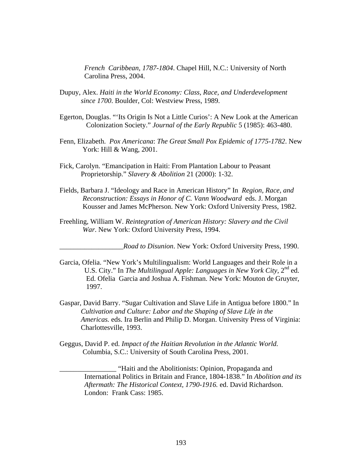*French Caribbean, 1787-1804*. Chapel Hill, N.C.: University of North Carolina Press, 2004.

- Dupuy, Alex. *Haiti in the World Economy: Class, Race, and Underdevelopment since 1700*. Boulder, Col: Westview Press, 1989.
- Egerton, Douglas. "'Its Origin Is Not a Little Curios': A New Look at the American Colonization Society." *Journal of the Early Republic* 5 (1985): 463-480.
- Fenn, Elizabeth. *Pox Americana*: *The Great Small Pox Epidemic of 1775-1782*. New York: Hill & Wang, 2001.
- Fick, Carolyn. "Emancipation in Haiti: From Plantation Labour to Peasant Proprietorship." *Slavery & Abolition* 21 (2000): 1-32.
- Fields, Barbara J. "Ideology and Race in American History" In *Region, Race, and Reconstruction: Essays in Honor of C. Vann Woodward* eds. J. Morgan Kousser and James McPherson. New York: Oxford University Press, 1982.
- Freehling, William W. *Reintegration of American History: Slavery and the Civil War*. New York: Oxford University Press, 1994.

\_\_\_\_\_\_\_\_\_\_\_\_\_\_\_\_\_\_*Road to Disunion*. New York: Oxford University Press, 1990.

- Garcia, Ofelia. "New York's Multilingualism: World Languages and their Role in a U.S. City." In *The Multilingual Apple: Languages in New York City*, 2<sup>nd</sup> ed. Ed. Ofelia Garcia and Joshua A. Fishman. New York: Mouton de Gruyter, 1997.
- Gaspar, David Barry. "Sugar Cultivation and Slave Life in Antigua before 1800." In *Cultivation and Culture: Labor and the Shaping of Slave Life in the Americas.* eds. Ira Berlin and Philip D. Morgan. University Press of Virginia: Charlottesville, 1993.
- Geggus, David P. ed. *Impact of the Haitian Revolution in the Atlantic World.* Columbia, S.C.: University of South Carolina Press, 2001.

\_\_\_\_\_\_\_\_\_\_\_\_\_\_\_\_ "Haiti and the Abolitionists: Opinion, Propaganda and International Politics in Britain and France, 1804-1838." In *Abolition and its Aftermath: The Historical Context, 1790-1916.* ed. David Richardson. London: Frank Cass: 1985.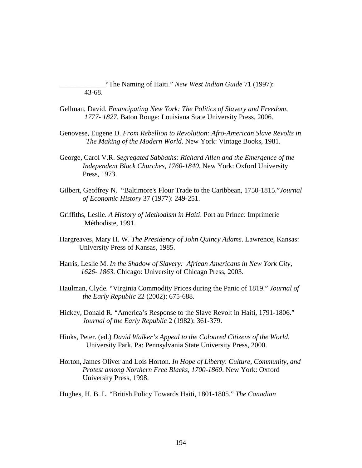\_\_\_\_\_\_\_\_\_\_\_\_\_"The Naming of Haiti." *New West Indian Guide* 71 (1997): 43-68.

- Gellman, David. *Emancipating New York: The Politics of Slavery and Freedom, 1777- 1827.* Baton Rouge: Louisiana State University Press, 2006.
- Genovese, Eugene D. *From Rebellion to Revolution: Afro-American Slave Revolts in The Making of the Modern World*. New York: Vintage Books, 1981.
- George, Carol V.R. *Segregated Sabbaths: Richard Allen and the Emergence of the Independent Black Churches, 1760-1840.* New York: Oxford University Press, 1973.
- Gilbert, Geoffrey N. "Baltimore's Flour Trade to the Caribbean, 1750-1815."*Journal of Economic History* 37 (1977): 249-251.
- Griffiths, Leslie. *A History of Methodism in Haiti*. Port au Prince: Imprimerie Méthodiste, 1991.
- Hargreaves, Mary H. W. *The Presidency of John Quincy Adams*. Lawrence, Kansas: University Press of Kansas, 1985.
- Harris, Leslie M. *In the Shadow of Slavery: African Americans in New York City, 1626- 1863.* Chicago: University of Chicago Press, 2003.
- Haulman, Clyde. "Virginia Commodity Prices during the Panic of 1819." *Journal of the Early Republic* 22 (2002): 675-688.
- Hickey, Donald R. "America's Response to the Slave Revolt in Haiti, 1791-1806." *Journal of the Early Republic* 2 (1982): 361-379.
- Hinks, Peter. (ed.) *David Walker's Appeal to the Coloured Citizens of the World.* University Park, Pa: Pennsylvania State University Press, 2000.
- Horton, James Oliver and Lois Horton. *In Hope of Liberty*: *Culture, Community, and Protest among Northern Free Blacks, 1700-1860*. New York: Oxford University Press, 1998.
- Hughes, H. B. L. "British Policy Towards Haiti, 1801-1805." *The Canadian*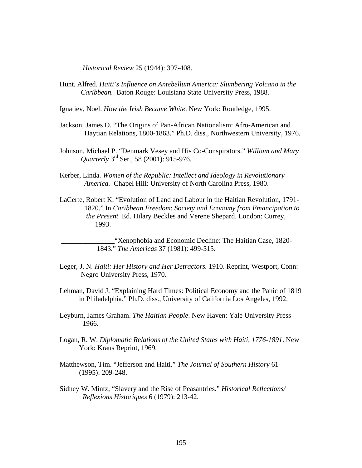*Historical Review* 25 (1944): 397-408.

Hunt, Alfred. *Haiti's Influence on Antebellum America: Slumbering Volcano in the Caribbean.* Baton Rouge: Louisiana State University Press, 1988.

Ignatiev, Noel. *How the Irish Became White*. New York: Routledge, 1995.

- Jackson, James O. "The Origins of Pan-African Nationalism: Afro-American and Haytian Relations, 1800-1863." Ph.D. diss., Northwestern University, 1976.
- Johnson, Michael P. "Denmark Vesey and His Co-Conspirators." *William and Mary Quarterly* 3rd Ser., 58 (2001): 915-976.
- Kerber, Linda. *Women of the Republic: Intellect and Ideology in Revolutionary America.* Chapel Hill: University of North Carolina Press, 1980.
- LaCerte, Robert K. "Evolution of Land and Labour in the Haitian Revolution, 1791- 1820." In *Caribbean Freedom*: *Society and Economy from Emancipation to the Present.* Ed. Hilary Beckles and Verene Shepard. London: Currey, 1993.

 \_\_\_\_\_\_\_\_\_\_\_\_\_\_\_"Xenophobia and Economic Decline: The Haitian Case, 1820- 1843." *The Americas* 37 (1981): 499-515.

- Leger, J. N. *Haiti: Her History and Her Detractors.* 1910. Reprint, Westport, Conn: Negro University Press, 1970.
- Lehman, David J. "Explaining Hard Times: Political Economy and the Panic of 1819 in Philadelphia." Ph.D. diss., University of California Los Angeles, 1992.
- Leyburn, James Graham. *The Haitian People*. New Haven: Yale University Press 1966.
- Logan, R. W. *Diplomatic Relations of the United States with Haiti, 1776-1891*. New York: Kraus Reprint, 1969.
- Matthewson, Tim. "Jefferson and Haiti." *The Journal of Southern History* 61 (1995): 209-248.
- Sidney W. Mintz, "Slavery and the Rise of Peasantries." *Historical Reflections/ Reflexions Historiques* 6 (1979): 213-42.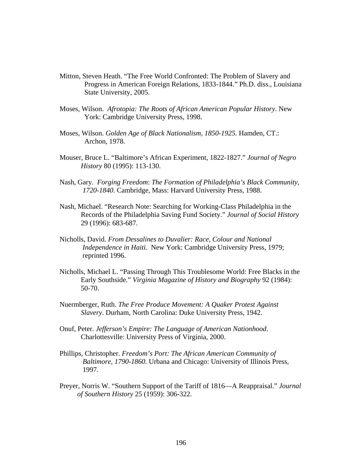- Mitton, Steven Heath. "The Free World Confronted: The Problem of Slavery and Progress in American Foreign Relations, 1833-1844." Ph.D. diss., Louisiana State University, 2005.
- Moses, Wilson. *Afrotopia: The Roots of African American Popular History*. New York: Cambridge University Press, 1998.
- Moses, Wilson. *Golden Age of Black Nationalism, 1850-1925.* Hamden, CT.: Archon, 1978.
- Mouser, Bruce L. "Baltimore's African Experiment, 1822-1827." *Journal of Negro History* 80 (1995): 113-130.
- Nash, Gary. *Forging Freedom*: *The Formation of Philadelphia's Black Community, 1720-1840.* Cambridge, Mass: Harvard University Press, 1988.
- Nash, Michael. "Research Note: Searching for Working-Class Philadelphia in the Records of the Philadelphia Saving Fund Society." *Journal of Social History* 29 (1996): 683-687.
- Nicholls, David. *From Dessalines to Duvalier: Race, Colour and National Independence in Haiti.* New York: Cambridge University Press, 1979; reprinted 1996.
- Nicholls, Michael L. "Passing Through This Troublesome World: Free Blacks in the Early Southside." *Virginia Magazine of History and Biography* 92 (1984): 50-70.
- Nuermberger, Ruth. *The Free Produce Movement: A Quaker Protest Against Slavery*. Durham, North Carolina: Duke University Press, 1942.
- Onuf, Peter. *Jefferson's Empire: The Language of American Nationhood*. Charlottesville: University Press of Virginia, 2000.
- Phillips, Christopher. *Freedom's Port: The African American Community of Baltimore, 1790-1860.* Urbana and Chicago: University of Illinois Press, 1997.
- Preyer, Norris W. "Southern Support of the Tariff of 1816—A Reappraisal." *Journal of Southern History* 25 (1959): 306-322.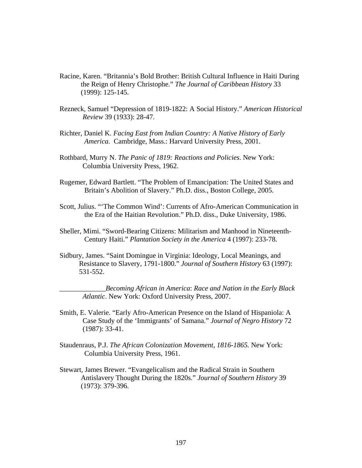- Racine, Karen. "Britannia's Bold Brother: British Cultural Influence in Haiti During the Reign of Henry Christophe." *The Journal of Caribbean History* 33 (1999): 125-145.
- Rezneck, Samuel "Depression of 1819-1822: A Social History." *American Historical Review* 39 (1933): 28-47.
- Richter, Daniel K. *Facing East from Indian Country: A Native History of Early America.* Cambridge, Mass.: Harvard University Press, 2001.
- Rothbard, Murry N. *The Panic of 1819: Reactions and Policies*. New York: Columbia University Press, 1962.
- Rugemer, Edward Bartlett. "The Problem of Emancipation: The United States and Britain's Abolition of Slavery." Ph.D. diss., Boston College, 2005.
- Scott, Julius. "'The Common Wind': Currents of Afro-American Communication in the Era of the Haitian Revolution." Ph.D. diss., Duke University, 1986.
- Sheller, Mimi. "Sword-Bearing Citizens: Militarism and Manhood in Nineteenth- Century Haiti." *Plantation Society in the America* 4 (1997): 233-78.
- Sidbury, James. "Saint Domingue in Virginia: Ideology, Local Meanings, and Resistance to Slavery, 1791-1800." *Journal of Southern History* 63 (1997): 531-552.

\_\_\_\_\_\_\_\_\_\_\_\_\_*Becoming African in America*: *Race and Nation in the Early Black Atlantic*. New York: Oxford University Press, 2007.

- Smith, E. Valerie. "Early Afro-American Presence on the Island of Hispaniola: A Case Study of the 'Immigrants' of Samana." *Journal of Negro History* 72 (1987): 33-41.
- Staudenraus, P.J. *The African Colonization Movement, 1816-1865.* New York: Columbia University Press, 1961.
- Stewart, James Brewer. "Evangelicalism and the Radical Strain in Southern Antislavery Thought During the 1820s." *Journal of Southern History* 39 (1973): 379-396.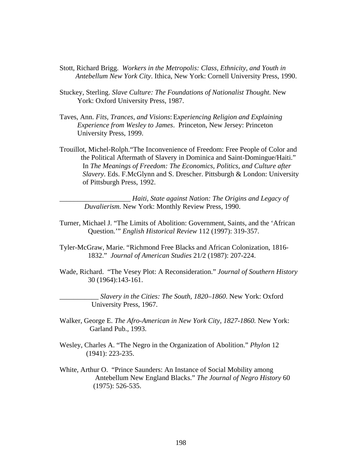- Stott, Richard Brigg. *Workers in the Metropolis: Class, Ethnicity, and Youth in Antebellum New York City*. Ithica, New York: Cornell University Press, 1990.
- Stuckey, Sterling. *Slave Culture: The Foundations of Nationalist Thought.* New York: Oxford University Press, 1987.
- Taves, Ann. *Fits, Trances, and Visions*: E*xperiencing Religion and Explaining Experience from Wesley to James*. Princeton, New Jersey: Princeton University Press, 1999.
- Trouillot, Michel-Rolph."The Inconvenience of Freedom: Free People of Color and the Political Aftermath of Slavery in Dominica and Saint-Domingue/Haiti." In *The Meanings of Freedom: The Economics, Politics, and Culture after Slavery*. Eds. F.McGlynn and S. Drescher. Pittsburgh & London: University of Pittsburgh Press, 1992.

\_\_\_\_\_\_\_\_\_\_\_\_\_\_\_\_\_\_\_\_ *Haiti*, *State against Nation: The Origins and Legacy of Duvalierism.* New York: Monthly Review Press, 1990.

- Turner, Michael J. "The Limits of Abolition: Government, Saints, and the 'African Question.'" *English Historical Review* 112 (1997): 319-357.
- Tyler-McGraw, Marie. "Richmond Free Blacks and African Colonization, 1816- 1832." *Journal of American Studies* 21/2 (1987): 207-224.
- Wade, Richard. "The Vesey Plot: A Reconsideration." *Journal of Southern History* 30 (1964):143-161.

\_\_\_\_\_\_\_\_\_\_\_ *Slavery in the Cities: The South, 1820–1860*. New York: Oxford University Press, 1967.

- Walker, George E. *The Afro-American in New York City, 1827-1860.* New York: Garland Pub., 1993.
- Wesley, Charles A. "The Negro in the Organization of Abolition." *Phylon* 12 (1941): 223-235.
- White, Arthur O. "Prince Saunders: An Instance of Social Mobility among Antebellum New England Blacks." *The Journal of Negro History* 60 (1975): 526-535.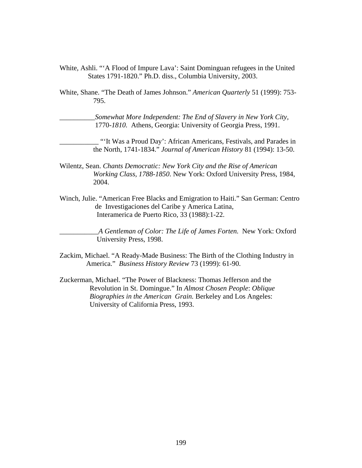White, Ashli. "'A Flood of Impure Lava': Saint Dominguan refugees in the United States 1791-1820." Ph.D. diss., Columbia University, 2003.

White, Shane. "The Death of James Johnson." *American Quarterly* 51 (1999): 753- 795.

\_\_\_\_\_\_\_\_\_\_*Somewhat More Independent: The End of Slavery in New York City,* 1770-*1810.* Athens, Georgia: University of Georgia Press, 1991.

\_\_\_\_\_\_\_\_\_\_\_ "'It Was a Proud Day': African Americans, Festivals, and Parades in the North, 1741-1834." *Journal of American History* 81 (1994): 13-50.

- Wilentz, Sean. *Chants Democratic: New York City and the Rise of American Working Class, 1788-1850*. New York: Oxford University Press, 1984, 2004.
- Winch, Julie. "American Free Blacks and Emigration to Haiti." San German: Centro de Investigaciones del Caribe y America Latina, Interamerica de Puerto Rico, 33 (1988):1-22.

\_\_\_\_\_\_\_\_\_\_\_*A Gentleman of Color: The Life of James Forten.* New York: Oxford University Press, 1998.

- Zackim, Michael. "A Ready-Made Business: The Birth of the Clothing Industry in America." *Business History Review* 73 (1999): 61-90.
- Zuckerman, Michael. "The Power of Blackness: Thomas Jefferson and the Revolution in St. Domingue." In *Almost Chosen People*: *Oblique Biographies in the American Grain.* Berkeley and Los Angeles: University of California Press, 1993.